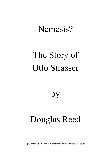### Nemesis?

# The Story of Otto Strasser

## by

# Douglas Reed

published: 1940 - this PDF prepared by www.douglasreed.co.uk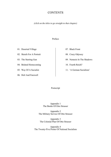### **CONTENTS**

*(click on the titles to go straight to that chapter)* 

#### [Preface](#page-2-0)

[01. Deserted Village](#page-5-0) 

[02. Sketch For A Portrait](#page-9-0) 

- [03. The Starting Gun](#page-12-0)
- [04. Belated Homecoming](#page-20-0)
- [05. Way Of A Socialist](#page-26-0)
- [06. Heil And Farewell](#page-35-0)
- [07. Black Front](#page-51-0)
- [08. Crazy Odyssey](#page-65-0)
- [09. Nemesis In The Shadows](#page-86-0)
- [10. Fourth Reich?](#page-90-0)
- [11. 'A German Socialism'](#page-102-0)

[Postscript](#page-119-0) 

Appendix 1 [The Books Of Otto Strasser](#page-140-0) 

Appendix 2 [The Military Service Of Otto Strasser](#page-142-0) 

Appendix 3 [The Colonial Plan Of Otto Strasser](#page-145-0) 

Appendix 4 [The Twenty-Five Points Of National Socialism](#page-148-0)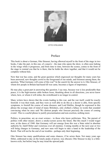<span id="page-2-0"></span>

OTTO STRASSER

### Preface

This book is about a German, Otto Strasser; having elbowed myself to the front of the stage in two books, I take the part, in this one, of *compère* - the man who opens the show, is often seen lurking in the wings while it progresses, and from time to time, between the scenes, comes to the front of the stage to remind you that he is there, that he holds the show together, and that it would not be complete without him.

Now that war has come, and the great question which engrossed our thoughts for many years has been answered, new thoughts crowd to the foreground of our minds, and foremost among them, the question, 'What Germany will come of this war?' In the search for the answer to it, Otto Strasser, of whom few people in Britain had heard till war came, becomes a figure of importance.

He may play a great part in answering this question. I say may, because war is less predictable than peace; it is the high-tension cable broken loose, thrashing about in all directions, you never know where, how, or whom it will strike; the switchboard is no longer in control.

Many writers have shown that the events leading to this war, and the war itself, could be exactly foretold: it was their trade, and they were as well able to do this as a doctor is able, from specific symptoms, to foretell the course of some diseases; and Lord Halifax, though he expressed in this phrase the average state of mind of many Britishers, only clothed a fallacy in words that sounded convincing when he once said 'We distrust people who forecast precisely the course of coming events'. This is a useful phrase to justify procrastination and non-exertion, nothing more.

Politics, in peacetime, are an exact science - to those who know politicians. War, 'the pursuit of politics with other means', draws a smoke-screen across the future. But this much I would wager now, at the dawn of 1940: that Germany will not emerge from this war a State ruled in absolute authority by Adolf Hitler and victorious over all enemies. Coming months or the next year or two will bring changes in Germany, and new men will begin to take a hand in the leadership of the Reich. That will not be the end of our troubles - perhaps only their beginning.

Otto Strasser has many qualifications and some chances, if he seizes them. Not many years ago Hitler, enthroned to-day on the lonely peaks of power, was obscure; Otto Strasser to-day is a littleknown exile, but before long he may tread the upward path.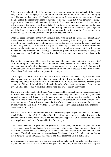After reaching manhood - which for my non-stop generation meant the first outbreak of the present war, in 1914 - I lived longer, at one stretch, in Germany than in any other country, including my own. The study of that strange Jekyll-and-Hyde country, the bane of our times, engrosses me. Some months before the present instalment of the war broke out, feeling that it was certainly coming, I began to think about and read about Otto Strasser, for I believed that when it came that lost legion of the Germans, the exiles, would immediately begin to grow in importance, and among the most important of them was this Otto Strasser. At that time my mind was already browsing on conjecture about the Germany that would succeed Hitler's Germany; but at that time the British public mind did not look so far forward, or this book might have appeared earlier.

When the second outbreak of this war came, his name was, in fact, at once heard, stimulating my interest even more, and an idea became an intention. In evening strolls through subdued, but not blacked-out Paris streets, where shuttered shops showed the way that war, for the third time almost within living memory, had drained the city of its manhood; in quiet meals in Paris restaurants, among elderly gentlemen who wore fine natural tonsures and were accompanied by fur-coated blondes; in long afternoons and evenings of unremitting work in hotel bedrooms I studied and questioned and debated with Otto Strasser, learned of his struggles in the past and his plans for the future.

The result engrossed me and left me with an ungovernable itch to write. Not entirely on account of Otto Strasser's political beliefs and plans; not entirely, even, on account of his personality, though I was happy and stimulated in his company, and got along very well with him, as I often do with individual Germans; but on account of the content of his life, which aroused in me all the instincts of the teller-of-tales and made me impatient for my typewriter.

I lived again, in those Parisian hours, the life of a man of The Other Side; a life far more adventurous than my own, which has not been dull; the life of another man of our raging contemporary times, buffeted by all the winds that blow. A life, to me, far more absorbing than Hitler's life. With and through him, I felt again the pulse of that seething, turbulent Germany that gives us all no rest, of that repellent and fascinating land where I spent many years.

The tale is told in this book. Otto Strasser's adventures and his political thought interest me alike. It is for me a new undertaking to write another man's life and explain another man's mind, for I have so much to say myself. I shall probably have to restrain myself by force from rushing on to the stage from time to time and elbowing the chief player aside. Somebody wrote of an earlier book of mine that my great fault in it was to shake the fist of my personality in the reader's face, and that probably was its chief merit. Nevertheless, short of an apoplexy, I shall achieve some measure of self-effacement this time.

The tale I have to tell is an important one. Hitler has nearly played his part. He long has curdled our blood. He has been like a Silly Symphony Napoleon with a live bomb in his pocket; it was as if the grotesque child of some comic artist's pen had suddenly stepped out of the screen and advanced upon a spellbound audience, firing real bullets from his gun.

A few more melodramatic postures and gestures and harangues, and he will be gone. From the wings already peep the candidates for the succession, chief among them two men: Göring, fat, Falstaffian, Neronic, ruthless, cunning, world-famous; and Otto Strasser, poor, unknown, outlawed, undaunted. They both mean you, just as Austria and Czechoslovakia and Poland meant you. I wrote that in *Insanity Fair* and *Disgrace Abounding*, and it has come true. This is just as true.

Your courage, your resolution, your this-and-that, will not help you if your rulers lose the peace. If they do that, your last state will be worse than your first, the going of the man Hitler will not profit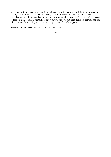you, your sufferings and your sacrifices and courage in this new war will be in vain, even your victory in it will be in vain, the next twenty years will be even worse than the last. The peace-tocome is even more important than the war, and in your own lives you now have seen what it means to lose a peace, or rather, wantonly to throw away a victory, just from dislike of exertion and of a stitch-in-time, from putting your trust in a burglar out of fear of a bogyman.

This is the importance of the tale that is told in this book.

\*\*\*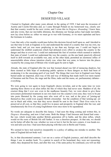#### Chapter One

#### DESERTED VILLAGE

<span id="page-5-0"></span>I homed to England, after many years abroad, in the spring of 1939. I had seen the invasions of Austria and Czecho-Slovakia and, as I came through Poland on my homeward way, clearly saw that that country would be the next victim, and I wrote this in *Disgrace Abounding*. I knew then, and also wrote, that our inevitable dilemma, the dilemma our foreign policy had made inevitable, now lay close before us: either we must go to war with Germany, or we must capitulate and have the Germans in London.

I saw that only a few months would pass before this decision forced itself upon us, and I decided to use that time to look at England, to try and understand the mind of a country that was my own, my native land, and yet was more perplexing to me than any foreign one. I could not begin to understand the slothful scepticism which had defeated every effort to awaken the country to the danger and thus to avert war. I could not understand the fear of exertion which seemed to underlie that state of mind. I could not understand the way the country, on the one hand, passively allowed itself to drift towards an avoidable war, and, on the other hand, permitted an enormous influx of unassimilable aliens whose intention clearly was, when that war came, to burrow into the places vacated by the young men of Britain who would again be sent to fight.

Already, the state of England after the war that loomed ahead was full of menacing shadows, but there seemed as little hope of awakening public opinion to these dangers as there had been of awakening it to the oncoming peril of war itself. The things that were best in England were being buried under an imported, alien way of life and way of thinking that made itself ever more master of literature and the Press, the stage and the films, radio and the menu, art, parliamentary debates everything.

We were going to war again to keep England's shores inviolate, and at the same time we were opening these shores to an alien influx the like of which they had never seen. Maddest of all, the craziest thing that I ever saw even in the madhouse Insanity Fair, we were about to give these newcomers preferential treatment in our own land over the country's own sons; they were to be put into posts liberated by the young men who went off to war, and at the price of 'joining-up' themselves they could even acquire British citizenship - but the condition of that 'joining-up', set out in black and white, was that they never should be sent to the front! Their lives were to be preserved at all cost, so that they could live in peace and prosperity in England after the war; and simultaneously the lives of young Englishmen were once more to be squandered.

No words are adequate to describe this lunacy. I had seen the thing coming and written this, in *Disgrace Abounding*, and now it had come. Both the things I had foreseen and feared had come the war, which would take another British generation off to battle, and the alien influx, which would rot the roots of British life still further. It was a cheerless prospect. At that rate, we should not be better off after the war, whether we won or lost it; but for the new comers, it was heads-wewin and tails-you-lose. I had seen them playing with that coin in Berlin and Vienna.

We seemed to have tied ourselves inseparably to a policy of adding one mistake to another. The state of England did not bode well.

So, in that discontented summer, I set out on a series of English journeys, and shall describe the things I saw in another book. To a patriot in search of his homeland, they were not reassuring; rather, they deepened his fears, and after this war, if the same policy be continued, you will see that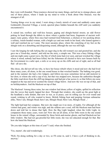they were well-founded. These journeys showed me many things, and led me to strange places, and one of these places, where I made up my mind to write a book about Otto Strasser, was the strangest of all.

Turning things over in my mind, I went along a lonely stretch of coast and suddenly came upon Goldsmith's Deserted Village, a weird, spectral place hidden beneath the cliff until you suddenly encountered it.

A ruined inn; roofless and wall-less houses; gaping and shingle-buried streets; an odd flower poking its head through the débris to show where a garden had been; fragments of ancient wallpaper; rusty grates, where fires once had warmed tired fishermen; a chicken or two pecking about; a solitary, tousle-headed woman, with a bright eye and one tooth in her head, who leaned against a wall and watched me as I came. The most uncanny place, where the crunching of my feet on the shingle took on a disturbing and disquieting sound, although the sun was still high.

I saw the longing for talk lurking like an eager dog in the old woman's eye and greeted her, and she gave me a 'Good-day, master', and told me the story, a simple one. This was a busy fishing village and one night came a great wave, the like of which none had ever seen, and just wrecked the village where it stood; nobody had been killed, but the fishermen all elected to have new houses built by the Government in a safer spot, a mile or so away up on the cliffs and out of sight, and so all had fled - all save she.

She chose, she did not tell me why, to have her house rebuilt where it stood and now she had lived these many years, all alone, in the one sound house in that wrecked hamlet. The bathing was good, and in the summer she had a few lodgers; and follow-my-nose sometimes led an odd motorist to her door, to whom she sold a cup of tea, but that was stopped now, because the authorities thought the little road down from the cliff-top dangerous and had put a bar across it, so that follow-my-nose stopped at the top and never scented the ruined village below. And now the war on top of that, and no holidaymakers. And the blackout on top of that.

The blackout! Among these ruins, her one window had shone yellow of nights, spilled its reflection into the waves that nearly lapped her door. Through that window, she could see the great light at the headland a mile distant, that now in war, as in peace, cast its rolling eye for ever round and round, winking to all who wanted to know, British fishing boat and peeping German submarine alike, 'Here I am, Shingle Head; here I am, Shingle Head; Here I am, Shingle Head ...'

The light had kept her company. But now she might see it no more, of nights. For although all the visitors had gone, and winter was nigh, and she seldom saw a soul, still the blackout man had been down and told her to douse that light. How the Big Light laughed, when the Little Light, its companion those many years, went out! Now she sat all alone, in her little room in the one sound house in the ruined village, surrounded by those brick-and-mortar ghosts, and had blacked-out her little window. She had not gas-proofed her little room; she was not educated enough for that. But how she hated the blackout.

'Do you take lodgers at this time of year?' I said, when she finished.

'Yes, master', she said wonderingly.

'Well, I'm doing nothing for a day or two, so I'll come in, said I, I have a job of thinking to do, anyway.'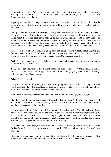It was a strange lodging. 'Well, stap me and Heil Hitler,' I thought, when I surveyed it. It was nearly as damp as a well, but then, it was not much wider than a church door, and I had been in worse, though not in stranger places.

A good place to think. I thought about the war, and what would come after it, leaned against the breakwater, stirred the shingle with my foot, watched the seagulls. And at night we talked, and how we talked.

We agreed that the fishermen were right; the Big Wave had been caused by the county authorities taking too much sand from the foreshore; hadn't we always said that would lead to no good; we talked about the German cook at the hotel up on the cliff, who had yielded to the entreaties of all who knew her not to leave them because of the war; and we agreed that, all things considered, if it had been us we would probably have gone home, no matter how they coaxed us; and the things we said about the blackout! The old lady celebrated the festival of Saint Garrulous; she liked it.

And so did I, but at last I said, 'I'm going now, I'm going to write a book, about England and Germany, and Göring and Otto Strasser, and how this war is going to end, and what will come after it, and I'll probably come and stay with you again about Christmas, so good-bye.'

'Well, I'm sorry you're going, master,' she said, 'you was good company for me. And are you going to write a book, out of your head?'

'I am, I said, 'I'm a slave to the habit. Some people can take books or leave them alone, but I'm not like that. I'm like the alcoholic subject, whose next drink is always going to be his last. I'm always full to bursting with *Treppenwitze*.'

'What's that?' she asked.

'The joke you think of after the party, when you're going downstairs', I said. 'The things you wish you'd said. But I have the advantage of those tardy jesters - I always go back and work off my jokes, in another book. None can escape me, and here I go.'

'Well, that's interesting,' she said, raking me with her bright but empty eye, 'good-bye, master'.

I felt that eye in the middle of my back as I walked up the cliff path. At the top I turned and waved. She stood at the door of her house, among the skeletons of the homes of her childhood's friends, and the chickens pecked about her feet.

I took train and ship for France, to seek Otto Strasser. The train dawdled. The ship waited for hours before even setting forth, and as all the cabins were monopolized I spent the night walking the deck. The next day, I was in France, revelling in a glass of Dubonnet, a mouthful of mushroom omelet, a half-pint of Clicquot, a marvellous contrecarrée, a morsel of Brie, a coffee, and a Grand Marnier. 0, land of gastronomic perfection, of the art of living.

I strolled awhile about Paris, happy as a sandboy. The streets, for me, were full of the ghosts of the British Army that rolled roaring down from the line in 1918 to celebrate victory. Victory! Holy umbrellas!

I thus took a quick, deep breath of Paris, and then wandered off to Montparnasse in search of Otto Strasser. Eventually I found him in a modest room in a small hotel in a back street.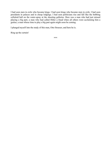I had seen men in exile who became kings. I had seen kings who became men in exile. I had seen presidents in palaces and in cheap lodgings. I had seen politicians rise and fall like the bobbing celluloid ball on the water-spray at the shooting galleries. Here was a man who had just missed playing a big part, a man who had called Hitler a fraud when all others were acclaiming him a genius, a man whose time to play a big part again might soon be coming.

I plunged myself into the study of this man, Otto Strasser, and here he is.

Ring up the curtain!

\*\*\*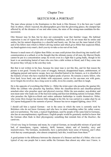#### Chapter Two

#### SKETCH FOR A PORTRAIT

<span id="page-9-0"></span>The man whose picture is the frontispiece to this book is Otto Strasser. It is the best one I could find. In others, which I rejected, the photographers gave him the glowering glance, the clamped lips affected by all the dictators of our and other times, the mien of the strong-man-candidate-for-thesuccession.

Otto Strasser may be that, but he does not customarily wear that familiar visage. His habitual expression is one of vigour but also of smiling friendliness, and I do not mean that he smiles and smiles, but his natural disposition is a cheerful and hearty one. He has not the inner hatred of life and of his fellow men which is Hitler's driving instinct and which gives Hitler that suspicion-filled, my-hand-against-every-man's, don't-you-try-to-take-a-rise-out-of-me look.

Strasser is much more of a fighter than Hitler; no man could picture him dissolving into tearful selfcommiseration at a setback or at the thought that the ultimate enemy of all men, the Marxist Death, cannot be put in a concentration camp; he revels even in a fight that is going badly, though in his heart is an unrelenting hatred of men who owe him a debt written in blood, and if they come into his power they will pay in the coin they took.

But that is not written in his face, because his inner man is not like this, and for that reason the picture is not good. Twenty-five years of struggle, betrayal, disappointed hopes, embitterment, of unflagging pursuit and narrow escape, have not chiselled hatred in his features, as it is chiselled in the features of men who have reached the highest peaks of power. He remains a merry fellow, who lives hard, loves hard, eats and drinks with enjoyment, carries on his one-man war with gusto, never forgets his revolver, has a long score to settle, loves his country, and likes to laugh.

He is the opposite of everything that Hitler is - Hitler the éclair-eater who preaches the spartan life; Hitler the celibate who preaches big families; Hitler the chauffeur-driven and chauffeur-piloted armchair-sitter who preaches sport and physical exercise; Hitler the non-smoker, non-drinker and non-meat-eater who leads one of the heaviest-eating and heaviest-drinking nations in Europe; Hitler who preaches the fight-to-a-finish and orders unbeaten battleships to scuttle themselves. Hitler, who wrote *Mein Kampf*, has known little struggle in his life; he was carried in a sedan chair by an Al Capone bodyguard to the summits of power. Strasser has never stopped fighting, since 1914.

I should call him a typical German - not in the sense in which the term is currently used by Britishers who do not know Germany and who have in mind something rather fat, rather coarse, and over-portentous. The term, a typical Englishman, used by people of the same kind in Germany, also has an uncomplimentary significance; English people would be genuinely startled to know that the German often finds in their physiognomy something that reminds him of the *Raubtier*, the carnivore.

I lived very long in Germany and mean, by a typical German, an inexplicable mixture of good and bad, of staunchness, vigour, industry, thrift, humour, talent; and of brutality, envy and insensitiveness. The Germans, incidentally, have a particularly keen sense of humour, and I often wish that my countrypeople, who almost completely lack this, would learn from them.<sup>[\[1\]](#page-152-0)</sup>

A good pointer to the difference between the character of a Strasser and that of a Hitler, who is not typical of any one people but is more unlike the Germans than almost any other race I know, is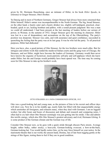given by Dr. Hermann Rauschning, once an intimate of Hitler, in his book *Hitler Speaks*, in reference to Gregor Strasser, Otto's brother.

'In Danzig and in most of Northern Germany, Gregor Strasser had always been more esteemed than Hitler himself. Hitler's nature was incomprehensible to the North German. The big, broad Strasser, on the other hand, a hearty eater and a hearty drinker too, slightly self-indulgent, practical, clearheaded, quick to act, lacking bombast and pathos, with a sound peasant judgment: this was a man we could all understand. I had been present at the last meeting of leaders before our seizure of power, in Weimar, in the autumn of 1932. Gregor Strasser gave the meeting its character. Hitler was lost in a sea of despondency and accusations on the top of the Obersalzberg. The party's position was desperate. Strasser was calm, and with assurance and quiet confidence, succeeded in quenching the feeling that the party was at its last gasp. It was he who led the party. To all practical purposes, Hitler had abdicated.'

Here you have, also, a good picture of Otto Strasser, for the two brothers were much alike. But for intrigues and stiletto-work that outdid the medieval Italian courts and the gang-wars of Chicago, the Strassers, and not Hitler, might have become the leaders of Germany. Germany would then never have known the orgasms of hysterical, mock-patriotic self-pity and self-applause which she knew under Hitler; but she and Europe would probably have been spared war. The time may be coming soon for Otto Strasser to take up his brother's work.



OTTO STRASSER AS A NON-COMMISIONED OFFICER, 1915

Otto was a good-looking lad and young man, as the pictures of him in his recruit and officer days will show you. Now he is in his middle age, nearly bald, but filled with that unquenchable energy which astonishes all foreigners, and exhausts many, when they deal with Germans. I am no laggard worker; but after hours and hours of discussion and debate and research and comparing notes, I often had to cry halt when Otto Strasser seemingly was just getting into his stride. I like and admire this terrific energy, which also fills Otto Strasser's greatest adversary and rival, Hermann Göring. It is some product of the German climate and the German way of life.

Consider Otto Strasser now, as he goes with a quick stride through obscure Paris streets. Average height; rather bulky, rather stocky; a heavyish, German-looking overcoat; a bow-at-the-back, German-looking hat. You would hardly notice him, yet he may force himself on your notice. In the marionette-theatre that is our world, the unseen hand, Destiny, has of late been tugging gently at the strings of this figure, testing them to feel if they are in good condition.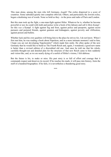This man alone, among the men who left Germany, *fought*! The exiles dispersed to a score of countries. Some subsided quietly into complete oblivion. Others, and particularly the Jewish exiles, began a deafening war of words. None so bold as they - in the press and radio of Paris and London.

But this man took up the fight, a one-man-fight against Hitler. Whatever he is, whether he become powerful or not, he could with truth and justice write a book of his labours and call it *Mein Kampf* for this *was* a Kampf. A fight against fog and frost, against police and passports, against secret pursuers and perjured friends, against gunmen and kidnappers, against poverty and vilification, against poison and bullets.

Whether luck and his own qualities will bring him to the place he strives for, I do not know. When I first met him, he was reading a book about Napoleon, and in a more intimate moment I said to him, I hope you are not developing Napoleonitis?' which made him smile. He often spoke of the new Germany that he would like to build as The Fourth Reich and, again, I wondered; a good new name is better than a revised edition of a discredited old one. And once he told me that his whole, carefully-thought-out and detailed plan for the structure of that new Reich came to him suddenly and vision-like, and, as we are nearly dying of a surfeit of Hitler's visions, I felt dubious.

But the future is his, to make or miss. His past story is so full of effort and courage that it commands respect and deserves its record. If he reaches his mark, it will pass into history, form the stuff of a hundred biographies. If he fails, it is nevertheless a thundering good story.

\*\*\*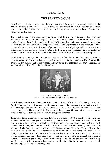### Chapter Three

### THE STARTING GUN

<span id="page-12-0"></span>Otto Strasser's life really began, like those of most male Europeans born around the turn of the century, with the outbreak of war in 1914. Since its adjournment, in 1918, he has had, as the little boy said, two minutes peace each year. He was carried by it into the vortex of those turbulent years which still hold us captive.

The aspect, to-day, of the quiet family circle in which he grew up is typical of the lot of that generation. His eldest brother, Gregor, is dead, killed by the man he made, Hitler. His second brother, Paul, is a Benedictine monk, until lately in Belgium; life in Germany was made impossible for him and he was fortunate to escape unscathed. Paul's experience is worth recording. After Hitler's advent to power, he took a party of young Germans on a pilgrimage to Rome, was attacked in the press for this, and on his return arrested at the frontier. Being released, he gave his captors no second chance, but went to Austria, and from there, a little before Hitler's invasion, to Belgium.

Otto himself is an exile, outlaw, hunted these many years from land to land. His youngest brother, born ten years after himself, a lawyer by profession, is an infantry subaltern in Hitler's army. His brother-in-law, the husband of his younger and only sister, is a colonel in that army. Gregor, Paul and Otto all served as officers in the 1914-18 war.



THE STRASSER FAMILY CIRCLE *Otto is on the right, Paul on the left, Gregor is not shown*

Otto Strasser was born on September 10th, 1897, at Windsheim in Bavaria; nine years earlier, Adolf Hitler was born not far away, at Braunau, just across the Austrian frontier. Yet a world of difference separated these two men. To understand a man, you need to know his roots. No man can trace Hitler's roots. The roots of Otto Strasser were three: a deep German patriotism, an inherited religious feeling, and strong Socialist convictions, partly inherited.

These three things made the grown man. Patriotism was fostered by the country of his birth, that loveliest and noblest countryside in all Germany, the Franconian provinces of Bavaria. Here one fine town neighbours another. Rothenburg, the finest surviving example of a medieval town, with its walls and towers, lay a few miles away; his mother came from Dinkelsbühl, which in beauty vies with Rothenburg, and grew up there in the famous wooden Deutsches Haus, which tourists from all the world come to see, for her father had an inn in that ancestral home of a Bavarian noble family. Otto Strasser's grandfather was another great link with the life of Bavaria, where beer is a second religion, and marvellous beer it is too, for he was a well-to-do peasant and owned a brewery. A fine countryside, this, where Otto Strasser grew up; the foreigner may seek his life long, and fail to account for the contrast between these noble cities, this thriving and well-farmed land, and the things that the State, Germany, does.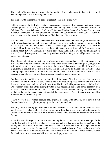The people of these parts are devout Catholics, and the Strassers belonged to them in this as in all else. Here grew the root of his religious feeling.

The third of Otto Strasser's roots, the political root came in a curious way.

Political thought, like the fruits of nature, flourishes in Franconia, which has supplied more famous German politicians than any other German land, among them Stein, Metternich, Baron von Dahlberg, Franz von Sickingen, Ulrich von Hutten and Florian Geyer. Otto Strasser's father was, outwardly, the model of a quiet, diligent, middle-rank civil servant in the judicial service. But in his heart he was a revolutionary Socialist - on a Christian, not a Marxist basis.

His mind, behind his sober, workaday outer man, was discontented with the things his eye saw, in a world of courts and pomp, and he wrote, and published anonymously, as a civil servant must if he wishes to print his thoughts, a book called *Der Neue Weg* (The New Way) which set forth his political ideas for A New Germany. Nearly all Germans, at that time and for long after, were thinking about that New Germany; not much later, young Adolf Hitler was to start thinking about it, too. The book was published under the pseudonym of Paul Weger - a half-pun on its author's name, Peter Strasser.

The political itch left him no rest, and he afterwards wrote a second book, but his wife caught him at it. She was a typical official's wife, with the passion of the female defending her young for the safe, prosaic existence, with a pension at the end of it, which her husband could look forward to, as a government servant, if he kept his mouth shut and his views to himself. The sounds of loud scolding might have been heard in the home of the Strassers at this time, and the end was that Peter Strasser, a man of peace, gave up his project and locked his manuscript away.

But here was the political germ, which, for all the good *Hausfrau's* antagonism, presently reappeared in the blood of his sons. Exactly the same dispute repeated itself in the life of Otto Strasser at a later date and led to his divorce from his first wife (his present marriage is his third.) Otto Strasser, unlike his father, emerged victor in this household strife, and parted company from his wife rather than abandon his political convictions. He was the revolutionary Socialist resolute; his father, the revolutionary Socialist frustrated. For these reasons Peter Strasser always took Otto Strasser's part in his later disputes.

I have recorded these things because they explain the man, Otto Strasser, of to-day: a South German homeland, a religious upbringing, an inherited political interest.

The rest, until the starting gun sounded, is almost irrelevant, but not quite. He left school in 1913 and, because his father could not afford to pay more fees than those he was already paying for Gregor at the university and Paul at a grammar school, Otto became an apprentice in a textile factory.

'A terrible year', he says, 'six months in the counting house, six months in the workshops.' In the first he learned only to fill the inkpots (typewriters had not then reached the factory), copy the letters, fetch their food for the clerks and workmen at 10 o'clock, and stick on stamps. And in the second six months, in the factory itself, he learned to pack things up. 'I can make a wonderful parcel to-day and have never forgotten this.' In September 1914 he was to have resumed his studies, for which the fees were now available - but the starting-gun sounded.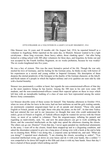

#### OTTO STRASSER AS A VOLUNTEER IN A LIGHT CAVALRY REGIMENT, 1914

Otto Strasser was 16 years and 10 months old. On August 2nd, 1914, he reported himself as a volunteer in Augsburg; Hitler reported on the same day, in Munich. Strasser wanted to be a light cavalryman - those long overcoats, those heavy sabres, those clanking spurs! - but after being locked in a riding school with 300 other volunteers for three days, and forgotten, he broke out and was accepted by the Fourth Artillery Regiment, on six weeks probation, because he was weakly! The six weeks lengthened into five years.

He was a boy of sixteen. This was the most formative period of his life. Though the war only steeled his love of Germany, and his feeling for the German army, he thinks to-day with horror of his experiences as a recruit and young soldier in Imperial Germany. His description of them deepens the eternal perplexity of the foreigner at the duality of the German character, at the Jekylland-Hyde nature of a people in which the highest military and civic qualities are seen side by side with a bestial brutality.

Strasser was passionately a soldier at heart, but regards the non-commissioned-officers of that day as the most repulsive beings he has known. Among the 300 men in his unit were some 180 students, and the non-commissioned-officers vented their especial spleen on these in ways which left him with an ineradicable loathing of a class of man now best represented among the senior Brown Army commanders.

Let Strasser describe some of these scenes for himself. 'One Saturday afternoon in October 1914, when we were all due for leave in the town, had our best uniforms on and the girls waiting outside, an enormously corpulent sergeant-major had us all on parade and shouted, "Those who speak English or French, parade on the right; those who play the piano, on the left". At that time Turkey had just entered the war and in our innocence we thought that men who could understand the orders, given in French or English, of Turkish officers might be wanted for service with the Orient Army, so most of us rushed to volunteer. Then the sergeant-major, inflating his paunch and regarding us malevolently, said, "*So*, and now the piano-players can get to work scrubbing the floors, and the conceited intellectuals on the right may spend the afternoon cleaning the closets. The others can go out. Dismiss!" From that day, I never again paraded my intellectual attainments in the army. I went off to the closets, found them stopped-up and in a disgusting condition, and asked the shoemaker-corporal to give me a long piece of strong wire with a hook at the end to help me in cleaning them. While I was doing this, a corporal came up behind me, and said: "What are you doing?" I reported most obediently, "I am cleaning the closets, according to orders". "You conceited intellectual swine, get down on your knees and do it with your hands, like a soldier." I was compelled to lie down full length in this filth and clean it with my bare hands. Since that day I have a hatred of these people which nothing can kill.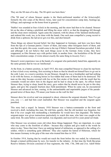They are the SS men of to-day. The SS spirit was born there.'

(The 'SS man' of whom Strasser speaks is the black-uniformed member of the *Schutzstaffel*, formerly the *élite* corps of the Brown Army, later used for concentration camp duty, beatings-up, killings, and espionage on the home-front in general.)

'Stables' was sounded at four o'clock in the morning, and the straw had then to be cleaned. Strasser hit on the idea of taking a pitchfork and lifting the straw with it, so that the droppings fell through and the clean straw remained. Again came the corporal, with his abuse of the 'damned intellectuals', and ordered this work, too, to he done with the hands. One such man compelled a young recruit to drink from a spittoon; the lad never got over this, and shot himself.

These things are almost beyond belief, but they happened in Germany, and here you have them from the lips of a German patriot. I knew of them, and many other foreigners knew of them, and saw that this spirit, this scum, would come to the top if Hitler's National Socialism prevailed. It did; and although I do not believe that such things occur in the German Army to-day, they have reappeared, as Otto Strasser says with perfect truth, in another form - the bestialities of the SS and their concentration camps. (I wrote almost exactly the same thing in *Insanity Fair*.)

Strasser's worst experience was at the hands of a sergeant who particularly hated him, apparently on the same ground, that he was an 'intellectual'.

At the front, in a battery position, in April 1915, this man compelled Strasser to clean his top-boots at four o'clock every morning, first excreting in them so that he should not himself have to go out in the cold. Later, in a reserve position, he put Strasser, though he was a bombardier and had nothing to do with the horses, to cleaning horses so lice-ridden that some of them had to be destroyed. The man on this duty became covered with lice at the first stroke of the brush, with the result that his comrades would not allow him in the dugout and he had to sleep in the open. An officer found Strasser thus, trying to sleep, heard the story, gave orders that he should never he put to this duty again, and gave the sergeant fourteen days field punishment. When he came out, he encountered Strasser and advanced on him, roaring, in the untranslatable and unprintable jargon of the paradeground terror of those days, 'I'll smear your brains on the wall for this'.

Strasser drew his revolver and was prepared to shoot, whereon the sergeant shouted, 'Now I've got you, you ----', and had him court martialled. But Strasser was acquitted and the sergeant again punished.

This story had a sequel. In January 1918 Strasser was a battery-commander at the front and received a draft, including this man. He told him, quietly, that the old incident was forgotten, but that if he ever caught him mishandling a bombardier he would have him degraded. The battery sergeant-major was given instructions particularly to watch this man, who later was caught at the same trick. He came before a court martial, was degraded, and received five years penal servitude.

Otto Strasser was seventeen years old when these things happened. They are important, in a man who may come to the forefront of affairs - because they explain and give truth to the words he utters to-day: 'Since that time I have an undying hatred of militarism, as opposed to the calling of a soldier, which is something quite different.' They also explain his hatred of Hitlerism, which for him means Germany in the grip of the men who treated him thus in 1914.

In October 1914, fearing that he would not reach the front before the war ended, he volunteered, though a trained artilleryman by now, for transfer to the infantry. At that time the Sixth Bavarian Reserve Infantry Division consisted of four regiments, the 16th, 17th, 20th and 21st. Adolf Hitler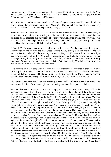was serving in the 16th, as a headquarters orderly, behind the front. Strasser was posted to the 20th, and, just seventeen years old, went into the trenches in Flanders, with British troops, at first the Sikhs, against him, at Wytschaete and Warneton.

More than half the volunteers were students, of Strasser's age or thereabouts. They went into battle like the picture-book heroes, singing *Deutschland über Alles*, and at Warneton Strasser's company lost seven-tenths of its men. 'The English fire,' he says, 'was deadly.'

There he lay until March 1915. Then his battalion was rushed off towards the Russian front, in night marches so cold and exhausting that the coffee in the water-bottles froze and the men collapsed by the roadside, and the threats of officers, with brandished swords and revolvers, could not move them. They slept like the dead for twenty-four hours in a disused factory - and were rushed back to hold the great British attack at Neuve Chapelle.

In March 1915 Strasser was re-transferred to the artillery, and, after the court martial, sent up to Armentières, where he won the Iron Cross, Second Class, during a British attack in the late summer. By September 1915 he was sergeant; then in May 1916 he was seriously wounded by a shell splinter; on Christmas Eve 1916, as he was preparing to celebrate the festival, he was ordered by telegram to join a newly-formed section, the Third, of the First Bavarian Reserve Artillery Regiment. At Verdun, he was in charge of his battery's telephones; by May 1917 he was a warrant officer; and in October 1917, artillery lieutenant.

Hard fighting; on that muddy Western Front, where the great armies lay locked in each other's grip. Now began his service as a German officer, and to-day his hatred for the non-commissionedofficers of that time is equalled by his admiration for the German Officers' Corps. Here, he found in many things a truer democracy and a finer spirit. Here, he found the calling of a soldier.

His battery commander was Count von Hertling, a nephew of the German Chancellor of the same name about that time. Otto Strasser gives the following example of the spirit he admires:

'No candidate was admitted to the Officers' Corps, that is, to the rank of lieutenant, without the *unanimous* agreement of all officers in the unit. It was thus like a club, and the rule was most jealously held. Without such a unanimous proposal from the Officers' Corps, the King of Bavaria himself' (Strasser served throughout in the Bavarian Army) 'could not appoint an officer. The then Bavarian War Minister was much annoyed that his son, the ensign Count X, was not made an officer. The colonel of the regiment asked Count von Hertling, the battery commander, why he would not propose him, and Hertling answered "He is incapable, cowardly, of no use to us". A few weeks later came an urgent telegram from the Bavarian War Minister asking why Count X had not been nominated, as His Majesty wished to make him an officer at Christmas. Count von Hertling once more declined to nominate him. Thereupon the colonel called a meeting of all officers in the regiment; he wished to have Count Hertling voted down. The colonel addressed his officers and put his case before them, saying, "After all, gentlemen, this is the son of the War Minister, and after all, again, we have enough stupid officers in the army, one more won't make much difference, and in addition it is the express wish of His Majesty, or at any rate papa says so; it is a great scandal in the court circle at Munich". Answered Count Hertling: "I can certainly understand that Herr Papa is troubled about this, but the lives of the soldiers whom Count X would have under him as an officer are more important than the dissatisfaction in court circles in Munich." A vote was then taken of all the officers present, and with a large majority Count Hertling's attitude was endorsed and that of the colonel rejected. His Majesty the King of Bavaria and his War Minister had no choice but to take the young Count X away and transfer him to a more docile regiment - but the First Bavarian Artillery Regiment was the best in the State, and ranked with the Guards. Count X eventually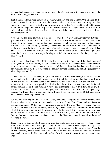obtained his lieutenancy in some remote and unsought-after regiment with a very low number - the 46th, or something of that sort.'

That is another illuminating glimpse of a country, Germany, and of a German, Otto Strasser. In the political events that followed the war, the Strassers always stood well with the army, and had friends in its highest ranks. Indeed, after Hitler came to power the Army would have liked to unseat Hitler and put Gregor Strasser in his place; that was one reason for the great clean-up of June 30th, 1934, and for the killing of Gregor Strasser. These threads have never been entirely cut, and may prove important yet.

Now came the last great convulsion of the 1914-18 war, the last great German victory in that war of great German victories but not of victory. Tsarist Russia had collapsed, and Russia was in the throes of the Bolshevist Revolution, the plague-germs of which had been sent there, in the persons of Lenin and his alien throng, by Germany. The German rear was free; all the German weight could be thrown against the West, before the mass of American troops arrived. Ludendorff made his last great throw for Victory. The British Fifth Army took the full shock of the German onslaught. Once more, the German tide set in strongly, flowing towards Paris, that strand so often lapped but never quite reached.

On that famous day, March 21st, 1918, Otto Strasser was in the front line of the attack, south of Saint Quentin. He was artillery liaison officer, with the duty of maintaining communication between the advancing infantry and the guns behind them, and on that day there was first tried a new variation of the method of throwing the infantry forward immediately behind a progressively advancing curtain of fire.

Almost without loss, and helped by fog, the German troops in Strasser's sector, the spearhead of the attack, took the first and second British lines, and found themselves four hundred yards from a British battery. The infantry commander declined to advance farther, and Strasser called for volunteers. Seventeen men responded, and with them he took the battery, shooting the British battery commander in the hip with his revolver and demanding to know from him, as he lay, the position of the next battery. 'I won't tell you,' said this officer. 'So I had him bandaged,' says Strasser, 'but I made his own men carry him off. And then I turned one of the British guns round and silenced a machine-gun nest with it.'

For this and other exploits in those fateful days, including the capture of a British brigade staff, Strasser, who in the meantime had received the Iron Cross, First Class, and the Bavarian Distinguished Service Order, was recommended twice for the Bavarian Max Josef Order. This was the rarest German decoration for valour, more highly coveted even than the Prussian Pour le Mérite which Göring wears, and carried the predicate of nobility with it. Otto Strasser would have been able to call himself Ritter Otto von Strasser, as John Brown may become Sir John Brown, K.C.B. But the German collapse and the disappearance of the Bavarian monarchy ended his hopes of receiving the award.

Those were great days for Otto Strasser. He knew the exhilaration of a big advance, victory seemed to lie behind each new objective, hope was high in him and his men. He has the greatest respect for the British Army, against which he did most of his fighting, and for Britain as a foe; 'When the British once start,' he then wrote, 'they don't let go,' and I think he is right in this: the bulldog simile has actually some truth. The commander of the *Graf Spee* said the same thing twenty-one years later.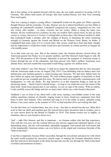But in that spring, as he pushed forward with his men, the war really seemed to be going well for Germany. Her armies held nearly all Europe; they had crushed Russia; now they were storming Paris-ward again.

That was a spring to inspire a young officer. Ludendorff would win the game yet! What a general, thought Strasser and his comrades. (To-day, Strasser says he is almost horrified to see how Hitler is repeating all Ludendorff's mistakes. Ludendorff conquered one country, vanquished one foe, won one victory after another - so many victories, but not victory. Hitler is doing the same, says Strasser. He has swallowed two countries; he may yet swallow half a dozen more; he may go from victory to victory; but never to Victory.) Looking back on those days, Otto Strasser inclines to think that Ludendorff made a mistake, after the collapse of Russia, in launching the entire remaining strength of Germany against the French and British on the Western Front. Better, he thinks, if Ludendorff had used a part of it to overrun Italy; that victory could have been had fairly cheaply and the impression it would have made would have put Germany in a better position to bargain for a favourable peace.

As to that, none can say, now. But as the summer came, the German advance slowed down, the Americans poured into France in ever greater numbers, and Otto Strasser's heart began to sink. By June 1918 the promises of the German Admiralty to prevent the transport of American troops to France through the use of the submarine, had been proved vain. Half a million Americans were already there, and each month that succeeded would bring a quarter of a million more.

'And what soldiers!' says Otto Strasser. 'I shall never forget the impression that my first encounter with the Americans made on me, on August 25th, 1918. I was defending with my battery and a few infantrymen and machine-gunners a canal-crossing near Soissons. We had been falling back for days before an urgent and superior enemy. We were without proper supplies of munitions or food, we could not get our wounded and sick away. We had no mail, no trustworthy communication with headquarters, or with our flanks. We dug ourselves in at this important bridge to hold up the advancing enemy -- black French Colonial troops -- as long as we could and cover the retreat of the main body. Some hours passed and, to our surprise, we saw no sign of the enemy. With an orderly, I rode carefully across the bridge and into no-man's land, which was a mile broad at that point.

'Suddenly I saw in front of me, about half a mile away, turning a tree-hidden corner in the road, endless marching columns of cheerful, singing troops in fours, brand-new equipment from their boots to their steel helmets. They marched and sang as if in the midst of peace, splendid young fellows. Four years earlier, in the summer of 1914, we had marched off to war looking like that!

'For the first time, as I watched them, fear rose, in me - fear that we should lose the war. What did it avail us that our shells and machine-gun fire mowed down these incautious lads in swathes, just as we were mown down by the British in Flanders in 1914? This human torrent was so mighty, so relentless, that we were bound to drown in it.

'And' -- adds Otto Strasser, and this is important -- no German soldier who had that experience, who with his own eyes saw the contrast between the starved, ragged and exhausted figures of our diminishing army, and the well-nourished, splendidly-equipped, well-trained and well-rested lads of the innumerable American armies, can ever believe in the stupid and venomous fairytale of the "Stab-in-the-back".'

(I say this is important, because Hitler succeeded, through the irresolution and passivity with which the outer world accepted his successive armed coups, in making the Germans ultimately believe that they had never been beaten in the field, but had only lost the war through the 'Stab-in-the-back' of strikers and mutineers at home.)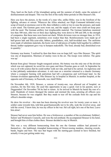Thus, hard on the heels of the triumphant spring and the summer of doubt, came the autumn of disillusionment and despair. This was the first of the really bitter periods in Otto Strasser's life.

Here you have the picture, in the words of a man who, unlike Hitler, was in the forefront of the fighting, advance or retreat: 'Wherever the Allies attacked, our High Command defended every scrap of trench at enormous cost in life, then withdrew a mile or two to ease the pressure, and made a new stand. The German guns were worn out, and the supply of new ones could not keep pace with the need. The German artillery lost irreplaceable material. The German battalions mustered less than 500 men, after two or three days fighting they were down to 300 and 200, to the strength of companies. But these men were burnt-out slack. Whole divisions were no stronger than, in 1914, had been a single regiment, sometimes even weaker than that. Reinforcements were made up of half-grown lads and fifty-year-olds, fathers, grandfathers, sick, half-invalided men. The uniforms were made of substitute materials, the boots were of odd pieces of leather held together by cobbler's thread, leather equipment gave way to hempen makeshifts. The food, already bad, diminished even in quantity.'

Germany was beaten. 'I realized by then that there was no hope left,' says Otto Strasser. 'The spirit was one of desperation. Murmurs of mutiny were in the air. The troops were inferior. The game was up.'

Retreat from glory! Strasser fought rearguard actions. His battery was the only one of the division which was not captured; he saved his own guns and three Prussian guns as well. In September he was so ill with sciatica that he could neither walk nor ride, and had to be carried. An inglorious end to that jubilantly undertaken adventure. A sick man on a stretcher returned to a chaotic Germany where a youngster burning with patriotism had left a prosperous and well-found land. As the German revolution approached, Otto Strasser lay in hospital in Munich; in another hospital, at the opposite end of Germany, in Pasewalk, was Adolf Hitler.

On November 6th, 1918, Strasser, a veteran of twenty-one, was allowed out of hospital, on crutches, for the first time. He used this opportunity to pay a quick visit to his parents, now at Deggerndorf. On November 7th he had to return. As he arrived in Munich he heard the roar of a mob. Hundreds of rioters thronged the station and stormed the train, arresting all officers save Strasser, because he was crippled. But they made to tear off the cockade from his cap and his officer's shoulder-straps.

He drew his revolver - this man has been drawing his revolver now for twenty years or more. A soldier came towards him, told him good-humouredly not to be silly, took the revolver away, and told the crowd, 'I know him, he was my officer in the war. He's all right, he's one of the best. Leave him alone'.

Strasser had never seen him before. He was a *Soldatenrat*, a member of the revolutionary Soldiers', Sailors' and Workmen's Councils, and wore the red armband. He accompanied Strasser to his hotel, and brought him civilian clothes there. Strasser decided to stay in Munich.

This was a very different homecoming from the one the German soldiers had pictured to themselves - the traditional, triumphal homecoming of flower-tossing maidens, cheering crowds, bands, bugles and beer. The race that began with the starting-gun seemed to have finished, but actually it was just getting under way.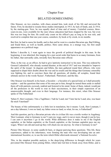#### Chapter Four

#### BELATED HOMECOMING

<span id="page-20-0"></span>Otto Strasser, on two crutches, with chaos around him, took stock of his life and surveyed the future. First, he decided to resume those studies interrupted, in 1913, by lack of funds, and, in 1914, by the starting-gun. Now, he was equally short of time and of money. Curtailed courses, threeyears-in-one, were available for the men whose education had been stopped by the war, but even this was too long for him. He could only count on his officer's pay as long as he was sick, and resolved to complete that one-year course, somehow, by hook or by crook, in six months.

But first, he had to nurse his health, and to that end he went to a modest Bavarian spa, Bad Eibling, and found there, as well as health, politics. Here came about, in a strange way, his first small appearance on a political stage.

Before I describe it, I want again to trace the growth of political thought in this man. In the beginning, it was inherited, this longing for a just social order that burns in so many Germans, from his father, that outwardly calm, inwardly fiery Bavarian state official.

Then, in the war, as an officer, he had to give 'patriotic instruction' to his men. This was ordered by General Ludendorff, who already scented disaster, at the end of 1917 and was intended to 'improve the spirit of the troops'. In dugouts and billets, the men gathered round their officers, who were supposed to dispel their doubts about the war and its results and the things that Germany ostensibly was fighting for, and to convince them that all questions, all doubts, all scruples, found their ultimate answer in the words 'Kaiser', 'Fatherland', 'Patriotism', and the like.

Otto Strasser was himself, in his heart, a Socialist -- a Socialist of a special kind, as I shall presently explain -- and the questions that some of his men put to him, though he turned them aside or stalled them off with patriotic eyewash, rankled and festered in his mind. Some of them, indeed, would put all the professors in the world to rout in their succinctness, in their simple expression of an unanswerable thought, and even in their language. For instance, this retort, when Otto Strasser spoke of The Fatherland:

'Sehen S', Herr Leutnant, i' bin a Taglöhner; i' hab ka' Land; mei' Vater hat ka' Land; also, was haast für mich Vaterland?'

The beauty of this unfortunately is a little lost in translation, but it means: 'Look, Herr Leutnant, I am a day-labourer; I own no land; my father owns no land; so what, for me, is Fatherland?'

And this question, put by a Bavarian private who in civilian life was a textile worker in Augsburg: 'Herr Leutnant, what is Germany to me? I earn my wage, and it is never more, though it can be less. I can earn it anywhere I go in the world. What difference does it make to me if the English capitalist, or the Italian capitalist, or the French capitalist, or the German capitalist pays me my wages. When I am old and used-up they will chuck me out anyway. So what is Germany to me?'

Picture Otto Strasser, in some candle-lit barn, or dugout parrying these questions. This life, these experiences, added to his inheritance, were forming the man who was developing into an antiinternational Socialist, or, to use the term which Hitler afterwards misused,' a National *Socialist*.

This, in the simplest possible analysis, is the deep-lying difference in thought which for years prevented Otto Strasser from joining Hitler, which later led him to break away from Hitler, and is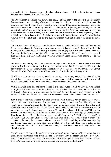responsible for his subsequent long and undaunted struggle against Hitler - the difference between National *Socialism* and *National* Socialism.

For Otto Strasser, Socialism was always the noun, National merely the adjective, and he rightly foresaw disaster in the blurring of that fact. In a long altercation between him and Hitler, once, the issue was joined on this point, and Hitler, the wordy, accused Strasser of humbugging with words. But Strasser answered, again rightly, that this was no question of juggling with words, but of a fact and a truth, and of the things they were or were not working for. As stupid, he argued, to deny that a bath-chair was in fact a chair, or a lieutenant-colonel a colonel; by Hitler's argument, a fieldmarshal would have been a field. Socialism on a patriotic basis, Strasser wanted; not militarism with the word Socialist tacked on to it to dupe the masses. And that is exactly the issue, to-day as then.

In the officers' mess, Strasser was wont to discuss these encounters with his men, and to argue that the governing classes in Germany were wrong not to put themselves at the head of the Socialist masses, not to guide, instead of trying to repress, the longing for a just social order which was fermenting in the German soul. 'We officers, and not the Jews, should lead the workers,' he argued. This made him politically a little suspect in the Officers' Corps, and he was known as The Red Lieutenant.

But back to Bad Eibling, and Otto Strasser's first appearance in politics. The Republic had been proclaimed in Bavaria. Strasser, at his spa, had to conceal the fact that he was an officer, for the peat-workers from the neighbouring Kolbermoor were violent revolutionaries. The Jewish Communist leader from Munich, Kurt Eisner, came to Bad Eibling for this very reason.

Otto Strasser, now on two sticks, attended the meeting, a large one, held in December 1918. He looked down from the gallery, where he was accompanied by half a dozen men of his own mind, upon the crowded hall, and listened to things which 'made me almost mad with rage'.

Kurt Eisner, with long hair and beard, looked like the caricatures of a Ghetto Jew. He was, in fact, by origins a Polish Jew and spoke defective German; he had not been in the war, but had written for the Socialist *Vorwärts*. He was, therefore, 'a Socialist'. So was the angry man listening from the gallery. This picture will perhaps show the difference between one Socialist and another Socialist.

'Kurt Eisner spoke with a fearful Galician accent and with typically Jewish gestures. He was as clever in the methods he used with this yokel audience as any trickster at a fair. "They reproach me with being a Prussian", he said, to odd cries of *Jawohl, du Saupreusse*; "If my mother in her ninth month had come to Munich and I had been born here I should have been a Bavarian. But -- with spreading arms -- *wäre ich ein anderer gewesem?* Should I have been a different man?" One or two peasants scratched their heads at this and nodded at each other, "Yes, that's right, he's right there". Then he continued: "Secondly, they reproach me with being a Jew." (Odd cries of, *Jawohl, du Saujude!*) "But was not Christ a Jew? The man who vilifies us Jews, vilifies Christ." This completely flummoxed the peasants, who were devout Catholics, and they shuffled uncomfortably and looked uncertainly at each other and nodded, as if they felt there was a catch in this somewhere, couldn't for the life of them see where, but had better keep on the right side of the Church anyway.

'Then he started. He shouted that Germany was guilty of the war, that the officers had swilled and guzzled while the troops were driven into the enemy's fire. Both his speech and that of a fat cattledealer, Gandorfer, who followed him were directed mainly against the officers. "These officers, these *Schweinehunde*, went whoring and boozing, and you had to die for them."'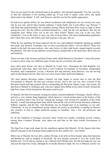This was too much for the red-faced man in the gallery, who shouted repeatedly 'You liar, you liar', so that the chairman of the meeting called up, 'If you want to speak, come down and speak afterwards in the debate'. 'I will', said Strasser, and this was his first public appearance.

He had never spoken before, he was almost incoherent with indignation, he was twenty-one years old, he was sick, and he had a hostile audience. 'I spoke badly, but it took effect,' says Strasser. 'I told them that proportionately the casualties among officers had been three times as high as those among the men. Not the officers enriched themselves, I said, but the war profiteers, like this fat Gandorfer here. Where were you in the war, Herr Eisner? Where were you in the war, Herr Gandorfer? I was at the front; so were you who sit down there. Ask these loudmouthed gentlemen here where they were, and if they only had sixpence a day pay, like us.'

While he was speaking, his hosts inquired who he was, and suddenly Gandorfer sprang up, pushed him aside, and shouted, 'Comrades, now we have unveiled this fellow - he's an officer!' There was tumult in the hall, the peat-workers, who carry knives in their right boots, surged angrily towards the platform. The men on the platform seized Strasser, pushed him to the back door, threw him out and locked it.

These two men, Otto Strasser and Kurt Eisner, both called themselves 'Socialists'. I stress this point, in order to show what very different types of men may be covered by this name.

Soon after, Kurt Eisner was shot in Munich by Count Arco. Thereupon the Red Republic was proclaimed; until then, there had been a Left Coalition Government of Socialists. Independent Socialists, and Communists. Levine, a Russian Jew and emissary from Moscow, was the moving spirit in the Munich Soviet; other Jews in it were Ernst Toller and Erich Mühsam.

The most famous Bavarian soldier, General von Epp, began to recruit men to oust the Red Government in Munich. He had seen colonial service, and in the war was, first, Colonel of the Bavarian Guard and later general officer commanding the Bavarian Alpine Corps, *élite* troops. He had fled to Ohrdruf in Thuringia and, with one Captain Ernst Röhm as his chief-of-staff, formed the Epp Free Corps, which all patriotic Bavarians tried to join.

In Munich, the Red Government, fearing the attack, arrested hundreds of hostages, chiefly officers, and now a very sinister thing happened, which deserves a much greater place in the history of the Jews in politics than it has received. Among the hostages were twenty-two members of the 'Tulle Society', a small and unimportant body which fostered the cult of old German literature, traditions, folklore, legends, and the like. Anti-Semitism was an integral part of its teaching; so was anti-Christianity. It was an insignificant group without any power or possibility of putting its theories into practice. It had no single politician among its members, only a few old professors and noblemen.

Of all the hundreds of hostages precisely these twenty-two people, including several women, among them Countess Westarp, were taken out and shot by the alien Jewish Government of Munich!

The Epp Free Corps took shape for the expedition against Red Munich. All the figures who later played a big part in the European drama gathered for this smaller one - save Hitler!

Hitler was in Munich. He was still a soldier. He had, as he tells in *Mein Kampf*, taken that fearsome anti-Bolshevist oath in hospital at Pasewalk. He was already resolved to save the world from Bolshevism. Yet he did not spring to save Munich from Bolshevism. He did not make his way out and join the Epp Free Corps, although he avowedly burned to fight. He was in Munich, and he was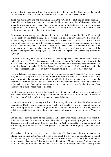a soldier. But the soldiers in Munich were under the orders of the Red Government, the Jewish Government ruled from Moscow. If he was in barracks, he must have been - a Red!

There was much muttering and murmuring among the National Socialist leaders, much shaking of puzzled heads, in later years, about this, but not the hint of an explanation of his doings in Munich at that time ever came from Hitler. This is a complete gap in *Mein Kampf*. It is one of the darkest things in all his dark history. I would give almost anything I have to know for whom that man really worked, not only then, but at all times later.

Otto Strasser first drew my particular attention to this remarkable episode in Hitler's life. Although I had closely studied these things, I had overlooked it, and I do not think any other writer has noticed its significance or discussed it. Indeed, a man who was up to the neck in the political turmoil of those days, as was Otto Strasser, is needed to put it in its true proportion, and future historians will be indebted to him for this, because it is one of the most important of the things we know, and they are too few, about the man Hitler. Later, when we know more of him, and the double or triple game he always played is clearer to see, it may prove to be the missing piece in the jigsaw puzzle.

It is worth explaining more fully, for this reason. The Red regime in Munich lasted from November 1918 until May 1st, 1919. Hitler, according to his own account in *Mein Kampf*, was filled with the most violent hatred of the Jewish-Communist revolution in Germany from the moment it broke out, in the first days of November. In the last days of November, cured and discharged from hospital, he reported to his regimental depot - in that very Munich where the Reds were most powerful.

His own battalion was under the orders of the revolutionary 'Soldiers' Council'. This so disgusted him, he says, that by some means he contrived to be sent to a camp at Traunstein, a few miles away. He says that he returned to Munich 'in March'. The Reds were driven out by von Epp and the Prussian troops at the end of April. For about two months, therefore,' Hitler, a serving soldier, was in Munich when the Red regime was at its height, under the rule of a Russian Jew sent from Moscow, when the hostages were being shot.

Good Bavarians who were there at the same time contrived, by hook or by crook, to get out of Munich and make their way to von Epp, returning with him to drive the Reds out. Otto Strasser did this, at the risk of his life and after surmounting many difficulties.

Hitler, who devotes so many pages in his book to windy abuse of the Reds in Moscow and of International Bolshevism in general, stayed quietly in Munich. He says no word of his life in Munich during those two months. He gives no description of the horrors he saw -- he, who later rails for pages at a time about the wholesale massacres in Moscow -- or of conditions in Munich at all.

But, and this is the vital point, he was a soldier, and soldiers who stayed in Munich were under the orders of that Red Government; if they didn't like it, they deserted by night to von Epp, in Thuringia, and Hitler did not do that. He was then - a Red! He probably wore the red arm-band. Presumably, with the rest of the Munich garrison, he took part in the fighting against von Epp's troops.

What other leader of such a party as the National Socialist Party would in a book pass over in silence such a period as this? All Hitler has to say about it is the vague and unintelligible remark that he was 'nearly arrested' three days before the Reds were driven out. From that he calmly passes on to a sentence beginning: 'A few days after the liberation of Munich I was ...' Nothing about his reasons for staying in Munich, nothing about the horrors of a Red regime which he actually knew,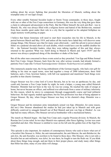nothing about the severe fighting that preceded the liberation of Munich, nothing about the triumphal entry of von Epp's troops.

Every other notable National Socialist leader or Storm Troop commander, in those days, fought with one or other of the Free Corps somewhere in Germany; this was the very thing that gave them a claim to subsequent advancement in the Party. But the Führer himself, the arch anti-Red - was in Munich. He, who was always filled with a religious horror and hatred of the Bolshevists, retained from these months spent under their rule in a city that he regarded as his adopted birthplace no single memory worth putting on paper.

I believe that future historians will need to start their researches into his life in Munich, in the period between March and May 1919, and unless all the tracks have faded they will discover some strange things. Otto Strasser says that for many years afterwards -- until the advent to power placed Hitler on a pedestal elevated above all such doubts, which would have cost the audible doubter his life -- the National Socialist leaders, when they were talking together of this and that, always returned to the question 'What was Adolf doing in Munich in March and April 1919?' and the answer was always a perplexed shrug of the shoulders or shake of the head.

But all the other men concerned in these events acted as they preached. Von Epp and Röhm formed their Free Corps. Gregor Strasser, back from the war, after serious wounds, had already formed a patriotic Free Corps (the *Verband Nationalgesinnter Soldaten Niederbayerns*) at Landshut.

This immensely popular man, the living embodiment of the German tragedy, who had a rare gift for talking to his men on equal terms, soon had together a troop of 2000 infantrymen, three field batteries, and a 15cm. howitzer battery, with full war equipment and munitions! Such things were possible in that chaotic Germany.

Gregor Strasser was for a time lord of Lower Bavaria, but as he was an apothecary by day, and could only become a Free Corps leader by night, he took a helper, a young man called Heinrich Himmler. Himmler had not been in the war; he was too young. He reached the rank of ensign at home, but never became an officer, and suffered ever afterwards from a sense of military inferiority for this reason, which he strove to compensate through exaggeratedly coarse and loud militarist behaviour. He had vaguely studied agriculture; but his first profession was that of being adjutant to Gregor Strasser. By day, when Gregor Strasser was busy in his chemist's shop, Himmler was a great man.

Gregor Strasser and his miniature army immediately joined von Epp. (Himmler, for some reason, did not.) Otto Strasser abandoned the studies he had just taken up in Munich and with great difficulty contrived to smuggle himself out of Red Munich and join von Epp at Ohrdruf. As von Epp had too many officers, Otto Strasser served as bombardier with a mechanized battery.

The march on Munich began - the Epp Free Corps and a regular Prussian division. In Munich, the Russian Jew Levine ruled. In two days Munich was captured, after fierce fighting. Levine was court martialled and shot. Otto Strasser is entitled to wear on his left arm the golden lion of the Epp Free Corps.

This episode is also important, for students of contemporary history who seek to know what sort of a Socialist Otto Strasser is. Hitler, the anti-internationalist, the anti-Marxist, the anti-Bolshevist, the anti-Jew, the anti-Socialist, was nowhere to be found in those days. Otto Strasser, who is not only a Socialist but an anti-militarist, was *dabei*, he was there, he fought to turn the Reds out. If you think about these things long enough, and put them in their proper places, and study many other things that Hitler has done, many of your ideas will change.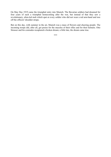On May Day 1919 came the triumphal entry into Munich. The Bavarian soldiers had dreamed for four years of such a triumphal homecoming after the war, but instead of that they saw a revolutionary, alien-led mob which spat at every soldier who did not wear a red arm-band and tore off the officers' shoulder-straps.

But on this day, with summer in the air, Munich was a mass of flowers and cheering people. The incoming troops did, after all, get posies for the muzzles of their rifles and for their helmets. Otto Strasser and his comrades recaptured a broken dream; a little late, the dream came true.

\*\*\*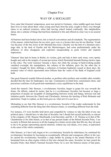#### Chapter Five

#### WAY OF A SOCIALIST

<span id="page-26-0"></span>Now came that frenzied, tempestuous, post-war period in Germany, when middle-aged men found their lives in ruins about them, when young men back from the army sought to find a way through chaos to an ordered existence, when lads leaving school looked confusedly, like shepherdless sheep, into a scheme of things that had been shattered to bits and offered no clear way to an assured future.

All barriers had been broken down, but so had all conventions and all standards. The regimentation of the masses, which had been far too strict, gave way to a licence that was far too libertine. Youth was the prey of the free foxes in the liberated hen-roost. Chastity was the butt of a literature and a stage that, in the land of Goethe and the Meistersingers, had come predominantly under the influence of alien cheapjacks and exploiters masquerading as great writers and inspired impresarios.

'Glamour' then had its home in Berlin; its victims, girls and lads in their early teens, were openly bought and sold in the temples of sexual perversion which flourished beneath blazing electric signs in the cities. The word 'currency' became a farce, but while the savings of hard-working people vanished overnight, the manipulators, the vultures of the inflation, grew fat; the other day in London I bought for thirty shillings a collection of German banknotes issued in those days, the nominal value of which represented more billions than the vaults of the Bank of England could hold.

One great financial scandal followed another, as profiteer after profiteer and swindler after swindler decided that the time for bankruptcy was ripe. Communists revolted here; reactionaries there; and precarious coalitions of all-good-men maintained a crazy equilibrium in the land.

Amid this turmoil, Otto Strasser, a revolutionary Socialist, began to grope his way towards the future. He affirms, indeed he insists, that he is a revolutionary Socialist, but because so large a proportion of people are incapable of distinguishing between words and things, between real and imitation pearls, between the Church and Christianity, between the bawling of Rule Britannia and patriotism, I hope to explain, as this book goes on, what sort of a *man* he is.

Misleading to say that Otto Strasser is a revolutionary Socialist if the reader understands by that something different from the thing that Otto Strasser means, or something different from the truth.

For instance, if I were forcibly held down and compelled by violence to take the label of any one political party, I should have to take that of Socialist, but I should feel myself politically as outcast in the company of Mr. Ramsay MacDonald, Lord Snowden, and Mr. J. H. Thomas as in that of Mr. Chamberlain or Sir John Simon, as in that of any present leader of the British Socialist Party. I see no party in Britain that answers at all the longing for a better social order that fills me; they all seem to me to be groups representing special interests, without any real ideals, civic sense, or patriotism in the sense of the whole community.

Otto Strasser, as I have told, began to be a revolutionary Socialist by inheritance; he continued his revolutionary Socialism by becoming an exceptionally efficient and courageous officer in the war; he carried his revolutionary Socialism a stage further by joining in the armed liberation of his homeland from an alien regime which at first also claimed the name, Socialist; he later joined the Socialist Party; then Hitler's National Socialist Party; he is now the bitterest enemy of that party,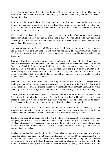but is also an antagonist of the Socialist Party, of Fascism, and, venomously, of Communism; because he believes that all of these have betrayed, or that none stands for, that which he wants - German Socialism.

So he is a revolutionary Socialist. The thing ought to be simple to understand, but in a world where the peoples have been brought up on catchwords and tags, it is probably difficult. Nevertheless, I hope that this book will ultimately make clear what Otto Strasser wants and what he is, for both these things are of great interest.

When Munich had been liberated, he began, once more, to strive after that coveted university degree, scrambled somehow through his exams, and in July 1919 was admitted to study at Munich University. His race was with time, and when the vacation came he rushed to Berlin to continue his studies there. He was now twenty-two.

His great problem was his daily bread. These were, as I said, the turbulent times. He had no money, and his family could give him none. The inflation was beginning. The mark was already worth but 20 pfennigs, instead of 100. He had to earn money, somehow, to pay his fees and achieve that doctorate.

This part of his life shows the enormous energy and capacity for work of which I have already spoken. It is common among Germans, but Otto Strasser has it in an exceptional degree. He studied from eight o'clock in the morning until midday at the university, and then went to the Reichstag. This sat only in the afternoon and, to earn his fees, he found a post as stenographer in the parliamentary office of the combined Socialist provincial Press; here the reports of the debates were prepared, suitably tinted with pink, the talk-of-the-lobbies summarized, and the whole sent out to the Socialist newspapers in the country.

This work lasted until 6 or 7 o'clock in the evening, which left him an hour for a simple meal at Aschinger's, one of the cheap chain-restaurants operated by that firm in Berlin. After that, from 8 till 10 o'clock, he took unpaid evening classes for workmen, to whom he taught German history and stenography; and after that, again, he had to prepare his next morning's work for the university.

After a year, the evening classes were discontinued, and he filled in the few leisure hours which this left him by studying Japanese at the Oriental Institute in Berlin. His affections might have expected a rest, in view of all this; but even they were not spared; he found time not to neglect them. Indeed, he has driven them unremittingly, all his life, and does not regret it.

All this time Strasser was on two sticks. His hunger, or mania, for work, however, was not satisfied, and the state of affairs at the university led him to organize a League of ex-Service Students to uphold the rights of men whose studies had been interrupted by the war.

The throwing-open-of-all doors had led to the flooding of the universities, and the compressed emergency courses introduced for such men were being swamped by girls, by Jews and by others who had not served. The ex-service man, as is always the way after a war, was being elbowed aside by eager interlopers. Strasser, at the head of his League, succeeded in raising a loud voice and having this evil remedied.

Another evil, at that time, was the plight of the thousands of young men who starved themselves to finish their studies and then could obtain no employment, or who could by no means raise the fees to complete these studies. This became so grave a public scandal that the leading German industrial concerns joined to form a Students Emergency Association, charged to find employment for the masses of desperate young men who were wandering aimlessly about, and the secretary of this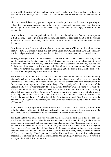body was Dr. Heinrich Brüning - subsequently the Chancellor who fought so hard, but failed, to keep Hitler from power, and who is now also in exile. Strasser worked in close collaboration with him.

I have mentioned these early post-war experiences and experiments of Strasser in organizing his fellows for some cause because, though they were not specifically political, they show the mind and thought of this revolutionary Socialist. They were good undertakings, of benefit to the community.

Now, for the second time, the political impulse, that broke through for the first time in the episode at Bad Eibling, began to push him into the fray. He became a registered member of the German Socialist Party - and immediately found himself in the forefront of the dissensions which racked that party.

Otto Strasser's view then is his view to-day, the view that makes of him an exile and implacable enemy of Hitler, as it finally drove him out of the Socialist Party. He could have had popularity, position and possessions by compromise, but preferred to be adamant, and this commands respect.

He sought everywhere, but found nowhere, a German Socialism; not a State Socialism, which simply meant one big Capitalist and a horde of officials in place of many capitalists; not a thing of international roots and affiliations, alien in its origins and leadership; and certainly not National Socialism as Hitler made it, which was but capitalist-militarism masquerading as a Socialist circus. He has never faltered, that I can find, from his beginnings until his present exile, and he seems to be that rare, if not unique thing, a real National Socialist.

The Socialist Party at that time -- which had committed suicide in the moment of its revolutionary triumph by calling on the regular army and the old ruling classes in general to protect it against the Communists -- had formed an *Einwohnerwehr*, or Civilian Defence Corps, as an instrument for the Government to use against the Communist danger. The majority of the local branches of the Socialist Party forbade their members to join it, arguing that they wanted nothing to do with 'the officers' and with militarism, since they were internationalists and pacifists. Otto Strasser strongly advocated membership of the *Einwohnerwehr*, arguing that if the Socialists did not take it under their wing, the reactionaries would, and in his district, that populous quarter of Berlin called Steglitz, he carried the day. Steglitz joined the *Einwohnerwehr*, and Otto Strasser became the commander of Steglitz's *Hundertschaft*, the units of the *Einwohnerwehr* being called by this name of 'Hundreds'.

All this was in the spring of 1920. There followed the first attempt, called the Kapp Putsch, of the old ruling classes in Germany to dethrone the Socialist-Centrist Government, to sweep away all the newcomers who had succeeded to power in Germany, by means of armed force.

The Kapp Putsch was rather like the von Epp march on Munich, save that it had not the same justification; the Government in Berlin was predominantly Socialist, and dithering Socialist at that, but it was non-Communist and anti-Communist, and had no imported Moscovites in it. By way of contrast, the Kappists imported a man of similar type with them as Press Chief - the Hungarian Jew, Anglican Clergyman, British Member of Parliament, convicted traitor, and professional swindler, Trebitsch Lincoln! This sort of man seems to pop up in every shady affair in the history of Europe. Incidentally, Hitler's professed anti-Semitism, as I have often tried to make people understand, is another lie; witness the international string-pulling Jewess who was go-between in his negotiations with British politicians.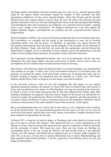The Kapp soldiers ruled Berlin with their machine-guns for a day or two, until the general strike called by the fugitive Berlin Government caused the collapse of their adventure and their ignominious withdrawal, but they never attacked Steglitz, where Otto Strasser and his Socialist *Hundertschaft* were waiting, armed, to receive them. By now, the officer who had given his men 'patriotic instruction' in the war who had challenged Kurt Eisner in the Red meeting at Bad Eibling, who had helped to drive the Communists out of Munich, was a Socialist *Hundertschaftler*, standing ready to give combat to the reactionaries. The Kappists preferred not to use force against the Steglitz Hundred; Steglitz, surrounded but not occupied, was left a peaceful Socialist island in Kappist Berlin.

When the Kappists withdrew, the convinced Socialists thought the day of real Socialism had come. The Government, too cowardly and too scared of the reactionaries to carry out its Socialist programme before, now had the power. At Bielefeld, an agreement was signed between the Government, represented by Karl Severing, and the delegates of the Socialists for the dismissal of the Police Minister, Noske, who had been too weak with the reactionaries and had allowed the Kapp Putsch to happen, for the socialization of heavy industry and for the partitioning of the big estates. On the strength of these promises, the Socialist workers laid down their arms.

The Communists and the Independent Socialists, who were near-Communists, did not, and were defeated by the same Kapp soldiers who had seized power in Berlin. And as soon as that was accomplished, the Government disavowed the promises made by Severing.

Otto Strasser, still following without deviation his ideal of a German Socialism, now found himself with enemies on all sides. A bitter critic of the Government's betrayal of its Socialist policy and promises, he incurred the enmity of the party bosses, intent only on keeping their jobs, and at a Socialist meeting in Steglitz was denounced from the platform as 'a police spy'. (The Police Minister and the Police Chief, so illogical was this charge, were both Socialists.)

At the university, however, where he was still struggling after that degree, he was equally unpopular among the students, the majority of whom were what we should to-day call Fascists or Nazis, and was pilloried as the leader of a 'Red Hundred'. Arriving one morning at the university, he found a notice on the board announcing that he had been debarred from further study there 'pending a disciplinary investigation', and on his furious inquiry for the reason was told that his war record was suspect. By producing the official war history of his regiment, and other documents, he was able to reduce the Rector to a state of contrition and to have the insinuation withdrawn with all ceremony in the presence of the entire Students' Corps of the university, in full regalia.

But an uncompromising man was a lonely man in those days, as now. Disgusted with everything, he left the Socialist Party. The second political period in his life came to an end. For five years he stood aloof from parties, and for three years aloof, almost, from politics; complete abstention from them would be an impossibility for this man.

In March 1921, at long last, he took his degree, at Würzburg, and is thus fated to be known to the end of his days as Doctor Otto Strasser. That opened the door to a minor appointment in the Ministry of Food, where he prosaically represented the interest of authority in artificial fertilizers and the cultivation of moors. This lasted two years. Then, one day, Count von Hertling, his commanding officer in the war, visited the Ministry. He had become head of a big industrial concern, saw Otto Strasser, and offered him an important post in it. Strasser gladly accepted. So, until 1923, as he says, 'ich sass brav in meinem Ministerium und in meiner Industriestellung, and habe eigentlich keine Politik getrieben'. 'I sat like a good boy in the Ministry and in my job, and hardly touched politics.'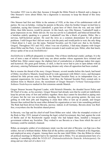November 1923 was to alter that, because it brought the Hitler Putsch in Munich and a change in Otto Strasser's views about Hitler; but a digression is necessary to keep the thread of this story unbroken.

Otto Strasser had first met Hitler in the autumn of 1920, at the time of his embitterment with all parties. He was on holiday, visiting his parents in Bavaria, when his brother Gregor invited him to Landeshut, saying that General Ludendorff, a great hero of Otto's from the war, and one Adolf Hitler, then little known, would be present. At this lunch, says Otto Strasser, 'Ludendorff made a great impression on me. Hitler did not. He was too servile to Ludendorff, and behaved himself like a battalion orderly speaking to a general. Ludendorff was like a block of granite; Hitler, like a nervous, half-hysterical spouter. He used the Jews as a common denominator for all political problems. I told Gregor that I did not want to join the party and would prefer to wait; the only thing I liked about it, I said, was the name, National Socialist, *und Du* ['and you', that is, his brother, Gregor]. Throughout 1921 and 1922, when I was out of politics, I had many disputes with Gregor about Hitler and the Party. I never felt drawn towards it and would not join. Hitler, after that lunch, always spoke of me as an *Intellektbestie*.'

*Intellektbestie* is difficult adequately to translate. 'One of those intellectual cranks', perhaps. It is the sort of term a man of inferior merit may use about another whose arguments have irritated and baffled him. Hitler cannot argue; the slightest hint of contradiction or challenge makes him angry and hysterical. His great good fortune, or skill, is that he never had to join in open debate with an adversary, entering Parliament and becoming dictator only when all opposition had been crushed.

But to resume the thread of the story: Gregor Strasser, several months before this lunch, had heard of Hitler, travelled to Munich, found himself in wide agreement with Hitler's views, and thereupon enlisted his little private army bodily in the National Socialist Party as its independent *Gau*, or regional organization, for Lower Bavaria. Until then, the National Socialist Party existed only in skeleton form in Munich *alone*; the recruitment of Gregor Strasser's *Verband Nationalgesinnter Soldaten Niederbayerns* marked its first extension outside Munich.

Gregor Strasser became Regional Leader, with Heinrich Himmler, the dreaded Secret Police and SS Chief of to-day, as his secretary. Gregor Strasser had already seen that he could not indefinitely keep his private army of foot and artillery together; those days cannot be described as piping ones of peace, but the war was nevertheless receding, the times were growing quieter, the men were getting on with their jobs and forgetting to clean their rifles or turn up on parade, and Gregor Strasser thus realized that he must either disband his organization or turn it into something political. The Reds had been driven from Bavaria, anyway; indeed, in all Germany, Bavaria alone was Redfree; everywhere else the Socialists shared power.

In Bavaria, von Epp and his chief-of-staff Ernst Röhm now ruled. After the triumphal eviction of the Reds in May 1919, instead of restoring the legal, exiled Government, they had, against the wish of Berlin and of the Reichswehr regular troops who had helped them, installed a bourgeois government without any Socialists. They wished to use Bavaria as a base from which the rest of Germany could be similarly cleansed.

Röhm, an energetic soldier of revolutionary mind, was the real ruler of Bavaria; von Epp was a fine soldier, but not a brilliant thinker. Röhm had all the politics and parties of Munich at his fingertips, and employed an army of agents. Among them was the man Adolf Hitler. One day Röhm (to whom all political meetings in Munich had to be reported) said to Hitler, 'I've an announcement here of a meeting of something called the N.S.D.A.P. (*Nationalsozialistische Deutsche Arbeiterpartei*). Go along and see what sort of a show it is'.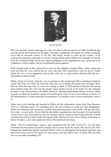

ERNST RÖHM

Here you see how, twenty years ago as I write, the plan or plot was born in an office in Munich that now has let the devil loose on us all again. Von Epp, a remarkably fine figure of a soldier, probably never had an unworthy motive in his life, and simply burned to clean up his country, as he understood cleanliness, and make it a power among nations again. Röhm was a thought too bawdy even for a hardened mind, but by the common judgment of his acquaintances was a good and loyal companion, a brave soldier, and an exceptionally good organizer.

What freakish trick of fate caused him to pick on this epileptic mongrel Hitler, whose virtues are even less than his vices, and he has no vices, this man who cannot prove what he did in Vienna before the war, or even adequately what he did in the war, or what he did in Munich after the war until Röhm picked on him?

Röhm, sitting at his desk, chose his own executioner in the nondescript fellow standing at attention on the other side of it. More, he chose the man who was to plunge all Europe into war again. More still, he chose the man who, as I am now coming to think, is built entirely of hatreds, but among those hatreds keeps the worst for the people whose destiny he has in his hand. For the strangest passages in the conversations with Hitler which Dr. Hermann Rauschning reports are those verbal orgasms in which he frequently speaks of 'sacrificing the lives of one or two million *Germans*', of his determination, in some particular circumstances, 'to sacrifice a new *German* generation', and so on.

Hitler went to the meeting and reported to Röhm (all this information comes from Otto Strasser): 'This is a workman's party. It's something good, the sort of thing we could use, Herr Hauptmann.' Röhm was obsessed with Germany's isolation and defencelessness in the world, with the need for a new army - a secret army. He saw that the old-soldier organizations, like Strasser's *Verband* and the various Free Corps, deteriorated as the war receded, and he wanted, as did Gregor Strasser, to build a political movement which would reinvigorate them. But his real aim was to create, in the guise of Storm Troopers, a new army under the cloak of that political movement.

Hitler, with his extraordinary instinct, had recognized that the little N.S.D.A.P. was the ideal instrument for the purpose he and his masters had in mind; hence the report, 'We can use this, Herr Hauptmann'. Röhm had already remarked Hitler's talent for propaganda and political agitation, and had chosen him as one of his agents for that reason, and now said to him, in effect, 'Buy the firm out; we can make something of it'.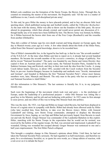Röhm's sole condition was the formation of the Storm Troops, the Brown Army. Through this, he counted on remaining the master of the movement. He frequently said: 'All the rest is a matter of indifference to me; I need a well-disciplined private army'.

To this end, he gave Hitler the money to have placards printed, and to buy an obscure little local sporting-sheet, which published racing-tips and football results, called the *Völkischer Beobachter*. As the man with the money, Hitler was able to throw out the founders of the little party. He never altered its programme, which then already existed, and would never permit any discussion of it though hardly any of its tenets have been fulfilled by him. The Brown Army was formed, by Röhm; for it Röhm borrowed the brown shirt from one of the Free Corps (Rossbach's) and the swastika from another (Ehrhardt's).

Thus did a soldier of fortune sign his own death warrant and bring disaster on Europe again, that day in Munich twenty years ago as I write. A few other details about this birth of the Hitler Party, culled from Otto Strasser's special knowledge, deserve to be recorded here:

'One of Hitler's innumerable lies, in the legend he has built up, is that he was "the seventh member" of the N.S.D.A.P. At the time when Röhm sent him to report on it, it already had several hundred members. He became the seventh member of the *executive committee*, in charge of publicity. Nor did he invent "National Socialism". The party was founded by one Harrar and Anton Drexler; they copied it from an Austrian party of the same name, the National Socialist Party, founded by the Sudeten Germans Jung and Knirsch; and they in their turn took the idea from the Czechs. A young Czech labour leader, Klovacs, in about 1892, seceded with the Czech workers from the Socialist Party in pre-war Austria-Hungary because its leadership and methods were "Jewish, international and German", and founded in Bohemia the first "National Socialist Party", whose most famous members were, later, Masaryk and Benesh. The only man in the party who has no conception of real National Socialism is Adolf Hitler.'

All this information is Otto Strasser's. The last sentence is literally his. It is, in my judgment, literally true.

Such were the beginnings of the movement which took root and grew -- to the misfortune of Europe, under the leadership of a professional perjurer -- while Otto Strasser was 'sitting like a good boy in his Ministry and his job and not bothering with politics'. In 1923 came its first attempt to seize power, and one effect of this was to bring Otto Strasser back into politics.

This was the story. By 1923, von Epp and Röhm no longer ruled Bavaria, but had been displaced in favour of a regime more in sympathy with Berlin. Röhm had already been elbowed aside by Hitler (who later recalled him, from Bolivia, to take over the Brown Army). Hitler, with General Ludendorff and Göring, now Storm Troop commander, attempted to displace the Bavarian Government by force, hoping, as von Epp and Röhm had previously hoped, from Bavaria to reach out and rule the Reich. Gregor Strasser was commander of the Landeshut Battalion in this exploit. Hitler, marching with his Storm Troops in the expectation that he would not be resisted, was received by the bullets of the regular troops. He fled, was arrested and imprisoned; Ludendorff was wounded; Göring was wounded but escaped abroad; Gregor Strasser was sentenced to one and a half years imprisonment. The first Hitler Putsch collapsed.

This brought a complete change in Otto Strasser's opinions about Hitler. Until then, he had not taken the National Socialist Party seriously. He had regarded it as half-reactionary, and therefore no party for a revolutionary Socialist; or, to quote his own words, as a 'cheap edition of reaction, with a red cover on it to delude the buyer'.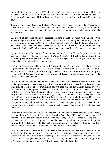But in Munich, on November 9th, 1923, the bullets of a reactionary regime were fired at Hitler and his men. 'My brother was right after all,' thought Otto Strasser. 'This is a revolutionary movement, this is a Socialist movement. Hitler's flirtations with the generals and big business will have to stop now.'

This view was strengthened by Ludendorff's famous subsequent speech -- the fascination of Ludendorff for many German officers must not be forgotten -- in which he said, 'Now I know that the salvation and reconstruction of Germany are not possible in collaboration with the reactionaries'.

Ludendorff at that time solemnly discarded all further caste-fellowship with his kind. Otto Strasser's regiment had sent a circular letter to all its officers, including Strasser, telling them that they must choose between the Crown Prince Rupprecht of Bavaria (the heir to the abolished crown) and General Ludendorff, and make a declaration of loyalty in this sense. Otto Strasser immediately plumped for Ludendorff, and was forthwith excluded from the Officers' Corps of his regiment.

By these means, Otto Strasser, the fervent admirer of the German Officers' Corps, the Free Corps, anti-Red soldier of Munich, the Socialist *Hundertschaftler* of Steglitz, the undaunted and undeviating seeker after 'German Socialism', was drawn again into the whirlpool of politics. He thought he had found the thing he believed in.

His brother Gregor remained in prison, with Hitler, until at the election of May 1924 he was elected to parliament and thereupon released. Hitler remained in prison, writing *Mein Kampf* as he says another untruth. Hitler being in prison, Gregor Strasser took over the leadership of the entire party, including North Germany, whither it had now spread through the recruitment, *en masse*, of the *Völkische* movement of Graefe.

One of Gregor Strasser's first actions was to expel the clown Julius Streicher from the party, which he then proceeded to organize and expand. He was its head, and remained its real head for some time, even after Hitler's release from prison, for two good reasons. First, Hitler, though free, was forbidden to speak throughout the whole of North Germany, and could not have taken part in the work for this reason. Second, and this shows the financial plight of the men who made Hitler's party for him, Gregor Strasser, as a Reichstag Deputy, held the coveted free-railway-pass which enabled him to travel to and from Berlin without cost, and this was vitally important. Hitler, as an Austrian, could not, even if he would, have been returned to Parliament, and this is another example of his stupendous luck, for in open debate he would so quickly have been routed, that his rise to power and triumph would have been almost inconceivable; the myth would have been shattered too soon.

Hitler was a discredited and almost forgotten man. Gregor Strasser, far more popular, much better understood, was the leader of the National Socialist Party. But Hitler had one great source of strength. He was the only one of them all with any money. This he obtained from big-business magnates and other interested parties behind the scenes, by selling out piecemeal, in private parleys, the Socialist parts of the National Socialist programme, to which the Strassers and their friends attached vital importance. But that only became known much later.

Otto Strasser, after that Munich Putsch, gingerly began to feel the political waters again with one toe by writing leading articles under a pseudonym for the *Völkischer Beobachter*. Now his brother Gregor came to him and renewed his urgent appeals. 'We are independent in North Germany now', he said, 'and we can give the party substance and meaning, a countenance and an ideology. Now, *lieber Otto*, you will have to help me. WE will make and mould this party.'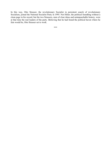In this way, Otto Strasser, the revolutionary Socialist in persistent search of revolutionary Socialism, joined the National Socialist Party in 1995. Not Hitler, the political foundling without a clean page in his record, but the two Strassers, men of clear ideas and unimpeachable history, were at that time the real leaders of the party. Believing that he had found the political haven where he fain would be, Otto Strasser set to work.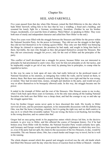#### Chapter Six

#### HEIL AND FAREWELL

<span id="page-35-0"></span>Five years passed from that day when Otto Strasser, joined the Heil-Hitlerists to the day when he bade Hitler farewell, telling him to his face that he was a windbag, a fraud and a humbug, and resumed his lonely fight for a German, revolutionary, Socialism. (Neither he nor his brother Gregor, incidentally, ever used the form of address, 'Mein Führer', in speaking to Hitler. They were both men of sturdy and independent character and called him 'Herr Hitler' to the end.)

These five years were filled with the struggle between the Strassers and Hitler for the power within the National Socialist Party, for the power in Germany. They did not see the struggle in that light, they did not feel themselves to be working *against* Hitler. They only saw that Hitler was betraying the things he claimed to represent, the promises he had made, and sought to bring him back to them. Inevitably, the men who thought as they did grouped themselves around the Strassers. But they did not consciously struggle for *power*, only for the soul of Hitler and the principles of the party.

This conflict of itself developed into a struggle for power, because Hitler was not interested in principles he had proclaimed to catch votes; they were for him not principles at all, but tactics, and he implacably sought to get rid of any who tried, by pinning him to principles, to cramp what he regarded as tactics.

In this way he came to look upon all men who had really believed in the professed tenets of National Socialism as his enemies, as intriguing foes within the walls, and he turned on them, to destroy them. But these men naturally resisted, feeling that they were right and that he was wrong, or misled. They had invested time, money, strength and idealism in the party, and would not give way or allow themselves to be brusquely elbowed aside. In this way, the struggle became one for power.

It ended in the triumph of Hitler and the rout of the Strassers. Otto Strasser seems to me to-day, when I look back upon those years in Germany, to be the only man among all the leading National Socialists who both saw that Hitler was a cheap cheat, and had the courage to say so and take up the struggle against him.

Even his brother Gregor seems never quite to have discerned this truth. His loyalty to Hitler survived all tests, and his persistent argument, in his innumerable discussions with the disbelieving Otto, was that 'the horse is bucking, certainly, but it is going the right way and we shall contrive to stay on it', to which Otto invariably replied. 'You are wrong; the horse is not bucking, but travelling in the wrong direction, and we cannot alter that'.

Gregor had an easy-going streak in his pugnacious nature which always led him, in the decisive moment, to give way to Hitler, and this affected the course of European history. For if he had broken away from Hitler with his brother, the National Socialist Party would certainly have split, and Germany and Europe would have been spared the militarist nightmare in which they now live; or, even if the party had not split, the claim-to-the-succession of the two Strassers, to-day, would be irresistible. The one Strasser alone, Otto, has a much harder and longer way to travel, but he is well in the running.

The whole dispute around which this quarrel and struggle revolved was the old, old doubt which had filled Otto Strasser until the day when the forces of reaction fired on Hitler at Munich - whether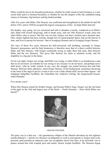Hitler would be true to his Socialist professions, whether he really meant to lead Germany to a new social order and to a German Socialism, or whether he was the catspaw of the old, embattled ruling classes in Germany, big business and big landownership.

After five years with Hitler, Otto Strasser was confirmed and strengthened in the doubts he had felt before 1923, and in 1930 he accepted the logical consequence of this - he bade Hitler farewell.

His brother, easy going, not yet convinced and loth to abandon a loyalty, wandered on at Hitler's side, filled with inward misgivings, loth to break away, and saw Otto Strasser's words come true when Hitler came to power. But this was too late; Gregor was then a broken and a doomed man. Otto, clearer-sighted and more resolute, though less of a great popular figure, had cut the hawser in time, and lives to pursue his mission - that of avenging Germany and of avenging Gregor Strasser.

The story of those five years, between his half-convinced, still doubting, surrender to Gregor Strasser's persuasions, and his final breakaway is therefore more that of a direct conflict between Hitler and Otto Strasser, with Gregor continually trying to make them link arms, than between Hitler and the two Strassers. This gives Otto Strasser his claim to attention to-day, and his eligibility to a big part in the future.

For he was right; Gregor was wrong; and Hitler was wrong, or rather Hitler is so mendacious a man that we do not know yet whether he was wrong or not, because we do not know, and perhaps never shall know, what he really wanted. In any case, the struggle was joined between him and Otto Strasser. Between them, placatory, stood Gregor Strasser. In the background, sometimes advancing to the front of the stage to put in a word or two or do a little stiletto-stuff, moved other figures - the malignant hobgoblin Goebbels; the Falstaffian but vindictive Göring; the bespectacled bosomsnake Himmler.

Five stormy years!

When Otto Strasser joined his brother Gregor, and became Hitler's liege, Gregor was the real head of the party in the vital and largest area of the Reich -- North Germany -- from which Hitler was barred $^{[2]}$  $^{[2]}$  $^{[2]}$ 



GREGOR STRASSER

The party was in a bad way -- the ignominious collapse of the Munich adventure lay but eighteen months behind it -- and the two Strassers set diligently to work to reinvigorate it. Gregor took as his personal, paid assistant an unknown man, the sycophantic dwarf who later, at his downfall, was to prance around him with waspish jeers and taunts, Doctor Joseph Goebbels. The Strassers began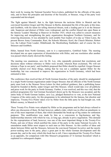their work by issuing the National Socialist News-Letters, published for the officials of the party only, and in these the principles and doctrine of the Socialist, or Strasser, wing of the party were expounded and developed.

The 'fight against Munich', that is, the fight between the tactician Hitler in Munich and the convinced Socialists Gregor and Otto Strasser in Berlin, dominated the life of the party at this time, and Goebbels, with his talent for telling rhetorical thrusts, took a leading part in it on the Strasser side. Suspicion and distrust of Hitler were widespread, and the conflict blazed into open flame at the famous 'Leaders' Meeting' at Hanover in October 1925, which was called to concert measures for improving and strengthening the party organization throughout Northern Germany, and for removing dissensions. It was attended by such notable Nazi leaders of to-day as Viktor Lutze, the present Brown Army Commander; Rust, the Schools Minister; Kerrl, the Church Minister; Robert Ley, the Labour Front Leader; Hildebrandt, the Mecklenburg Statthalter; and of course the two Strassers and Goebbels.

Hitler, banned from North Germany, sent to it a representative, Gottfried Feder. The meeting developed into an open expression of dissatisfaction with Hitler, and one resolution after another was passed which clearly showed this feeling.

The meeting was unanimous, save for Dr. Ley, who repeatedly protested that resolutions and decisions taken without reference to Hitler were invalid, whereon Rust exclaimed, 'We will not tolerate a Pope in our party', and Goebbels proposed that Hitler should be expelled. Gregor Strasser tactfully slurred over these things, stating that he was not a candidate against Hitler for the leadership, but was concerned to improve the organization in North Germany, which had been entrusted to him.

The conference then resolved that all North German branches of the party should be amalgamated in a single North German organization under Gregor Strasser; that all officials of the North German party must look to the Strasser News-Letters for their political guidance; that a publishing house should be founded in Berlin, under Gregor and Otto Strasser, which would take over all publicity and press work for the party in North Germany. Further, it was resolved, and this was vital, that the political programme (for 'real German Socialism') drawn up by the Strassers was accepted, and the entire body of North German leaders, save Ley, pledged themselves to vote, at the next National Congress of the entire party, for this programme to be substituted for the famous, but obsolete and imprecise, 'Twenty-Five Points' taken over by Hitler from the little party he had bought out, with Röhm's money, in Munich in 1919.

These Twenty-Five Points were adopted by Hitler as his programme and he had always refused to allow any discussion of them. He had, however, added a rider, which was in effect an annulment, to one of the most important of them, that which demanded the break-up of big estates for settlement purposes. This modification was made by him as a concession to big-business and biglandownership interests with which he was, so long ago, already in privy negotiation. This demand for the expropriation of land, however, was one of the most important things in the Twenty-Five Points, and one of those which justified the claim of the party to the name National *Socialist*. Its emendation made Hitler most suspect to such men as Otto Strasser. As this conflict of ideas and ideals between Hitler and the Strassers, between the convinced National *Socialists* and the merely power-seeking men in the party, plays a great part in the whole German development until the present day, and in the story which this book has to tell, I have reproduced the Twenty-Five Points as an appendix, for comparison with Otto Strasser's programme of 'A German Socialism' which is explained in a subsequent chapter.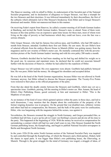The Hanover meeting, with its rebuff to Hitler, its endorsement of the Socialist part of the National Socialist programme, and its declaration of allegiance to Gregor Strasser, was thus a triumph for the two Strassers and their doctrines. It was followed immediately by their discomfiture, the first of the setbacks which ultimately led to Otto Strasser's breakaway from Hitler and to Gregor Strasser's dismissal and murder. Hitler out-manoeuvred them in this manner.

On receiving Feder's report from Hanover, he called a counter-meeting of all South German leaders at Bamberg, and invited the North German leaders, Strasser's men, to attend. None of them went, because at this time politics was an expensive spare-time luxury for these men, most of whom were living on the edge of poverty or had businesses which they could not leave; even the fare was a serious obstacle.

Only Gregor Strasser, who had his famous free-railway-pass, and Goebbels, who had 200 marks a month from Strasser, attended. Goebbels there first saw Hitler. He saw more. He saw Hitler's host of salaried officials from the embryo Brown House in Munich (Hitler was getting money from the magnates) and he saw swarms of Hitler's motor cars. He mentally contrasted this with the povertystricken picture of the North German leaders' meeting and with his own paltry 200 marks a month.

Thereon, Goebbels decided that he had been standing on his bad leg and shifted his weight on to the good one. In sonorous and repentant tones, he declared that he could not associate himself further with the decisions of Hanover, whither he had called for the expulsion of Hitler.

Gregor Strasser was left isolated. His own supporters were absent. Goebbels had publicly betrayed him. He was poor; Hitler had the money. He shrugged his shoulders and accepted defeat.

He was left at the head of the North German organization, because Hitler was not allowed in North Germany anyway, but Hitler refused to discuss the Strasser programme. The Twenty-Five Points were restored to their place as the official programme of the party.

From that day dated the deadly enmity between the Strassers and Goebbels, which may yet see a spectacular issue. Goebbels, purring, left the meeting in Hitler's motor car. Max Amann, the head of Hitler's Eher Publishing House, gazed curiously at him and murmured to Hitler: 'This is the Mephisto of our party.'

As an instance of the kind of issue which agitated opinion within the party in those days, and led to such dissensions, I may mention that the dispute about the confiscation of the property of the former reigning dynasties was in progress. On the ground that war-disabled men, inflation victims and others had had no compensation, the Strassers, and the bulk of the party were for confiscation; Hitler, who was bargaining with the magnates behind the scenes, was against it.

Nevertheless, the Strassers resumed the struggle in North Germany, and Gregor persuaded Otto, as Goebbels had left him, to give up his job in Count von Hertling's concern and devote all his time to the party. This happened at the beginning of 1926. With the money he received as compensation for surrendering a contract which still had two and a half years to run, Otto Strasser founded the North German publishing house, the Kampfverlag, and began to publish National Socialist newspapers in Berlin and throughout North Germany.

In the years 1926-28 the entire North German section of the National Socialist Party was inspired by and controlled through the Kampfverlag, of which the Strassers and a third partner, Hinkel, held the shares in equal parts. It was bigger than Hitler's own publishing house, the Eherverlag, at Munich. Through it, the great struggle for the mind of Germany was waged, a struggle of ideas, of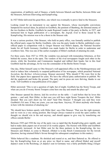organization, of publicity and of finance, a battle between Munich and Berlin, between Hitler and the Strassers, between Eherverlag and Kampfverlag.

In 1927 Hitler delivered his great blow, one which was eventually to prove fatal to the Strassers.

Looking round for an instrument to use against the Strassers, whose incorrigible convictions hampered his tactical ideas, he picked on Goebbels, the penitent of Bamberg, the detested enemy of the two brothers in Berlin. Goebbels he made Regional Leader of the party in Berlin, in 1927, and instructed him to begin publication of a newspaper, the *Angriff*, rival to those issued by the Kampfverlag. His mission was to be a thorn in the Strasser side.

It was a curious position. Otto Strasser, who held no party office, was formally entitled to publish the official party organ for Berlin; Goebbels, who was the party leader in Berlin, published a nonofficial paper in competition with it. Gregor Strasser was Hitler's deputy, the National Socialist leader for all North Germany; Goebbels was made leader for Berlin in order to undermine and overthrow him. This was one of the earlier examples of Hitler's methods of attaining his ends.

For three years, from 1927 to 1930, the vendetta was pursued with tremendous bitterness, at first behind the scenes, then in the open. The vendors of the rival newspapers fought each other in the streets, while the Socialists and Communists laughed and rubbed their hands; but in this feud Goebbels had the advantage, for he was the commander of the Berlin Storm Troops.

One day, Hitler himself came to Otto Strasser's well-appointed office in the Nürnbergerstrasse and tried to induce him voluntarily to suspend publication of his newspaper, which preached National *Socialism*, the *Berliner Arbeiterzeitung*. Strasser answered: 'Why should I? We were first in the field. Our papers have appeared for years. We have the official party authorization to publish. We did the spadework and broke the ground. The party and its press are now thriving, thanks to our work. Tell Goebbels to stop publication of *his* paper.'

Hitler answered: 'This is not a question of right, but of might. Goebbels has the Storm Troops, and what can you do if twenty Storm Troopers come here one day and smash the place up?'

Otto Strasser opened his drawer, laid his revolver on the table -- I said before that he loves this gesture -- and said, Herr Hitler, in that case you will have eight Storm Troopers the less'. Hitler shouted: 'But you can't shoot my SA men!' Said Otto Strasser: 'I thought you said they were Goebbels's SA men. If they are yours, you can stop them. Anyway, I'll shoot anybody who breaks in here with the intention of attacking me.'

'We should have broken openly with Hitler then', says Otto Strasser. 'That was the right moment, and we were in a very strong position. But Gregor always wanted to avoid the open conflict. He thought we should win in the end anyway, and should appear to give way by transferring our offices outside Berlin.'

Between 1929 and 1930 the rise of the party was so rapid that the Kampfverlag grew rapidly, and had to make daily papers out of several of its weekly papers. The friction with Hitler and Goebbels consequently increased. At last Hitler sent for the three partners in the Kampfverlag, the two Strassers and Hinkel, to come to Munich. (Hinkel is to-day Reich Commissioner for the Jewish Question, having retained Hitler's favour through his subsequent compliance in this matter.)

'Hitler behaved like a madman. He shrieked and roared at us, and then flattered us. He offered to buy the Kampfverlag from us at any price we liked to name, and offered Hinkel and myself deputy's seats in the Reichstag. [A deputy's seat in Germany was a fairly profitable thing.] Gregor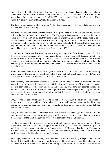was ready to sell, but his share was only a third. I refused point blank and contrived to get Hinkel to refuse also. The conversation lasted many hours and at times was conducted in a Bedlam-like atmosphere. At one point I remarked mildly, "You are mistaken, Herr Hitler", whereon Hitler shouted, "I cannot err, everything that I do and say is history".'

The tension approached explosion point. At last the breach came. The immediate cause was a metalworkers' strike in Saxony.

The Strassers and the North German section of the party supported the strikers, and the official order of the party to its members was 'strike'. The Employers' Federation then sent an ultimatum to Hitler that it would cut off its contributions to his exchequer unless the strike order were at once countermanded. Hitler ordered the Saxon Branch of the party to countermand the strike order and instruct its members not to take part. The National Socialist Leader for Saxony, Mutschmann, gave way, but the Strassers held fast, and the official press of the party urged the workers to continue the strike. Thus, the open conflict broke out - in the spring of 1930.

Hitler came to Berlin and had two long and stormy meetings with Otto Strasser, who suffered at them from his old handicap - Gregor had begged him not to provoke a split, because in that event he would stay with Hitler. Gregor's motive was always the same; he believed that the National Socialist movement was good and that the only fault was one of tactics, which could later be corrected; he did not believe that anything fundamental was wrong with the party. Otto took the opposite view.

These two encounters with Hitler are of great interest. Otto Strasser recorded them immediately afterwards, as literally as he could remember them, and published them in his *Aufbau des Deutschen Sozialismus* (Structure of German Socialism) in 1931.

Thus for many years the record of those two terrific conversations has been on record and in print, available to all who wanted to study the man Hitler. To-day the accounts of his hysterical orgasms in such conversations come from all sides. Ambassadors, who formerly counted among his admirers, publish them. His former lieutenants publish them. Mental specialists all agree that this man is mad. The peers who wooed him all agree that this man is mad. Everybody agrees, quite suddenly, that this man is mad.

Why? He has not done anything now that he did not do, repeatedly, in the seven preceding years of his might - save the pact with the Bolshevists. He has not said anything now that he did not say over and over again in those years and long before. He has touched no summit of delirium that then was beyond his reach.

Here, in these two protracted wrangles with Otto Strasser ten years ago, you find it all - the shouting and screaming, the half-witted jargon -- like a low music-hall comedian caricaturing a diehard major of the most exaggerated type -- even the threats and the ultimatum.

On the one side, Otto Strasser, who wanted a straight answer on an issue of major political importance. On the other side, the cheapjack ranting of Hitler, who pulverized the clearest question and the most logical argument alike with shouted retorts of 'Marxism', 'Bolshevism', 'Democratic bunkum', 'Nonsense' and so on. There it all is, the same picture, in every detail, with which the world has become familiar since the outbreak of war.

Nowadays, people think. 'Of course, a man who behaves like that is clearly irresponsible, a public danger. If the world had only known'. But the world could have known. It could have known from this account of Otto Strasser's of his two-day struggle with Hitler. But it did not want to know.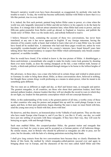Strasser's narrative would even have been discounted, as exaggerated, by anybody who took the trouble to read it. To-day, the world has become sufficiently familiar with Hitler to know that it is a life-like portrait, true in every detail.

It is, indeed, the first such portrait, painted long before Hitler came to power, at a time when the world was only languidly interested in Hitler and did not believe in his capacity to do the harm he has done. It is strange that it did not attract attention later, when Hitler had come to power, and any fifth-rate gutter-journalist from Berlin could go abroad, to England or America, and publish the 'inside story' of Hitler. Here *was* the inside story, and nobody bothered to read it.

I believe Strasser's book, containing the account of these two conversations, has never been translated; at any rate it has never appeared in English. If any foreign statesman, having the interests of his country really at heart, had wished to learn what sort of a man Hitler was, he could have found all he needed here. A statesman who had read these pages would not, unless he were incorrigibly wooden-headed and blind to his country's interests, have found himself years later talking about 'that eternal tendency to suspect Herr Hitler which unfortunately only breeds countersuspicion', or suchlike twaddle.

Here he would have found, if he wished to know it, the true picture of Hitler. A thimblerigger, a three-card-trickster, a mountebank who sought to make his trashy wares look genuine by shouting them ever more loudly, as does the ranting cheapjack at the fair, a man without truth, honour or loyalty, a third-rank political swindler destined through intrigue to be borne to the loftiest heights of power.

His adversary, in those days, was a man who believed in certain *things* and wished to attain power in Germany in order to bring them about; Hitler, as these conversations show, believed in nothing, but thought these certain *things* worth professing as a means to attain power, when he meant to do something quite different.

The two men are as different as night and day, as thief and honest man, as renegade and patriot. The greatest renegades, in all countries, are those who shout their patriotism loudest, bawl their national anthem loudest, clamour loudest that they will not sheathe the sword in wars in which they do not fight, cry loudest for that patriotic conscription which will not conscript themselves.

Hitler, in this understanding of the word, is the greatest patriot of all time, a worthy crony of those in other countries who sang his praises and propped him up until he could plunge Europe in war again, and then, in their pure patriotism, began chanting 'the man is mad, we must finish with him, send the young men away to finish with him, down with him'.

He deserves, and they deserve, an honoured place in the Valhalla of such patriots. They are the men who have made Europe what Europe is, and if you like it, you like it. If only, one day, we could have just one settling of accounts with these renegades. If they have their way, they will soon be betraying us again, with and through Göring.

Such men enabled Hitler, this cesspool-product Hitler, the greatest traitor and renegade that Germany ever had, for years to pose and be accepted as a German patriot, of all ludicrous things. By similar means, men in Britain who should be pilloried as renegades are able to pose, not for years, but for decades, with the halo of a shining patriotism encircling their heads.

I shall give long extracts from the two conversations here because they so clearly illuminate the theme of this book, the method by which renegades-called-patriots succeed ever and again in bringing about war in Europe, and the characters of the two men called Adolf Hitler and Otto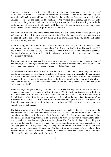Strasser. For many years after the publication of these conversations, such is the level of intelligence in Europe, it was possible to present Hitler, because he was entirely and cynically and avowedly self-seeking and without any feeling for the welfare of Germany, as a patriot: Otto Strasser, because he had precisely this feeling for the welfare of Germany, and was not selfseeking, and clung to his convictions, as an anti-patriot and 'Red'; to this appalling extent is the public opinion of Europe, and particularly of Britain, slave to the millionaire-owned newspapers whose mission, as it believes in its purblindness, is to inform.

The theme of these two long verbal rencounters is the old, old dispute. Strasser asks quietly again and again, in a dozen different ways, 'Are you for Socialism; do you mean what you say; have you the ideal of a better social order in view; or are all these only phrases which you use to catch votes; is power your only real aim?'

Hitler, in reply, rants, rails, and roars: 'I am the anointed of Heaven, you are an intellectual crank' (do you remember those sergeant-majors whom Otto Strasser so loathes from his recruit days?), 'I know what is best, what you say is the purest Marxist-Bolshevist-Liberal-Democratic-Socialist-Communist-Red muck'. (It is not I, but Hitler, who marries the adjective 'pure' with 'muck'; he does it continually; he would.)

These are not direct quotations, but they give the picture. The contest is between a man of convictions, ideals, and logical mind; and a liar who believes in nothing and is prepared to use any means to counter an argument, crush an adversary, or bring about a war.

On the one side of the table sits a man of clear thought and convictions who can pungently put and counter an argument; on the other, a ridiculous tub-thumper, vain as a peacock, who can produce no answer to a direct question but a string of meaningless catchwords, who is thrown into hysterical paroxysms by any simple interrogation, because he knows himself to be a liar, and who clearly shows that he has no ideals or convictions whatever, that he is only for the means and leaves the end to look after itself.

These meetings took place on May 21st and 22nd, 1930. The first began with the familiar tirade -- Hitler's technique never changes, from Otto Strasser in 1930 to Kurt von Schuschnigg in 1938 and Sir Nevile Henderson in 1939 -- of shouted reproaches and threats, on account of the tone taken in the publications of the Kampfverlag, culminating in a demand for the immediate dissolution of that publishing house, or else ... But when Otto Strasser rose and quietly said he had come for a discussion and was not prepared to listen to an ultimatum, Hitler, as ever, became calm and friendly, and the talk began.

The battle was joined with Hitler's objections to criticisms made in Strasser's papers about the appointment, by the first National Socialist Minister, Dr. Frick, in Thuringia, of one Schulze-Naumburg to a high post in the realm of art. Strasser replied that the younger generation of artists of National Socialist sympathies held this gentleman to represent the wax-flowers-under-a-glassbowl period in art and had the right to state its opinion. Hitler's rejoinder began, 'Everything you say proves that you have no idea of art. There is no such thing as an "older generation" or a "younger generation" in art, there is only art, and particularly Greek-Nordic art'. Strasser interjected another view and mentioned 'Chinese and Egyptian art as an expression of the souls of those peoples'. Hitler answered: 'What you say is the most obsolete Liberalism. There is no such thing as Chinese or Egyptian art, only Nordic-Greek art ...'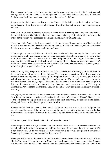The conversation begun on this level remained on the same level throughout. Hitler's next reproach was against an article which, as he complained, 'differentiated between the Idea of National Socialism and the Führer, and even put the Idea higher than the Führer'.

Strasser, while disclaiming any disrespect for Hitler, said he held precisely that view. A Führer 'might become ill, or die, or conceivably deviate from the Idea; but an Idea was of divine origin, and eternal'.

This, said Hitler, was 'bombastic nonsense hatched out at a debating table, and the worst sort of democratic bunkum. The Führer and the Idea were one, and every National Socialist must obey the orders of the Führer, who embodied the Idea and alone knew its ultimate aim'.

'That, Herr Hitler,' said Otto Strasser quietly, 'is the doctrine of Rome, and both of Papist and of Fascist Rome. For me, the Idea is the vital thing, the Idea of National Socialism, and my conscience decides when a gap appears between Führer and Idea.'

Hitler simply cannot stand this sort of stuff; people who talk like that are for him 'intellectual cranks', and a kindly providence alone prevented the meeting from being ended by a stroke at this point. But he knew the age-old answer to this one: discipline! 'You are talking rank democracy,' he said, 'and this would lead to the break-up of our party, which is based on discipline, and I don't intend to have the party destroyed by a few conceited scribblers. Do you intend to submit yourself to this discipline, as your brother does, or not?'

Thus, at a very early stage in an argument that lasted the best part of two days, Hitler fell back on the age-old retort of 'patriots', of this kidney; 'You have put a question which I am unable to answer. I must remind you of the necessity for discipline. Yours is not to reason why, yours is to do as I tell you in the unquestioning belief that I am always right. Where should we be if you began to wonder whether I *am* always right. This would be intolerable. You might then want to go in a different direction, even in a better direction, than the one I want you to go. This is pure Bolshevism. Pure, I repeat, Bolshevism. Gad, sir, discipline! Only discipline can bring you where I want to go.'

Here, again, the resemblance to those encounters with the parade-ground buffoons of 1914, whom Otto Strasser so detests, is striking. 'Conceited intellectuals.' 'Conceited scribblers.' 'Piano-players to the left, those who speak French or English to the right. Now then, the conceited intellectuals who speak French or English can go and clean the closets.'

Strasser replied that he knew a deal about discipline from the war, and not discipline, but conscience and a sense of duty alone had carried him and many others like him through the last bitter months. He begged Hitler not to be deluded by the cheap plaudits of the creatures about him….

Hitler interrupted: 'I forbid such defamation of my collaborators.'

Strasser replied: 'Herr Hitler, we need not try to fool each other. How few of these collaborators are mentally able to form their own opinion, and how few even of these have the spirit to state it, if it differs from yours. Or do you believe that my brother would be so well-disciplined if he were not financially dependent on you, through his deputy's seat?'

Thereupon Hitler invited Strasser to follow his brother's example and offered him the post of Press Chief of the party if he would come to Munich and work under his, Hitler's, supervision. Strasser said he could only do that if they agreed about the fundamental principles of policy -- about the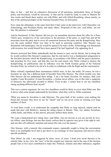Idea, in fact -- and first an exhaustive discussion of all questions, particularly those of foreign policy and Socialism, would he necessary; to that end he would be ready to come to Munich for four weeks and thrash these matters out with Hitler, and with Alfred Rosenberg, whose enmity, as that of the spiritual prompter of the National Socialist Party, he felt keenly.

Now came the ultimatum, in the same form that it later came in the interviews with Chancellor von Schuschnigg, and President Hacha, and many others. 'Proposals of this sort,' said Hitler, 'are too late. My patience is exhausted.'

And he threatened, if Otto Strasser did not give an immediate decision about the offer for a Press Chief's post, irrespective of his convictions or the promises of the party, to expel him and all his associates from the party and to sever all connection between the party and the Kampfverlag. Here was the same method which was later to be used in annexing countries. Otto Strasser was threatened with bankruptcy, but he would be spared if he took a bribe. Schuschnigg was threatened with invasion, but would himself have been spared if he had 'legalized' it by appealing for it.

Strasser answered that Hitler undoubtedly had the means to carry out his threats, but in doing this he would confirm Otto Strasser's suspicions, that his real motive was a fundamental antagonism to the Socialist doctrine which the Kampfverlag, in accordance with Hitler's and the party's promises, had preached for five years, and that this was the real reason why Hitler wished to destroy the Kampfverlag, its publications and its influence over the North German group of the National Socialist Party: he wished to he rid of it in order to collaborate with the Right and the reactionaries.

Hitler violently repudiated these insinuations (which were, in fact, the truth). Of course, he was a Socialist, he said, but a different kind of Socialist from Otto Strasser. The whole trouble was, that Otto Strasser did not understand these things. 'I am a far better Socialist, for instance, than your wealthy Count Reventlow' (Count Reventlow, a former naval officer, was at this time a supporter of Strasser's but afterwards seceded to Hitler). 'Even to-day, I cannot bear to see my chauffeur eating anything different from myself.'

This was a curious argument, for very few chauffeurs would be likely to covet what Hitler eats. But it shows what some people understand by Socialism, when they wish to. Hitler continued:

'What you mean by Socialism is rank Marxism. The great bulk of the workers want nothing but bread and circuses; they have no use for "ideals" and we can never count on winning over large numbers of them.'

To read these words, is to understand the sympathy that Hitler so long enjoyed, indeed until he made that pact with Bolshevy, among the ruling classes in Britain. They, too, admire Socialism, within limits, and Hitler, in this answer, precisely defines these limits.

'We want a hand-picked new ruling class,' said Hitler, 'one not moved, as you are moved, by lovemy-fellow- man feelings, but one that clearly realizes that its superior race gives it the right to rule, and one that will ruthlessly maintain and ensure this rule over the masses.'

Otto Strasser, with a tenacity that commands respect, repeatedly sought to bring the conversation back to an intelligible level and to get down to an exchange of clear questions and answers about specific problems.

'Herr Hitler', he said, I am staggered by these views of yours. I hold your racial theories to be entirely false. In my view, the "race" is but the original raw material, and in the case of the German people four or five races contributed to make this. Political, climatic and other influences, together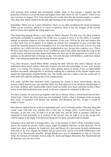with pressure from without and assimilation within, made of this mixture a people; and the processes of history evolved the third and highest form, that which we call "a nation", which in our case was born in August 1914. Your racial theories would deny that the German people *is* a nation. They deny that which I hold to be the task and meaning of the coming German revolution.'

Said Hitler: 'What you say is pure Liberalism. There *are* no other revolutions but racial revolutions. There are no economic, political or social revolutions, there is but the struggle of the racially inferior lower class against the ruling upper race.'

This interesting passage throws a new light on Hitler's theories. Put this way, his ideas would be universally acceptable to exploiters the world over, as much to Jews as to any others. It contains, indeed, no mention whatever of Jews, this utterance of the year 1930 by the arch anti-Semite who so often used Jews as his agents. It is, indeed, an entirely new conception of race, even than that which has currently passed as his conception of it. It is that the poor are not only a lower *class* but an inferior *race*; while the rich, are not only predestined to *rule*, but are also a superior *race*. This is the best racial theory ever invented, in my recollection, and if only Hitler had made this clear to the world earlier, and had kept that stupid stuff about the Jews out of the argument, he would, in my opinion, be the adored ruler of Europe to-day. Not even the pact with Bolshevy could have shaken him - if he had propounded this fascinating doctrine earlier.

'You, Herr Strasser', roared Hitler further, beating the table with his fists until it danced, 'do not understand these racial matters. Precisely because you lack this knowledge of race, your foreign policy is so wrong. For instance, you have often spoken openly in favour of the so-called Indian freedom movement, although this is obviously nothing but a rebellion of the inferior Indian races against the high-quality English-Nordic race. The Nordic race has a right to rule the world and we must make this right the guiding star of our foreign policy.'

It is really sad that Otto Strasser's book, containing the record of these conversations, did not become widely known years ago, and that Hitler was thus deprived of the honorary memberships of the Simla, Bombay and Calcutta clubs which would inevitably have been conferred on him if these lovely words had reached the outer world. In the next sentence he continued in like vein.

'For these reasons, we can never go together with Soviet Russia, where a Jewish head rests on Slav-Tartar body. I know the Slavs from my own homeland. Earlier, when a Germanic head sat on the Slav body, co-operation with Russia was feasible, and Bismarck did this. To-day it would be simply a crime.'

Otto Strasser replied that he could not understand such views in foreign politics. The only thing that would count with him was, whether this or that line in foreign policy would benefit or harm Germany; in the first case, he held it to be the right line, and the State in question could be as repugnant to him personally as it wished; in the second case, he held it to be the wrong line, without regard to the depth of his personal liking for the State concerned and its people.

Germany's most vital aim in foreign policy was, in his opinion, to throw off the Versailles Treaty, and in the search for powers whose course might lie parallel with hers in that direction, for no matter how short a distance, he found only Italy and Russia. For that reason he held collaboration with Italy to he wise, though the Italians did not attract him, and he even held collaboration with Russia to be theoretically possible, though Bolshevism was as antipathetic to him as Fascism; where the interests of Germany were at stake, M. Stalin and Signor Mussolini, Mr. MacDonald and M. Poincaré were all one to him.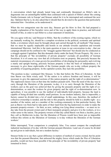A conversation which had already lasted long and continually threatened on Hitler's side to degenerate into an unintelligible babble then continued with a speech of Hitler's about 'the coming Nordic-Germanic rule in Europe' and Strasser asked for it to be interrupted and continued the next day. Optimist that he is, he also asked that it should then be devoted to the question that particularly interested him - Socialism, as he understood it.

When the two antagonists met the next day, Strasser got his blow in first. He had prepared a lengthy explanation of his Socialist views and of the way to apply them in practice, and delivered himself of this, in order to nail Hitler to a clear statement of intentions.

'Do you agree with me,' said Strasser to Hitler, 'that the overthrow of the existing regime, which we are mutually working for, should be a complete revolution in the political, economic and spiritual fields, a revolution which must be brought about and carried through by all methods? That means, that we must be equally implacable and hostile in our attitude towards capitalism and towards international Marxism. And this is the main question at issue in our conversation to-day - that our campaign should not be confined to the "struggle against Marxism" but should also be conducted as a struggle against Capitalism. But this demands clarity under the head, Private Property. My view is that the principle of "the inviolability of private property" excludes all possibility of German Socialism. It is of course my view that all civilization rests on property. But precisely because the material circumstances of a man govern his possibilities of developing his personality and evolving a manly and upright bearing, precisely because property is thus the basis of independence, is it necessary to give those eight-tenths of the German people who are to-day without property the possibility of acquiring property. In the capitalist system, they lack this possibility.'

'The position to-day,' continued Otto Strasser, 'is like that before the Wars of Liberation. At that time Baron von Stein wisely said: "If the nation is to achieve freedom and honour, it will be necessary to give the oppressed sections of this nation property and the right of co-determination." The oppressed classes were at that time the landless peasant-serfs. Then the need of the day was to carry through the liberation of the peasants; to-day, it is to carry through the liberation of the workers; just as the goal was achieved then by giving the peasants property and the right of codetermination, so must the workers be given property and the right of co-determination now. In agriculture, it was possible to use the method of individually-held property, because the land is capable of being divided into suitably small portions. In our modern industry, that is impossible; a factory cannot be divided into a lot of small undertakings. In this case, therefore, the method of collective-ownership is needed, and the title to this property should be held in a double right - as a member of the nation, and as a member of the working-community in that particular factory. But just as Baron von Stein had to take parts of their land from the big landowners in order to make the peasants property-owners -- for then, as now, nothing was lying about ownerless -- so must we today take from the present owners part of their monopoly-property and give it to the workers, or in a wider sense to the nation. The property-owners of that day called Baron von Stein a Jacobin, just as they call us Bolshevists to-day, but the liberation of Prussia would have been just as impossible without this reform as the liberation of Germany is to-day without the liberation of the German workers.'

Hitler interrupted, 'Your comparison is completely false. You cannot compare the complicated industrial mechanism of to-day with the German peasant-liberation. Land can of course be divided up and given to individuals, but not a modern factory.'

Strasser broke in to say that a great difference in matters of method of course existed, but his point was that the peasant-liberation, that unloosed the mighty forces which made the War of Liberation possible, would not have been possible if the principle of 'the inviolability of private property' had remained in force.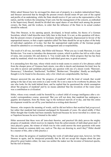Hitler asked Strasser how he envisaged his share-out of property in a modern industrialized State, and Strasser answered that he thought the present owners should retain 49 per cent of the capital and profits of an undertaking, while the State should receive 41 per cent as the representative of the nation, and the workers the remaining 10 per cent; but the management of the concern, as embodied in the Supervisory Board, should be divided into equal shares of one-third each among the present owners, the State, and the workers, in order that the influence of the State in its actual conduct should be reduced.

Thus Otto Strasser, in his opening speech, developed, in broad outline, his theory of a German Socialism, which I shall describe more fully later in this book. It is not, as this quotation will show, that the present owners of property in Germany should be brusquely dispossessed in favour of the unpropertied masses; or that a super-capitalist called The State should be set up in place of the body of individual capitalists of to-day; but that the unpropertied eight-tenths of the German people should be admitted to co-ownership, co-management and co-responsibility.

The result of it all was, inevitably, that Hitler told Strasser. 'What you say is rank Marxism, it is just Bolshevism. You want to introduce the democratic system, which in politics has left us with a heap of ruins, into economic life and destroy it. You would undo the whole progress that has has been made by mankind, which was always due to individual great men, to great inventors.'

It is astounding how this man, whose whole stock-in-trade seems to consist of a few phrases culled from the cheaper press of Viennese back streets, was able to dazzle and dominate his kind; how he was able to answer and annihilate practically any question with one of a dozen words: 'Marxism', Democracy', 'Liberalism', 'Intellectual', 'Scribbler', 'Bolshevism', 'Discipline'. Hardly an intelligible thought is to be found in his discourse, only a few which are comprehensible, but base.

Strasser answered the one about 'the progress of mankind' with the kind of remark that would spring to the lips of any non-cretin in a sane world. He is not a man to be overborne by phrases, but one who looks for the truth behind them, and he replied that he questioned the whole assumption about 'the progress of mankind' and by no means admitted 'that the invention of the water closet was a contribution to civilization'.

Hitler, whose every remark could be foretold by a school child of average intelligence after a sixweeks' correspondence course, answered: 'But you will not deny that mankind has undergone a gigantic development, from the Stone Age to the technical marvels of to-day, and that this entire development would be cut off by your hatched-at-a-writing-desk theories?'

Strasser, who respects the meaning of words, said he did not believe that *mankind* had *progressed*, but rather that mankind had remained unchanged for thousands of years. He asked mildly if Herr Hitler thought that Goethe had been mentally backward because he never travelled in a motor car, or Napoleon because he never listened to the radio?

Hitler answered that these were all 'arm-chair theories, and practical life daily proves the mighty progress of mankind, which receives its impulse from the achievements of individual great men'. (I once played a game, the winner of which was he who could answer the most questions with some fatuous remark in common daily use, such as 'The days are drawing in, aren't they?' Hitler should be a master of this, after a little practice.)

The one about the progress of mankind being the work of individual great men, however, let Otto Strasser in again, and he interjected pointedly that he did not accept this dogma about the part played by great leaders either, for man was neither the maker nor the inventor of historical epochs, but the tool of destiny.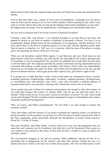Hitler looked at him with that suspicion-laden gaze born of Vienna back streets and interrupted him sharply.

Even at that time Hitler was a master of every trick of intimidation; I remember how he tried to stare me down and sat staring at me for two or three minutes without opening his lips, when I once went to see him. But in those days he had not the backing which made intimidation so easy later the biggest army in Europe. Now he asked Strasser, with bulging eyes and thunder-laden brow:

'Do you wish to insinuate that I am not the inventor of National Socialism?'

'Certainly I deny that,' said Strasser. 'I see National Socialism as an idea born of our times and planted by destiny in one form or another in hundreds of thousands of hearts. You have it in an exceptionally sharply defined form, but the simultaneity of its appearance, and the similarity of its form, shows that it is the fruit of a historical process. It is the same with the capitalist system; apart from its merits or demerits, it is "old" now, it is in decline, while the time of Socialism is coming and it will determine the history of the next 150 years'.

'What you call Socialism,' replied Hitler angrily, 'is just Marxism, and your whole ideas are just paper theories which have nothing to do with real life. By what right do the workers demand a part in ownership or even in management? Do you think my publisher here would allow his girl typist to tell him what to do? The employer provides his workers with bread. Our big industrialists are not concerned with making as much money as possible, with living as well as they can; responsibility and power are the things that matter for them. Their brains have brought them to the top, and this process of natural selection, which again proves their superior race, gives them a right to lead.'

It is strange now to think that these words, which would make any armaments-Croesus, sweatedworkshop proprietor, brothel-keeper, bottle-party Levantine, company-promoter, dividend-lizard, or war-profiteer purr with pleasure, came from a man who succeeded in making millions of Germans think that he was moved by a burning will to abolish the social evils of our times.

I have quoted only parts of these two immense conversations, but enough to show their nature. At one point Otto Strasser did contrive to transfix Hitler with his pin and hold him down for a moment. 'What would you do, if you came to power in Germany to-morrow?' he said; 'what would you do about Krupps? Would everything remain unchanged in respect of shareholders and workers, ownership, profits and management?'

'Why, of course,' said Hitler contemptuously. 'Do you think I am mad enough to destroy the economic system?'

'Then, Herr Hitler, said Otto Strasser, if you mean to maintain the capitalist system, you should not preach Socialism, for the members of our Party are in the first place Socialists and put their faith in the Party programme, which specifically demands the Socialization of jointly-owned concerns.' (Point No. 13 of the 25 Points.)

'The term Socialism,' said Hitler loftily, 'is bad in itself, but in any case the programme does not mean that such concerns *must* be Socialized, only that they *could* be Socialized if they acted in a way contrary to the interests of the nation. If they don't do that, it would be a crime to destroy the economic system.'

The conversations dragged on, but did not progress. Hitler stubbornly rejected all idea of coownership and co-management for the workers, and when Otto Strasser recalled the case of a famous lock-out in which, as he said, 'two or three dozen people, who were no better and no worse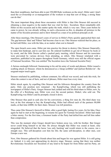than their neighbours, had been able to put 250,000 Ruhr workmen on the street', Hitler said, I don't need the co-ownership or co-management of the workers to stop that sort of thing; a strong State can do that.'

The most important thing about these encounters with Hitler is that Otto Strasser did succeed in obtaining a clear negative in the matter that was vital for him - Socialism. More remarkable still, Hitler on this occasion and in this matter spoke the truth, which is very rare. Three years before he came to power, he was already willing, in such a discussion as this, to abandon all pretence in the matter of his Socialist promises and to show himself as a man of no political principle at all.

After these meetings, Otto Strasser's years of service in Hitler's Party quickly approached their end. The gap between 'Idea' and 'Führer' had become clear to see. Otto Strasser realized that his place, as he had told Hitler, was with the Idea, at no matter what cost to himself.

The open breach soon came. Hitler put into practice his threat to destroy Otto Strasser financially, to make him bankrupt, and to cast him out. He ordered Goebbels to get rid of Strasser by hook or by crook, and the little Doctor called a packed party meeting, which Strasser and his associates were prevented by various devices from attending, as rebels. Otto Strasser retaliated with a manifesto, published in his papers throughout North Germany, which were still the official organs of National Socialism. This was entitled 'The Socialists leave the National Socialist Party'.

A furious onslaught followed. Summoning to his aid his army of words and phrases, Hitler issued a scathing attack on Strasser, whom he denounced as a 'cheap scribbler' and 'parlour-Bolshevist' - the sergeant-major touch again.

Strasser retaliated by publishing, without comment, his official war record, and took this trick, for when the contest is one of facts, and not of phrases, Hitler must lose every time.

Hitler struck again, by expelling Otto Strasser and his followers throughout the country from the party. Only one position now remained - the Kampfverlag, which was still publishing the newspapers of Hitler's Party. Gregor Strasser had yielded and sold his third-share to Hitler; now, by the offer of a Reichstag seat, Hitler won over the second partner, Hinkel, who sold out. The Kampfverlag was Hitler's and he promptly closed it down.

Otto Strasser thus paid in cash also for his convictions, a thing few men do. His third share was lost; at the first attempt to buy the Kampfverlag, Hitler had offered each of the partners 80,000 marks, at that time £4000, for their share. Strasser was left penniless.

Thus came Otto Strasser's farewell to Hitler, after a good fight, lasting five years, for his Idea. Once again he had to start at the beginning, to resume his quest for 'German Socialism'. Hitler had made a bitter enemy. For the first time, a foremost leader of the Party had defied him and left him rather than compromise.

This was the moment when Gregor should have broken away too, with his brother. But Gregor never could bring himself to do that. He always thought that Hitler was sound at heart, only misguided. He believed that the horse 'was only bucking' and would return to the course, run a straight race. This self-deception cost him his life; the same self-deception, in other men, cost Europe a new war.

Now, Otto Strasser gathered his friends about him and began his war against Hitler. It is still going on. Indeed, it is only just approaching its decisive stage. Strasser, seeing that there was neither Revolutionary Socialism nor Socialism of any kind to be hoped for from Hitler and his Party, set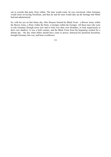out to corrode that party from within. The time would come, he was convinced, when Germany would insist on having Socialism, and then he and his men would take up the heritage that Hitler had mal-administered.

So, with his eye on that future day, Otto Strasser formed his Black Front - a Brown Army within the Brown Army, a Party within the Party, a Gestapo within the Gestapo. All those men who were to rule Germany through terror now had to look over their own shoulders, to look suspiciously at their own shadows. It was a bold venture, and the Black Front from the beginning worked for a distant day - the day when Hitler should have come to power, betrayed his promised Socialism, brought Germany into war, and been overthrown.

\*\*\*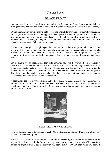## Chapter Seven

## BLACK FRONT

Just ten years have passed, as I write this book in 1940, since the Black Front was founded, and during that time its name was little known, and still less understood, in the world outside Germany.

Within Germany it was well known, both before and after Hitler's triumph, but the tide was running so strongly in his favour that its struggle was one against overwhelming odds. Hitler's fame, and later his power, was growing, and the Black Front, though it carried on a stubborn fight, only attracted, outside Germany, the languid and slightly contemptuous interest with which the majority of people always regard fighters for a lost cause.

Few were then far-sighted enough to perceive that it might one day be the petard which would blow up Hitler. But it was formed of resolute men who would not compromise and clung to their beliefs, at whatever cost. Strasser himself, as I have shown, lost a small fortune through his stand against Hitler at the Kampfverlag; his leading associates also lost money, position, liberty and sometimes life.

But the fight never stopped, and neither exile, outlawry nor even the war itself could completely sever the bond that existed between them. The Black Front *exists* in Germany to-day, as no other organization exists, ready to spring into action, like an engine at the touch of the starter, when the moment comes. Hitler's star is waning, and with it National Socialism in the form that he gave it. The Black Front, the members of which claim that they are the real National Socialists, is preparing for the come-back, and may have the last laugh yet.

It began, after the breach with Hitler, on July 4th, 1930, as the *Kampfgemeinschaft Revolutionärer Nationalsozialisten*, or Union of Revolutionary National Socialists. Later, after the adhesion of rebellious Nazi Storm Troops from the Berlin district and other sympathetic groups, it became simply The Black Front.



HERBERT BLANK AND OTTO STRASSER

Its chief leaders were Otto Strasser himself, Major Buchrucker, Herbert Blank, and other wellknown North German figures.

Major Buchrucker deserves description, for in him the discerning reader may find a pointer to the way the Black Front may in the future re-emerge, and possibly conquer. A regular officer and fiery patriot, he organized the Black Reichswehr, that secret army of 100,000 men which was formed,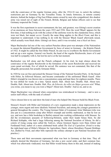with the connivance of the regular German army, after the 1914-18 war, to outwit the military restrictions put on Germany by the Versailles Treaty. In lonely fortresses, in remote country districts, behind the hedges of big East Elbian estates owned by men who sympathized, this shadow army was raised out of sight of the French, British, Belgian and Italian officers sent to see that Germany respected the Treaty.

It was the first experiment in secret rearmament; the last, and greatest, was Göring's secret creation of an enormous air force between the years 1933 and 1936. Here the word 'Black' appears for the first time; it had nothing to do with the colour of the uniforms worn by this clandestine force, which were not black, but meant *secret*. Exactly the same thing applies to the *Black* Front, and this is important to understand; it has nothing to do with the Strasser 'Black Guard' afterwards raised, which actually wore black shirts. Göring's air force, until it was revealed, was a *black* air force.

Major Buchrucker led one of the very earliest Putsches (those post-war attempts of the Nationalists to unseat the detested Republican Government by force of arms) in Germany - the Küstrin Putsch of 1922. It might be called the first Hitler Putsch. Its aim was to overthrow the Berlin Government and set up a new regime. General von Seeckt, the head of the regular Reichswehr, knew of it and was half in sympathy with it, but lost his nerve at the last moment.

Buchrucker was left alone and the Putsch collapsed. At his trial, he kept silence about the connivance of the regular Reichswehr in the formation of the secret Reichswehr and received ten years penal servitude, five of which he served. His sentence was not commuted, like that of the allegedly persecuted, but actually fortunate Hitler.

In 1928 he was set free and joined the Strasser Group of the National Socialist Party. At the breach with Hitler, he followed Strasser, and became commander of the uniformed 'Black Guard'. After Hitler's triumph he was thrown into a concentration camp and kept there for eighteen months. There he was drilled for weeks at a time. 'Quick march. Halt. About turn. Double. Halt. About turn. Double. Halt. About turn. Double. Halt. *Was, du Schwein, du willst ein Major gewesen sein?* What, you swine, you mean to say you were a Major? About turn. Double.' And so on, and so on.

Major Buchrucker was released when conscription was reintroduced in Germany - and is now a senior staff officer, with the rank of colonel!

I have chosen him to try and show the kind of man who helped Otto Strasser build his Black Front.

Strasser's breach with Hitler and formation of a new organization made a deep impression on the younger, more urgent and more idealistic National Socialists, and among the younger generation in general throughout the country. The Young German Order of Lieutenant Artur Mahraun (who was also put in a concentration camp after Hitler's triumph and terribly maltreated, so that he lost an eye, and now has a little bookshop in Berlin) entered into working collaboration with Strasser. So did the revolutionary peasants of Schleswig-Holstein, under their leader Klaus Hein. So did Richard Schlapke, who had a large following among the National Socialists of Silesia. So did a coterie of rising young men called the *Tatkreis*, whose foremost figures were Hans Zehrer and Ferdinand Fried, author of a most celebrated book called *The End of Capitalism*. (Fried is to-day the right-hand man of Hitler's Minister for Agriculture, Darré, whose Hereditary Peasant Holdings Act, drafted by Fried, and other bills represent the solitary attempt to put National Socialism into practice.)

These men and their movements represented what was best in Germany at that time. They all ardently desired the liberation of Germany, but also a new social order, and their common fear, which was afterwards vindicated, was that Hitler would betray them in this and, instead of making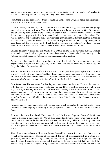a *new* Germany, would simply bring another period of militarist reaction in the place of the chaotic, licentious, alien-inspired post-war Republic they lived in and detested.

From these men and these groups Strasser made his Black Front. But, here again, the significance of the word 'Black' must be remembered.

It meant 'secret', and precisely for that reason it is not possible to say, just what men and groups were in it then, or are in it now. That will be shown when the moment comes. Otto Strasser was already working for a distant future. The visible organization - The Black Front, The Black Guard, the three weekly papers in Berlin, Breslau and Munich - comprised but a quarter of the whole. This was the outward and visible structure. The other three-quarters remained invisible; at the instruction of Otto Strasser, they remained in the parties or organizations to which they belonged, in accordance with the first clause of the Black Front programme, which stated 'The Black Front is a school for the officers and non-commissioned-officers of the German Revolution'.

Strasser deliberately chose this penetration-from-within, enemy-inside-the-walls system. Through it, he had his men in all the parties of those days, save the Communist Party; namely, in the National Socialist, Socialist, Nationalist, Democratic, and other parties.

At this very day, months after the outbreak of war, his Black Front men are in all existent organizations in Germany, but especially in the Army, the Brown Army, the National Socialist Party, the Labour Front and the SS.

This is only possible because of the 'black' method he adopted three years *before* Hitler came to power. Through it, the members of the Black Front were always anonymous, apart from the visible structure. For the same reason he never put up candidates at the elections, and thus there was never an open trial of strength or demonstration of the size of the Black Front and its appeal.

Otto Strasser and his men never felt that they were counter-revolutionaries. They held themselves to be the real revolutionaries. Their whole fear was that Hitler would not make a revolution, and they were right. He only destroyed, or half-destroyed, leaving it to his successors to build. Their spiritual community of views with him was that they were against the old; but they wanted something new, which he has never achieved and which, as seems clear from the conversations with Otto Strasser in 1930 which I have quoted and from Hitler's actions since he came to power, he never intended.

Perhaps I can best show the conflict of hopes and fears which tormented the mind of idealist young Germans in those days by describing a strange episode in which both Hitler and Otto Strasser figured.

Soon after he formed his Black Front came the trial, before the Supreme Court of the German Reich at Leipzig in the autumn of 1930, of three young Reichswehr officers who were accused of subversive activities in the interest of the National Socialist Party. This trial will long have been forgotten by the majority of people, but a bell will probably tinkle in their memories when I say that Hitler gave evidence at it and used the phrase 'Heads will roll' - when he should come to power.

These three young officers -- Lieutenant Wendt, Second Lieutenants Scheringer and Ludin -- were typical of the best kind of German of that period, the sort of man represented, in a rather older generation, by Otto Strasser. They wanted, ardently, fervently, and above all things that Germany should become free and mighty again, and if need be, by force of arms. But that was not all they wanted. They shared the longing of eight-tenths of the German people for a new and better and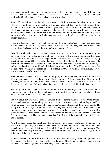juster social order, for something which they were ready to call 'Socialism' if it were different from the Socialism of the Socialist Party and from the Socialism of Moscow, both of which they intuitively felt to be alien and false and consequently loathed.

These officers had hoped to find what they wanted in Hitler's National Socialism, they had done what they could to enlist the sympathies of their comrades and their men for that party, and they now stood on trial for this offence and Hitler gave evidence on their behalf. The whole issue on which a conviction or an acquittal turned was, whether Hitler's party was a revolutionary one or one which sought to achieve power by constitutional means, and he, in maintaining stubbornly that it would use only constitutional methods, may have wished to do what he could to get the young officers acquitted.

If that was his aim -- I doubt it, myself; he was simply using 'tactics' again -- the three lieutenants did not thank him for it. They had believed in him as a revolutionary National Socialist. His bourgeois methods and tactics in the witness-box antagonized them.

Even 'Heads will roll' he interpreted, on a question from the Public Prosecutor, not as meaning that he would work for a violent and revolutionary overthrow of the existing regime and thus seize power; but that he would take revenge, by 'constitutional means', after achieving power, by 'constitutional means'. (This is exactly what happened, incidentally; the Reichstag fire furnished the 'constitutional means' and the brutalities done to political opponents after the seizure of power, as well as the shooting of several hundred defenceless persons on June 30th, 1934, were nothing but the gangster's revenge in the coldest of blood, without any trace of white-hot revolutionary fervour or resentment-born-of-the-barricades.)

Thus the three lieutenants went to their fortress partly-disillusioned men, and in the loneliness of their imprisonment began deeply to study political questions. All three came from Ulm, in South Germany, and knew little about the North German vendetta. Ludin was sent to Rastadt in Baden; Scheringer and Wendt to Gollnow, where they had the cell once occupied by Major Buchrucker.

Searching their minds and consciences for the political truth, Scheringer and Wendt wrote to Otto Strasser, who did not know them, and asked him to visit them and explain the whole political conflict to them. He visited them three times.

But just about that time the German Communist Party sought to make use of the strong patriotic wind which was blowing by taking patriotism into their own programme and issuing a manifesto which called, not only for the social, but also for the 'national' liberation of the German people. The young officers thus began to wonder if the truth they sought were possibly to he found in the Communist Party, which also strenuously wooed them in their captivity, and during two of Otto Strasser's visits to them representatives of the executive committee of the German Communist Party were also present. The two lieutenants asked Otto Strasser if he would object to a full debate, and he agreed.

An extraordinary scene this, the struggle for the soul of two German subalterns in the dining-room of a prison. I hope it may give readers some idea of the tormenting conflict which racked the minds of such young Germans, of their dogged search for hope, for an ideal, for a better Germany. This state of mind remains; it was only chloroformed by Hitler; and soon it will awake again, more turbulent and clamant than ever.

Picture the scene. On one side of the table, half a dozen of the leading Communist prisoners and their spokesman, the emissary from Berlin. On the other, Otto Strasser. Between them, the two lieutenants. In the background, prison warders, listening enthralled.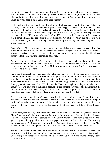On the first occasion the Communists sent down a Jew, Leow, a burly fellow who was commander of the uniformed Communist Storm Troop formations called The Red Fighting Front; after Hitler's triumph, he fled to Moscow and in due course was relieved of further anxieties in this world by Stalin. He was a poor debater and no match for Strasser.

So the next time the Communists sent down the very best man they could find, and an astute move this was, for he was a most remarkable figure. Captain Beppo Römer was the Communists' best show-piece. He had been a distinguished German officer in the war; after the war he had been a leader of one of the anti-Red Free Corps (the Oberland Corps), and in that capacity had collaborated with Hitler in the Munich Putsch of 1923; and now, in the course of that unending search for an ideal, he had gone over to the Communists. (Credible reports say that he too is now in the Reichswehr again to-day, a thing only explicable by the saying, *on revient toujours à ses premiers amours*.)

Captain Beppo Römer was no mean antagonist, and a terrific battle was joined across the deal table in the prison dining-room, with the lieutenants and warders hanging on every word. Otto Strasser violently attacked Hitler, but he attacked the Communists even more violently. The debate continued for hours, quarter neither asked nor given.

At the end of it, Lieutenant Wendt became Otto Strasser's man, and the Black Front had its representative in Gollnow Fortress. When he was released, he openly joined the Black Front and became a member of the executive. After Hitler's triumph he was arrested and no man has ever learned if he is living or dead.

Remember that these three young men, who risked their careers for Hitler, played an important part in bringing him to power; at their trial, the full light of world publicity for the first time shone on him; the party used them prodigally to make the world believe that Hitler had the army with him; but no more mercy was shown to Wendt than to a mongrel dog. Hitler's mission has always been to destroy good Germans - not Jews. Wendt heard the Viennese cheapjack ranting in the witness-box about 'Heads will roll', and didn't like it, because Hitler's conception was not of a clean fight at the barricades, but of cold-blooded vengeance after the achievement of power. But even Wendt cannot have dreamed, that day, that his own head would he among those that rolled.

Scheringer was won over by the Communists at first, by an interesting method. Captain Römer told him that he need not join the Communist Party, but could form his own 'Scheringer Group', a patriotic-Bolshevist group, in loose affiliation with it, and the Communists would finance a newspaper for him. They wished to use his name in the struggle against Hitler and Otto Strasser alike.

Scheringer agreed to this, after telling Otto Strasser privately that he was in sympathy with the Black Front but would like to wean away the most useful men from the Communists for it. Strasser told him he would fail in this, because when the Jewish leaders of the party perceived his little game they would stop publication of the newspaper they were to finance for him. This actually happened, and in 1932 Scheringer broke with the Communists and joined the Black Front. After Hitler's triumph he too disappeared from the scene, and none knows his whereabouts to-day.

The third lieutenant, Ludin, may be heard more of one day. He alone remained a Nazi, and narrowly escaped death on June 30th, 1934, but to-day he stands very high in the Party and is Storm Troop commander for the whole of South-Western Germany, Württemberg, Baden, Hesse, the Palatinate, and the Saar.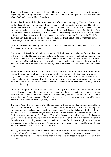Then Otto Strasser campaigned all over Germany, north, south, east and west, speaking, organizing, and writing. He was several times hurt when Storm Troopers attacked his meetings; Major Buchrucker was knifed at Flensburg.

Strasser then introduced the platform-debate type of meeting, challenging Hitler and Goebbels by public placard to confront him at any time or place they chose, but this was ignored. He had many stormy platform-battles with the representatives of many parties: with Willi Münzenberg, the Communist leader, in a working-class district of Berlin; with Kaspar, a later Red Fighting Front leader; with Colonel Duesterberg, of the Nationalist Stahlhelm; and many others. But the Nazis refused all challenges and would never appear on a platform in open debate with the Black Front. They did, however, do their best by violence to crush the Black Front - and they marked down, for future vengeance, all the men who thus defied them.

Otto Strasser is almost the only one of all those men, his chief known helpers, who escaped death, the concentration camp, or prison.

For instance, his Black Front Leader for Schleswig-Holstein was a man who had formerly been one of the most popular National Socialist leaders, Dr. Grantz. Grantz is a small and indomitable man, with the student's slashes all over his face - 'One of the best Germans I ever knew, says Strasser. His fame in the National Socialist Party was chiefly that he had been the hero of a terrific free-fight between Nazis and Communists at Woehrden, when four Storm Troopers were killed and thirty injured.

At the burial of these men, Hitler stayed in Grantz's house and assured him in his most emotional manner ('Mussolini, I shall never forget what you have done for me to-day') that he would never forget etc. etc. and would repay and reward Dr. Grantz in the Third Reich. In March 1933, immediately after the Reichstag fire, Dr. Grantz was thrown into a concentration camp and is there now, in 1940; he has never had charges preferred against him or been tried. Seven years in a concentration camp!

But Grantz's spirit is unbroken. In 1937 a fellow-prisoner from the concentration camp, Sachsenhausen visited Otto Strasser in Prague and told him of Grantz's martyrdom. He also described this incident: The commandant told Grantz one day that he would remain in the 'camp as long as he lived. Grantz answered, 'Jawohl, I shall remain here - but as commandant with you as prisoner'. He received fourteen days 'hunger-arrest'.

The tale of Otto Strasser's men is a terrible one, even for these times, when brutality and suffering have become the norm. Dr. Becker, a lawyer who was his Black Front Leader for the populous Halle district, has also been in a concentration camp since 1933, without charge or trial. Dr. Becker, who is also in Sachsenhausen, has, in contrast to Dr. Grantz, become a better-treated prisoner, for the following strange reason. The Prussian SS guard at the camp was relieved one day by Bavarian SS men, who insisted on having their native Bavarian beer -- I said earlier that beer is a religion in Bavaria -- whereas their predecessors had made a contract for the beer supply with a Prussian brewery. An action followed, in which Dr. Becker was put up as advocate for the Bavarian SS men, and won the case. Since then, his lot has improved.

To-day, between six and seven hundred Black Front men are in the concentration camps and prisons. Many of them have been there for seven years. During these years, thousands of others were arrested and released after serving shorter terms. And all these were but the *known* Black Front men.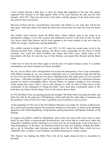I have looked forward a little here, to show the things that happened to the men who openly supported Otto Strasser in his fight against Hitler in the years between the split and the Nazi triumph, 1930-1933. They bore the brunt of the battle, and this glimpse of the future shows how they paid for their convictions.

But most of them still live, and hold their convictions still. Before so very long, they will be free men again. And many others who think like them have always been free and even wear the brown shirt.

The conflict itself seriously shook the Hitler Party, which, indeed, came to the verge of an ignominious collapse. It was only rescued, and enthroned in power, in the nick of time, by those very forces which Otto Strasser and his men regarded as the worst enemies of the new order for which *they* fought - big business and big landlordry.

The conflict reached its height in 1931 and 1932. In 1931 came the second open revolt in the National Socialist Party. Captain Stennes, the Brown Army commander for the whole of North Germany, also could not stand Goebbels any longer and broke away, taking many of his brownshirts with him. He went the way of Otto Strasser, and joined Otto Strasser and the Black Front.

I shall have to look into the future again to tell the story of Captain Stennes to-day. It is another extraordinary tale; these Germans are almost incredible.

He, too, was an officer with a distinguished war record and subsequently a Free Corps commander. After Hitler's triumph, he, too, was arrested, maltreated, sent to a concentration camp and told that he was to be shot and must dig his own grave. Standing before this empty grave, he was executed four times - with blank cartridges! Later he was released at the mediation of a well-known German general, his former commanding officer, General Watter, on signing a pledge to leave Germany within twenty-four hours. After a visit to Otto Strasser, in exile, he went to China and is to-day commander of the bodyguard of Chiang Kai-shek! I have used more exclamation marks in this book than ever before, but the things I have to tell seem to deserve them.

In 1932 the Black Front was gaining ground and strength. The Hitler Party was going downhill, and fairly fast. But for the great age of Hindenburg, which made him the senile dupe of intriguers and the credulous victim of old wives' tales, it probably never would have come to power.

At the beginning of 1932 one of the first Hitlerist Ministers ever made, Dr. Franzen in Brunswick, gave up his post in protest against the reactionary tendencies of the party, as shown in the Harzburg agreement with Alfred Hugenberg, of big business and big armaments, and Hjalmar Schacht, of big banking.

In August came Hitler's rebuff by Hindenburg, who at that time seems still to have been of clear mind; he gave Hitler a parade-ground dressing-down, and vowed that he would never make him Chancellor. Goebbels, keenly watching to see which way the cat would jump, wrote in his diary of 'deep despondency' in the party; the financial position he said, was 'hopeless, nothing but debts', and so on. In November came elections and another blow for the Hitler Party, which lost over 2,000,000 votes. 'A defeat', wrote Goebbels; and Hitler threatened to commit suicide.

Otto Strasser was fighting the Hitler Party with all his might, doing his best to precipitate its downfall.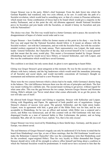Gregor Strasser was in the party, Hitler's chief lieutenant. From the dark forest into which the German Republic had wandered, only two exits offered, as he saw. It could take the path of a Socialist revolution, which would lead to something new; or that of a return to Prussian militarism, which meant war. Some combination of forces had to be found which would give a majority in the motley Parliament, and at this point the old, old dilemma appeared: should National Socialism prove its Socialism and join hands with the Socialists, or should it betray its Socialism and join with the Nationalists?

The choice was clear. The first way would lead to a better Germany and to peace; the second to the disappointment of hopes of a better social order and to war.

Gregor Strasser -- how Goebbels vilifies his former master at this point in his diary -- was for the first way and urged that the National Socialists should follow it. It meant an alliance with the Socialist workers - not with the Communists, and not with the Socialist Party, but with the socialistminded workers organized in the trade unions. Their representative was Leipart, the trade union leader. General Schleicher, the Chancellor of the day, had avowed himself to be 'a social general' and that meant that the army would play. This meant a Government headed by Gregor Strasser (Hindenburg had said he would never have Hitler), or General Schleicher, and with Leipart, and this was the combination which would have saved Germany.

This coalition is not dead, but only seems dead; its ghost is now appearing to haunt Hitler.

Göring was Gregor Strasser's great antagonist at this moment. He was for the second way out - the alliance with heavy industry and the big landowners which would entail the immediate jettisoning of all Socialist and social ideals, and would inevitably concentrate all Germany's thought on rearmament and militarism and lead to a new Prussian war.

These were the two courses between which a choice had to be made, while Germany's destiny hung in the balance. The vital difference between them was the old one of principles and ideals. The first way meant working for a definite aim. The second meant working to get power, without regard for what came after. This was the gap between the two camps, between Gregor Strasser and Hermann Göring. Hitler's attitude was 'Never mind about what comes afterwards; let us get the power, the rest will take care of itself.'

He allowed both Gregor Strasser and Göring to negotiate, Strasser with Schleicher and Leipart, Göring with Hugenberg and Papen. He approved of both parallel sets of negotiations. Gregor Strasser's chances of success were great. The general, Schleicher, and the trade union leader, Leipart, were in agreement with him; a great part of the Hitler Party was for him; and he was acceptable to Hindenburg, for he was an officer and normal, while Hitler was a corporal and a clown, and Röhm was homosexual, and all this counted with an Old Gentleman who had once disparaged Goethe as a man of immoral habits to Max Liebermann, the painter, and on being reminded, 'But, after all', he wrote *Faust*, replied, 'Yes, that is his only excuse'.

Gregor Strasser was twice received by Hindenburg in these fateful days. Germany, and the peace of Europe, was almost saved.

The real bitterness of Gregor Strasser's tragedy can only be understood if it be borne in mind that he heard from Hindenburg's own lips, at one of these meetings, that the Old Gentleman 'would never make the Bohemian Corporal Chancellor' (this was the contemptuous term that Hindenburg used for the crossbred, vague-origined Hitler). Thus his very loyalty to Hitler demanded that Gregor Strasser should strive with all his strength to achieve office himself and bring about a coalition in which the National Socialists would be predominant. It would never have occurred to him that the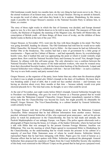Old Gentleman would, barely two months later, do the very thing he had sworn never to do. This is the eternal weakness of an honest man, such as was Gregor Strasser. Having no untruth in himself, he accepts the word of others, and when they break it, he is undone. Hindenburg, by this means, made it possible for Gregor Strasser's enemies in the National Socialist Party to defame him, to Hitter, as a traitor.

The story of those eight weeks in which the fate of Germany was decided, and Europe doomed again to war, by a few men in Berlin deserves to be told in more detail. The massacre of Poles and Czechs, the blackout of England, the manning of the Maginot Line, the battle off Montevideo, the conscription of British youth - all these things, all these woes of to-day, are the children of those fateful weeks in Berlin at the turn of the year 1932.

Gregor Strasser, in November 1932, went into the fray with these thoughts in his mind: The Party was going downhill, heading for disaster. The Old Gentleman had told him he would never make Hitler Chancellor. He himself was entirely loyal to Hitler - for that reason he had not followed his brother Otto at the breakaway. The country had had a taste of government by a little group of reactionaries -- Papen and his Cabinet of Barons -- and had repeatedly shown, by overwhelmingly hostile votes, that it loathed this and was approaching the point at which it would violently erupt against them. How could the National Socialist Party and Germany be saved? Not, thought Gregor Strasser, by alliance with this self-same group. The only alternative was a coalition between the National Socialist Party and the masses of the trade-unionist workers, who must be weaned away from their discredited Socialist leaders, with the benevolent backing of the Reichswehr. Leipart and General Schleicher were willing to collaborate with him -- but not with Hitler -- in such a coalition. The way to save both country and party seemed clear.

Gregor Strasser, as the organizer of the party, knew better than any other man the disastrous plight in which it was (a plight revealed *after* Hitler's triumph in the diary of Goebbels). He knew that it was breaking under a load of debt, that it could not face another election -- and Germany was having an election about every three months at that time -- because nobody would even print electoral placards for it. The time had come, he thought, to save what could be saved.

At the end of November, just eight weeks before Hitler's triumph, General Schleicher brought him to President von Hindenburg, who gave his word of honour as a Prussian general that he would never make the 'Bohemian Corporal' Chancellor. Gregor Strasser immediately reported to Hitler, telling him that the Chancellorship was beyond his reach, but might possibly be obtainable for himself, Gregor Strasser. The Vice-Chancellorship, in a cabinet headed by General Schleicher, could certainly be had.

As Gregor Strasser told him of Hindenburg's pledge never to make the Bohemian Corporal Chancellor, Hitler interjected that he had different information from another source. Strasser, puzzled, informed General Schleicher of this, who expressed great annoyance - and set his private police to watch his predecessor in the Chancellorship, the man he had made and unmade, the Puckish Mephistopheles of our unhappy Europe, von Papen. (The police agents afterwards took a photograph of Papen leaving the house, in Cologne, of the banker Schroeder, where he had just had a talk with Hitler that was arranged by the present German Foreign Minister, Joachim von Ribbentrop. This was the meeting at which Papen agreed to recommend Hitler to Hindenburg for the Chancellorship, on the understanding that he would remain the prisoner in his cabinet of a majority of non-Nazi Elder Statesmen none of whom he would dismiss. Schleicher bitterly reproached Papen that he had been intriguing with Hitler. Papen gave his word of honour as a Prussian officer that he had not spoken with Hitler. Schleicher produced the photograph. General Schleicher then proposed the expulsion of Papen from the Count Schlieffen Society (the members of this body were restricted to the Officers' Corps) on the ground that he had given a perjured word.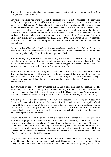The disciplinary investigation has never been concluded: the instigator of it was shot on June 30th, 1934, as was Gregor Strasser.)

But while Schleicher was trying to defeat the intrigues of Papen, Hitler appeared to be convinced by Strasser's report and to be half-ready to accept the solution he proposed. He made certain conditions -- that the party's debts should be paid, that the Reichstag should not be dissolved without his sanction, that three other National Socialist leaders (Frick, Stöhr and Hierl) should enter the cabinet with Gregor Strasser -- and on this basis was prepared to agree to the Strasser-Schleicher-Leipart coalition, to the coalition of National Socialists, Reichswehr, and Socialist workers. All was ready for the written agreement between Hitler, Strasser and the ruling Chancellor, Schleicher. On December 7th, 1932, Gregor Strasser, in Berlin, spoke by telephone with Hitler in Munich, and Hitler agreed to come to Berlin the next day to conclude the negotiations.

On the morning of December 8th Gregor Strasser stood on the platform of the Anhalter Station and waited for Hitler. The night express from Munich arrived. Hitler's compartment was empty. The conductor explained why. 'Herr Hitler', he said, 'got out at Weimar.'

The reason why he got out was also the reason why the coalition was never made, why Germany embarked on a new period of militarism and war, and why Gregor Strasser was later killed. This reason, or rather these reasons -- for their names were Göring and Goebbels -- only became clear subsequently, but can be explained now, in Otto Strasser's words.

At Weimar, Captain Hermann Göring and Gauleiter Dr. Goebbels had intercepted Hitler's train. They saw that the formation of the coalition would mean the end of their own ambitions. In a mass coalition reaching from Leipart's trade unionists on the left by way of the Reichswehr to Gregor Strasser's National Socialists on the right, there would be no place either for a Propaganda Minister or for a terrorist.

They travelled by car to Weimar, awakened Hitler, and fetched him from his sleeping-car. The whole thing, they told him, was a plot, a plot made by Gregor Strasser and Schleicher. It was not true that Hindenburg had pledged himself not to make Hitler Chancellor. Strasser's aim was simply to become Chancellor himself, to keep Hitler on a nose-lead, and if necessary to smash the party.

Thus enlightened, Hitler came later to Berlin, hurled the accusations of Göring and Goebbels in Strasser's face and called him a traitor. Strasser asked if Hitler really thought him capable of such infamy. Hitler answered, yes. Without a word Gregor Strasser went away, wrote out his resignation from all his offices in the party, and his wish to continue as 'a private soldier' in the National Socialist Party, and went off with his family to Bavaria. He was broken-spirited from this moment, and never appeared in politics again.

Meanwhile Papen, intent on the overthrow of his detested rival Schleicher, went lobbying in Berlin with his rival proposal for a cabinet in which he should be Chancellor, Hitler Vice-Chancellor, Göring his own (Papen's) deputy as Prussian Premier, big-business Hugenberg Minister for Economics. Another word-of-honour (they were cheap) was given about this time - Hitler's word of honour that he would change nothing in the composition of such a cabinet for four years. Hitler on January 30th, the night of his triumph, reaffirmed this particular word of honour from the balcony of the Reich Chancery in the Wilhelmstrasse.

Gregor Strasser's disappearance put an end to General Schleicher's hopes of retaining power and saving Germany, though he did not realize this himself. He continued to try and build that coalition, though its main prop was gone. He placed too much faith in the fighting spirit, and anti-Nazi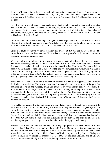fervour, of Leipart's five million organized trade unionists. He announced himself to the nation by radio as 'a social General' on December 15th, 1932, and thus strengthened Papen's hand in the negotiations with the big-business group in the west of Germany and with the big-landlord group in the east.

Nevertheless, Hitler on that day -- six weeks before his triumph -- seemed to have not the remotest chance of attaining power. Goebbels on that very day wrote in his diary: 'It is high time for us to gain power; for the present, however, not the slightest prospect of that offers'. Hitler talked of committing suicide, as he had once before actually sworn to do - on November 9th, 1923, the day of his abortive Putsch in Munich.

Just at this juncture came the meeting at Cologne between Papen and Hitler. The banker Schroeder filled up the bankrupt Nazi treasury, and Goebbels's diary began again to take a more optimistic note. Now came Schleicher's fatal mistake, that helped to cost him his life.

Schleicher could probably have saved Germany and Europe at that juncture by a bold stroke. The stroke he made was not bold enough. He attacked the most powerful and vindictive groups in Germany without covering his rear.

What he did was to release, for the use of the press, material collected by a parliamentary committee of investigation into the misuse of the famous *Osthilfe*, or Eastern Help Fund. To make this matter clear to British readers, it is worth while remarking that 'Help for the Farmers' in Britain usually means financial subsidies at the cost of the taxpayer for great landowners who rent land to farmers. So in Germany, immense sums which had been budgeted as 'relief for suffering agriculture in Eastern Germany' (the *Osthilfe*) had actually gone in large part to great landowners who were already hopelessly indebted to the State and whose estates were badly run.

These facts had come out in the parliamentary inquiry but had been suppressed until General Schleicher revealed them. The investigators stated among other things that some of the great but bankrupt landowners had 'whored, drunk and gambled' away the money they received from the State. (Chancellor Brüning's downfall had been directly caused by his attempt to foreclose on these insolvent landlords and use the land for small-holdings. The Hindenburgs, father and son, themselves belonged to these squires, having been presented with a large property by them, and President Hindenburg had dismissed Brüning on a charge of introducing 'Bolshevism' in Germany, on this very account.)

Now Schleicher returned to this self-same, dynamite-laden issue. He thought so to discomfit the embattled forces of reaction by publishing this material in the press that their intrigues against him would be broken, their further opposition to his coalition-making plans neutralized. He underestimated them. He aroused in them a mortal enmity that brought Hitler to power within a fortnight. One of the squires alone, their leading spokesman, the aged Oldenburg-Januschau, had had rather more than £30,000 from the fund for the alleviation of his distress, and such an attack on his hereditary prerogatives and perquisites was bound to make him apoplectically angry.

This card that Schleicher held *was* a strong card, if played properly. It was even the ace of trumps, properly played. But if he meant to play it, he should first, and before revealing his intention, have obtained from President Hindenburg power to dissolve the Reichstag, and then he should have arrested the chief intriguers, Papen, Hitler, Oskar von Hindenburg, the leading Junkers, Göring, and a few others, and have rallied the masses of Gregor Strasser's National Socialists and of Leipart's trade unionists behind him by a manifesto explaining the reasons for his action.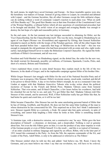By such means, he might have saved Germany and Europe - for these insatiable squires were also the hereditary war-makers of Europe. Instead of giving orders to Leipart, he consulted and debated with Leipart - and the German Socialists, like all other Germans except the little militarist clique, can do nothing without a word of command. Leipart's reaction to such plans was: 'What on earth will Herr Bumke say?' The good Herr Bumke was at that time President of the Constitutional Court of the Weimar Republic, a tribunal before which all nice questions of constitutional procedure had to be brought and decided. The awful vision of an enraged and avenging Bumke was enough to destroy the last hope of a right and reasonable policy in Germany.

So the end came. At the last moment one last intrigue succeeded in obtaining for Hitler, not the Vice-Chancellorship, but the Chancellorship itself. This was the story, brought to Hindenburg by an agent of von Papen (Werner von Alvensleben) and supported by Göring; that General Schleicher intended to march on Berlin with the troops of the Potsdam garrison. After all the other bogies that had been paraded before him -- especially that bogy of 'Bolshevism on the land' -- this one was enough to stampede the old gentleman who had been presented with an estate and who, eight weeks earlier, had pledged himself never to make the Bohemian Corporal Chancellor. He signed the birthcertificate of Hitler's Government, and all was over.

President and Field-Marshal von Hindenburg signed, on the dotted line, the order for the new war, the death warrant for thousands, possibly yet millions, of Germans, Spaniards, Czechs, Poles, and, short of a miracle, Britons and Frenchmen.

I have explained these events in some detail because they explain much in the life of the two Strassers, in the death of Gregor, and in the implacable campaign against Hitler of his brother Otto.

While Gregor Strasser's last struggle with Hitler for the soul of the National Socialist Party and of Germany was in progress, Otto Strasser, Hitler's inveterate enemy, stood aside, watched, and did all in his power to thwart Hitler. A day or two before Hitler's triumph, he sat in a restaurant Unter den Linden at supper with that Madame Geneviève Tabouis who to-day writes about the political mysteries of Europe in the French and British Press. Madame Tabouis came from General Schleicher. That over-astute, and ill-fated Chancellor, a few hours before his overthrow, had held his clenched fist out for her to see, and said, 'I've got Hitler like that'. Madame Tabouis told Otto Strasser of this remark, and he answered, Well, if Herr Schleicher really has got Hitler like that, he had better be quick and crush him, or it will be too late'.

Hitler became Chancellor. Otto Strasser has not the same unrelenting personal hatred of Hitler that he has of Göring, Goebbels, and Heydrich. He does not feel the same bitter loathing of the man to whose destruction he has consecrated his life. This surprised me at first, but I think I understand it now. Strasser regards Hitler as a curiosity, a freak. He cannot take him quite seriously, in spite of everything, and cannot help laughing a little when he looks at him. Hitler is something outside Strasser's ken.

'A feminine type, with a destructive mission, not a constructive one,' he says. 'Hitler gave the best description of himself - a drummer, or showman, and a sleepwalker. Nothing is real or genuine about him. Not even the title Führer grew on him; it is not the product of any inner impulse or wish of the German people or even of Hitler himself. It is the result -- and this is so typical of Germany - - of an order couched in military language and signed by an officer, Röhm, who in the later part of 1931 issued this command to the Party: As from the Nth, the supreme commander of the SA, and Leader of the Party, Adolf Hitler, is only to be addressed or referred to as The Führer.'

Otto Strasser smiled when he told me this and added: 'And believe me, Mr. Reed, I know the Germans, and you must believe me when I say that our revolution, too, will have to be *ordered*,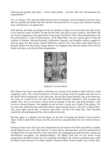otherwise the generals and others -- I know these people -- will ask: "But who will undertake the responsibility?"'

Now, in January 1933, this man Hitler became ruler of Germany, and everything he has done since then has justified the doubts that Otto Strasser felt about him for so many years, Strasser's parting from, and Strasser's war against him.

With that day, the black years began for the two brothers. Gregor was at first allowed to feel secure in his chemical works in Berlin. He had left the Party and took no part in politics. But Hitler still saw in him a dangerous rival, particularly in the stormy first half of 1934, when dissatisfaction with the achievements, or lack of achievements, of the Hitler Party was rife, and the ghost of that old coalition of Strasser National-Socialists, Reichswehr Generals, and Socialist workers, popped its head up again. For that reason, General Schleicher, and his wife, were shot in their quiet flat in a pleasant suburb. For that reason, Gregor Strasser was dragged away from his midday meal with his family and taken to the Secret Police headquarters.



HIMMLER AND HEYDRICH

Otto Strasser has never succeeded in obtaining any account of his brother's death which he could completely verify. The version he believes to be true was given to him by another man who was at the Secret Police headquarters at the same time. He says that Gregor Strasser, late in the afternoon, was lying on a bench in his cell when the fair-haired Heydrich, Himmler's chief assistant, and another man, who is not known, thrust aside the grating in the door and fired through it with revolvers, missing Strasser, who jumped up and ran into a corner out of sight of the grating. The two men then opened the door and fired round it, again missing Strasser, who ran to a third corner. They fired again and hit him, so that he sank down, still alive but badly hurt. Then Heydrich entered the cell and dispatched him with a bullet in the neck.

But that, again, is a glimpse into the future, for the sake of keeping the threads of this narrative intact, which is about Otto Strasser, his life, his motives, and particularly the score which he has to settle.

During the three and a half years that elapsed between his breach with Hitler and Hitler's triumph, which began his own exile, Otto Strasser, as I have shown, had been busy with the construction of his Black Front. Its open activities I have described - the campaigning up and down the country, the anti-Hitlerist newspapers, the platform-debates. The Black Front had its own Storm Troop organization, the Black Guard, not to be confused with Hitler's SS, which is sometimes also called the Black Guard because of its black uniform. Strasser's Black Guard actually wore a black shirt,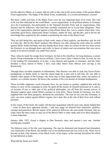but the adjective Black, as I repeat, did not refer to this, but to the secret nature of the greater Black Front organization. The badge of the Black Front, incidentally, is a sword-and-hammer, crossed.

But these visible activities of the Black Front were the less important back of its work. The vital work was that indicated by the word Black - secret organization. In all political parties in Germany save the Communists, but particularly in the National Socialist Party and its organizations, Otto Strasser had his followers, who had been carefully instructed not to reveal their allegiance. Their part in his organization, planned against a long-distant future day, was to remain where they were, ostensibly good Nazis, enthusiastic Storm Troopers, ardent SS men, and the like, and to devote the knowledge they acquired by this method to promoting the ends of the Black Front.

They are still doing this, and much of their work, many of their exploits, can therefore only be told at a later day. But by this 'black' method, Otto Strasser was able, during the years when he worked against Hitler inside Germany and also during those years when he carried on the war from across the frontiers, to see through doors and walls, to know of orders and conversations that were never meant to be known outside very small Nazi circles.

Thus, when he made his escape from Germany, he had as his chauffeur, for long distances, a senior Storm Troop commander in the brown uniform. I have seen a letter written to him, in exile, by one of the leading SS commanders of to-day, a man famous and popular in Germany, and this letter breathes a fierce hatred of Hitler. I have seen other letters from officers now serving in the Reichswehr.

Through these invisible channels of information, Otto Strasser was able to look into Secret Police headquarters in Berlin itself, to read the report made by a man sent to kill him. He was able to identify other agents of the Gestapo who from time to time approached him, under one pretext or another, on a similar mission. He knows the contents of his own dossier at Gestapo headquarters.

These invisible supporters *inside* Germany have, by one means or another, supplied him with the money to carry on his campaign in exile; he spent all the money he himself possessed on it, and is, on account of one or other part of his political philosophy, cut off from the normal sources of financial support upon which Hitler's enemies in exile draw. Those friends in Germany, too, have supplied him with false passports, sheltered his emissaries. The men he has sent into Germany, to carry out some exploit against Hitler's regime, have done this at the risk of their lives and without payment.

In the course of this book, the reader will become acquainted with the men who openly helped him -- some of them have appeared already -- and may judge for himself their characters, qualities, courage and patriotism. But the legion of his unknown followers, the men inside Germany who are ready when the time comes to step out of the Brown Shirt or other ranks and avow their allegiance, is more important.

January 30th, 1933, closed a chapter in Otto Strasser's story and opened a new one. Another starting-gun sounded.

The bitterest years of his life were beginning. The man he distrusted and despised had triumphed, was Chancellor of the Reich. His brother was at last disillusioned and was soon to die. What was to become of him, Otto Strasser, of his Black Front, of his hopes, of the German Socialism for which he had laboured so hard.

What did the future now hold?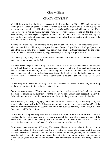## Chapter Eight

## CRAZY ODYSSEY

With Hitler's arrival in the Reich Chancery in Berlin on January 30th, 1933, and the endless torchlight procession of Storm Troopers between delirious multitudes and past the two lighted windows, at one of which old Hindenburg nodded mandarin-like approval while at the other Hitler leaned far out in the spotlight, saluting, with these events another period in the life of our Revolutionary Socialist began - the period of pursuit and escape, plot and counterplot, mantrap and elusion, flight and exile, of a one-man-war waged by an outlaw from across the frontiers against the most powerful man in Europe.

Nothing in Hitler's life is so dramatic as this part of Strasser's life. It is an astounding story of adventure and hairbreadth escape; it is just Fenimore Cooper, Edgar Wallace, Phillips Oppenheim and all the others come true. It suggests that destiny must have something waiting, at the end of this road, for the man who has travelled it; why, otherwise, has destiny always intervened?

On February 4th, 1933, four days after Hitler's triumph Otto Strasser's Black Front newspapers were suppressed throughout the Reich.

For three weeks longer a false lull lay over Germany. As a precaution, all documents and weapons of the Black Front were secreted; plans were made for a second line of regional, and unknown, leaders throughout the country to spring into being, and into inter-communication, if the known leaders were arrested; and at the headquarters office of the Black Front in the Wilhelmstrasse -- not far from Hitler's Chancery itself -- only a telephonist and a couple of Strasser's Black Guards were left.

On February 27th, the docile Reichstag burned. Dr. Goebbels had written prophetically in his diary on the very morning after the National Socialist triumph:

'We set to work at once ... We discuss new measures. In a conference with the Leader we arrange measures for combating the Red terror. For the present we shall abstain from direct action. First the Bolshevist attempt at a revolution must burst into flame. At the given moment we shall strike.'

The Reichstag, as I say, obligingly 'burst into flame' four weeks later, on February 27th, was immediately proclaimed to be 'a Bolshevist attempt at revolution', and the Nazis 'struck' - at the enemies of Hitler throughout the country, not only Reds, but also pacifists, Nationalists, Catholics, Democrats, and The Black Front.

On the next morning, February 28th, the Wilhelmstrasse office of the Black Front was raided and wrecked, the few unfortunate men in it taken away, and all the known leaders and members of the Black Front throughout the country, some thousands in all, were rounded-up and taken to concentration camps, where, as I have already explained, some of them still are.

Otto Strasser, on that evening of February 27th, was on his way to the Anhalter Station to take train for his home outside Berlin, when he saw the glow in the sky, asked a taxi-driver what it was, and received the answer, 'The Nazis have fired the Reichstag'. He did not go home, but turned back and spent the night in an hotel; and in this manner began the fantastic journey which is still continuing to-day, seven years later, and at this moment after innumerable adventures has brought him to Paris.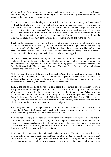While the Black Front headquarters in Berlin was being ransacked and demolished, Otto Strasser was on his way to a little Thuringian holiday resort which had already been chosen as the first secret headquarters in such an event as this.

From there, he issued the following order to his followers throughout the country: 'All members of the Black Front who are not known as such to the police are immediately to apply for membership of the Army, the National Socialist Party, the SA and SS, and to continue their political activity in legal guise inside those organizations.' This order became known to the Gestapo, and the members of the Black Front who were known and had been arrested underwent a martyrdom in the concentration camps to force them to betray their associates. Corrosive activity from within was the thing that the Nazis feared more than anything else, because it was so difficult to detect.

Thanks to the precautionary selection of these second-line leaders, who were not known to be his men and were therefore not arrested, Otto Strasser was able from his quiet Thuringian resort, by means of simple telephone calls, to keep all the threads of his organization in his hand, to issue orders and receive reports. The Gestapo took some time completely to clamp down the hatches of their terror, and in these early days local telephone calls were not tapped.

But after a week, he received an urgent call which told him, in a hastily improvised code intelligible to him, that one of his helpers had broken under manhandling in a concentration camp and had revealed the approximate locality of Strasser's hiding-place. This telephonic warning came from the Gestapo itself! That is, it came from one of Strasser's Black Front men who, in obedience to orders, had remained at his Nazi post.

At this moment, the hand of the Gestapo first touched Otto Strasser's coat-tails. On receipt of the warning, he fled at once by road to the second secret headquarters, also chosen long in advance, at a village in Bavaria; the next day, as he subsequently learned, the Gestapo arrived at the Thuringian inn where he had been staying under a false name, to arrest him.

Then, at the end of March, he moved to a third secret headquarters, in West Germany. It was a lonely house in the Teutoburger Forest, and from here he called a meeting of his chief helpers in West Germany, choosing for the occasion a quiet hamlet on the Steinhuder Lake. When he and his men foregathered there, they found that some thirty thousand Storm Troopers had chosen the same day and place for a Brown Army parade. With these throngs of jubilant Brown Shirts all round them, Strasser's four men (one of them himself in the Nazi uniform) calmly made their way to the lakeside, discussed the situation, agreed their plans, and parted.

The chase grew hotter, the Gestapo network ever closer, and the concentration camps ever fuller. In the middle of April, Otto Strasser made a dash for his native Bavaria - with the uniformed Nazi, a senior Storm Troop commander, now at the wheel of his car!

They had not been long on the road when they heard behind them the *tara-tara* -- a sound like the post-coachman's horn of old -- of the Flying Squad, and a police-tender with a Berlin number and a load of SS men drew level and overtook them. The brown-shirted Storm Trooper at the wheel gave the Nazi salute and 'Heil Hitler'; the black-uniformed SS men in the tender did not return it, but drove on. 'That's funny,' said the SA man to Strasser.

A little later, they encountered the tender again, halted on the road. The SS men, all armed, watched them intently as they drove past. 'Herr Doktor', said Strasser's brown-shirted companion, 'I don't like this. I believe they're after you'. (The car was Strasser's own, bearing the number known to be his; it was an ancient vehicle with a top-speed of fifty miles an hour presented to him by an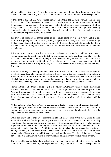admirer. (He had taken the Storm Troop commander, one of his Black Front men who had remained in the Brown Army in accordance with Strasser's orders, with him to disarm suspicion.)

A little further on, and *tara-tara* sounded again behind them; the SS men overhauled and passed them once more. This cat-and-mouse game was repeated several times, until Strasser sought to trick the pursuers by turning sharply from the main road and pulling up in the market-square of a little town, which was crowded with people come in from the countryside for a political meeting. Strasser dashed to the post office to telephone his wife and tell her of his flight; when he came out the SS tender was parked next to his own car.

The crowds of people in the market place, as he believes, alone prevented a revolver battle at this point. It was getting dark. He drove off, leaving the pursuers out of sight, and told his driver to get the last ounce of speed from the car and turn in at the first farm he came to. Eventually they found one, and swung in, through the great double-doors, into the farmyard, quickly slamming the doors behind them.

A few moments later, they heard again *tara-tara*, and saw the beam of a searchlight, as the tender flashed by, raking the countryside with its light to discover the fugitives if they should have left the main road. They did not think of stopping to look behind those great wooden doors. Strasser and his men lay doggo until the light and *tara-tara* had died away in the distance, then came out and, driving without lights and using by-roads, succeeded in reaching the Chiemsee, in Bavaria, their destination.

Afterwards, through his underground channels of information, Otto Strasser learned that these SS men had indeed been after him and had known that he was in the car. In reporting the failure to arrest him on returning to Berlin, their leader wrote that 'Otto Strasser is known as a violent man who habitually carries a machine-pistol; for that reason, my plan was to wait until darkness fell and then blind his oncoming car with the beam of the searchlight before proceeding to the arrest.'

For the last time, Otto Strasser called together his helpers in Germany - those for the South German districts. They met on the green slopes of the Bavarian Alps, within a few hundred yards of the Austrian frontier, and sat, in bathing drawers, with their papers strewn over the rough-hewn table before the *Almhütte* - one of those simple Alpine huts where the cowherd or the cowherdess lives during the summer, when the cattle pasture in the high meadows which in winter will be snowbound.

At this fantastic *Führerbesprechung*, or conference of leaders, within sight of freedom, the hand of the Gestapo again rested for a moment on Strasser's shoulder. Strasser and three of his chief South German helpers were there; and two women, his hostess at the lonely farmhouse farther down the slope where he was staying, and her servant.

While the nearly naked men were discussing plots and high politics at the table, armed SS men appeared -- auxiliary frontier guards on patrol -- came across, and demanded to know what they were doing. 'Sun-bathing and having a good time with the girls,' said Strasser, desperately anxious to prevent the SS men from examining the papers on the table. 'Girls?' said his interlocutor, 'I don't see any girls.' 'Why, there they are,' said Strasser pointing to where the two women lay, also in sunbathing costume, two or three hundred yards away. 'And that's your girl?' asked an SS man suspiciously. 'Of course she is, said Strasser, and, raising his voice, 'Du, Annerl, komm' her. Come here. Here's a gentleman who wants to know what I'm doing and won't believe you're my girl.'

The respectable married lady who was his hostess was quickwitted enough not to be startled by the familiar *Du* and the insinuation, and played her part nobly. The SS men, obviously suspicious but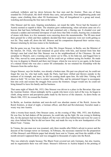confused, withdrew and lay down between the four men and the frontier. Then one of them sounded his *Trillerpfeife*, the shrill whistle they carry, and presently, from neighbouring peaks and slopes, came climbing three other SS frontiersmen. They all foregathered in a group and stood, watching and discussing the four men at the table.

Otto Strasser and his men, feigning nonchalance, sat round the table. Never had the beauties of Austria seemed so superb to them. The situation grew embarrassing, when salvation came out of a heaven that had been brilliantly blue and had contained only a blazing sun. It clouded over and released a sudden and torrential downpour of such force that little rivulets, bearing tiny avalanches of stones with them, in a few moments were careering down the mountainsides. The SS men stood their ground for a while and then suddenly decided that their suspicions were not worth getting so wet for. They made off, down the hill. Strasser and his companions dispersed their various ways, Strasser returning by devious routes to his farmhouse.

But the game was up. Four days later, on May 9th, Gregor Strasser, in Berlin, saw the Minister of the Interior, Dr. Frick, who had remained on good terms with him, and learned from him that Göring's men had wind that Otto Strasser was in the neighbourhood of the Chiemsee. He took aeroplane to Munich, sent a warning and a motor car to Otto, in his hide-out, and begged him to flee. Otto, moved by some premonition, felt he could not go without seeing his brother. He made his way in disguise to Munich and there met Gregor, whom he was never to see again, in the house of a mutual friend who was also a senior SS commander; he too retained his friendship with the Strassers from the earlier days.

Gregor Strasser, says his brother, was already a broken man. His part was played out, he could not forget the way he, who had really made the Party, had been vilified and thrown outside in the moment of its triumph, and more, he felt his coming death upon him. He told Otto: 'Göring will shoot us both.' 'Or we him, that is certain,' answered Otto, and he entreated Gregor to accompany him into exile and resume the struggle from across the frontiers. Gregor would not; he could not bring himself to leave his family and his business.

That same night of March 9th, 1933, Otto Strasser was driven to a place in the Bavarian Alps near the Austrian frontier. About midnight, led by a guide who knew every inch of the way, he began to climb, along narrow and precipitous paths made by the hooves of the chamois. As dawn broke on March 10th, 1933, he crossed the frontier.

In Berlin, an Austrian destitute and neer-do-well was absolute master of the Reich. Across the Reich frontiers, at dead of night, a German officer, anti-Red and Revolutionary Socialist made a weary way into Austria.

After a twenty-hour march, Otto Strasser came, on the evening of May 10th, 1933, into Kufstein. He was free, he had shaken off the pursuers, he could take up the fight. He was wrong in thinking this, for the pursuers had not been shaken off, but were still close behind him and were for years to stay close behind him. But he did not know that, and made his way to the new headquarters of his Black Front - Vienna.

In Vienna, the one-man-war was resumed, only three months after Hitler's advent to power and the descent of the Gestapo terror on Germany. In February, the necessary material for the preparation of Otto Strasser's anti-Hitlerist paper had already been sent to Vienna, and from the middle of that month onward it appeared there and was smuggled in thousands of copies into the Reich.

This was relatively simple because The Black Front covered not only Germany, but also Austria, and its organization there was still intact. Strasser's followers in Austria helped in the printing of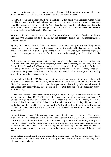the paper and in smuggling it across the frontier. It was called, in anticipation of something that afterwards came true, *Der Schwarze Sender* (The Black or Secret Sender).

In addition to the paper itself, small-type pamphlets on thin paper were prepared, things which could be screwed into a tiny ball and swallowed, and these were sent across the frontier, 50,000 at a time. They caused more annoyance to the Nazis there than any other form of attack upon their rule, because the author was a man who had played a leading part in their own movement, and because he could neither be called Socialist, Communist nor Jew.

Very soon, for these reasons, the arm of the Gestapo reached out across the frontier into Austria and again Otto Strasser's coat-tails slithered through its fingers. This is one of the most remarkable of his adventures.

By July 1933 he had been in Vienna for nearly two months, living with a beautifully forged passport and under a false name, with a cousin. In these few weeks, with his enormous energy, he had redoubled the anti-Hitlerist campaign of the Black Front from Vienna, and the flood of pungent literature that was pouring across the frontiers was seriously worrying the Secret Police in the Reich.

At this time, too, as I must interpolate to make the story clear, the Austrian Nazis, on orders from the Reich, were conducting their first campaign, which ended in the rising of July 24th, 1934, and the murder of Chancellor Dollfuss, to conquer Austria by terrorism. In Vienna particularly, but also in many parts of the country, bombs were exploding and violent exploits of many kinds were perpetrated; the people knew that the Nazis were the authors of these things and the feeling everywhere was of tension and suspense.

On the night of July 4th, 1933, Otto Strasser returned to Vienna from a visit to Prague, where, with his habitual foresight, he had been surveying the ground in case Austria should fall to Hitler and the Black Front need to seek yet another secret headquarters. At his dwelling in Vienna, all was dark and he found that his key failed, for some reason, to open the door; nor could he obtain any answer to his knocking.

So he went downstairs and knocked-up the porter, who opened his eyes in surprise when he saw the visitor, and said, 'But, Herr Müller, the police were here to-day and arrested your landlady'. Strasser, though he was taken aback, did not connect this incident with himself, for he was convinced that the Viennese police did not know his real identity, or even if they did, that he would be the last man they would seek - for was not the Austria of Dollfuss fighting for its life against Hitler? But he asked 'How is it that my key won't open the door?' and was told 'Oh, the police have sealed the flat'.

'*So!*' said Strasser, thoughtfully, and after a moment's indecision went into the street. There doubts overtook him and he made up his mind to avoid the house for that night, at least. The drawback to this was that he had returned from Prague with the sum of just one Austrian schilling in his pocket (during all these years, the money problem was an enemy only less mortal than Hitler) and could not afford a lodging. Though the month was July, the night was very cold and he had no overcoat, and not even enough money, as he says, to seek that warmth which the pleasures of the town can provide.

So he walked about all night, and dawn found him waiting eagerly for the first cheap coffee-house to open, where for half of that Austrian schilling he could buy a cup of coffee, with sugar and whipped cream, and a roll.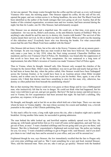At last one opened. The sleepy waiter brought him the coffee and the roll and, as every well-trained Viennese *Ober* must, the morning paper. Otto Strasser sipped his coffee, bit the end off his roll, opened the paper, and saw written across it, in flaring headlines, the news that The Black Front had been identified as the author of the bomb outrages that were going on all over Austria; that all the leaders of this criminal organization, seventeen men and two women, had been arrested during the night; but that *the* Leader, one Dr. Otto Strasser, had unfortunately escaped.

Otto Strasser was an alarmed and a stupefied man. He could not, at that time, even guess at an explanation - for was not he, Hitler's arch-enemy, in the anti-Hitlerist Austria of Dollfuss? Why for anything's sake should he and his men try to destroy *this* Austria with bombs? The survival of this Austria meant their survival, its life or death was their life or death. What on earth was the meaning of this ridiculous story? Everybody knew who was throwing the bombs. For what conceivable reason had the anti-Nazi Black Front been saddled with the blame?

Otto Strasser did not know it then, but at his side in the frowsy Viennese café sat an unseen guest the Gestapo. Its arm was longer than any man would at that time have believed. The explanation only came a year later, in July 1934, when the Nazi rising occurred, Chancellor Dollfuss was murdered, and his own Viennese Chief of Police, Dr. Steinhäusl, was found after the suppression of that revolt to have been one of the Nazi conspirators. He was sentenced to a long term of imprisonment, but after Hitler's invasion of Austria was made Viennese Chief of Police again.

Thus in Vienna, where he thought -himself safe, Otto Strasser only escaped the clutches of the Gestapo by the merest fluke. Hitler's man, Steinhäusl, was out to get him and nearly had got him. If he had been at home that day, when the police called, Otto Strasser would have been 'kidnapped' across the German frontier, or he would have been in an Austrian prison when Hitler invaded Austria, and in either case he would have been sent to join his brother. Here, again, is one of the reasons why I think that destiny must have something in store for this man; why, otherwise, has destiny so often pulled him from beneath the annihilating wheels?

But on that morning Otto Strasser could not even guess at these things and he was a flabbergasted man, who instinctively felt that he was in danger. He could not think what had happened, but his inner voice told him to get out, and get out quickly. But how? He had no money and did not know a soul in Vienna; his few acquaintances had been arrested that night. He had half a schilling, fifty groschen, say sixpence, in his pocket.

He thought, and thought, and at last hit on an idea which held out a faint hope. There *was* one man whom he knew in Vienna slightly - the man whose secretary his cousin and landlady was, a Jewish journalist in the employ of the Ullstein publishing firm.

To this man's office he went, a long walk right across the city, after a sleepless night and a spoiled breakfast. Giving another false name, he succeeded in gaining admission.

The man behind the table looked up, and horrified surprise suddenly spread over his face. He sprang up, with hands spread before him as if to ward off some awful apparition, and said 'Get out, get out of here, at once'. 'I want a hundred schillings and I'm not going until you give me them,' said Strasser. 'But this is blackmail,' expostulated a frightened and excited man, 'the police are looking for you. Go away.' 'I want a hundred schillings to get to Prague with,' said Strasser, 'and if you don't give them to me I shall stay here and be arrested in your office, and you will be arrested too.'

Frightened though he was, says Strasser, the Jew immediately recalled that the fare to Prague only cost sixty-nine schillings and said so. 'But I want something for a taxi and food, insisted Strasser. 'Here, said the harassed man. 'Here you are, take it and go, go quickly.' Strasser took the hundred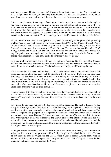schillings and said, 'I'll give you a receipt'. Up came the protesting hands again, 'No, no, don't give me a receipt'. 'Then I'll send you the money from Prague.' 'Do what you like, send it or not, but go away from here, go away quickly, and don't send me a receipt. Just go away, go away.'

Pushed out of the door, Strasser again found himself in the street. He was not, as he had thought, a free man in a free land; he was once again a fugitive, and at that time did not even know why. He only knew that he had to escape quickly, and that he now had the money for his fare. He set his face towards the Ring, and then remembered that he had no clothes whatever but those he wore. The others were in his lodging. He decided to take a taxi, and to drive there. If he saw anything suspicious, he would drive past. If not, he would go in and see if a chance existed to get his clothes.

At the house all was quiet. He stopped the taxi, went in, and rang at the porter's lodge, feeling prickly. The man came out, looked at him in surprise, and said 'Aber, Herr Doktor Strasser!' *'Wieso*, Doktor Strasser?' said Strasser,' 'What do you mean, Doctor Strasser?' '*Na*, you are Dr. Otto Strasser,' said the man. 'So, and what of it?' said Strasser. The man smiled confidentially. 'Don't worry, Herr Doktor,' he said, '*Ich bin Sozi*, I'm a Socialist. I've got your clothes here, packed in a bag. The police were here again and I told them you had gone away. They left the flat open and I packed your clothes in case you came back; it's better for you not to go up.'

Only one problem remained, but a stiff one - to get out of Austria. By this time, Otto Strasser assumed that the police had identified him with Herr Müller and had warned all frontier stations to watch for a man with such a passport. The best chance, he thought, would be to try the tram.

For in the middle of Vienna, in those days, just off the main street, was a tram terminus from which trams ran, straight along the main road, to Bratislava, two hours away. Bratislava had once been Pressburg, and had been to Vienna as Windsor to London; but that was in the days of Austria-Hungary, and now Pressburg was Bratislava and lay just across the frontier, in Czechoslovakia. But - the tram still ran. It still said it was going to 'Pressburg', but it still ran, and there was very little supervision of the travellers that used it; many of them were people who came and went every day. Sometimes, passports were not even examined.

It was a chance. Otto Strasser took it. He walked down the Ring, with his bag in his hand, and got on the tram. An hour or two later, he was in Bratislava, in Czechoslovakia. Once again, he had shaken off the pursuit. He was a free man, in a free land. He had not even been asked to show his passport.

Once more the one-man-war had to be begun again at the beginning. He went to Prague. He had one great advantage - good friends, in and outside Germany, who helped with money when they could, and in other ways, particularly in the vital matter of providing him with false passports. This time, he acquired the passport of a supporter in Germany whose appearance and description approximately resembled his own. This man obtained a photograph of Strasser to substitute for his own. Unfortunately, it showed Strasser in the Brown Shirt of the Storm Troops, and this was undesirable. So the brown shirt was painted out and a white-collar and black-tie painted in; and the photograph was then re-photographed; and the ultimate photograph skilfully substituted for that of the original owner of the passport.

In Prague, where he resumed his Black Front work in the office of a friend, Otto Strasser took lodging with an unsuspecting postman and his family. In spite of the shock he had had in Vienna, he felt perfectly safe in Prague, for the Czechs were a united people. Among them were no admirers of Hitler, and it was impossible to imagine the Police Chief of Prague, or even the last errand boy in Prague, being an agent of the Nazis.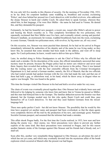He was only left five months in this illusion of security. On the morning of November 25th, 1933, as he lay abed, his corpulent landlady came waddling in, breathless and excited, exclaiming 'Police', and close behind her pressed two Czech detectives with levelled revolvers, who addressed the sleepy Strasser in harsh and voluble Czech. He asked them to speak German, whereon they asked him, in that language, if he were Herr Müller - the name he had used in Vienna. He denied this, and they demanded his passport.

Fortunately, he had his beautiful new passport, a recent one, issued after Hitler's advent to power and bearing the Reich swastika on it. This completely bewildered the two policemen, who repeatedly exclaimed that Herr Müller *must* live here, and eventually retired, cursing and puzzled. Strasser's landlady, an enormously fat woman, waddled breathlessly back into the room, exclaiming in comic German, 'Outside two policemen more, with revolver, by big motor car, all very cross'.

On this occasion, too, Strasser was more puzzled than alarmed, for he had on his arrival in Prague immediately informed the authorities of his identity and of the name he was living under; as they knew this, he assumed that some mistake had been made in the address, and went off to sleep again. No Czech policeman, he knew, would want to deliver him up to Hitler.

Later, he strolled along to Police Headquarters to ask the Chief of Police why his officials had made such a mistake. On his description of the scene, this official immediately answered that some mystery must be present, because the Prague police had no motor cars whatever and never used them. Inquiry then revealed that nothing of the visit was known to the police. Then it was learned that the waiting motor car, with the four ostensible officials from the Criminal Investigation Department in it, had carried a German number, namely, the IIA of Munich; that the two officials who had waited outside had spoken German with the two who had made the raid; and that one of them had held a gag, or chloroform wad, in his hand, which he threw away in disgust when no captive was brought. This was found in the gutter.

This time the Gestapo visited Otto Strasser in his bed and held a revolver under his very nose.

The chain of events was eventually pieced together thus: Otto Strasser had evidently been seen and followed to his lodging by someone who knew him and knew that in Vienna he passed as Müller, and this man had betrayed him to the Gestapo. The familiar abduction-across-the-frontier was then planned, but the Gestapo needed men for this who spoke fluent Czech and could thus, pass themselves off as Czech detectives. To that end they used Sudeten Germans from the mixedlanguage belt.

These men spoke perfect Czech - but did not know Strasser. The possibility that he would by this time have acquired yet another name and passport had been overlooked, so that the sham agents were completely thrown off the trail by the production of his new, and seemingly good, National-Socialist German passport, and assumed that the informer had made a mistake.

This affair shook Prague badly. For the first time the Czechs realized, in 1933, how near and how daring the enemy was - their enemy, too. Strict precautions were taken to prevent any further exploits of the same kind. But these precautions were restricted to Prague, and for this reason another fantastic stroke of the Gestapo against Otto Strasser and his friends had a bloody end, as I shall tell.

Soon after this, another very remarkable thing happened to Otto Strasser, an adventure the end of which has not yet come, and which may eventually dovetail into the mysterious affair of the bomb explosion which occurred at Munich after the present war had begun.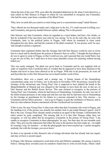About the turn of the year 1934, soon after the attempted abduction by the sham Czech detectives, a man called on Otto Strasser in Prague in whom he was astonished to recognize one Constantin, who had for many years been a member of his Black Front.

'Why, how on earth did you contrive to miss being sent to a concentration camp?' asked Strasser.

'They offered me ten thousand marks and a high post in the SA, if I could succeed in killing you,' said Constantin, and gravely handed Strasser a phial, adding 'This is the poison'.

Otto Strasser says that Constantin, whom he regarded as a loyal helper, had had a few drinks, so that he wondered if the man knew just what he was saying. To be on the safe side, he went with Constantin, later, to the political police in Prague, with whom he remained in close touch throughout his stay there, and had the contents of the phial examined. 'It was prussic acid,' he says, 'and enough to poison a regiment.'

Constantin then explained further that the Gestapo had told him Strasser would be sure to invite him to a meal and he should pour the poison in Strasser's beer or coffee. 'I thought the best thing to do was to agree to come to Prague, so that I could see you, and I guessed that you would find a way to get me out of this, for I shall have to have some plausible excuse for returning without having killed you.'

This was easily arranged. The phial was given back to Constantin and he was supplied with an order of expulsion from Czechoslovakia so worded that he appeared to have been detained at the frontier and never to have been allowed as far as Prague. With this in his possession, he went off and from that day to this Otto Strasser has never heard another word of him.

Nevertheless, there was a sequel, and a strange one. A former inmate of the Oranienburg concentration camp, now in France, saw in the press in November 1939, the pictures, issued by the Gestapo, of the mysterious man 'Georg Elser' who is supposed to have planted the bomb in the Bürgerbräukeller at Munich and was alleged by the Gestapo to have been the tool, in this act, of Otto Strasser and the British Secret Service. This man claimed to recognize in the pictures of 'Georg Elser' one Constantin, whom he had known at Oranienburg. Constantin, he said, was one of the better-treated prisoners in the camp and told him one day that he had been sent to Oranienburg by the Gestapo as punishment for his failure in a mission entrusted to him. This mission -- as Constantin told his fellow-prisoner -- was to go to Prague, to gain the confidence of Strasser, and to find out what relations Strasser entertained with the Czechoslovak Government.

If this is true, the man 'Georg Elser' is thus none other than that Constantin who went to Prague, and the handing-over of the poison was actually but another trick to get inside Strasser's guard. And if that is the case, 'George Elser' already stands revealed as an agent of the Gestapo. Unfortunately the chain cannot be quite completed. The missing link in it is that Otto Strasser either does not recognize, or will not admit that he recognizes, Constantin in the picture of 'Georg Elser'. 'I am unable to recognize Constantin in these photographs,' he says, 'but then they do not resemble each other. They give me the impression that either the man in the pictures has been made up -- he might be wearing a wig, for instance -- or that the photographs have been touched up. I cannot recognize anybody; but with the Gestapo, you never know.'

So there is an episode in Otto Strasser's tale of strange adventure that has already had one sequel, and may yet have a second sequel.

In Prague, Otto Strasser continued to work hard at his anti-Hitlerist campaign. His energy is hard to believe. During these crowded years he somehow found time to write several books, which I shall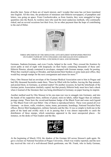describe later. Some of them are of much interest, and I wonder that none has yet been translated into English. All this time, the production of miniature anti-Hitlerist newspapers, of pamphlets and letters, was going on apace. From Czechoslovakia, as from Austria, they were smuggled in large quantities into the Reich, by reckless men who used the most audacious methods, who continually risked, and on several occasions lost their lives, for no other payment than the hope of contributing to the end of Hitler.



#### THREE SPECIMENS OF THE MINIATURE ANTI-HITLERIST NEWSPAPERS PRINTED ON FLIMSY PAPER BY OTTO STRASSER AND SMUGGLED INTO GERMANY FROM AUSTRIA, CZECHOSLOVAKIA AND DENMARK

Germans, Sudeten-Germans, and even Czechs, helped in the work. They crossed the frontiers by secret paths at mid of night with knapsacks on their backs containing thousands of these anti-Hitlerist flimsies, already contained in envelopes, stamped with German stamps, ready for posting. When they reached Leipzig or Dresden, and had posted their burdens at some main post office, they would buy enough stamps for the next consignment and return for more.<sup>[\[3\]](#page-152-0)</sup>

Once, Otto Strasser had an envelope of the German Medical Association sent to him in Prague and had fifty thousand facsimiles made there. These he filled with his leaflets, leaving the flap unstuck, and posted them, in Germany, as printed matter! On another occasion, he had the letterheads of the German jurists Association similarly copied; but that piously Hitlerist body must have had a shock when it learned of the literature that was being distributed in Germany on paper bearing its imprint.

Another method used by Otto Strasser in his one-man-war was to smuggle into Germany, and into the hands of his supporters there, millions of glued, stick-on labels, rather bigger than an ordinary postage stamp. These bore the sword-and-hammer badge of the Black Front and some such legend as 'The Black Front will oust Hitler'. One of them is reproduced below. These were pasted all over Germany - on doors, walls, windows, trains, trams, pavements, hoardings, National Socialist Party offices, Brown Shirt headquarters, military barracks and the like. It was so simple to hold one in the palm of the hand and swiftly stick it on in passing that it was almost impossible to catch the distributors of these stamps, which sometimes appeared in the most unexpected places - for instance, on the desks of Nazi leaders and the like.



At the beginning of March 1934, the shadow of the Gestapo fell across Strasser's path again. He gave a lecture on National Socialism at Prague University, which was widely reported, and the next day received the visit of a well-dressed Dutch gentleman, one Mr. Frank, who in faulty German,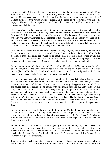interspersed with Dutch and English words expressed his admiration of the lecture and offered Strasser, on behalf of an 'American anti-Nazi organization' which he did not name, his financial support. He was accompanied -- this is a particularly interesting example of the ingenuity of Gestapo methods -- by a Jewish lawyer of Prague, Dr. Soundso, to whose sister he was said to be engaged. The use of Jewish agents by the Gestapo is a chapter to itself, and one of the most interesting, in that dark story.

Mr. Frank offered, without any conditions, to pay for five thousand copies of each number of Otto Strasser's weekly paper, which was being smuggled into Germany in the manner I have described, for a period of three months, in token of his sympathy with the cause; the genuineness of this sympathy was subtly underlined by the presence of his Jewish friend. The money was paid on the spot. (At the end of this episode, Otto Strasser was thus the richer by some 60,000 Czech crowns of Gestapo money, which had gone to swell the floods of anti-Hitlerist propaganda that was crossing the frontier, and this is his happiest memory of the one-man-war.)

At the end of the three months Mr. Frank appeared in Prague again, with a pressing invitation to Strasser to come to Paris and there meet Mr. Frank's 'chief', in the middle of June 1934. In the meantime Strasser had asked the Prague police about both Mr. Frank and his Jewish lawyer, and been told that nothing was known of Mr. Frank save that he had a good *British* passport, while the Jewish faith of his companion, Dr. Soundso, seemed to speak for Mr. Frank's good faith.

On this, Strasser went to Paris, and met Mr. Frank, who said that his 'chief' had unfortunately had to go to Saarbrücken (in the Saar Territory, not at that time reunited with Germany) to meet Konrad Heiden (the anti-Hitlerist writer) and would await Strasser there. This seemed plausible, for Heiden lived there and an anti-Hitler-Chief might well desire to meet him.

So Strasser agreed to go to Saarbrücken, but without telling Mr. Frank that he knew Konrad Heiden well; on arrival he visited that writer and learned that he had never heard of Mr. Frank, of the anti-Hitler organization, or of his 'chief'. Strasser then went on to keep his appointment with Mr. Frank, but, having been made suspicious, he noticed with still greater suspicion that between twenty and thirty SS men, whom his expert eye at once recognized by their high boots, their husky appearance, and their general behaviour, were standing about before the hotel. He was made still further suspicious by the manner of Mr. Frank, who was in a state of extreme nervousness, and continually left the room 'to telephone', although the room had a telephone. The fact that the German frontier was but ten minutes distant recurred forcibly to Strasser at this point, and the beauties of Saarbrücken, as the beauties of Austria on a former occasion, suddenly appeared stupendous to him.

He had to think quickly and find a way out of a trap. Telling Mr. Frank that he would gladly wait for the 'chief', who still had not appeared, but must first postpone a meeting which he had previously arranged, he left the room, disarming any suspicion on Mr. Frank's part by leaving his trunk behind. Then he walked calmly down the stairs, through the surprised SS men outside, and drove away in a taxi.

But Mr. Frank was persistent, and at the beginning of the next month, July 1934, appeared in Prague again and overwhelmed Strasser with reproaches for his desertion at Saarbrücken. He invited him forthwith to accompany him in a special aeroplane to London, and Strasser, with a broad smile, declined. On this Mr. Frank said: 'If you don't trust me, I am willing for your friend Dr. Hebrew to pilot the aeroplane'.

This was another most illuminating example of Gestapo methods. Dr. Hebrew, a qualified pilot, was another Jew, the son of the proprietor of a big store in the Leipzigerstrasse in Berlin. He was in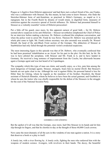Prague as 'a fugitive from Hitlerist oppression' and had there met a school friend of his, one Franke, who was a collaborator with Strasser. By this means, he had come to know Strasser, who finds the Streicher-Stürmer form of anti-Semitism, as practised in Hitler's Germany, as stupid as it is repugnant, but in the Fourth Reich he dreams of would retain, in dignified form, measures of restriction against the excessive spread of Jewish influence. Dr. Hebrew had presented himself to Strasser as a violently resentful 'victim of Hitlerist persecution'.

Put a little off his guard, once more, by this apparent earnest of good faith -- for Dr. Hebrew seemed above suspicion in his anti-Hitlerism -- Strasser nevertheless telephoned the Chief of Police for an interview before making a decision. Dr. Hebrew overheard this telephone conversation, and when the police went to arrest Mr. Frank he was flown. Thereon Dr. Hebrew was arrested and the whole plot came to light. Mr. Frank (whose secretary was also arrested) was actually Dr. Wenzel Heindl, the head of the anti-Black Front section of the Gestapo. The abduction of Strasser at Saarbrücken had only failed through the potential victim's awakened suspicions.

The most interesting figure in this episode was that of Dr. Hebrew, who eventually confessed that he had been promised 'rehabilitation as an Aryan' for his part in the plot. On this bait, he bit. He was to have piloted the aeroplane, with Strasser and Mr. Frank in it, and to have landed in Germany. He received a long sentence of imprisonment from the Czechs, but afterwards became again a Gestapo agent and was last heard of in Copenhagen.

The sympathy which this type of man can claim, and usually enjoy, as a Jew, puts him among the most dangerous of Gestapo agents. Strasser, strangely, bears him no mortal illwill. But Strasser's hatreds are not quite clear to me. Although his war is against Hitler, his personal hatred is less for Hitler than for Göring, whom he regards as the murderer of his brother; Heydrich, the blond assistant of Heinrich Himmler, whom he believes to have been the actual gunman; and Goebbels in whom he sees the traitor who was chiefly responsible for the defeat of the Strassers in the struggle for the soul of the National Socialist Party.



GOEBBELS AND GÖERING

But the upshot of it all was that the Gestapo, once more, had Otto Strasser in its hands and let him slip through its fingers, and that he chortles to-day at the thought of those 60,000 Czech crowns.

Now came the most dramatic of all the acts in this vendetta of one man against a nation. It is a story that deserves a book or a play to itself.

A lonely inn, with a river flowing by. A lonely exile, fighting the men who outlawed him with the weapons of modern science. Avengers, with revolvers in their hands. The decoy, the beautiful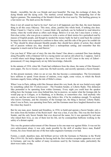blonde - incredible, but she *was* blonde and most beautiful. The trap, the exchange of shots, the dying blonde and the dying exile. The startled, cowed innkeeper. The stampeding feet of the fugitive gunmen. The staunching of the blonde's blood in the river near by. The hurtling getaway in a fast motor car. The dash across the frontier.

Does it not all sound too bad to be true? And yet it all happened, just like that, the most fantastic thing in all this crazy Odyssey. This story, alone, justifies this whole book, if nothing else does. When I heard it, I had to write it. I cannot think why anybody can be bothered to read detective stories, when the world about us offers such things. Believe it or not, but I once knew a writer, a first-class writer, who was given a contract to write a series of short stories for a periodical read by masses of English people, and though he needed the money badly he had to send back the contract because his stories were required to conform to these rules, and this side of the grave he couldn't do it: 'They should be about pleasant likeable people; they should have plenty of action; they should tell of passion without sex; they should have a metropolitan setting; and remember that this magazine is much read at Eton and Harrow.'

Can you beat it? What sort of story fits into this frame? One about a castrated Don Juan dashing along Piccadilly with a Glamour Girl in a racing motor car and an old school tie, I suppose. And in a world where such things happen as the story I have now to tell! Listen to the story of Zahori pronounced, if I may dangerously air my little knowledge, Zahorzhi.

In the autumn of 1934, when Mr. Frank had withdrawn from the chase, the name of Otto Strasser's news paper, *The Secret Sender*, came true. He built secretly, and secretly operated, a Secret Sender.

At this present moment, when we are at war, this has become a commonplace. The Governments have millions to spend. From dozens of stations, every night, come voices, to which the Reich Germans eagerly listen, telling the tale of Hitler's crimes.

When I was in Paris, talking with Otto Strasser about this very book, the air was fouled every night by something called *Der Freiheitssender* - The Freedom Sender, or Liberty Radio. This dishonest fake pretended to be operating from within Germany. Every night you could hear the speaker telling how the Gestapo were close behind him, but to-morrow, no matter what the Gestapo did, he would pop up in Cologne, or in Hamburg, or in Breslau, or somewhere else. And anybody who cares to, and has not been in Germany, may believe this, if he be credulous enough. To anybody who knows Germany, and the closeness of the Gestapo net, the thing is farcical. Liberty Radio, when I was in Paris, was operating from Paris, and the Germans must have laughed themselves into fits when they heard it.

But for one man, poor, hunted and friendless, in 1934, to build and operate a Secret Sender, only a few miles from the borders of the Reich itself - that was a feat, if you like. This was the first Secret Sender, and the only Secret Sender that ever deserved the name, for it was operated by real men who risked their lives, as one of them lost his life, not by cosmopolitan buffoons working in the safety of a distant capital.

This was the greatest achievement of Otto Strasser in his one-man-war against Hitler. It was not his own achievement alone; it was only made possible by the skill of another brave man, Rudolf Formis, his close friend and one of the best radio engineers Germany ever had.

Formis, a small, dauntless man, did brilliant service with the Germans in Palestine in the World War (1914-18). He held a diploma for having built the first wireless reception apparatus ever used in Germany, and was the author of many inventions used by the German radio, particularly the short-wave radio, to-day.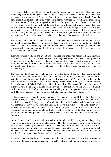His exceptional skill brought him to high office in the German radio organization, at last to the post of chief engineer for the Stuttgart Sender. In this post, he performed audacious exploits which made his name known throughout Germany. One of the earliest members of the Black Front, he demonstrated his contempt of Hitler, when Hitler became Chancellor, by cutting the cable during the transmission of an important speech of Hitler at Stuttgart. The entire Gestapo buzzed with feverish activity after this incident, but the culprit was never found. But when a series of 'technical defects' occurred during the transmission of Hitler's speeches from Stuttgart, Formis was dismissed and arrested. Luck enabled him to escape, and *his* crazy Odyssey began. It led him, by way of Austria, Turkey and Hungary, to his friend Otto Strasser in Prague. In Rudolf Formis, I commend you again to a German of the type that ought to be at the top in Germany; then, all might be well.

The result of this reunion in Prague was that in the autumn of 1934 Heinrich Himmler, the Gestapo chief, and his assistant Heydrich, an unusually handsome and revolting mass-murderer, called the senior officials of the Gestapo together and told them that The Black Front Sender, which for some time past had been dinning hatred of Hitler into the ears of millions of enchanted Germans, must at all costs be found and destroyed.

This was Formis's work. He had given Strasser the idea of a 'radio-war' against Hitler, and planned it in detail. The main obstacle was the want of money. The Black Front was a purely German organization, without the normal, usually Jewish, sources of financial support which are open to all other, internationally-affiliated, anti-Hitlerist organizations. But somehow these two men managed to smuggle funds from their friends in Germany, in spite of the stringent German supervision, and the work began.

The most important thing was the choice of a site for the Sender. It had to be technically suitable, for transmissions, and yet secret - secret from the Czech authorities, secret from the Gestapo. At last, Strasser and Formis found, about forty miles south-west of Prague, in the valley of the Moldau, that river which in such beauty runs through Prague itself, a lonely weekend inn, bearing the lovely name of Zahori. 'Behind the hills'! It was ideal. The owner did not bother himself overmuch with the strange activities of his new, and permanent, guests. He was a good Czech patriot, anyway; he died, afterwards. Autumn was taking all his other guests away; the valley grew chill. The spot was ideally lonely; or rather, that fatal loneliness then seemed ideal.

In this secluded spot, Rudolf Formis, German officer, patriot and anti-Hitlerist, built his Secret Sender. It was, as experts tell me, a technical marvel, and is -- or at any rate was, until Hitler invaded Prague and I left Prague -- one of the chief exhibits of the Czechoslovak Postal Museum. It was something entirely new. From this Sender, the news and views of The Black Front were delivered three times daily, in three transmissions of an hour each, into the heart of Hitlerist Germany. The Sender was cunningly built into the rafters of the loft of the little inn; in Formis's bedroom, only the microphone was to be seen. He could lie abed and open his heart to his fellow-Germans.

Neither Strasser nor Formis, after all they had been through, could have forgotten the danger they were in, or have gone in a sense of false security. They knew that their lives were at stake. And nevertheless - the Gestapo found them and struck. The real culprit, as Otto Strasser says, was their chronic need of money, which harassed and hampered them at every move. Formis went armed, and whenever the monetary position allowed, an armed companion went out to Zahori to stay with him, but that was seldom, and Strasser had to be in Prague.

Strasser's opinion is that the second armed companion would have saved Formis. My own opinion is that even the second armed companion, if he had been there, might not have saved Formis. These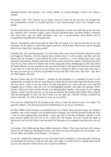beautiful blondes! But perhaps I am wrong. Indeed, on second thoughts I think I am. What a tragedy.

On January 16th, 1935, Strasser was at Zahori, and saw Formis for the last time. He brought him new gramophone records of recorded speeches to the German people; these were changed every month.

He also asked Formis if he had noticed anything suspicious. Formis answered that on the previous day, January 15th, a German couple, a pair of lovers, had been there, one Hans Müller, a business man from Kiel, and one Edith Kersbach, who was a games-teacher from Berlin and an exceptionally beautiful girl with golden hair.

Strasser immediately told Formis that he 'didn't like the sound of it', and advised him to have the innkeeper ask the police to check their papers and have a look at them. But Formis said he thought them to have been 'nice, harmless people'.

Consider that, 'nice, harmless people'. Is it not strange that a man who has knocked about the world, and fought in Palestine, who has learned about women from 'er in this country and that, and who knows that the Gestapo is close behind him and is merciless, is it not strange that such a man should be immediately blinded and bereft of all his senses and all his caution, and despoiled of his very life, by some nitwit of a blonde who comes along and smiles challengingly at him and allows her hand artlessly to rest a moment on his arm and her thigh to rub against his and has cold murder in her heart for a man she has never seen before and is saying by signs to some other man, this is the man you want, go on, kill him, all probably because she likes some other, third man - ugh, these lice. But happily, she paid.

Because Formis did not tell Strasser -- perhaps he had forgotten it, or perhaps he held it to be unimportant, or maybe he did not want Strasser to think that he had looked upon the blonde and lo, she was good -- that on the day before she had pretended to be cross with her lover, and had snuggled up to Formis, and said 'Let's be photographed together and make this grumpy fellow jealous'. Whereon Formis and the blonde were photographed together, arm-in-arm, by the smiling, attentive waiter, and the next day, as was later ascertained, the grumpy Hans Müller flew to Berlin with the photograph to make sure that Formis was the right man, and the Gestapo examined the picture and said, 'Yes, this is the man we want, go on, get him'.

(You may be wondering how the Gestapo knew where to look and whom to seek. It is simple. The good Dr. Hebrew, who had been promised 'rehabilitation as an Aryan', told them.)

So Hans Müller of the Gestapo, accompanied now by a friend, whose passport-name was Gerhard Schubert, also of the Gestapo, took aeroplane back to Prague, and with the beautiful Edith the three -- this was also subsequently ascertained -- had a gay time in the bars of Prague, and this is only just, because Edith's gay life was to be a short one. On January 21st they stayed the night at Stechovice, not far from Zahori, and had their fast Mercedes car overhauled, and then they were all set.

On January 23rd, Edith and her Hans Müller returned to Zahori. They were received with cautious reserve by the innkeeper and Rudolf Formis, who had been put on his guard, but not enough -- this was the father and mother of all blondes -- by Strasser.

It was late. Neither the innkeeper nor the local police had a telephone, so that the police check-up recommended by Strasser could not take place that night. It would not have yielded much result, anyway; the passports of these three were as good as platinum.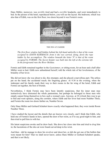Hans Müller, moreover, was *terribly* tired and had a *terrible* headache, and went immediately to bed. In the picture of the hotel, reproduced below, you will see the layout. His bedroom, which was also that of Edith, was on the first floor; two doors beyond it was Formis's room.



#### THE INN AT ZAHORI

*The first floor window half hidden behind the left-hand umbrella is that of the room occupied by EDITH KERSBACH; from it she was carried, dying, down the rope ladder by her accomplices. The window beneath the letter 'N' is that of the room occupied by FORMIS. The Secret Sender was built into the loft at the extreme left. In the foreground runs the River Moldau.*

Formis and Edith remained together in the *Gastzimmer*, or sitting-room, for an hour and a half after Müller went to bed. Edith now unburdened herself, told the whole tale of her lovelornness, of the brutality of her lover.

She did not know she was about to die, this strumpet, and she played a marvellous part. The artless pat on the hand; the accidental touch; the lingering glance. At 9.30 in the evening, when the innkeeper and his family made their way to their rooms in the far wing of the hotel, Edith and Formis sat together, the best of friends.

Nevertheless, I think Formis may have been latently suspicious, that his inner man may instinctively have distrusted the whole pantomime, but perhaps he belonged to those men who simply cannot bring themselves to box such a woman's ears. Anyway, at 10 o'clock they rose to go to bed and went upstairs, along the corridor, where Edith and her lover had room Number Three, and Formis the room two doors farther on, Number Seven.

Only Hans Müller and Gerhard Schubert know exactly what happened then; they were inside Room Number Three.

I have studied the layout and the details that are known very closely, and I think that Edith, who held one of Formis's hands in hers, opened the door of her room, as if to say good-night to him, and then tried to pull him in with her.

His latent suspicions awoke and he drew back. She drove her claws into him and tried to *drag* him in; the lacerations of the she-cat were found carved deep in his wrist.

And then - did he manage to draw his revolver and shoot her, or did she get one of the bullets that were meant for him? That we shall never know, unless Hans Müller or Gerhard Schubert speaks, and that is not likely.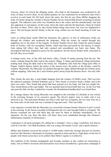Anyway, about 10 o'clock the obliging waiter, who slept in the basement, was awakened by the noise of many revolver shots. As he rushed upstairs, he was confronted by an unknown man with a revolver in each hand. He fell back, down the stairs, but first he saw Hans Müller dragging the body of Formis along the corridor to Room Number Seven, heard Edith herself screaming in mortal anguish. The unknown man (who was Schubert) drove the waiter and the chambermaid, who had also appeared, in curl-papers, on the scene, down the stairs and into the basement, where he locked the door on them. There, shut in, they heard further bangs and noises, but were too frightened to move. The inn-keeper and his family, in the far wing, neither saw nor heard anything of what was afoot.

Later, as rolling black smoke filled the basement, the captives, in fear of suffocation, broke out through the window and awakened the innkeeper. With the waiter, he rushed through this nightmare inn to the place of the tragedy. In Room Number Seven they found the petrol-soaked body of Formis, with two incendiary bombs, which had been prevented by the masses of smoke from taking full effect; they had only smoked and smouldered, not burst into flame. The microphone had been smashed to pieces by the murderers, but the Secret Sender itself, concealed in the loft, they never found.

A strange scene, now, in the chill and lonely valley. Clouds of smoke pouring from the inn. The waiter, rushing along the dark road to the nearest village. A sleepy and bemused village policeman, rushing back along the dark road to the lonely inn. Telephone calls from the village post office to Prague. Endless delays, before the police of the nearest town, the police at the frontier, could be reached. Meanwhile, the Mercedes car dashed through the night, dashed through the frontier posts without stopping. After that, the Czech frontier police always kept the barriers down - but only after that.

They found, the next day, a rope-ladder hanging from the window of Edith's room. That was how the unknown gunman, Gerhard Schubert, got in. They found, in Formis's head, a bullet, and in his chest two more. They found that petrol had been poured over his body, but had not caught fire. They found blood on the rope-ladder. The two gunmen had lowered Edith that way. In the river that runs past the little inn they washed her wounds; the bloodstained handkerchief was found there.

By a strange chance, the racing Mercedes was stopped in the township of Loboshitz at one o'clock in the morning, because of its excessive speed. The driver's papers were in order, and it was allowed to go. The policeman Boehm says that it only had two occupants, the two men who sat in the front seats. In the back seat was 'a mound of rugs and coats'. That was Edith.

Later inquiries revealed that the Mercedes car crossed the German frontier between 4 and 5 o'clock in the morning. In the Saxon township of Königsstein the two men brought Edith to a hospital. The doctors examined her and told them that she must be taken to Dresden immediately, for an operation. On the way there she died. (All these facts were established through Otto Strasser's subterranean channels of information.)

I apologize to all good strumpets for calling her a strumpet. I have a large vocabulary, but find no word in it for this - for Edith Kersbach, who was young, fair-haired, lovely, and a sports-mistress.

Müller and Schubert received the award of 10,000 marks which the Gestapo had put on Formis's head (as Otto Strasser's informants in Germany reported to him) and have a high place on the list of people with whom scores have to be settled when Hitler's regime is overthrown.

The methods of the German propaganda and Gestapo machine in this exploit are interesting to study. Just as Hitler's invasions and annexations were always heralded by a great press campaign of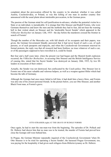complaint about the provocation offered by the country to be attacked, whether it was called Austria, Czechoslovakia, or Poland, so was this killing of one man in another country first announced with the usual plaint about intolerable provocation, in the German press.

The passion of the German mind for self-justification-in-advance, whether the potential victim be a State or an individual, is ineradicable. It is strange that Otto Strasser and Rudolf Formis, who were Germans themselves and knew the men and the methods they had to fear, did not hear the warning bell in that violent attack on Strasser and his 'intolerable Secret Sender' which appeared in the *Völkischer Beobachter* on January 12th, 1935 - the day before the murderers crossed the frontier in search of Formis!

Though the number of the Mercedes car, with full details of its occupants and their papers, was given, the German Government blandly answered that it had never heard of such a car, of such persons, or of such passports and triptychs, and when the Czechoslovak Government renewed its formal protests, the reply was that all research had been fruitless; no trace whatever of such a car, or of the passengers supposed to have travelled in it, could be found.

But four and a half years later, when the present war had begun and the Munich bomb explosion occurred, the *Völkischer Beobachter*, in accusing Otto Strasser and the British Intelligence Service of causing this, stated that his Secret Sender 'was destroyed on January 26th, 1935, by two SS leaders in execution of their orders'.

Actually, the Sender was not destroyed, but confiscated by the Czech police. Otto Strasser lost in Formis one of his most valuable and valorous helpers, as well as a weapon against Hitler which had become the talk of Germany.

Although the Gestapo had once more failed to kill him, it had dealt him a heavy blow, and Formis was also one of his closest personal friends. In the picture below, you see Otto Strasser, and another Black Front man, at Formis's grave.



OTTO STRASSER (right) AT THE GRAVE OF RUDOLF FORMIS

Once again, he had to start the one-man-war from the beginning. The episodes of Dr. Pollack and Dr. Hebrew had shown him that no man was to be trusted, the murder of Formis had proved how close the Gestapo still were behind him.

In Prague, the German Minister repeatedly inquired of the Czechoslovak Government 'when Dr. Otto Strasser is to be tried for operating a Secret Sender'; the harassed Prague Government, too, was paying for the hospitality it had given such refugees-from-Hitlerist-tyranny as Dr. Hebrew.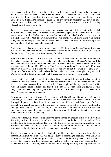On January 6th, 1936, Strasser was duly sentenced to four months hard labour, without alleviating circumstances. The sentence was confirmed on appeal. It was never served, because under Czech law, if a plea for the quashing of a sentence were lodged on some legal grounds, the highest authority in the State had to confirm or quash it. The law, however, apparently laid down no timelimit for such a decision, and President Edouard Benesh just put the document back in his 'Pending' file each time it was put before him.

Two Czechoslovak years remained to Strasser and he used them to the full. He continued to publish his paper, until the hard-pressed Czechoslovak Government suppressed it. He continued the leafletwar across the frontier. Unfortunately, some of the most stirring episodes of the one-man-war in this field cannot yet be told; this would imperil the lives of men who still live. Some were caught, brought before the People's Court and sentenced to death. Some were killed. Exploits were planned and carried out which still cannot be recounted.

Strasser spared neither his nerves, his strength, nor his affections; he used them all unsparingly, as a man should, and remained in spite of everything a merry fellow, a citizen of the world, a good German, a good European, and a Revolutionary Socialist.

Then came Munich and the British ultimatum to the Czechoslovaks to surrender to the German demands. Once again, the pursuers reached out a hand that nearly touched Strasser's shoulder. If he had stayed in Czechoslovakia after that, he would six months later have been caught like a rat in a trap, on that day, March 15th, 1939, when Hitler's armies closed in on Prague from all sides; even destiny would have needed to rack its brains to get him out of that. So, while those armies were taking their first slice of Czechoslovakia -- the Sudetenland -- he took an aeroplane, together with Wenzel Jaksch, the Sudeten-German Socialist leader, and flew away, over their heads.

In the country he left behind him, the tragedy of Zahori continued. It was not finished, is not yet finished. Formis's life was not the only life that was destroyed by it. The innkeeper, already a sick man, had his death hastened by the events of that January night and the days that followed it. His wife and daughter came to Prague and leased a little inn there. When Hitler arrived, the Gestapo sought them out. The daughter, a good friend and admirer of Strasser, was put in a concentration camp. A bomb was planted in the inn.

Otto Strasser, now in almost-penury, found quarters, with his wife and children, in a little hamlet, Herrliberg, near Zürich. The German frontier was not much more than a stone's throw away, and this, again, impressed the beauties of Switzerland on his mind. Here he had, from respect for Swiss hospitality, to curtail operations in his one-man-war, though his friends in Germany continued to smuggle news and reports out to him; but the war was continued on a small scale from Copenhagen, where one of his chief helpers held the strings of the Black Front together, and issued orders to the Black Front in Germany.

From Switzerland, Otto Strasser tried vainly to get to France or England. None would have him. The 'refugees from Hitlerist oppression' were admitted and petted in thousands, everywhere. For a man like this, the doors were closed. Here was 'a Red', a man who was 'too anti-Hitler'. None would ever have dreamed of describing this man as 'a victim of persecution'. He was this, though it would never occur to him to think of himself in such terms; he is, as I say, a man.

The war came and, a few weeks after its beginning, on November 8th, 1939, when the anniversary of that first Hitlerist Putsch of 1923 was being celebrated, according to tradition, by the Old Guard of National Socialism in the Bürgerbräukeller at Munich, the bomb exploded which was either meant to kill Hitler or, like the Reichstag Fire, was the act of his own men, a new blood-curdler for the German masses, who simply cannot live without the feeling that they are being encircled and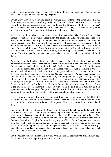plotted against by secret and sinister foes. Like Tartarin of Tarascon, the Germans love to feel that 'they' are lurking in the shadows, waiting to spring.

Within a few hours of the bomb explosion the German police informed the Swiss authorities that Otto Strasser was the organizer of the plot (Himmler's statement issued on November 21st said that Georg Elser, the man arrested for complicity in the night of November 8th-9th, only 'confessed', and incriminated Strasser, after six days of obstinate denials, namely, on November 14th; but he apparently knew on November 9th what Elser would admit a week later.)

As I write, no light whatever has been cast on this dark affair. The German Secret Police announced that the culprits were: Georg Elser, the completely unknown individual arrested in Munich; Otto Strasser, the instigator and instrument of 'the British Secret Service'; and the 'British Secret Service' itself, which was described as having given Strasser the order to prepare the bomb explosion and the money for it; two British consular officials serving in Holland, Messrs. Richard Henry Stevens and Sigismund Payne Best, were on the day after the Munich explosion, November 9th, 1939, enticed to the German-Dutch frontier, there kidnapped by Gestapo agents, and held captive. They, Elser and Strasser were announced to be the accused men in a coming Munich Bomb Trial.

As a student of the Reichstag Fire Trial, which ended in a farce, I may draw attention to the extraordinary resemblance between that mock-trial and the Munich Bomb Trial which the German Government contemplated; whether it will actually be held, remains to be seen. In the Reichstag Fire Trial the half-witted Dutch vagrant, van der Lubbe, was the actual incendiary; in this case another equally obscure individual, Georg Elser, is supposed to have been the actual bomb-layer. In the Reichstag Fire Trail, Ernst Torgler, the German Communist Parliamentary leader, was supposed to be the German instrument of the malignant foreign foe that sought to destroy Germany - International Bolshevism. In this case, Otto Strasser is supposed to be the German instrument of the malignant foreign foe - Britain, bent on the destruction of Germany, and the British Secret Service. In the Reichstag Fire Trial, three Bulgarian Communist exiles, who chanced to be in Berlin at the time and had been earmarked for the part, were put in the dock as the actual, foreign-born representatives of the malignant foreign foe - Bolshevism. In this case, Messrs. Stevens and Best appear as the foreign-born representatives of the malignant foreign foe - Britain.

It is an extraordinary mentality, which runs in a rut. It is cunning up to a point, and childish after that point. Just as Germany, in the murder of Formis, used precisely the same method as in the invasion of Czechoslovakia, so is the same old bogyman fairytale being used for the Munich bomb plot.

I ought to add that I do not believe the Munich Bomb Trial will be held. After the farcical end of the Reichstag Fire Trial, which ordered the beheading of a mental deficient and had to acquit the other four men, because the possibility that world publicity would enable them to play the anti-Nazi trick of proving innocence had been entirely overlooked, no great mock-trial was ever again held in Germany. Instead, the People's Court, with a majority of officers, Storm Troop commanders, and high Secret Police officials among the judges, was formed, and such trials were held in secret, so that the trick of proving innocence could no longer be worked. This was much more satisfactory. I cannot believe, after that experience, that the Germans will again make themselves a laughing stock by staging another such judicial comedy.

But the Munich bomb itself remains a mystery. Otto Strasser has regretfully to deny all knowledge of a bomb which he would probably have liked to plant.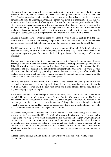I happen to know, as I was in loose communication with him at the time about the then vague project of this book, that his financial circumstances were desperate; nobody, least of all the British Secret Service, showed any anxiety to relieve them. I know also that he had repeatedly been refused permission to come to England, and though no reason was given, it is most probable that this was withheld in the desire to avoid offending that German Government, and particularly its Führer, whose desire for peace remained until the end the incorrigible illusion of our own leaders. It is another illuminating commentary on our arrangements and our times that such a man should be implacably denied admission to England at a time when undesirables in thousands have been let through, welcomed, and even given preferential treatment over the native-born citizens.

Strasser is himself convinced that the bomb was planted by the Nazis themselves, from the same motive that led them to fire the Reichstag - to give the German people visible proof of the existence and implacable hatred of that malignant foe whom they accused of beginning the war, Britain.

The kidnapping of the two British officials is a very strange affair indeed. In its planning and execution it exactly follows the familiar methods of the Gestapo, as I have shown them in the repeated attempts to capture Strasser and in the killing of Formis. But one aspect of it is most important.

The two men, as our own authorities stated, were enticed to the frontier by the proposal of peaceparleys, put forward in the name of some important personage or group of personages in Germany. This tallies so closely with the devices used to disarm Strasser's suspicions (for instance, the offer of financial and other support in his anti-Hitlerist campaign) that I am convinced it was a Gestapo trick. A second, though less likely possibility, however, is that there *was* a peace offer, of which the Gestapo got wind and which they intercepted. In that case, the point of engrossing interest would be - who was the man in Germany who wanted to talk peace?

But I do not believe in this theory. All the details about former abductions point to my first explanation. In that case, the authorship of the Munich bomb explosion is clear to see. It was the work of the Gestapo, who timed the abduction of the two British officials for the very next day: they were to play the part of culprits.

For Strasser, the clutch of the Gestapo loomed murderously near, again, when the Munich bomb exploded. He was but a mile or two from the German frontier. War was in progress. The Gestapo had chosen him for the fourth man-in-the-dock, was demanding his extradition. By methods which I cannot yet describe, he succeeded, in this moment of danger, in breaking through the French refusal to have him in France. He obtained permission to go there, and in the twinkling of an eye he put Switzerland behind him and crossed yet another frontier.

He came to Paris, convinced that the end of Hitler's regime was now approaching, that the time for him to return to Germany and build his Fourth Reich was now drawing near. He had a very modest lodging, and few weapons with which to resume the one-man-war and conquer. But, bursting with energy, as ever, he set to work; wrote; negotiated; interviewed and was interviewed; tried to invigorate other men among the exiles in whom he had some faith, to form a German National Council, as a kind of shadow-government for The Day; and even found time to exercise his affections, which he never neglected. As I say, a man of enormous energy and unflagging enthusiasm.

In those circumstances, I met him. He had a crazy Odyssey behind him - well worthy of our Insanity Fair.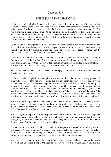## Chapter Nine

#### NEMESIS IN THE SHADOWS

In the spring of 1939, Otto Strasser, in his Swiss retreat, felt the imminence of the war he had foretold for many years as the inevitable result of Hitler's abandonment of a social policy for a militarist one. For the second time in his life, he felt, the starting-gun was about to sound. The first war found him a young man, burning to be first in the field, then shattered his scheme of things about him and left him floundering in chaos. The second war would find him an exile and outlaw, with a price on his head; but he felt, too, that it would bring him homecoming, and the belated fulfilment of his dreams for Germany.

So he set about, in that spring of 1939, to overhaul his secret organization within Germany as best he could through his headquarters in Copenhagen, to instruct those waiting shadows what they should do and how they should act when war came. The order was 'Clear decks for action'; but the captain was on a distant shore, and the crew were stowaways.

In this book, I have not been able to give more than a hint, here and there, of the kind of man, in Germany, who is pledged to Otto Strasser, but I know some of their names, and I have seen letters from others, and can say that one day, if the enemies of Germany are skilful in their handling of this war, Hitler and his henchmen may receive a most unpleasant shock.

Now the moment has come, I think, to show in these pages how the Black Front worked, when the threat of war came near.

In Great Britain, the public was completely confused until the last moment. Many people felt intuitively, perhaps, that war was coming, but did not understand why or *know* that it would inevitably come. This was because the public was misled or misinformed by those whose duty it is to lead and inform it - the government and the press. One newspaper until the last moment repeated, moron-like, 'There will be no war in which Britain will be involved this year, some time, any time, ever'; to-day it could better prophesy that there will be no peace in which Britain will be involved this year or next, but it does not say that. At least two other newspapers kept up the same lunatic chorus until war actually came. Orgies of ostrichism, of wishbone politics, were celebrated.

This was unnecessary, unpatriotic and mendacious. The men whose business it was to study politics knew, or should have known, long before how events would move. To show this, I am going to quote at length the Order-of-the-day which Otto Strasser, from exile, issued to his Black Front, inside Germany, long before war broke out.

The war began, or began for this country, on September 3rd, 1939, and ever since then the people of this country, misinformed now as they were before it began, have been shaking their heads and saying they couldn't understand this war at all. At the beginning of May 1939, four months before the war began, Otto Strasser issued this order to his men:

'The course of events since March 15th, 1939 [when Prague was invaded] shows clearly that our old forecast, "Hitler means war", is rapidly approaching realization. Important signs, particularly the question of food supplies, suggest that the war will not break out until the late summer; an earlier or later moment is possible, but this is irrelevant to the main development.

'As far as it is possible to foresee the course of such a war, it seems likely to be a defensive war in the West and an offensive one in the East; in other words, it will be waged against England and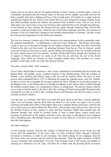France only at sea and in the air, but against Poland on land. Contrary to Polish hopes, it may be confidently anticipated that the German attack in the east will be rapidly successful and that the Poles, possibly after heavy fighting and loss of life on both sides, will within six or eight weeks be pushed back behind the line which in the World War for years formed the German Eastern Front, and which probably satisfies the military and political aims of Berlin to-day. The air war, on the other hand, may lead to heavy losses for Germany and a rapid decline in the strength and efficiency of the German air arm, whereas the Western Powers, partly through American help, will be able currently to make good their losses. With the end of the Polish campaign, therefore, the situation of Germany in the air would have changed to the sensible disadvantage of Germany, and this would be of the greatest importance for the further development.'

The last two sentences contain one of Otto Strasser's few miscalculations in this remarkable order. He assumed immediately -- as Ribbentrop is said not to have believed -- that Britain and France would at once go to the help of Poland, but he further assumed, from that, that they would help Poland in the only way they could - by attacking Germany from the air. This, he foresaw, would cause the German air force heavy losses, and the further development of the war would be affected by such a deterioration in her air position. Actually, Britain and France, though they declared war in support of Poland, delivered no attack at all from the air, and thus the end of the Polish campaign, from which the German air force emerged almost intact, left Germany in a better position, at that stage of the war, than Otto Strasser foresaw.

The order, issued in May, 1939, continues:

'Even if Italy should fight at Germany's side, it may confidently be anticipated that the French and British fleets will quickly secure complete mastery of the Mediterranean. With the collapse of Poland, a new political and military stage in the war will be reached. Hitler will have no more success than Ludendorff had in 1917 in obtaining the hoped-for separate peace, and will, whether he likes it or not, have to prepare for an attack against the West. Whether he try the direct attack on the Maginot Line, or his darling idea of a landing in England, or the indirect form of attack through the northern neutral States, or a combination of these, is unimportant. The decisive thing is that he can no more avoid the attack in the West, after the crushing of Poland (and possibly Rumania) than Ludendorff was able to avoid it after crushing Russia and Rumania, and that this attack is just as certainly doomed to failure.'

I am not sure, as is Strasser, that Hitler will make this great attack in the West. I always gathered, when I was in Germany, that the West Wall was built for a war of this very kind, a war in which Germany had neither been able to find mighty allies nor to separate Britain and France, and the idea was in that event to sit down behind the West Wall, with an intact army and air force, and wait for the Western Powers, if they wished, to come and beat Germany. Rather than attempt that, the Germans thought, they would be inclined sooner or later to make peace, which would leave Germany in possession of that mighty, and intact, army, and ready to start again on new conquests after a breathing space. But perhaps Strasser is right; we soon shall see, if we have not seen by the time this book appears.

His order continues:

'At this moment [namely, between the collapse of Poland and the attack on the West] our task moves from the preparatory to the acute stage: we must overthrow Hitler through a domestic revolution in Germany, in order to save Germany. The whole strategy of our campaign, from the first hour of the war onward, must be ruled by the principle: "Only the rapid overthrow of Hitler can save Germany from partitioning". For only if the German Army is still strong, and capable of carrying on a defensive war for years, will there be a chance that the growing desire to destroy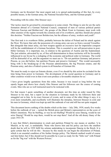Germany can be thwarted. Our most urgent task is to spread understanding of this fact, by every possible means, in the German army, the National Socialist Party, and the German people.'

Proceeding with his order, Otto Strasser says:

'Our tactics must be governed by circumstances to some extent. The things to aim for are the early formation abroad of a German National Council, composed of men of various political parties "between Fascism and Bolshevism"; the groups of the Black Front in Germany must work with other enemies of the regime towards the common end of its overthrow, and they should also preach this doctrine: "Neither Fascism nor Bolshevism, but the alliance of army, workers and youth".

'Our first task is to overthrow Hitler, probably between the defeat of Poland and his attack against the West. We know that only the possession of a strong army can save us from a second Versailles. But alongside that intact army, our best weapon against an excessive lust for imperialist conquest will be the establishment of a German Socialism. This is essential to our self-preservation in post-Hitler Germany. It is important, too, in relation to the questions of Austria and the Sudetenland. The just solution, advocated by us, of free self-determination in these territories will be favourably influenced in our favour by a reshaping of the economic and political order in Germany. The world will be distrustful of us, and the argument we must use is: "Do not partition Germany and preserve Prussia, as you did before, but partition Prussia and preserve Germany". This would necessarily bring with it the breaking-up of the Prussian administration, the big Prussian estates, and the Prussian army, and also a Federal system in all branches of German life.

'We must be ready to reject an Entente dictate, even if we should by this action be excluded for the time being from power in Germany. The development of the social question in Germany and in other countries would even in that event soon produce a favourable situation for us.'

I have given lengthy quotations from this order, because it was issued so long before the war openly began and shows how clearly Otto Strasser and his followers saw the course of coming events. Men who are so well instructed need to be reckoned with.

For that reason I quote something of another document, not this time an order issued by Otto Strasser to his men, but a report on the situation in Germany made by his followers there and smuggled out to him. In its exact forecast of events, and in some of the other things it says, it is even more remarkable, and excellently well illustrates the interplay, between Strasser in exile and his men in Germany, which was kept up until the outbreak of war and still has not quite stopped.

This document knows nothing of the doubts which at the time -- July 28th, 1939, nearly five weeks before the outbreak of war -- racked the British press and Britain's representatives on the score of Hitler's intentions. Was he bluffing, or was he not bluffing? Would he seize Danzig, would he not seize Danzig? Would he stop there, would he not stop there? And all the old dreary litany of the years 1933-39.

It says that Hitler's determination to crush and partition Poland by one means or another, 'à la Munich, or by war', is unshakable. 'None who knows him and his policy can have the smallest doubt that he will in 1939 fulfil his solemn undertaking to incorporate Danzig in the Reich. It is quite certain that he will do this - because by this means he can begin the dissolution of Poland, which is an essential condition of his further foreign policy. The Munich method would of course suit him better; but if this should not be possible he is just as ready for the "little war" with Poland as for the "big war" with the Western Powers.'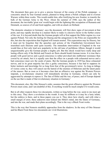The document then goes on to give a precise forecast of the course of the Polish campaign - a concentric attack by four German armies, planned to bring about a Polish collapse and to overrun Warsaw within three weeks. This would enable him, after fortifying his new frontier, to transfer the bulk of the German Army to the West. About the summer of 1940, says the author of this document, the inevitable 'great war' would begin with the lightning-like occupation of Rumania and Denmark, as sources of oil and food supplies, and with an attack on Holland.

'The domestic situation in Germany', says the document, will first show signs of movement at that point, and may rapidly develop in a manner likely to make it a decisive factor in the further course of the war. It is beyond doubt that the German people will at first support the Hitler regime in a war against Poland. Not only the feeling for Danzig and the antagonism to the Poles are responsible for this, but also the expectation that England will remain neutral. This expectation may he illusory, but it must not be forgotten that the speeches and actions of the Chamberlain Government have nourished such illusions until quite recently. The immediate intervention of England in the war would thus at first only lend new popularity to the old tune of perfidious Albion, though it would unquestionably give the German people a mighty jolt. But this shock would have really deep and lasting effects only if the British and French air fleets should bomb German towns. It is true that a people with good nerves and a good conscience is rather provoked into stubborner resistance than cowed by air attack, but it is equally sure that the effect on a people with exhausted nerves and a bad conscience must sow the seeds of panic. But the German people in 1939 has these exhausted nerves, and in its great majority has also a guilty conscience, because it has had to suppress its better instincts and knowledge for so long from fear of the government's terror. As long as tidings of victory come in, they will cancel out the hatred of the enemies of Hitlerism and the latent panic of the masses. But as soon as it becomes clear that an offensive war against the Western Powers impends, a revolutionary situation will immediately develop in Germany, which can only be aggravated by attempts to repress it. The fate of Hitler and the war, of peace, and of Europe depend on the use that is made of that revolutionary situation in Germany.'

This document, also, like Otto Strasser's order, assumes that the great offensive against the Western Powers must come, and I am doubtful of this. Everything would be much simpler if it would come.

But in all other respects these two documents, written so long before the war, seem to me most apt to this story. They show a revolution in the womb. It may be stillborn or it may be a lusty infant, but the embryo is there, and in these papers you see it. They show how clearly, and with what a small margin of error, these unknown men looked into Hitler's mind, into the future of Germany, and into the war, and made their plans accordingly. That is the way a Black Front works.

This is the way that Nemesis stealthily approaches from the shadows. In the story of Otto Strasser and his Black Front these two documents are vivid illustrations.

\*\*\*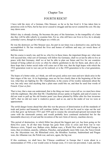## Chapter Ten

# FOURTH REICH?

I have told the story of a German, Otto Strasser, as far as he has lived it. It has taken him to penurious exile in Paris, but he has never ceased to struggle and has never counted the cost. His day may dawn soon.

Hitler's day is already closing. He becomes the prey of the historians; in the tranquillity of a later day they will be able soberly to examine him. For us, who still have our lives to live, he is already yesterday's news, though he will plague us a while yet.

He was the destroyer; as Otto Strasser says, his part in our times was a destructive one, and he has accomplished it. He has wrecked the lives and homes of millions and may yet wreck those of millions more.

But his course is nearly run, and for us, who live in these times, the important things are: what men will succeed him; what sort of Germany will follow his Germany; shall we at last be able to live at peace with that Germany; shall we at last be able to plan our future and live for our countries instead of being called on every so often by elderly gentlemen to die for them; and, above all, is there hope that a better social order will come out of this war, that the high hopes with which the 1914 generation went to war can yet be realized; or is the 1939 generation to be a lost generation, too?

The hopes of a better order, as I think, are still not good, unless new men and new ideals arise in the later stages of the war. At its beginnings, men see far less clearly than at the beginning of the last war, what they are fighting for. Mr. Chamberlain, in the course of his weekly statements about the war, has only once said anything that a plain man could bite on, and then he used four words of French: *Il faut en finir*.

That is true; that a man can understand; that is the thing our inner voices tell us; we must have done with this nightmare. But after that Mr. Chamberlain always spoke in English, and said of course we did not want to pull up 'the old frontier posts' (are those planted by Hitler after his four invasions 'old'?), that we did not want 'a vindictive peace', and so on, and in the midst of war we were at appeasement.

The awful danger looms ahead that after this war the process of deterioration in all the standards of truth and justice and humanity will continue further; that it will not be used to wipe out the real evils that grew up between 1933 and 1939 and to resume the onward-and-upward movement that came with the nineteenth century and would probably have continued unchecked but for the lamentable discovery of coal and the invention of the new form of slavery, machine-slavery.

This period of destruction, in which Hitler has played the biggest part yet, has been going on for thirty-five years. In all that time Europe has gone from crisis to crisis and from war to war: Morocco crisis, Tripoli war, Balkan crisis, Balkan wars, a World War which left half Europe in ruins, then revolution, anarchy, inflation, Putsches, and gradually more little wars, the Turco-Greek war, the Abyssinian war, the Rhineland crisis, the bloodless Austrian, Sudetenland and Prague wars, the Albanian war, the Polish war, and now, again, the big war.

If this continues, we shall have the 'Chinese conditions' in Europe that I wrote about in a memorandum of 1936; a war would come in Europe soon, if it were not prevented, I said, and this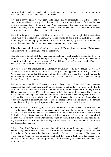war would either end in a quick victory for Germany or in a protracted struggle which would degenerate into a kind of Chinese chaos in Europe.

If we are to survive at all, we *must* get back to a stable and an honourable order in Europe, and we cannot do that without Germany. For this reason, the Germany that will come of this war is, once more and yet again, the key to our own lives. You cannot resume the march towards civilization by barbaric methods, as Hitler proclaimed, and as our many influential old wives, terrified of the Reds with whom he presently linked arms, longed to believe.

And this is the greatest danger, as I think, in this war; that our rulers, though disillusioned about Hitler, will seek to establish in Germany a regime of men as much like themselves as possible, without regard for the longing that exists in men's souls for a better, a juster and a stable order - a longing that in perpetual disappointment leads to desperation and anarchy.

This is the reason why I shiver when I see the figure of Göring advancing upstage. Göring means fire and sword - the Reichstag fire and the present war.

Men who used to think that Hitler was a boon to mankind, or at all events to mankind of their own particular class, are now turning their eyes on Göring. We ought really to have known better about Hitler, they think; was he not a housepainter? Now Göring - ah, that's a man, a sahib. What a pity he was not the Führer! Perhaps he will be yet.

So you read that the Marquess of Londonderry on January 14th, 1940, though he was now convinced of Hitler's 'unbalanced mind', has 'a fairly accurate appreciation of Göring's character'. And this appreciation is that 'Göring is loyal and dependable in a crisis. He is a real German; he could be cruel and ruthless and unscrupulous, but I would sooner deal with Field-Marshal Göring than any German that I have met.'

And so too with Sir Nevile Henderson, whose delusions about Hitler and Hitler's National Socialism ('this great social experiment') persisted long. He did not know Germany well when he became our Ambassador there, a year or two before the invasions began, and took long to learn. 'Göring may be a blackguard,' he said, in January 1940, 'but not a dirty blackguard.' The distinction may seem a fine one to people of simple thought. To subtler minds it contains a great difference. A blackguard is just a man who might murder his fellow-officers and their wives, put thousands of his fellow-countrymen in concentration camps, fire a Reichstag and the like - all black deeds, perhaps, but not dirty. A dirty blackguard is presumably a man who consorts with Bolshevy.

So there we have it, all over again, in the selfsame words. The same illusion; or else, the same wish-to-be-duped. The same danger to this country, to Europe, and to our common future. Göring, the Reichstag fire-man, the shoot-to-kill order man, the executioner of General Schleicher, Frau Schleicher, Gregor Strasser and countless other defenceless people; the secret-rearmament wizard; the man who in his first speech after this war began proclaimed that 'if my soldier's heart had its way I would show these *Engländer* that they can he beaten'. He is 'unscrupulous', but also 'loyal and dependable in a crisis'.

*Il faut en finir*. How? We shall never have done with this thing our livelong day, if this mentality continues to govern England. Göring is as bad for us, for Germany, for Europe as Hitler, or worse. A consolation of mine, as a writer, is that nine months before this war broke out, at Christmas 1938, I wrote for an American paper an article which said that, when it broke out, this Göring racket would soon follow. I kept the typescript by me, and it is becoming, as the Germans say, *aktuell*, or highly topical.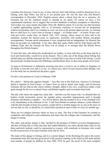I mention this because I want to say, in time, that any deal with Göring would be disastrous for us. Göring, more than Hitler, has led us to our present pass. He was the man who told Reuter's correspondent in December 1934: 'English anxiety about a threat from the air is senseless, for Germany has not the technical means to attempt an air attack. Of course we have a few experimental machines, but to suggest that we have hundreds of military aeroplanes is ridiculous.' And in that very same month, December 1934, Mr. Baldwin stated: 'It is not the case that Germany is rapidly approaching equality with us. If Germany continues to execute her air programme without acceleration, and if we continue to carry out ours at the present approved rate, we estimate that we shall have in a year's time in Europe a margin -- in Europe alone -- of nearly 50 per cent'. And just twelve weeks later, on March 12th, 1935, Göring, whose secret air force had in the meantime reached the desired point of superiority, ironically told another British newspaper correspondent: 'German aerial rearmament is now completed and an independent Air Ministry has been set up under my leadership'. A few days after that, again, Hitler told Sir John Simon and Mr. Anthony Eden that the German air force was as strong as or stronger than the British forces throughout the British Empire.'

To trust this man, who derisively hoodwinked our leaders, to treat with him on the basis that he is loyal and trustworthy, would be to invite disaster. This is only one of the things about Göring that should make any British statesman shy like a startled foal at any idea of a deal with Göring. I recall this particular incident because the Habsburgs and Bourbons show us that some people never learn.

As long as ill-informed or obdurately unseeing men have a word to say in affairs in England, we are likely to lose this war; that is to say, we cannot now, short of some inconceivable blunder, lose it in the field, but we should lose the peace, again.

For this is the position as I write in February 1940:

We cannot -- failing that gigantic blunder -- lose this war in the field now, because (1) Germany failed to separate us from France, or France from us, and to attack each singly, and (2) because Germany did not find an ally whose military strength, added to her own, would have made a total great enough for the two to attack France and Britain together and overwhelm them both.

The ally with whom she might have done that -- and this was the reason why I so dreaded that our leaders would inveterately pursue the ignoble policy miscalled Appeasement until it brought Germany and Bolshevy together -- was Soviet Russia. But she needed to do it, if she intended to do it all, immediately at the outbreak of war. A full Nazi-Bolshevist military alliance, a joint offensive with the full strength of those two armies, would still be a terrible danger for us, but at the least we can say that we are, or should be, in a much better position to meet it than we were six months ago.

There are two dangers between which we have to steer. The first is that Germany be crushed so completely and reduced to such exhaustion and chaos that she collapse into Communism, and this danger is remote.

The other, and greater danger is that, dazzled by the prospect of Hitler's *personal* disappearance, and thus of being able to claim that they had 'ended Hitlerism', our rulers should make what, by the three-card-trick method, could be represented as a peace, with somebody in Germany who would be left in possession of an intact German army and air force.

The name of this danger is Göring, and it is a mortal danger. In the Reichstag fire and in the secretrearmament hoax this man has given proof of the greatest cunning; in the shoot-to-kill order and the mass-murder of people he disliked on June 30th, 1934, he gave the proof of the most complete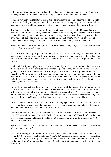ruthlessness; his eternal dream is to humble England; and he is quite ready to be bluff and hearty with any influential foreigners he wishes to dupe if bluffness and heartiness will help.

A middle way between these two dangers must be found if we are to be left any hope of peace after this war. A Göring mock-peace would mean more wars; a completely ruined, Communist or anarchic Germany might not mean war, but who wants a heap of ruins in the middle of Europe?

The third way is the best - to support the men in Germany who want to build something new and want peace, and to pave the way for them, somehow, by destroying the German faith in German invincibility and by making Germany feel what Germany has never yet felt - the rigours, within her own walls, of that war which she has carried in the last twenty-five years into the lands of Frenchmen, Britons, Belgians, Spaniards, Czechs, Rumanians, Serbs, Poles and Russians.

This is tremendously difficult now, because of those locust-eaten years, but if we are ever to reach peace in Europe it has to be done.

When this war ends, or perhaps before it ends, when it reaches a certain stage, the men who do not count to-day, whose names are hardly known, will return to their countries - the exiles. That happened in and after the last war. Some of them returned for *good*, but not for good; their works were evil.

Lenin and Trotsky were plague-carriers, sent to Russia by the Germans to promote their war-aims. They did their work, and achieved what seemed impossible; they created in Russia a far worse tyranny than that of the Tsars, which in retrospect to-day looks positively benevolent beside it. Benesh and Masaryk returned to Prague, and put democracy into actual practice; this was the one example in post-war Europe of a State which truly embodied some of the ideals for which the 1914-18 war was fought - by the men who *fought*. It was a great achievement. Pilsudski returned to Warsaw, and was less successful.

But all these men had one thing in common - they were, until they returned from their exile, less known in this country than the obscurest, bottom-of-the-bill music-hall comedian, the last outsider at Epsom, or the second reserve man of the Galashiels second eleven. Yet, they played a big part, and if even Britain's most highly educated men, who live in a state of amazement at the things that happen in Europe, had known anything about them, we need not have come to this war.

Now the time for the return of the exiles is approaching again. This time, the German exiles are most important, for us. That is the main reason why I have written this book about Otto Strasser, and about the Fourth Reich that he would like to build.

What would it mean to us? Could we work with it? Would it leave us in peace? Would it stand for peace? How would it compare with the Göring, Reich that threatens us? Would it offer us the hope that reason and justice and humanity and liberty, but not libertinism as in the Germany of 1918-33, would return to Europe?

The answer to this question, What will the next Germany be?, is at once the answer to the question, What will our future be?

Before considering it, Otto Strasser thinks that the outer world should essentially understand a vital factor that it overlooks - what he calls the *deutsche Sehnsucht*, or German yearning, for something that we will call, in order to give it a name in a few syllables, Socialism, although it is not fulfilled by the Socialism of the present-day Labour or Socialist parties in any country, or by the Socialism of Moscow.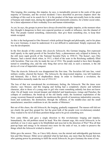This longing, this yearning, this impulse, he says, is ineradicably present in the souls of the great majority of Germans, and the several incidents I have described in previous chapters show the writhings of this soul in its search for it. It is the product of the hope universally born in the minds of humane and simple men, during the eighteenth and nineteenth centuries, for a better social order, for a fairer adjustment of their workaday lives and human relationships.

As yet, he says, the groups in power have always diverted this mighty impulse, at the moment when they thought it dangerous to their own especial position or wealth or influence, into the channel of War. The people wanted something, clamorously; then give them something else, to keep their minds occupied.

As this is the background to Otto Strasser's whole political thought and philosophy, and to his plans for a new Germany, it must be understood. It is not difficult to understand. Simply expressed, this was the development.

In the first decade of this century this *deutsche Sehnsucht*, this German longing, first expressed itself openly in the rapid growth of the Socialist Party, a phenomenon only eclipsed in history by the still more rapid growth of the National Socialist Party in 1930-33. 'The Kaiser', says Otto Strasser, 'had a mortal shock when, in 1913, a third of the seats in the Reichstag suddenly filled with Socialists. That was why he made the war of 1914. The people needed to have their thoughts turned to something else, and the only thing that serves that end, in such a moment, is the old device of a war of imperialist conquest.

'Thus the *deutsche Sehnsucht* was disappointed the first time. The Socialists fell into line, voted military credits, cheered the Kaiser. The *Sehnsucht*, the deep-rooted impulse, was left leaderless and bemused, like a flock of shepherdless sheep. In order to forethwart a revolution, the Hohenzollern monarchy made the war of 1914-18.'

The loss of that war reawakened the revolutionary feeling, the *Sehnsucht*. 'But the times were chaotic,' says Strasser, and this longing and feeling had a completely chaotic and turbulent character, akin to those of a young man or girl who wants something ardently but does not know what. On all hands were inward despair and disbelief and hopelessness; risings and Putsches; the collapse of confidence; the break-up of the old family order; the licentious exploitation of the young; recurrent financial scandals; the mushroom-like growth of monstrous industrialist concerns, trusts and syndicates; the destruction, through the inflation, of the middle-class and the small manufacturer; anarchist conditions in art; the murder of Ministers.'

But out of this chaos, the old *Sehnsucht*, the longing, gradually reappeared. The masses still did not see clearly the goal they groped for, but the great bulk of the people were revolutionary-minded. They wanted to be rid of all these pestilent things and to be given something new.

Now came Hitler, and gave a single direction to this revolutionary longing and impulse. Immediately, the old problem raised its head. Was this clamant urge, this social *Sehnsucht*, to be satisfied, or was it once again to he blindfolded and nose-led in the direction of War? Was all that pent-up hope and energy to be misused once more for the ends of war, in order to preserve the things which the *Sehnsucht* wished to destroy?

Hitler gave the answer. This, as I have fully shown, was the eternal and unbridgeable gap between him and Otto Strasser. Hitler never admitted what he had done, any more than the Kaiser did, but, after gaining power by promising to fulfil the social *Sehnsucht*, he gave Germany the stone of war.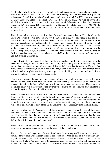People who study these things, and try to look with intelligence into the future, should constantly bear in mind that at Hitler's first election, after the Reichstag fire, the last election to give any indication of the political thought of the German people, that of March 5th, 1933, *eighty per cent of the entire electorate* voted for Socialist parties. In a house of 647 seats, 502 were held by parties which had promised the electorate, filled with that social *Sehnsucht*, Socialism: 288 National Socialists, 120 Socialists, 100 Communists. The National Socialists received 17,000,000, the Socialists 7,000,000 and the Communists 5,000,000 votes; all other parties, about 8,000,000 votes between them.

These figures clearly prove the truth of Otto Strasser's statement - that by 1933 the old social *Sehnsucht*, diverted to the outlet of war by the Kaiser in 1913, was far stronger and far more clamant than ever. It is important to understand this, because he believes that Germany is in the course of a revolution, as was England in the sixteenth and France in the eighteenth century, which must come to its consummation, and that the Kaiser, Hitler and the two diversions of the *Sehnsucht* are but incidents in a historical process which is inflexibly going on. The task of Europe now, he says, if Europe is to live, is to contrive, (1) that the *Sehnsucht* should not a third time be used, by Göring or another such man, to bring about war, and (2) to divert it from turning to Communism and that is where he comes in.

Hitler did just what the Kaiser had done twenty years earlier - he diverted the stream from the social outlet it sought to the outlet of war. Under him, all the mighty energy of the German people was applied to that end, with a ruthlessness and single-mindedness that far outdid the Kaiser's. One of his closest collaborators, General Konstantin Hierl, Commander of the Labour Conscript Army, in his *Foundations of German Military Policy*, put the whole thing in the proverbial nutshell, and opened the nutshell for our benefit, in these words:

'The terribly pressing burden upon our people of being a people without space will have a continually worsening effect upon the lowest and economically weaker strata of the workers and peasants. Sometime, the flame of indignation will flare up from among these strata. Unless we want the revolutionary will to liberation of the lower strata to lead to an explosion, we must transform it into a driving-force for our national liberation.'

There you have the full confirmation of Otto Strasser's words, and the reason for this war. The thoughts of the German people must he turned from that social *Sehnsucht*, which might ensure peace and benefit mankind in general, and clamped on War. In this way the *Sehnsucht*, the revolutionary longing for a better social scheme of things in Germany, was for the second time turned aside and allowed to blow off steam on Spaniards, Poles, Czechs, Britons and Frenchmen.

But, says Otto Strasser, the *Sehnsucht* is still there, stronger than ever after this second three-cardtrick. Soon, in the exhaustion and disillusionment of war, it will break out again, more clamant than ever. Are the militarists, the monarchists, then, to be helped back to power again, so that they can keep up this game for ever? Or, failing that, is Germany to be crushed completely, so that the *Sehnsucht* will find its outlet in Communism?

These are the two dangers he sees, and of the two, he thinks the first the greater and worse because the Germans themselves can avert the second if they are allowed.

The end of the second stage in the German Revolution, the two stages of frustration and misuse is coming. 'Hitler', says Otto Strasser, 'made it the epoch of destruction and in that sense may have played an essential part. He introduced a medley of half-conceived ideas which he never carried through. The State of Germany was to be organized anew, on the basis of the old German tribal divisions, or *Gaue*. He has never done it. The State divisions remain, with Prussia dominant as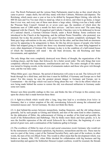ever. The Reich Parliament and the various State Parliaments stand to-day as they stood when he came to power - empty shells, but still they stand, with their Cabinets, Ministers and deputies. The Reichstag, which meets once a year or less to be drilled by Sergeant-Major Göring, who tells the 800 SS men and Yes Yes men when to stand up, when to sit down, and when to go home, is larger than it ever was, and every one of these men draws a large salary. Göring even has a body called the 'Prussian State Council', formed six or seven years ago, the members of which draw the handsome sum of 1,000 marks a month for their services - and have never met! The same thing happened with the Church. The Evangelical and Catholic Churches were to be dethroned in favour of a national church, a German Christian Church, under a Reich Bishop. Some confusion was introduced in the Church at the beginning, and the militant Pastor Niemöller, who protested, was interned; but to-day the position of the two great Churches remains completely unchanged. The State pays large subventions to the one, collects taxes for the other, and has done both an enormous service by appearing to be antagonistic to them, for this has driven masses of people who before Hitler had stopped going to church into those very deserted temples. The same thing happened in every other department of German life. Germany to-day is in the condition of a half-ruined house of which the foundations still stand - the old State divisions, the old Reichstag and State Governments, and capitalism.'

The only things that were completely destroyed were liberty of thought, the organizations of the working-classes, and the hope, that *Sehnsucht*, for a better social order. The only things that were completely effected were rearmament, remilitarization and war. The entire strength of the nation was turned to forging swords, in the interest of armaments makers and those who grow rich through wars, and the war duly came.

'When Hitler goes', says Strasser, 'the period of destruction will come to an end. The *Sehnsucht* will break through for a third time, and this time it must be fulfilled, if Germany and Europe are to find peace.' For this reason, he sees the greatest present danger to Germany and Europe, not in Communism -- the old bogy which was used to bring about this war -- but in the efforts which are now being made behind the scenes to restore the old, war-obsessed militarism in Germany under some new name.

Strasser sees three possible endings to this war, and thinks the fate of Europe in this century rests upon the choice that is made between these three:

(1) A fight-to-a-finish which would after a long, long time lead to a revolution *from below* in Germany; that is a violent eruption of the old, reawakening *Sehnsucht* among the exhausted and tormented masses and - Soviet Germany. He does not think this likely.

(2) A deal behind-the-scenes between monarchists, leading financiers, and the old ruling-classes generally, led by such people as Göring and Schacht, and men of the same kind in other countries, for the abdication of Hitler, the enthronement of Göring or another of his kind and possibly the recall of the Hohenzollerns and Habsburgs. This he thinks more likely and fears greatly; in it, he sees the forcible repression of the old social *Sehnsucht* for a third time, the beginning of a new period of great wars, and a continuation of the Gadarene gallop in Europe.

(3) The overthrow of Hitler by men of civic and social conscience *inside* Germany who would not be the instruments of international capitalism, big business, monarchism and the rest. These men he sees in a part of the Army, a part of the National Socialist Party, and a part of the workers; in other words, the men of his own Black Front. This would in effect mean that the development which, was broken on January 30th, 1933, when Hitler decided for collaboration with big business and big landownership and against the Schleicher-Strasser-Leipart coalition, would be resumed, the threads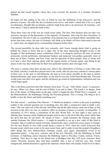picked up and joined together where they were severed, the promise of a German Socialism fulfilled.

He hopes for this ending to the war, in which he sees the fulfilment of the *Sehnsucht*, and the promise of peace. He calls this the revolution *from above*, and when I asked him if he, as a good revolutionary, thought that revolutions could be made from above, he answered: 'In Germany, *only* from above.' I had to admit the truth of this.

These three ways out of the war are worth closer study. The first, Otto Strasser does not take very seriously, because of the detestation of the majority of Germans, who long for their Socialism, of Communism. He sees it only as a possibility of an anarchic but as yet distant future, and thinks that, before that time comes, the men in Germany who think as he thinks will have intervened to prevent it - unless they are tripped up by cosmopolitan intriguers before then.

The second possibility he does take very seriously, and I know enough about what is going on behind the scenes to know that he is right. One of the most depressing thoughts to-day is the thought of that preliminary peace conference which is in progress between all sorts of ancient aristocrats, Jewish politicians, international bankers and moneyed wire-pullers generally; most of them are in Paris, London, and New York, and the spectacle of these people, none of whom will ever hear a shot fired, playing about with the jigsaw puzzle of Europe again, and fitting in the pieces in the way they think best for their own particular rackets, does not augur well.

The time is coming when these groups may achieve the substitution of Göring or some other man for Hitler, and they would then present him to the world, after his previous consent to various plans of their own, as the man to end Hitlerism, the man to avert chaos, possibly as the man to restore Hohenzollernism, and, quite conceivably, as the man to save the world from Bolshevism. The isms would come into their own again, and the old dreary-go-round of regimentation, militarism and war would begin again.

This is the three-card-trick that Otto Strasser most fears. 'To say, "After Hitler, chaos" is nonsense', he says. 'Hitler *was* chaos, and the end of Hitler is an end to chaos. The world is in danger, from fear of the future, of falling back on the past, which it fought the first World War to vanquish - on the Hohenzollerns, the Habsburgs, Göring, the Prussian generals. This is wrong. The thing to do is boldly to face the future and build something new.'

'For that reason' -- continues Otto Strasser -- 'I should not propose a return to the past in anything, neither in the colonial question nor in anything else, but offer a constructive plan to build a new order. This war came out of the old war; and Hitler and all the other misery came out of that; so that recourse to the old is no cure, no solution, offers no promise of peace or security or tranquillity. A restoration of 1913 means a restoration of the first World War. At first sight it may seem an alluring idea, because easily-frightened people tend to turn to the devil that they know rather than the devil that they do not know. By means of force -- inside Germany the German Army, and outside Germany the Allied armies -- it might be possible to set up a new order of this kind in Germany. But it would not satisfy Germany domestically and it would not secure peace in Europe. For the new Kaiser or new ruler would mean a return to 1914, when the social *Sehnsucht* first became acute which now exists in far more acute form; and in order to turn the people's thoughts to other things this new Hohenzollern Germany would, once again, immediately revert to its imperialist policy - a big navy, colonies and all the rest. Similarly with the Habsburgs in South Germany. A Habsburg *cannot* renounce the Habsburg claim to Slovakia, Croatia, Galicia, Trieste, Lemberg. They have to sign on the dotted line in Budapest that they will never renounce these claims. Precisely because they had been installed after a lost or half-lost war, they would energetically defend themselves against the reproach, which their own people would level at them,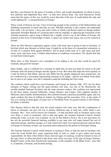that they were Kaisers by the grace of London or Paris, and would immediately set about to prove how patriotic and imperialist they were - as they have always done. Any such manoeuvre would mean that the legacy of this war would be worse than that of the last. It would defeat the only end worth fighting for - a real pacification of Europe.'

These words of Strasser are true. I have lived long enough in the countries of the Hohenzollern and Habsburg monarchies to know that they are true. Whether anybody in this country can understand their truth, I do not know. I have just read a book in which a professed expert on foreign politics reproaches President Benesh of Czechoslovakia with his stupidity in opposing the restoration of the Austrian monarchy, and as long as Britain has a mighty word to say in the affairs of Europe, but remains at this level of knowledge of them, I cannot see clearly how peace can ever be assured in Europe.

These are Otto Strasser's arguments against a deal, with some man or group of men in Germany, of the kind which may threaten us before long. It might be on the basis of a monarchist restoration, or on that of a common front against Bolshevy, but no good could come of it, only more and more crises, more and more wars, a further deterioration in conditions everywhere. We should find that we had been tricked again.

What, then, is Otto Strasser's own conception of an ending to the war that would be good for Germany and good for Europe?

Quite frankly, and it is difficult for a German to admit this, he does not hope for much at all until Germany feels the pinch of hunger and the rigours of war. But when that stage has been reached, as I said, he believes that Hitler, and not only Hitler but the equally dangerous men around him, can be overthrown by a movement representing Germans in all camps - and his own Black Front alone has its men in *all* camps, save the Communist camp but including the Nazi camp.

The coalition which could have saved Germany and Europe on January 30th, 1933, but for those intrigues of Papen, Göring and the panic-stricken rich men, was one of the Reichswehr, the socially-minded National Socialists and the trade unionist workers; this coalition was represented by the three names, General Schleicher, Gregor Strasser, and Leipart. After eighteen months of Hitlerism, and of public disillusionment, this coalition became a practical possibility again, and was again crushed, this time by killing its leaders, by Göring and his associates. Now, in the midst of war, it is raising its head again; its name now is The Black Front. Its greatest enemy is still Göring for Hitler is finished.

Otto Strasser believes that this time the sound solution will come true, that this combination of forces in Germany can and will rise to destroy Hitlerism and, at long last, really build a new Germany. But -- how well he knows his Germans -- to that end these men in Germany need a man over them, a word of command. And to that end again, the German National Council, formed among the exiles, is in his view essential. As yet, he has failed to form it. He is one man alone, he has not the powerful financial backing available to any man who will make himself the tool of interested groups, and these groups, as I said, which have their own especial interests and not those of Europe or Germany at heart, are at present much attracted by the person of Hermann Göring.

The German National Council which Strasser is seeking to form, so that the men in Germany who await the word should have some organized body to look to, ready to give orders and accept responsibility for them when Hitler's house showed signs of cracking, would be formed of men of the type I have so often described in this book, men of his own type, of the type of Gregor Strasser, Rudolf Formis, of the three Reichswehr lieutenants, of the members of the Black Front - men, that is, of patriotic, Christian, and Socialist feeling.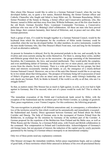Men whom Otto Strasser would like to enlist in a German National Council, when the war has developed further, are, to quote a few names, Heinrich Brüning, the former German officer and Catholic Chancellor who fought and failed to keep Hitler out; Dr. Hermann Rauschning, Hitler's former President of the Senate in Danzig, a former officer and Conservative politician, who, like Strasser, turned to Hitler and then away from him; Wilhelm Sollmann, one of the few clear heads in the old Reich. German Socialist Party; Lieutenant Commander Treviranus, a Conservative politician who was one of Dr. Brüning's chief collaborators. All these are men who have proved three things: their common humanity, their hatred of Hitlerism, and, in peace and war alike, their German patriotism.

Such a group of men, if it could be brought together in a German National Council, would be the keyboard from which the development for the overthrow of Hitler inside Germany could be controlled, when the war has developed further. Its other members, its active instruments, would be the men inside Germany who, like Otto Strasser's Black Front men, wait and long for the formation of such an alternative authority.

At present its formation is delayed, first by the protracted prelude to the war, and secondly by the rivalries and cross-currents among the exiles themselves. For there is, among these exiles, another anti-Hitlerist group which has its eye on the succession - the group consisting of the International Socialists, the Communists, the Jews, and assorted intellectuals. They would prefer the complete, and even annihilating defeat of Germany, her division into two or more pieces, and would not be averse from the chaotic, Soviet Germany. There is a wide gulf between the two groups, but their ideas and interests occasionally interlap and hinder, as yet, the emergence of a clearly-defined German National Council. Moreover, one or two of the men Otto Strasser would like to co-opt may be in two minds about that Göring peace. The prospect of Germany being left in possession of most of Hitler's ill-gotten gains, and also an intact army and air force, under Göring's leadership, can only dazzle any German. Well, he thinks to himself, if the world is as silly as all that, who am I to struggle further?

So that, as matters stand, Otto Strasser has as much to fight against, in exile, as he ever had to fight against in Germany. But if he succeed, what sort of a peace would he work for? This is what he says:

'The immediate evacuation of the Polish and Czechoslovak lands seized by Hitler, with the exception of the Sudetenland and the northern part of the Polish Corridor, as a pledge of goodwill. Then, peace negotiations, a new Vienna Congress. For this conference, the following proposals:

'The non-recognition in principle of all Hitlerist annexations and, in consequence, a referendum in two of the territories seized by him which would not be automatically and immediately evacuated the Sudetenland and Austria. Direct agreement between Germany and Poland about the Polish Corridor and Danzig. The help of German arms in the reconquest of Eastern Poland from the Bolshevists, in exchange for the retention by Germany of the northern part of the Corridor. A German proposal for the expulsion of the Bolshevists from Finland and the Baltic area, as well as White Russia and the Ukraine, by a German-Polish army, with French and British collaboration in the command. War compensation to Poland and Czechoslovakia. Acknowledgment of Germany's old foreign loans, but not payment of interest; the reduction of the capital sum by yearly payments guaranteed by the leasing of a German tobacco monopoly to an international company.'

Only two of these points need any explanatory comment.

Otto Strasser envisages the immediate rendition, before peace negotiations begin, and as a pledge of good faith, of those territories which Hitler annexed in defiance of his own oft-proclaimed theory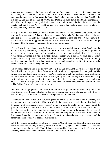of national independence - the Czechoslovak and the Polish lands. That means, the lands inhabited by Czechs, Slovaks and Poles not those parts of the former Czechoslovak and Polish States which were largely populated by Germans - the Sudetenland and the top part of the miscalled Corridor. To this extent, and also in the case of Austria and Danzig, he thus thinks of retaining something of what Hitler took, against the qualification that a referendum would be held in Austria and the Sudetenland and that the Poles would be helped to regain their eastern possessions in return for allowing Germany to retain the Corridor.

In respect of this last proposal, Otto Strasser was always an uncompromising enemy of any proposal for a war against Bolshevist Russia - as long as Bolshevist Russia remained where she was and kept the peace herself. He believes that by her recent actions she has lost the claim to be regarded as an enemy of aggression, and more particularly that she has come further into Europe than is good for the peace of Europe, and should be pressed back.

I have shown in this chapter how he hopes to see this war ended, and on what foundations he would, if he had the power, set about to build his Fourth Reich. The peace he envisages should appeal to the sensitive feelings of those good people in this country who believed that Germany would never have made this war but for the Versailles Treaty, which they never read; that Germany did not in that Treaty have 'a fair deal'; that Hitler 'had a good case' in wanting slices of adjoining countries; and that after this war there must not be 'a second Versailles' - not that they would read a second Versailles Treaty anyway, but that doesn't matter.

His proposals seem to me to be cleverly put together. Our own Lord Lloyd, head of that British Council which is said paternally to foster our relations with foreign peoples, has in explaining 'The British Case' said that we *are* fighting for the 'independence of nations' but that we are not fighting for 'the Versailles frontiers'; that is, we are *not* fighting for the one thing in the Versailles Treaty worth fighting for. A seeker after the truth might look for a very small needle in several large haystacks with more hope of success than he would have of discovering, from this definition, what is The British Case or what we are fighting for.

But Otto Strasser's proposals would even fit in with Lord Lloyd's definition, which only shows that Otto Strasser is, as I have indicated in this book, a remarkable man, who can not only discover needles in haystacks but even make camels leap gaily through their eyes.

I commend this conception of a European peace to careful study. It would leave Germany still much greater than she was before 1914. It would do the utmost justice, indeed more than justice to the principle of 'the independence of nations' in her own case. It would still leave unanswered the question how, if the rulers of Britain and France were no more resolute in the years after this war than they were after the last one, 'the independence of nations' could be ensured for such small nations as those of the Czechs and Poles, who live on Germany's borders. But then, if our rulers in those years should be no more resolute than in the past, there is no hope of peace anyway, and the peace that comes of this war does not much matter.

But if they should be resolute, then these proposals of Otto Strasser could form the basis of a good peace between the nations, a lasting peace in Europe. That, again, would depend on conditions within the German house itself. What of them? How does Otto Strasser envisage them? How would Germany be constructed and governed? What would his Fourth Reich be?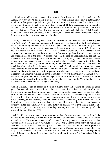I feel entitled to add a brief comment of my own to Otto Strasser's outline of a good peace for Europe, or at any rate to one point in it. He proposes that German troops should automatically withdraw, before peace negotiations began, from a Little Czechoslovakia and Little Poland, as a token of good faith and practical acknowledgement that all Hitler's annexations were immoral *in principle*. These would leave Germany still in possession of the following territories which Hitler annexed: that part of Western Poland which German propaganda had labelled the Polish Corridor, the Sudeten-German part of Czechoslovakia, Danzig, and Austria. The feeling of the populations in these areas would then be ascertained by plebiscites.

Of these, I would say that, in my view, such a proposal should only be entertained for Danzig. The word 'plebiscite' or 'referendum' exercises a hypnotic effect on that part of the British character which is dignified by the name of 'a sense of fair play'. Actually, there is no such thing as a free plebiscite or referendum in a country occupied by foreign troops, and it is most difficult to ensure one in a country not so occupied. In the case of Austria, I should say, on the strength of my knowledge of that country, that the withdrawal of German troops from it should be as automatic and unconditional as in the case of Czechoslovakia. In the case of Czechoslovakia, the 'national independence' of that country, for which we are said to be fighting, cannot be ensured without possession of the ancient Bohemian frontiers, which include the Sudetenland; without them, the country cannot be defended, and the real infamy of Munich was that it took from the Czechs the possibility of defending themselves against the next attack. Poland, though I do not see that it has a sound claim to the eastern provinces annexed by Soviet Russia, cannot remain independent without its outlet to the sea. In fact, the garrulous ignoramuses who have been shaking their wise old heads in recent years about the wickedness of the Versailles Treaty will find themselves in much trouble when the European map has to be redrawn again - for those frontiers were, and remain, about the best that can be devised in Europe. They were the only good things in the Versailles Treaty, and they were also the most important things in that treaty.

Also, if Germany is left in possession both of a mighty army and of some of Hitler's ill-gotten gains, Germany will also be left with the feeling, once again, that she is the real winner of the war, that war pays her, and that the best policy for her will be to start again, soon, on the chase after world domination. Her next ruler, whether he were Otto Strasser or any other, might be a man of the best will, but he would in such circumstances soon be overthrown again by the warmakers inside Germany, as was Brüning, unless he himself reverted to the policy of militarism and war. In these circumstances, such a peace as that outlined would be wise only if the counterbalancing certainty existed that Germany would immediately be opposed by overwhelming might if she attempted to upset the new treaty - and what hope can any man have of such certainty, after the events of the years 1933 to 1939?

I feel that if I were to expound these proposals of Otto Strasser without comment I might be assumed to endorse them, and that would be the denial of everything I believe and have written about Germany. His proposals would, in effect, leave Germany greater, after two world wars, than she was in 1914. That, in my view, would so convince the Germans of the utility of war, and so steel them in the belief that their destiny is to conquer the world, that the last hope of peace and national freedom in Europe would perish. The destruction of *Prussia* would avail nothing to secure the peace if *Germany* were shown that war pays. If I were Otto Strasser, and were negotiating peace, I should certainly try for a settlement of this kind; but if I were a British negotiator I should not agree to it.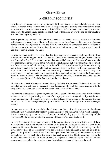## Chapter Eleven

#### 'A GERMAN SOCIALISM'

Otto Strasser, a German exile now in his forty-third year, has spent his manhood days, as I have shown, in search of his 'German socialism'. I have gone to great pains to show what sort of a man he is, and shall now try to show what sort of Socialism he seeks, because, in the country where this book is due to appear, many people are spellbound or fascinated by words, and do not trouble to examine the things they describe.

This is particularly the case with the word Socialist. The Island Race, as one of our foremost satirists currently says, is mentally in its fourteenth year, or thereabouts, and the majority of people cannot picture anything other, behind the word Socialist, than an unmoneyed man who wants to take their money from them. Most of them do not even think as far as that. They just hate the word, and do not trouble about its meaning.

Otto Strasser, as this story has shown, had his Socialism partly bequeathed to him and partly bred in him by the world he grew up in. The war developed it: he detested the bullying brutes who put him through his first drills and to the present day retains his loathing of this class of man, whom he sees incorporated in the leaders of the National Socialist regime; but at the same time he took with him from the war an affectionate respect for the Officers' Corps of the old Imperial German Army and a deep sympathy for the doubts and perplexities of his men. He never for a moment saw the hope of his German Socialism in the Communist Party: indeed, he could not, for that Party is an international one and his Socialism is a patriotic Socialism; and he fought to turn the Communists out of his native Bavaria. Then, in search of his German Socialism, he went in turn to the Socialist Party and to the National Socialist Party, and left both in disgust.

He claims for himself the name of a revolutionary Socialist. But in one of his books I noticed that he called himself, just once, a Conservative revolutionary, and I think this name, coupled with the story of his life, actually gives the British reader a better idea of the man he is.

His loathing of those parade-ground tyrants of 1914 is equalled by his deep hatred of officialdom; he sees no merit in dispossessing one class of over-propertied and over-privileged people in order to put an aristocracy of officials in its place, as the Bolshevists have done, as the average Socialist would do. This is to exchange one tyranny for another, without improving the lot of the submerged masses.

He sees no remedy for the social evils of to-day, no hope of social progress, in the simple confiscation of wealth from the wealthy, in making all poor and calling the result, which in practice is one nest-feathering gang in place of another nest-feathering gang, the Dictatorship of the Proletariat. On the contrary, that is the negation of Socialism' as he understands it.

He sees Socialism in the gradual upraising of the unpropertied masses towards the level of those more fortunate; not in the violent depression of the propertied classes towards the level of the proletariat. Not the enthronement, real or illusory, of the proletariat (which my dictionary describes as 'the lowest class of the community') but the abolition of proletarianism is the aim he fixes his gaze on. To give this lowest class, this submerged mass, the feeling of independence, of coownership, of co-responsibility in the State is the ideal he fights for. Not to put a new despot, the Socialist State with its horde of limpet-officials, in the place of the other despots -- Kaisers, Hitlers, money-magnates and the like -- but to reduce the divisions between all classes is the goal.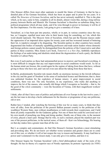Otto Strasser differs from most other aspirants to mould the future of Germany in that he has a detailed plan of his German Socialism, which has been on paper and in print for ten years. It is called *The Structure of German Socialism*, and he has never seriously modified it. This is the plan which, as he says, came to him, complete in all its details, almost vision-like, during a long railway journey between Berlin and Munich. His 'German Socialism' is therefore no nebulous thing, but a political programme which all may study, and if he wins through to power in Germany it will be of the first importance. For this reason, I am going to give a summary of it here.

'Socialism', as it has been put into practice, wholly or in part, in various countries since the war, has, as I imagine, repelled most men who in their hearts long for something, as I do, which this word should represent. The Moscow form of Socialism, which has put the Russian masses under the oppression of an imported alien regime for twenty years and has worsened instead of bettering their lot, is repulsive enough to be disgusting. The Socialist parties in other countries have mostly degenerated into bodies of mutually squabbling professors and trade union leaders whose domestic and foreign policies cannot usually be distinguished from the policies of the Conservative and other parties in these countries. Miss Jennie Lee's book, *Tomorrow is a New Day*, faithfully reproduces the feelings of an undeviating and idealistic mind about the degeneration of such a party, the British Socialist or Labour Party.

But even if such parties as these had untrammelled power to-morrow and Socialized everything, it is most difficult to imagine that any real improvement in social conditions would result. As far as the human mind can foresee, this would again be the regime of taking from those that have, without giving to those who have not, and I am not even sure about the taking from those that have.

In Berlin, predominantly Socialist rule meant chiefly an enormous increase in the Jewish influence in the city and the grant of 'freedom' in the sense of unchecked licence and libertinism; that is, there was unlimited freedom for the exploiters of human misery. A great improvement in social conditions, there was not. The only Socialists, in my experience, who really did anything to improve the lot of the masses, who actually did things which I recognize as Socialist -- that is, for the good of the *whole* community -- were the Socialists of Vienna, with their magnificent workers' settlements.

I think, after all that I have seen of politics and politicians all over Europe in the last twelve years, I am the last man to develop a facile enthusiasm for the theories or programme of any one politician, old or new.

Rather have I tended, after watching the brewing of this war for so many years, to think that they were all alike, from the politician of the poorest Balkan peasant country to the politician of the wealthiest Western State, men without steadfastness or truth towards their countrymen, and I held them all jointly responsible for the Gadarene gallop. Not one of them but could be convicted out of his own mouth of preaching one thing and doing another. Hardly one of them who, in the moment of crisis, played a man's part. Strange that he who, in such a moment, played the manliest part was one of the poorest politicians, in the tactical sense, of them all - Kurt von Schuschnigg. His bearing on that day makes him a greater man than all the rest.

But I, as compère and commentator, do find Otto Strasser's German Socialism a most stimulating and provoking idea. We do not know yet whether worse tyrannies and greater chaos are to come out of this war, or whether it will at last reopen the way to reason and humanity. It may lead him to power and I commend it to the closest study. I can only give it in outline, and here it is:

Otto Strasser begins his 'German Socialism' with a brief philosophical study of the roots of his thought. He has no theory of a superior race of Nordic supermen; he protests vigorously (in 1930!)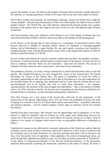against 'the idolatry of race'. He believes the peoples of Europe (from which he excludes Russia) to be a mixture, in varying proportions, of four or five races; this at any rate is the verdict of science.

Out of these racially-mixed groups, all interrelated, landscape, climate and history have made the various 'peoples'. And growing consciousness of their own individuality has made of some of these peoples 'nations'. The World War, says Otto Strasser, fashioned the German people into a nation, the latest of the nations thus to take shape in the area of what we call, with dubious right, Western civilization'.

This brief summary shows how different is Otto Strasser's view of the 'family of Europe' (his own expression) from that of Hitler, and how much more akin to the feeling of well-meaning men.

In the history of the Europe that he thus pictures as a community of interrelated nations, Otto Strasser perceives a rhythm of recurrent epochs, epochs of communal or belonging-together feeling, and of individualist or egoist feeling. He sees such epochs recurring every hundred or hundred-and-fifty years, from the Reformation around 1500, to the English Revolution of 1640-49, and the French Revolution of 1789-99.

In each of these Revolutions he sees the recurrent conflict between these two primitive instincts the instinct of self-preservation, and the instinct of preservation of the species. For him, the first of these is identical with that which we call Liberalism - each man for himself. The second, he identifies with that which he calls Conservatism - each man for the community.

The pendulum of history, he writes, swings continuously to and fro between these ideas of self and species. The English Revolution, he says, brought the victory of the Conservative, the French Revolution the victory of the Liberal, idea. The epoch of Liberalism, he wrote (in 1930), is inevitably approaching its end, and carrying with it that of Socialism as it was then understood, for the Socialist *Sehnsucht*, or yearning, first manifested itself at a time when the Liberal idea of eachman-for-himself was in its heyday and took so much from Liberalism -- for instance, internationalism, the doctrine of the class-struggle and materialism -- that it was bound to founder with it. (In 1930, when he wrote this, the forecast was a farsighted one; the disasters suffered by the Socialist Parties in Germany, Austria and Spain subsequently confirmed it.)

Thus Otto Strasser sees a new epoch of the second idea, each man for the community, or the preservation of the species, approaching. Since 1914, he writes, the pendulum of history has been swinging over towards a new era of Conservatism and its associated ideas -- Socialism, patriotism and national idealism -- and the violent eruption of these ideas in Germany will be the German **Revolution** 

Starting from these convictions, Otto Strasser sees the approaching end of capitalism, as we have known it, which he identifies with the Liberal era. (The reader must differentiate between his correct use of the terms 'Conservative era' and 'Liberal era' and the current use of these words in relation to two parties in England which seem to have no perceptible difference of principle or policy.)

Capitalism he regards as the child and the economic expression of the Liberal era, and he finds the economic system which existed, in Germany, before the Liberal era to have much in common with his Socialism, just as he finds Socialism, as it has been preached and partly tried in Europe in our time, to be but another form of capitalism - State-capitalism. The armies of unemployed, alone, are proof enough that capitalism has failed, he says. It is the ideal economic expression of 'Liberalism' of the theory of each-man-for-himself, of the free-fox-in-the-free-henroost, of the democratic exploiter democratically exploiting the democratic exploitees in the name of Liberty. Its motto is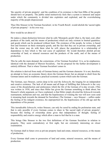'the sanctity of private property', and the condition of its existence is that four-fifths of the people should have no property. The public mind instinctively feels that a system is immoral and unjust under which the community is divided into exploiters and exploited, and the overwhelming majority of the people dispossessed.

Thus Otto Strasser in his 'German Socialism', in his 'Fourth Reich', would abolish the 'sacred rights of private property' - in his own way.

How would he set about it?

He makes a sharp distinction between what he calls 'Monopoly goods' (that is, the land, coal, other products of the earth, and the means of production) which are only existent in limited quantities; and goods which can be produced without limit. The existence of the people, he writes, is based first and foremost on these monopoly-goods, and the fact that they are in private ownership, and that the owner may do with them what he will, places the population in a relationship of dependence to him which is 'the real curse of capitalism'. He would therefore abolish private ownership of land, or mineral resources and the products of the earth, and of the means of production.

This he calls the main demand, the cornerstone, of his 'German Socialism'. It is, as he emphasizes, identical with the demand of Marxist Socialism, - but his proposal for the further development is entirely different. That is where 'German Socialism' comes in.

His solution is derived from study of German history and the German character. It is not, therefore, an attempt to force an economic theory down the German throat; but an attempt to distil from the German nature and its traditions a practical economic system which suits the German.

The German, says Strasser, carries deep in his soul the *Sehnsucht*, the longing for an independent and creative existence. The lack of all means and all hope of fulfilling that *Sehnsucht* is the very cause of the dissatisfaction and aimlessness which the life of the German of to-day reveals. (This was written in 1930, and since then Hitler has given the German something to think about; but Strasser's whole argument, as I have explained, is that Hitler simply diverted the *Sehnsucht* towards rearmament, militarism and war, and that the hopelessness of winning the war will now soon send it streaming back towards the demand for Socialism.) The German -- says Strasser -- suffers under the feeling of his indigent existence, his unpropertied lot, the hopelessness of his old age and the dependence of his present.

This ineradicable *Sehnsucht*, writes Strasser, can only be cured by ending his proletarian state, and that is only possible if every German comes to share in 'the sacred right of private property', because this feeling of ownership alone gives that independence of thought, feeling of responsibility and creative energy which allow a man to feel that he is a man.

This brings Otto Strasser to the two first definitions of his German Socialism in relation to property. They seem contradictory at first sight, but are extremely interesting on closer examination.

No German shall in future own as private property land and estate, mineral resources, or the means of production;

Every German shall come to possession of land and estate, mineral resources, and the means of production.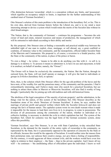(The distinction between 'ownership', which is a conception without any limits, and 'possession', which signifies an occupancy subject to limits, is important for the further understanding of this cardinal tenet of 'German Socialism'.)

Otto Strasser's solution of this main problem is the introduction of the hereditary fief, or fee. This is his own idea, derived from German history before the Liberal era, and is to my mind a most interesting attempt to devise a system which would retain the merits of the Socialist idea without its chief disadvantages.

'The Nation, that is, the community of Germans' -- continues his programme -- 'becomes the sole owner of land and estate, mineral resources and means of production, the management of which will be entrusted to individuals according to their ability and merits.'

By this proposal, Otto Strasser aims at finding a reasonable and practical middle-way between the unbridled right of one man to exploit, close, mortgage, or sell abroad, say, a great coalfield or coalmine, of immense value to the community, and the monopolistic, official-ridden Socialist State of the Marxists and Communists. His proposal is, of course, a reversion to a feudal practice, with the State or the community of the nation, in place of the prince or baron.

'To own a thing' -- he writes -- 'means to be able to do anything you like with it - to sell it, to damage it, to destroy it. To possess it means to administer it, to have its use and enjoyment, to hold it in usufruct, on behalf of another, namely, the "Owner".'

'The Owner will in future be exclusively the community, the Nation. But the Nation, through its outward form, the State, will not itself operate or manage; it will give the land to individuals or groups in *Erblehen* (hereditary fief), to operate.'

Here, then, is the solution which Otto Strasser offers for the age-old problem of the haves and the have-nots, of the wealthy few and the penurious many, of the community and the parasites. I find it extraordinarily interesting, and I believe many men who search for a practical Socialism, but see nothing to attract them either in Marxist or Moscovite Socialism, will also find it worthy of long thought. I particularly like its joining-up with old tradition and with old historical forms.

The abolition of the legal conception of 'the sanctity of private property', and the substitution, in the things vital for the nation, of this system of the hereditary fief, Otto Strasser describes as the foundation stone of his whole 'Structure of German Socialism'. It alone, he says, enables that marriage of private profit and general welfare which fufils the Socialist *Sehnsucht* and does not outrage the law's of human nature. The capitalist system wrote its own death warrant when it made it impossible for the masses to lead their own lives in it, to progress, to come to possessions. The division of all possessions among the community of the nation, whether in individual or in collective holding, is necessary to abolish the evils to which capitalism has led. The system of the hereditary fief, which for centuries was the legal form of the German economic system, alone offers this possibility.

'German Socialism', says Otto Strasser, 'is at one with State Capitalism, to-day miscalled State Socialism, in the demand for the transfer of the entire *rights* of ownership to the community, as represented by the State, but it is passionately opposed to the operation of concerns by the State or its officials, because this would be the opposite of Socialism. It would neither raise the masses from their proletarian state, nor unloose their creative energy, nor give them a feeling of responsibility. On the contrary, it would aggravate all these existent evils, and the workers would have even less rights in relation to their employer -- the State -- than to the private capitalist. And I know all too well' -- he continues -- 'the annihilating effect of officialdom upon the individual. I know so well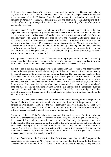the longing for independence of the German peasant and the middle-class German, and I should regard any reform as disastrous which condemned this striving for independence to be crushed under the steamroller of officialdom. I see the real torment of a proletarian existence in this deficient, or eternally repressed, urge for independence, and hold the most important task to be the creation of this feeling of independence for the worker, not the worsening of the lot of the peasant and middle-class man.'

Moreover, under State Socialism -- which, as Otto Strasser correctly points out, is really State Capitalism, one big capitalist in place of the few hundred or thousand who actually rule the countries to-day -- the worker has even less rights than under private capitalism (Jewish Bolshevy has clearly proved this), for the State is at once employer and lawmaker. Under private capitalism the State always has to keep up some pretence of impartiality, for the worker is after all a citizen, taxpayer and soldier. This fact, Otto Strasser continues, the revolutionary Marxists try to confute by representing the State as 'the dictatorship of the Proletariat', by pretending that the State is identical with the workers and that there can thus be no antagonism between them. Actually, their system leads to the rule of a new privileged class -- officialdom -- in place of the old privileged classesaristocrats, money-barons, tsars, and the like.

This argument of Strasser's is correct. I have seen the thing in practice in Moscow. The working masses there have been driven deeper into the mire of ignorance and oppression than they were before, which is almost incredible and just shows what a Soviet State can do if it tries.

The only class in the land that enjoys privilege and preferment and perquisites and bodily comfort is that of the new tyrants, the officials; the majority of these are Jews, and Jews who not even by the longest stretch of the imagination can be called Russian. They are the equivalents of those recent newcomers to Britain who are already 'one hundred per cent British', whose incomplete knowledge of our language and ineradicable difference from ourselves is shown in the magazines and books they publish and the plays and films they make. Bolshevist Russia offers, I should think, the most astonishing example in history of an alien tyranny introduced into the land by sleight-ofhand and masquerading as something Russian. Even the general who led the unfortunate Russian soldiers in the farcical and calamitous operations against Finland, Stern, was a foreign Jew; he is a poor advertisement for that superior ability which the apologists of anti-Gentilism claim to be the chief attribute of the Jews.

I have tried at some length to make clear Otto Strasser's inveterate hostility, in his conception of 'a German Socialism', to the idea that social evils can be cured, the lot of the peasant and worker bettered, and the general condition of the whole community improved, simply by the creation of some monstrous thing called 'The State', which is supposed to symbolize the liberation and triumph of the submerged masses, but actually is as great a tyrant as any other.

For him, that inflated official-State is just a super-capitalist; and it represents for him the triumph, not of the submerged masses, but of the classes he particularly hates from his parade-ground days the mean-souled and bullying nitwit dressed in a little brief authority, the ignorant clown who thinks himself a little god because he has the might of the State behind him, is undismissible, and has a pension waiting for him at the end of his service. 'Fascism and Communism alike', says Otto Strasser, 'vie with each other in the glorification of the State, in the repression of economic and individual independence, in the exaggeration of the might and success of organization, decrees, umpteen-year-plans and, particularly, the police!'

So, as the foundation of his German Socialism, Otto Strasser lays down his chief proposals: the cancellation of the dogma of 'the sanctity of private property'; the transfer to the State, as representative of the community of all Germans, of the title of *owner* of the things most precious to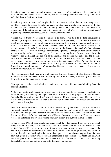the nation - land and estate, mineral resources, and the means of production; and the re-conferment, upon the previous owners, of the hereditary usufruct of their possessions, which they would hold and administer in fee from the State.

A main argument in favour of his plan is that the usufructuaries, though their occupancy is hereditary, would be unable to sell, mortgage, or otherwise alienate their possessions. In this manner, the joint *ownership* of the community would be safeguarded, and the most vital possessions of the nation secured against the secret, sinister and often anti-patriotic operations of big banking, international finance, and stock-market manipulation.

A main aim of Strasser's 'German Socialism' is to promote the back-to-the-land movement in Germany (in England, incidentally, this is an even more urgent need, but no hope of it seems to offer) and to check the process of over-industrialization, the growth of gigantic machine-slavehives. 'The Liberal-capitalist and Liberal-Marxist ideal of a modern mammoth factory and a maximum output of goods', he writes, 'must give way to the Conservative ideal of a free existence used to the full ... Conservative thought cannot regard a process as retrograde because it will lead to a certain twilight of the mechanical gods. The time is coming for the German to overthrow the tyranny of the mechanical age, the rule of the machine, and to force mechanics and the machine back to their 'due part of servant, from which, to his misfortune, they have been freed ... For the conservative revolutionary, work is but the means to the maintenance of life.' Among other things, Otto Strasser would transfer the capital of Germany from Berlin or any other of the nervedestroying mammoth settlements of present-day Germany to some such centre of history and tradition as Regensburg or Goslar.

I have explained, as best I can in a brief summary, the basic thought of Otto Strasser's 'German Socialism', which culminates in that stimulating idea of the *Erblehen*, or hereditary fief. Now for the way he would in practice carry it out.

First, agriculture and the land, which are, in Germany, and indeed in any sound-thinking State, the bases of all reform.

All land and estate would pass into the *ownership* of the community, represented by the State, and be reconferred, in hereditary fief, upon men able to work it, at the proposal of local Peasants' Councils. The governing principle of the distribution would be that no man should have more land than he could himself farm or less than is essential for the maintenance of himself and his family and a reasonable surplus.

Here Otto Strasser justifies his claim to be called a revolutionary Socialist, or, perhaps still more, a Conservative revolutionary. For his proposal would mean the confiscation of the great estates and their division among a small peasantry holding them in hereditary fee from the State. In practice, this would affect chiefly the great landlords of Eastern Germany; in the rest of Germany, a deeprooted, long-standing, sturdy, land-owning peasantry already exists, freemen save for debt.

In this proposal Otto Strasser attacks the forces which have led Europe from war to war, which brought Hitler to power, and which have caused the present conflict. He also stakes his own political future, all his hopes, on the turn of a coin. If he were to compromise on *this* issue, as he has always refused to compromise, all roads to power in Germany might quickly and smoothly open to him, when the Nazi regime begins to disintegrate. If he remains uncompromising, the most powerful group in Germany will oppose his appearance in the political scene tooth and nail, with every weapon at its command. But he believes that the German social *Sehnsucht* implacably demands this reform and will never rest until it is finally carried out.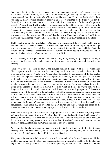Remember that these Prussian magnates, the great landowning nobility of Eastern Germany, overthrew Chancellor Brüning, the man who might have brought Germany through to peaceful and prosperous collaboration in the family of Europe, on this very issue. He, too, wished to divide those vast estates, many of them hopelessly insolvent and deeply indebted to the State ('Help for the Farmer!') and to settle ex-service men on them. Indeed, this was but the fulfilment of a promise made by President, and Field Marshal, von Hindenburg to the soldiers he had led back from the World War when he offered himself to them as candidate for the Presidency. But when he became President, those Eastern German squires clubbed together and bought a great Eastern German estate for Hindenburg, who thus became one of themselves. And when Brüning proposed to partition their insolvent estates, they whispered: 'This is rank Bolshevism' to Hindenburg, who turned on Brüning, threw him out, and made Franz von Papen, the scion of heavy industry, Chancellor in his place.

That began the period of political chaos in Germany which ended in Hitler's triumph. But before his triumph another Chancellor, General von Schleicher, again tried to do that very thing, in the hope of rallying around himself enough Germans to rule against Hitler, and to vanquish Hitler. Again the selfsame thing happened. The squires whispered 'Bolshevism' in the ageing President's ear, and out went Schleicher (who was afterwards shot) and in came Hitler.

So that in taking up this gauntlet, Otto Strasser is doing a very daring thing. I explain it at length because it is the key to the understanding of the whole German situation and the test of his sincerity.

Hitler, even before he came to power, had ensured himself the support of those powerful East Elbian squires in a decisive moment by cancelling that item of the original National Socialist programme, the famous Twenty-Five Points, which demanded the confiscation of the big estates. When he came to power he enacted an *Erbhofgesetz*, or Hereditary Farmholding law, which alone, in all his legislation, bore some faint resemblance to his Socialist programme and to Otto Strasser's plans for the reinvigoration of the German countryside. It established a system of inalienable, hereditary ownership among the peasants; but among the peasants this already existed in practice, as far as the present capitalist order allows it to exist. What he did not do was to remove those things which in practice work against the establishment of a sound, prosperous, father-to-son peasantry. He left the capitalist order untouched, so that the peasant remains, not really a freeman, but the slave of the credits he has to raise from some bank or moneylender in the nearest town. He left unchanged the prevailing taxation system, that in its endless complication and onerousness demands cash payments from the peasant which repeatedly plunge him in indebtedness. He left unmitigated the burden of mortgage on farms which are supposed to be free, inalienable and bequeathable. And above all, he protected the great estates and thus destroyed the hopes of the peasant's second and third sons of achieving a peasant independence for themselves.

Thus Otto Strasser puts in the forefront of his programme, of his 'German Socialism', this greatest and most dynamite-laden of reforms. A reform that Hitler promised and jettisoned with every other promise he ever made. A reform that a Conservative and Catholic Chancellor sought to make, so that he is now these many years in exile. A reform that a Prussian General sought to make, so that he is now dead. A reform that the German mind undoubtedly longs for.

As I say, that he should uncompromisingly present it is the test and proof of Otto Strasser's sincerity. For if he abandoned it, how much financial and political support, how much friendly regard and influential backing he could find - even in his exile.

The peasant, farmer, smallholder, or what you will, who under Otto Strasser's system would thus hold his land in fee from the State, and bequeath it to a son at his death, would pay to the State one single due - a tithe, payable in cash or kind. In practice, the reform would mean that the vast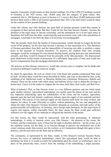majority of peasants would remain on their present holdings, for of the 5,096,533 holdings counted in Germany at the 1925 census, only 18,668 came into the category of great estates; they comprised, that is, 200 hectares or more (a hectare is 2 ½ acres). But these 18,668 landowners held between them nearly a fifth of all German agricultural land. This is the land which would be taken for the creation of new peasant-holdings.

Under this reform, says Otto Strasser, the great bulk of German peasants would thus remain in occupation of their present farms. But they would for the first time become freemen - because the abolition of the legal status of 'private ownership', and the substitution for it of the legal status of 'hereditary fief' held from the State, would logically and necessarily carry with it the cancellation of mortgages. Land held in fee from the State is of necessity non-mortgageable.

Thus the peasant, freed from the burden of interest-payment, would, though no longer the private owner of his property, for the first time become a freeman, in free enjoyment of it. This liberation of German agriculture from debt, and the impossibility of incurring new debt, is similarly a major piece in the structure of 'German Socialism'. To preserve the creditors from ruin, existing mortgages would be exchanged for non-interest-bearing bonds, paying three-per-cent amortization annually, and these would be financed from the proceeds of the tithe-payments. The dispossessed great landowners would remain in possession of a sufficiently large piece of land, and would also receive compensation from the mortgage-elimination fund.

The process, as Otto Strasser conceives it, would take several years to complete, but he thinks that its practical fulfilment would be relatively simple.

So much for agriculture, the rock on which every well-found and soundly-constructed State must be built. All these ideas would have been described by Hitler, and were so described by him, as the ramblings of an 'intellectual crank', as Marxism, Bolshevism, Liberalism, Democracy, diabolo and whatnot. These are the words with which cheats and halfwits always seek to defeat the strivings of honest men. I leave it to the reader to compare the two men, their ideas, their works, and their lives.

What of industry? That, as Otto Strasser writes, is a very different question, and one which needs quite another solution. Agricultural undertakings rest mainly upon the labour of one man and his kin, industrial undertakings upon the collaboration of the owner and his workers. Agriculture depends upon the land and climatic conditions; industry upon the supply of raw materials and their distribution. The sources of raw-material supply are the German earth itself, for some of them, and imports, for others. In order efficiently to exploit, without plundering, the one, and adequately to obtain the other, Otto Strasser's 'German Socialism' demands an economic and trade policy of the greatest possible self-sufficiency, in Germany, and a foreign trade monopoly, for the supervision of exports and imports, within reasonable limits. By these means the State would gain sufficient influence over the supply of raw materials to safeguard the interests of the nation.

For that reason, the State would be represented, with the other participants, in industrial undertakings. A trinity of interests exists, says Otto Strasser - the interests of the owner, the workers, and the community; none of these has the right to absolute authority - not the owner, as in the capitalist system; nor the State, as in Fascism (though in practice the unchecked rule of the owner continues under that system); nor the workers, as in Communism (though that again is but a pretence, and the real rulers are the State and its officials).

The community, as represented by the State, would, in Otto Strasser's German Socialist Reich, become the *owner* of industrial undertakings, which, like agricultural land, would be held in hereditary fee from it. It would re-confer the undertaking upon the owner, as usufructuary, and, in place of the present-day taxes, receive from the earnings of the undertaking a single payment,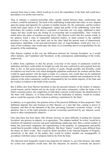assessed from time to time, which would go to cover the expenditure of the State and would have precedence over profits and reserves.

Thus in industry a common-ownership order, equally shared between State, usufructuary and workers, would be introduced. The head of the undertaking would under that order, as now, depend upon his energy and ingenuity for a greater or smaller income. He, the community, and his workers would hold equal shares in the management, capital and profits of the undertaking. From their third-share, the workers would derive a payment, of necessity not very large, additional to their wages; but they would have the feeling of co-ownership and co-responsibility. They would be raised above the status of machine-serving slaves. Otto Strasser writes that this system would, in his opinion, breed a class of responsible industrial leaders, in sharp contrast to the capitalist privateer of to-day, on the one hand; and on the other hand the present mass of dispossessed, propertyless, dependent, to-be-seen-and-not-heard class of wage-bondmen would give way to a class of free workmen, who would enjoy the status of co-ownership and of co-responsibility for the prosperity of the undertaking.

Otto Strasser explains in this way the differences between his 'German Socialism', as it would affect industry, and 'Capitalism' and 'Socialism', in the contemporary understandings of the words, respectively.

It differs from capitalism in that the private *ownership* of the means of production would be abolished, and these could neither be bought nor sold, but only conferred by and acquired from the State in fee; so that great possessions in money or goods, though possible and desirable, could nevertheless not lead to the evils which distinguish capitalism unchecked; the workers and the State would be equal partners with the head or heads of a concern, who would thus not be unfettered 'capitalists' but usufructuaries; the obligation to sound economic methods and consideration for the interests of the entire community would be safeguarded by the two-thirds majority of the State and the workers in relation to the heads of the concern.

But it differs also from Marxist Socialism in that the personal initiative of the leaders of industry would remain, and be limited only by the needs of the entire community; within the limits of the State's economic policy, the competition of individual concerns would remain; the identification of 'the State' with 'industry', or of State-officials with the leadership of industry, would be avoided, and so would the exposure of the workers to arbitrary exploitation by 'the State'.

In industry, as in agriculture, the question arises of the practical fulfilment of these proposals. Their fulfilment depends first and foremost on Otto Strasser, or a man like him, coming to power in Germany, and then on the alteration of the laws governing Germany's economic system - on the abolition, that is, of the legal principle of private ownership unrestricted by any national, social, moral or other considerations whatever.

Once that fence has been taken, Otto Strasser foresees no great difficulty in putting his 'German Socialism' into practice in industry, as in agriculture. 'The simplest method', he writes, 'would be to transform all industrial concerns and great undertakings employing more than a certain number of hands into joint-stock companies; the tripartitioning of the property, its management and profits would then be possible without further difficulty. But these "shares" would be quite different from the shares we know to-day. They would be shares inscribed in the National Register of Property, exclusively in the name of the holder; they would be neither saleable nor mortgageable, in accordance with their nature of property held-in-fee from the State.'

The objection most frequently raised to his proposals for industry is, says Otto Strasser, that under his system new capitalists would arise. But this objection, he answers, overlooks the decisive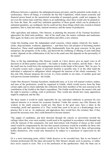difference between a capitalist, the unhampered money-privateer, and his potential works-leader, or usufructuary. Above all things, it overlooks the fact that 'Capitalism', which means economic and financial power based on the unrestricted ownership of monopoly-goods, could not reappear, for not even the richest man could buy shares in an undertaking, since these would only be granted-infee from the State. He could buy unlimited quantities of those goods which can be produced in unlimited quantities, say toothpaste; but he could not buy those things which only existed in limited quantities, that is, land and estate, mineral resources, and the means of production.

After agriculture and industry, Otto Strasser, in planning the structure of his 'German Socialism', approaches his third main problem - that of the small man, the master craftsman and tradesman. Here again, he finds a new and different problem and offers a new solution.

Under this heading come 'the independent small concerns, which employ relatively few hands - clerks, shop-assistants, workmen, apprentices -- and these have fair prospect of becoming masters themselves. These small undertakings differ fundamentally from the great concerns. In the great enterprises, the prosperity of the works, and therewith the wellbeing or illbeing of each individual worker, depends on the collaboration of all; but in the small ones this depends on the personality of the master'.

Thus, in the big undertakings Otto Strasser would, as I have shown, give an equal voice in all decisions to all three parties concerned -- the leader or leaders, the workers, and the State -- but in the small ones he would leave the management entirely in the hands of the master. 'But', he says, 'in a Socialist system such a degree of personal freedom is possible only if on the other hand the individual is subjected to obligations which safeguard the interests of the whole community.' To this end, Otto Strasser proposes the revival, in a form suitable to our times, of another good and well-proven German institution - the Guilds.

Under Otto Strasser's 'German Socialism', handicrafts-men, or if you will manual workers, traders, and men of the professions, would be organized in Guilds, which would receive from the State certain rights and in return undertake the collection from their members of the sum assessed as the contribution of the Guilds to the State's expenditure. The Guilds would bestow the master's title and the right to practise a calling, craft or profession. They would also decide how many apprentices might be employed, and the like.

'By these means it would be made impossible for any individual ruthlessly to promote his own especial interests or to misuse his economic freedom.' Under this system, says Otto Strasser, the workers in the small concerns would not, like those in the great ones, have a share in the ownership, profit and operation of it. They would thus seem to be put at a disadvantage; but in practice this is not so. As employees and apprentices they would have the certainty that, if they passed the necessary tests, they could themselves become masters.

'The supply of candidates, and their direction through the schools or universities towards the callings where they were most needed, would need to be regulated in accordance with demand and with the interests of the community; but such intervention with freedom of choice as this would entail would be compensated by the fact that assured existences would be available for those who sought them and that this intervention would not be from the State but by these self-governing bodies themselves, who would only themselves be subject to a minimum of supervision by the State.'

(It is a most interesting point, which I think deserves to be recorded here, that in one branch of German professional life the ideas advocated by Otto Strasser already exist in practice, or rather, have never ceased to exist. This is in the profession of the apothecaries. Only the State can in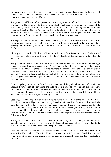Germany confer the right to open an apothecary's business, and these cannot be bought, sold, founded, bequeathed or inherited. On the death of a holder, the title reverts to the State, for bestowment upon the next candidate.)

The practical fulfilment of his proposals for the organization of small concerns and of the professions in Guilds, says Otto Strasser, would best be achieved by taking up such threads of the old Guild system as still remain in Germany. Here again he sees reinvigoration for a most important branch of Germany's economic life in the abolition of the fiendishly complicated and onerous burden of taxes as it has taken its satanic shape in our modern life; the Guilds would pay a lump sum to the State, recoverable in one contribution from their members.

The legal principle of unrestricted private ownership, under Otto Strasser's 'German Socialism', would remain intact in respect of house property - with the sole exception that any newly-built property would arise on ground not acquired freehold, but held, as in the other cases, in fee from the State.

I have given a brief, but I believe sufficient, description of Otto Strasser's 'German Socialism', of the economic system he would build in his Fourth Reich, of the just social order which he envisages.

The question follows, what would be the political structure of that State? Would it be a monarchy, a republic, a centralized or a decentralized State? Here again I find much that is of the greatest interest in Otto Strasser's plans. Those who now read his theory of the State should always bear in mind that it was put on paper ten years ago, and this lends the more importance to the fact that some of its ideas are those which the outbreak of the war, and the uncertainty of our future, have now, ten years later, caused vaguely to take shape and to surge and simmer in the minds of men in many countries:

First, the principles on which Otto Strasser would found the political structure of his German Socialist Fourth Reich. His governing principle, his golden rule, he says -- and in this book I have shown how he came to this conviction --, would be at all costs to avoid the demon of officialdom, of an enormous bureaucracy wedged in arm-chairs from which nothing can dislodge it. This is almost an obsession with him, and a healthy obsession.

Secondly, -- and this is particularly interesting, as dating from the time of the breach with Hitler - the fullest possible self-government in every branch of German life. Farmers, and not officials, should decide how to milk cows; master-bootmakers, and not officials, should decide how to make boots; master-butchers, and not officials, should decide when to slaughter cattle; doctors, and not officials, should decide what reforms are needed in the medical profession; Saxons, and not Prussian officials, should decide Saxon affairs. (Hitler has imposed a horde of Prussians upon his fellow-Austrians.)

Thirdly, federation. This is the exact opposite of Hitler's theory, which he has put into practice, of centralization, of the merging of all power in the hands of one man, so that his word is law to the uttermost corners of the land, one capital, one parliament, and so on.

Otto Strasser would destroy the last vestiges of this system (his plan, as I say, dates from 1930, long before Hitler built his Third Reich) and build anew, on a federal basis. Local differences of religion, tradition, custom and character are too great in Germany, he says, for this central rule to succeed.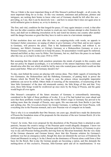This as I think is the most important thing in all Otto Strasser's political thought - at all events, the most important thing for us to-day. At this very moment, statesmen and politicians, plotters and intriguers, are racking their brains to know what sort of Germany should be left after this war - providing, as I say, that it can be decisively won -- and how to ensure that it does not again arise in awful militarist guise to destroy us, or try to destroy us.

The first, and vital, condition for that longed-for peace, if I may again interject a word, is that after this war the other countries shall be resolute to crush any new German attempt to alter frontiers by force, and shall not in dithering irresolution sit by and watch her destroy one country after another until the danger becomes so great that they have to rush to arms in a last-minute stampede.

If that resolution does not exist after this war, no conjuring-tricks with words, no appeals to Germany's better conscience, no urging of others to give Germany a Fair Deal, and no new regime in Germany, will preserve the peace. That is the fundamental condition, and without it, no Germany, not Hitler's Germany or Göring's Germany or a Hohenzollern Germany or even a Strasser Germany, can be counted on to keep the peace, for peacemakers would again be outlawed, tortured and killed, as they were by Hitler. Not Germany, but we, shall have the peace in our hands after this war, as we had it in the years 1918 to 1939.

But assuming that this simple truth somehow penetrates the minds of people in this country, and that our policy be shaped accordingly, it is nevertheless of the utmost importance that a Germany should arise after this war which would be led by men who wanted peace and which would see that peace paid better. What sort of Germany should it be?

To-day, men behind the scenes are playing with various ideas. They think vaguely of restoring the two Germanies, the Hohenzollern and the Habsburg Germanies, of putting back in power the Houses which the World War was fought to oust, the princes whose incorrigible imperialist ambitions can never he stilled. Others think of restoring *all* the monarchies, of resurrecting all the 'dear little Germanies' of the dear old nineteenth century, the little Kings of this and that. Very soon, these little Kings would be swallowed up once more by the King of Prussia, and the game would begin all over again.

Otto Strasser's conception of the future structure of Germany is extraordinarily interesting, considered in the light of these problems of to-day. It is as if he had looked ten years ahead and seen that these problems would be racking the world. Hitler's reign in Germany has proved to be nothing more than the triumph of Prussia, once again. His one-man-rule from Berlin is just that, and nothing else. His *Grossdeutschland*, his Greater Germany, is nothing but Great Prussia, with everything else in the Prussian stomach, and a new Prussian war of conquest on its hands.

That is why it is so remarkable that Otto Strasser, ten years ago, should have made the destruction of Prussia the foundation stone of his proposals for the structure of the new German Reich. (It is his main proposal to-day.)

'I know', he wrote, 'that every proposal for the dissolution of the Prussian State is attacked as antipatriotic, because the creative energy of the Prussian spirit would allegedly disappear. I know too well the great part that Prussia and the Prussian spirit have played in the history of Germany to give way to any anti-Prussian feeling possibly deriving from my Bavarian homeland. But the very study of the German character and German history show that this Prussian solution for Germany's problems was but an emergency-outlet, though this does not diminish the services of Frederick the Great and Bismarck in using it. In the Liberal era the dominance of Prussia alone could form a firm basis for the Reich. But to-day the German people are becoming a nation, and this demands the melting-down of this exclusive, Prussian, little-German spirit and all its manifestations.' It was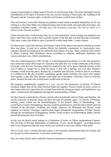wrong, he proceeded, to stamp 'made in Prussia' on all Germans alike. The times demanded, not the subordination of all types of German to the one, but the merging of these types, the wedding of the 'Prussian' and the 'Austrian' spirit, so that the real German could be born of them.

This real German, wrote Otto Strasser in prophetic words which command admiration, for he was writing at a time when Hitler was telling Germany that all the world, and especially all Europe, was Germany's relentless enemy, '*will then have that European conscience the lack of which is so sinister in the Prussian product*'.

I have stressed these words because they are of vital importance. Great courage was needed to say them, when they were written; they ran dead counter to the tide that was then flowing in Germany. They show a man who thinks as men of goodwill in other lands think - a man of peace.

For that reason, wrote Otto Strasser, the German Union of the future must not be centrally governed from one place. It must be a uniform Reich, but federally constructed, in *Landschaften* (say, Cantons) formed by breaking-up the arbitrarily-born States of to-day. There would be from twelve to fifteen Cantons, their boundaries drawn according to religious, traditional, historical, and *stammesmässigen* (say, tribal) considerations.

This was a bold proposal in 1930. To-day, it is becoming practical politics. It is the only proposal I have heard that really offers hope of a Germany that after this war would collaborate in the family of Europe. That this new Germany should be inspired by the *will* to peace, depends entirely on the *will* of others to compel her to keep the peace; if that will is lacking, not even Otto Strasser's Germany would keep the peace, because he, or another man like him, would in time be overborne or overthrown by the old, powerful, warmaking groups inside Germany; but given such support from outside, a man like Otto Strasser could make out of Germany a land that *wished* to keep the peace, because the men who wanted peace would come to the top.

His proposal, prophetically inspired as it was, was for the destruction of Prussia. If Prussia remained, bigger than all the other German States put together, Prussia would, he knew, sooner or later impose her sway upon them all, exclude them from the European family, and lead them to war again - and precisely this happened, through the instrumentality of Hitler.

So Otto Strasser would destroy Prussia, and the other dynastically-derived States and Statelets, rub out the memories of princely feuds, and draw the map of Germany again - in Cantons. Of Prussia, nothing would remain but the Brandenburgers, in the historic Mark of Brandenburg - the *Landschaft* or Canton Brandenburg. Bavaria would be partitioned to yield the three tribally-derived Cantons of the Bavarians, Swabians and Franks. Hanover, the Rhineland and Hessen would reappear, as Cantons. Thuringia would become bigger through the incorporation of Erfurt, Saxony through the incorporation of Magdeburg. Swabia would swallow up Württemberg, Baden and the present Bavarian province of Swabia.

In this way the Reich would emerge as a Federation of twelve or fifteen equiponderant Cantons. The old bogy of Prussian domination, of militarism, of war, would disappear - providing always (this is my interjection) that the outer world were resolved to resist any rebirth of that spirit.

This is, in my view, a scheme that does justice to the Germans, and promises hope for Europe, and for my part I would commend it to the most careful study.

How, by whom and by what would this German Federation be ruled and governed?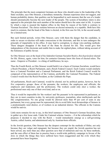The principle that the most competent Germans are those who should come to the leadership of the State excludes, says Otto Strasser, a hereditary monarchy. Human experience does not suggest, and human probability denies, that qualities can be bequeathed in such measure that the son of a leader should automatically become the next leader of the people. The system of hereditary rulers is also opposed to the principle that each member of the nation should have the same start in life. A system by which a man is assured the highest office in the State by reason of his birth is contrary to 'German Socialism'. The choice remains between an elected monarchy or a republic. Both have this much in common, that the head of the State is elected, in the first case for life, in the second usually for a limited term.

But such limited periods, writes Otto Strasser, carry with them the danger that the candidate, in order to secure re-election will make concessions to the electorate, and this in turn endangers the principle of impartiality in his office. It may lead to corruption, to cheap vote-catching methods. These dangers disappear if the head of the State be elected for life. This would give him independence of the electorate and enable him to make far-sighted plans, without taking account of the fickleness of public favour.

So Otto Strasser sees at the head of his federalist German Socialist Reich a *Reichspräsident* elected for life. History, again, votes for him; for centuries Germany knew this form of elected rulers. The name - Emperor or President - is a thing of indifference, he says.

Thus the Fourth Reich, as Otto Strasser would build it on a basis of German Socialism, would have a Reich President, a Reich Parliament, and a Reich Federal Council. Each Canton would similarly have a Cantonal President and a Cantonal Parliament, and the Reich Federal Council would be composed of the representatives of the Cantons, preferably the Cantonal Presidents. The Federal Council would elect the Reich President, as the Cardinals the Pope.

All parliaments, Reich and Cantonal, would be elected; not by political parties, however, but by five corporative groups: those of the peasants; the workers; the employees and officials; the employers and tradesmen; and the professions. The workers could only elect a worker, the professional men only one of their own kind, and so on.

Thus it would be impossible for 'the workers' and 'the peasants' to be represented in parliament, as they are in most countries to-day, by university professors, journalists, alien intellectuals and the like conglomeration. No one group would be allowed more than 49 per cent of seats in any parliament, but every group must be represented; this to avoid little local dictatorships of farmers in a predominantly rural district, or of workers in an industrial district. The officials in the Cantons would be natives.

Little more remains for me to say, in this brief summary of Otto Strasser's German Socialism, than to gather up a few loose ends. Under his Cantonal scheme Austria -- if at the referendum which he proposes it decided to stay with the Reich -- would immediately emerge as a self-governing Austria, called Austria, and administered only by Austrian-born officials.

In the Jewish question, Otto Strasser has the deepest contempt for the methods of Hitler, not only because they are vulgar and repugnant, but because they are stupid; the Jewish question has not been solved, any more than any other question save that of militarism and war, by these methods, and the sum effect of them has in practice been a world-wide publicity campaign in favour of the Jews in which the things they have suffered have been exaggerated and the evils which they promoted have been forgotten.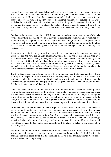Gregor Strasser, as I have told, expelled Julius Streicher from the party many years ago; Hitler paid Streicher the most marked honour. Otto Strasser bitterly attacked Streicher's methods, in the newspapers of his Kampfverlag, the independent attitude of which was the main reason for his quarrel and breach with Hitler, years before the Hitlerist triumph; for instance, in an article published in 1928 which was called 'Anti-Semitism is dead; long live the national idea'. In his book on German Socialism, similarly, he attacks the 'idolatry of racialism', and indeed, as I have shown in this book, he regards Hitler's racial doctrines as beneath the contempt of a thinking or educated man.

But then again, these racial babblings of Hitler are no more seriously meant than his anti-Bolshevist ravings or anything else that he ever said; a Jewess, in the meaning of his own anti-Jewish Act, was his intermediary in important international negotiations with foreign politicians. He presented her with his signed portrait, and even gave her a testimonial, through his aide-de-camp, to the effect that she had made the Munich Agreement possible. Hitler's Gestapo, similarly, habitually uses Jewish agents.

Strasser's view on the Jewish question is the view that is coming now to be more and more widely accepted - that the Jews are an alien community, with a fiercely anti-Gentile religion that gives them a concealed inward feeling of antagonism towards the non-Jewish communities among which they live, and anti-Gentile religious laws far more rabid than Hitler's anti-Jewish laws, which are but a pallid inversion of them. That being so, and as they have this inborn, overriding, supernational, international, mutually anti-Gentile allegiance, they cannot claim, as they do claim, the full and unrestricted rights and privileges, and more, of the native-born citizens.

'Plenty of Englishmen, for instance', he says, 'live, in Germany, and trade there, and thrive there, but they do not expect to become leaders of the German people, to dominate and even monopolize professions and callings and trades, to obtrude an alien way of thought and way of living upon the Germans through literature and newspapers and the stage and the films. Then why should the Jews feel themselves the victims of discrimination?'

In Otto Strasser's Fourth Reich, therefore, methods of the Streicher kind would immediately cease. He would place such restrictions as the welfare of the whole community demands upon the spread of immoderate Jewish influence in the thought of the country, in the professions, and, through the power of money, in the control of power. His endeavour would be to find, in agreement with the Jews, a means by which they could lead a dignified and worthy existence in the State, subject to the limits which their own religion, ineradicable traits and implacable refusal to be assimilated dictate.

He knows that a limited number of Jews always can be assimilated, or as nearly assimilated as makes no odds, particularly in Germany, a country for which nearly all Jews feel a deep admiration. He knows too that the unassimilable core always remains and in its works is covertly hostile to the people among whom it lives. Otto Strasser, incidentally, has no anti-Jewish feeling; I have remarked this. He has had Jewish friends and in Prague, as I have shown, he had, or thought he had, a Jewish collaborator; this nearly cost him his life, and did cost the life of his best friend. His attitude towards the Jews in his contemplated Fourth Reich, nevertheless, is one of conviction, not of prejudice.

His attitude in this question is a further proof of his sincerity, for his years of exile have been always financially straitened and sometimes penurious, and he could have had all the financial backing a politician could desire if he had modified his views in this particular matter. About that, I too, as a writer, could sing a song.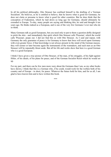In all his political philosophy, Otto Strasser has confined himself to the drafting of a 'German Socialism'. He believes, as he is entitled to believe, that he knows what is good for Germany; he does not claim or presume to know what is good for other countries. But he does think that the conception of Federation, which he laid down so long ago for Germany, should ultimately be extended to Europe. To-day, many people are saying and thinking this; he said and thought it ten years ago. He thinks indeed as a European, and is one of the very few Germans I ever met who do so think.

Many Germans talk as good Europeans, but you need only to put to them a question deftly designed to prick the skin - and immediately that spirit which Otto Strasser calls 'Prussian', which the world calls 'Prussian', peeps out. I did not find this so with Otto Strasser. As I said and repeat, with Germany the only guarantee of peace is for Germany to know that force will recoil upon Germany with even greater force; if that knowledge is not always present in the mind of the German masses, they will sooner or later become again the instruments of the warmakers, and such men as an Otto Strasser will be repeatedly thrust aside. But all his life and works show that here is a good German who is a good European.

I think I have given a true picture of Otto Strasser, of the man, of his struggles, of his fight against Hitler, of his ideals, of his plans for peace, and of the German Socialist Reich which he would set up.

For my part, and there can be few men more wary about the Germans than I am, as my other books have shown, I think that this is a German who, if he could, would work for the welfare both of his country and of Europe - in short, for peace. Whatever the future hold for him, and for us all, I am glad to have known him and to have written this book.

\*\*\*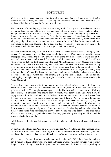#### POSTSCRIPT

With regret, after a rousing and carousing farewell evening *chez* Perouse, I shook hands with Otto Strasser for the last time, said 'Well, I'll get along and write that book now', and, wishing to clear my head a little before I turned in, I set out to walk home.

The hour was before midnight, yet Paris was an empty shell. The city was not blacked-out, as was my native London; the lighting was just subdued, but the unpeopled streets stretched clearly enough before me in all directions. The night was fine and starry, with an invigorating breeze, and I thought, I may never have a chance to see Paris like this again and so, I wandered about, for some hours, until I was hopelessly lost and wondered how I should ever find my way home, for in those adequately lighted streets not a soul nor a taxi was to be seen. I had begun my wanderings somewhere on the Rive Gauche, I knew that, and had eventually to find my way back to the Avenue de I'Opéra in time to catch a train at eight o'clock in the morning.

However, it suited me very well, and I did not worry. All roads roam to Leeds, I thought, and I roamed. The moon came up, and I had never seen Paris so lovely. What man ever thought to see an unpeopled Paris, beneath the moon? I came upon the Seine, but did not know at which end of it I was, so I took a chance and turned left and after a while I came to the Ile de la Cité, and knew where I was, so that I set forth again along the Boul' Mich', thinking of Henry Murger, and walked and walked until I came to the Rotonde, which was black and dead, and I wondered whether any good pictures were on the walls there now. Then I came back through the narrow streets of the Quartier to the Seine again, strolled along and said Good-morning to a Zouave, about the only thing in the semblance of a man I had seen for some hours, and crossed the bridge and came presently to the Arc de Triomphe, which had one sandbagged leg and looked gouty. I am all for this sandbagging, I thought: one good thing might come of this war if someone would sandbag the Albert Memorial.

Paris, as I say, was never lovelier to me than in this night, when I walked its streets for hours and barely saw a soul. I could never have imagined a city so still, least of all Paris, which of old never quite went to sleep. Yet two ghosts accompanied me in this nocturnal stroll - the ghosts of Victory and of Peace, both of which I had known, scarcely twenty years before, in this very Paris. I saw the empty streets full of the men I had known, Britishers from the four corners of the earth, down from the line for a respite. I saw myself, spending spellbound days in Paris a few days before that Victory, the first time I ever saw Paris at all. I saw the girl who cheered those days -- gosh, how invigorating she was, after four years of war -- and her flat in the Avenue de Wagram, and wondered where she was now. I saw the actress who danced on a table at Maxim's. And now all these streets were empty, the lights were low, the tumult and the shouting had long since died, the men-depleted shops were shuttered, the glory of that Victory had long departed, and once again, after only twenty years, the politicians were fearlessly proclaiming that they would not furl the sword or sheath the umbrella.

Hell I thought, in lonely fury, brimstone and perdition take them all, these well-banqueted fearless ones.

By the time I had found the Place de la Concorde and the Place Vendôme and the Faubourg Sainte Antoine, where the Czechs had a recruiting office, and the Madeleine, Paris was astir again and I could take the breakfast I liked best of all breakfasts, coffee and a crescent, before going to pack.

When I had it before me, I sat back, slowly enjoying it, and thought, 'Well, here I am, in 1939, and here I was, in 1918, and there was a war then and there's a war now, and in between were so many things, lean and hungry days in England, and unemployment in London and map-selling in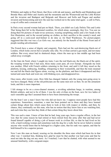Wiltshire and nights in Fleet Street, that flows with ink and money, and Berlin and Hindenburg and Brenda Mary and Hitler and Austria and the mountains and the Wienerwald and the Little Rocket and the invasion and Budapest and Belgrade and Moscow and Sofia and Prague and another invasion and homecoming and now the sum has worked out to the same total again - a café in Paris, a cup of coffee and a crescent roll.

In Paris every second woman had put on black. There, you didn't see Lady Deliria This and Lottie That 'doing their bit' in the illustrated weeklies, for which alone, seemingly, they live. You saw no doing-their-bit pictures of nude-revue actresses, wearing earsplitting smiles and a few beads in the first illustration, and in the second putting on clothes, as their sacrifice to the country's need, and going off in a cock-eyed steel-helmet to do duty as Air Raid Wardresses. No picture-papers suggested that this war was a Les Girls war, run entirely for the benefit of the Home Front and of people needing advertisement.

The French have a sense of dignity and congruity. Paris had not the soul-destroying black-out of London, which looks craven but is actually only silly. No civilian carried a gas-mask, and not many soldiers. But every street had its shuttered shops, where the men up to late middle age had been called away overnight.

At the Gare du Nord, where I caught my train, I saw the real black-out, the black-out of the spirit, the weeping women that I had seen, those many years past, all over Europe. Alongside my train was another, filled with French soldiers returning to the front, and until it left they stood on the platform, kissing, embracing, fondling, whispering to their womenfolk, and then the train steamed out and left the black-clad figures alone, waving, on the platform, and then it disappeared and they turned and came back and went out, with blinking eyes, and disappeared too.

Once more, after twenty years. How little has changed. Indeed, only the young men going away to war have changed. Many of the old politicians are the same men now as then. So are the armament lords, and this is more important.

I felt strange to be on a cross-channel steamer, a revolting substitute barge, in wartime, among British soldiers, and not to be of them. I was the only civilian on the boat, save for two ladies of such venerable age that I assumed them to have been entertaining the troops.

On the boat I saw a man I knew but who did not know me. I suppose most people have had this experience. Somewhere, sometime, a man has been pointed out to them and they have learned certain things about him which cause them to look at him with respect or dislike, and then, by chance, they continually see this man, who has no notion that they know him or are watching him, and each time they see him they think of that certain thing they know about him.

This was such a man. I knew of him that he had, long years ago, been a regular officer, in the last war; that for some reason he had retired or been retired from the army after that and had never found himself capable of doing a job of honest work in civilian life; so that he had lived on his wife, a hard-working woman and sometimes took the dog for a walk; but he never failed to remind anyone who would listen that he belonged to a higher caste, that his rank was captain, and that he held himself to be a superior person.

Now I saw this man on board, wearing on his shoulder the three stars which had been his in that other war. I watched him, thinking how glad he must be that another war had come and that he need not take the dog out any more. As I watched, I saw that he chatted, with what seemed to me unusual familiarity, with a sergeant-major.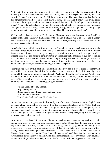A little later I sat in the dining-saloon, not far from this sergeant-major, who had a sergeant by him. Suddenly I heard the sergeant say, 'Here he comes', and make a disparaging remark, and from curiosity I looked in that direction. So did the sergeant-major. The man I knew strolled lazily in. The sergeant-major half rose and called 'Have a drink, sir?' The man I knew came over, leaned lazily over the sergeant-major's chair and murmured, just as lazily, 'Aren't you getting fearfully broke?' Apparently he had had a few from the same quarter already. The sergeant-major, a man, as I thought, of the too-knowing, old-soldier type, said jovially, 'That's all right, sir, I'll rub my magic button', whereon the man I knew murmured again, 'Then I'll have a whisky and soda'.

Well, thought I, that's not so good. But I suppose, I hope anyway, that this was an isolated incident; a leech of this kind can always find somebody to buy him drinks, in war as in peace, and if nobody else is available, why then he will take them from his own sergeant-major, and the contempt of his own men means nothing to him.

I watched this man with interest from my corner of the saloon, for in a small way he represented a type that I detest more than any other - the class that thrives on war. When I was in the British Army you would have needed to go a long way to find such a man as this, and you would, I imagine, need to go just as far to-day; it was the greatest fluke that I happened to run across him on that cross-channel steamer and to see him behaving in a way that showed the things I had heard about him were true. But there he was, anyway, and for him the war meant return to glory, and embroidered gold stars, and drinks at the sergeant-major's expense.

I contemplated those British soldiers. The last time I had travelled in a cross-channel steamer with men in khaki, homeward bound, had been when the other war was finished. It was night, and moonlight. I stood on an upper deck and thought 'Well, here I am, the war's over and I'm alive and how now?' In the stern of the ship, below me, soldiers -- not 'Tommies', I loathe this Tommy-rot - many of them, stood in a group, leaning against the sides, the dark profiles of their faces clearly drawn against the moonlit sea, and sang softly, in harmony:

Sing us a song of bonny Scotland Any old song will do Round the old camp fire, a rough and ready choir Will join in the chorus too. You take the high road, and I'll take the low ...

Not much of a song, I suppose, and I think hardly any of them were Scotsmen, but we English have no songs left anyway, and have to borrow from the feelings and melodies of the Welsh, Irish and Scots on these occasions. But I have never forgotten the song or the scene. Callow youth, a hard war, and a hard-fought victory lay behind; the uncharted future lay ahead; and this song, softly sung in the moonlight aboard the steamer England-bound, seemed to say everything. It was a song of home and hope, and yet was sad.

Now, twenty years later, I found myself in another such steamer, again among such men, and I studied them closely. They were good-looking soldiers, better, I think, than the men who went that way before them, But they had none of that roistering, short-and-gay, here-to-day-and-gone-tomorrow spirit of those men, who believed, many of them, that a better world would come of their victory. These men were quiet and businesslike. They looked to me as if they were without illusions. Not even the youngest of them, I should imagine, had much hope that their victory would save freedom, or the liberty of small nations, or national independence, or whatnot. They could not believe such things, unless they had grown up deaf and blind to all that happened around them.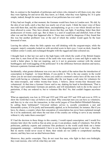But, in contrast to the hundreds of politicians and writers who claimed to tell them every day what they were fighting for and never did, they knew, as I think, what they were fighting for. It is quite simple, indeed, though for some reason none of our politicians has ever said it.

If they had not fought, at that moment, the Germans would have been in London next. We did, by the skin of our teeth, catch a bus that was nearly out of our reach. I think the inner voice of these men told them that, and this enabled them, uncomplaining, to go to a war which should not have been allowed to come. They have already shown that they can fight, if anything, better than their predecessors of twenty years ago. But in them is a seed of scepticism and disbelief, born of that other war and the things that happened after it. These men would be dangerous if they found that this was but another profiteers' war, at the end of which the soldier would again be the least honoured of men.

Leaving the saloon, where the little captain was still drinking with the sergeant-major, while the sergeant- major's comrades looked on with unveiled scorn in their eyes, I went on deck, found the windiest corner I could, and exchanged thoughts with the ragged and slate-coloured sea.

I thought back to that last war and to the high hopes with which the youth of the British Empire went into it, men from all the corners of the earth who were ready to come and fight to make the world a better place. Is that not inspiring, and is it not in gruesome contrast with the eternal humbuggery and word-juggling of the politicians? It is the difference between idealism and tactics, between a patriotic German and Hitler.

Incidentally, what greater dishonour was ever one to the spirit of the nation than the introduction of conscription in England - in Great Britain, if you prefer it. This is the one country in the world where you do not need conscription, where you could at a moment's notice have all the men in the land worth having as volunteers. Some months after the war began a call came for volunteers for the mine-sweepers, and within twenty-four hours, I believe, about twenty-four thousand men volunteered. At that time a German I know said to me, shaking his head in bewilderment, 'That is the thing I can't understand. Germans are patriots, and will immediately rush to die in the cause of patriotism, if they are ordered to; but to volunteer like this? No, that couldn't happen anywhere else.'

What an opportunity was lost, in 1934 and 1935 and 1936 and 1937 and 1938 and even in 1939, to show the world that it may yet believe in an ideal. Why conscript men you can have as volunteers, and then try to slur over the transaction, in that awful jargon of Eton-Balliol-Whitehall-Palestine, by calling them 'militiamen'? Universal military service is, socially considered, a just and honourable system, if it be justly and honourably applied, as in Switzerland, for instance. But if you have, by chance, a country where that conception of conscription has never been explained enough for it to be understood, and where the real men of the country are willing to serve at any moment without it, why make them conscripts?

If I had the decision in these things in this country, I would repeal conscription; and I would five minutes later show the world as fine an army as any it can produce, made of volunteers. Not all the politicians, publicity experts and cretinous film producers in the world could think out a better propaganda campaign -- unfortunately I have to use the disgusting jargon of our time -- than this. But its merits would never occur to them; their minds are too subtle to comprehend anything sincere; and they have not an ideal between them.

Moreover, they prefer conscripts. They do not want free men, who fight in their own birthright; they want morons, who will do what they are told.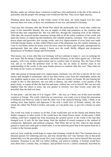Besides, under my scheme those volunteers would have first preferment in the life of the nation in peacetime, and the people who arrange wars would not like that. They never fight, anyway.

Thinking about these things, in that windy corner of the deck, my mind ranged over the years between these two wars, or these two instalments of one war, and turned to Germany.

I had seen this Germany after the World War which she professedly lost. I knew that, within ten years of her ostensible disaster, she was as mighty in trade and commerce as the countries that believed they had vanquished her. She was debt-free, through the conjuring trick of the inflation. After that, she incurred another enormous foreign debt in all the richer countries of the world, and spent the money on improving that handsome and valuable property, Germany. New stations, new power plants and gasworks, new sewage works, and civic improvements of every kind were made with that foreign money, so that, within fifteen years of the disastrous war, the country Germany, as I saw it, was better, house for house, town for town, street for street, park for park, sportsground for sportsground, than any other country I knew save the small, thrifty, diligent and prosperous democracies of Northern Europe and Switzerland.

That money, too, is lost; after this war Germany will not continue to repay it - save in exchange for new loans. But the things it bought remain, and make Germany, as the estate agents say, a first-rate property, with every modern improvement and in a perfect state of up-keep. She, the loser of that war, and as we think the potential loser of this one, has no slums or derelict areas in our understanding of the words. Is the same lunatic process to continue after this war? Then what are the fruits of our victory or victories?

After that period of foreign-paid civic improvement, Germany was left free to devote all her own money and strength to armaments, and in less than twenty years from the catastrophic defeat she was mightier again in arms, on land and in the air, than any country in Europe. By just leaning her weight in this or that direction, she was able to destroy, one after another, every penalty of the peace treaty, to regain all that she had lost and more, without any cost to herself. She was not only mightier than the others in arms, she was greater in territory, less than twenty years after her downfall, than she had ever been.

At that point -- put the date of it at August 1939 -- she was, as I think, one of the most enviable countries in Europe. The world, which has no conscience, was ready even to forget the annexation of Bohemia and Moravia; ready to look the other way if she annexed Danzig; ready, I think, to do nothing more than deplore and deprecate if she took a small slice of Poland, namely, the slice which she called The Polish Corridor; and ready, as I am pretty sure, to give her colonies in some form.

The world was ready to connive in all that, if she would then rest on her laurels and abstain from further conquest; in other words, if she would leave the Great Powers alone. At that point, I think nothing could have stopped her from becoming the greatest power in the world if she had then changed over, if only for the time being, from the method of armed conquest to the method of commercial, diplomatic and political conquest. That Hitler did not do this, when he had already gained so much and could gain so much more, is to my mind the proof that in his inmost heart he is a traitor to the German people.

And yet, how could the world hope or expect that Germany would do this? The Germans have an inherent passion for soldiering and war, and why should they not? Any German who at that point looked back over the preceding twenty-five years would perforce have said to himself that war paid Germany. Nonsense to say that war settles nothing, war achieves nothing. A German would have seen about him a country that, on balance, had profited even by a defeat commonly described by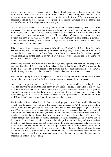historians as the greatest in history. Not only that his Reich was greater, his army mightier than before that lost war: but the civic condition of his country was better. Why, then, should his inner voice prompt him, at another decisive moment, to take the path of peace? Even a lost war would not seem to him an all too appalling prospect; while a victorious one would offer the most golden visions of wealth, territorial aggrandizement and glory.

And from all these thoughts, that filled my mind in the cross-channel steamer, arose a fear of the next peace. Assume for a moment that we *can* win through to a peace, in the normal understanding of the word, and that this war does not degenerate, as I thought in 1936 that it would if the unnecessary war were not prevented, into a Chinese chaos of warring generalissimos, local dictators and anarchy. Assume that we can somehow reduce Germany, in spite of the help given her by her confederate Bolshevy, to such straits that a peace can be made. Is that peace too to work out to her advantage a few years later?

This is a great danger, because the same minds still rule England that led her through a fools' paradise to this war. Still the peers and politicians and magnates, as I have shown in this book, continue in the midst of war their Crazy Gang chorus: 'No second Versailles'; 'no vindictive peace'; 'we are not fighting for the frontiers of Versailles'; 'we do not wish to pull up the old frontier posts' and so on and so on and so on.

This country has more than forty million inhabitants, I believe; more than forty million people in it have seemingly been led to believe by these imbecile slogans that the Versailles Treaty, and not the muddle-headedness of our own leaders, led to this war; and more than forty million people in Great Britain, I fancy, have never read the Versailles Treaty and do not know what it contained.

The vociferous group of Pall Mall experts who cried for so long that all would be well if France would only give Germany a Fair Deal, is preparing to renew this cry after a new peace.

Here, again, is a great danger to us. The French are very forbearing with us, but they have not forgotten how the rulers of Britain for nearly twenty years believed, or pretended to believe, that only the implacable malice of France stood in the way of a contented Germany and a pacified Europe. They have not forgotten how, when Germany cast off the mask and stood revealed as the mortal enemy, not of France, but of Britain, France was calmly expected to hold the Maginot Line until Britain should have changed out of golf clothes and made ready.

The Frenchmen I met, when I was in Paris, were all prepared to go through with this war, but looked with the greatest foreboding to the peace. They all asked me 'Will you be at our side in peace, or will that wrangle begin all over again? Shall we become the scapegoat of your politicians again? Will you nag at us to be nice to Germany until Germany begins another war - and then look to us to hold the Maginot Line until you come along some time later?' I found these men full of misgiving, and this is a perilous thing for us, because, as I write, the war has hardly begun, but French peasants have been for six months standing idly in the Maginot Line and worrying about their farms, French shopkeepers have been standing alongside them for as long and worrying about their shops, and this is a demoralizing business, and all the while German propaganda whispers into their ears that Germany has not the least wish to fight France, only to be done once and for all with these intolerable *Engländer*. So if there is any man in England who can induce a politician to listen to him, and to read a book or two about Europe, and try to learn something about France and Germany, I hope he will get to work and leave that politician no rest until he has come to understand a little about these things.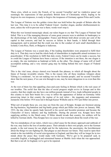These cries, which so worry the French, of 'no second Versailles' and 'no vindictive peace' are seemingly the expressions of that peculiarly British form of Christianity which, hoping to be forgiven its own trespasses, is ready to forgive the trespasses of Germany against Poles and Czechs.

The League of Nations was the golden vision that was held before the people of Britain after the last war. This time it is to be called 'Federal Union'. Another slogan, another disillusionment-instore, unless the will-to-prevent war is there; words won't stop it.

When this war loomed menacingly ahead, our rulers began to cry that 'The League of Nations' had failed. This is as if the managing director of some great concern were to attribute its bankruptcy to the shortcomings of his lady stenographer. France and Britain held about seventy per cent of the capital in that concern, and had its success or failure in their hands; it failed through their management, and to pretend that the crash was due to the conduct of such small shareholders as Iceland, Costa Rica, Haiti, or Bulgaria is ludicrous.

The League of Nations was a sound idea, if the leading shareholders were prepared to fulfil their duty to it. That duty was to lead the whole body of shareholders in implacable armed resistance to a peacebreaker. If the resolution to fulfil that duty exists, Federal Union can be made a success, but so could the League of Nations have been a success. If the intention is not there, the one slogan is as empty, the one institution as bankrupt at birth, as the other. The change of name will of itself accomplish nothing; and a very sinister gang may he hiding behind this new slogan of 'Federal Union'.

This is the vital issue, always slurred over beneath fine phrases, to which all thought about the future of Europe invariably returns. This is the reason why all these insidious whispers about 'Göring is a moderate', 'we are not making war on the German people', and 'no second Versailles' show that the next peace, if we can win through to one, may be more dangerous to us even than this war.

At the root of them lies that appalling class-and-caste feeling in Britain which is the real cause of our troubles. The awful fear that the idea of social progress might revive in Europe and in this country, that they might one day have one million pounds instead of two, leads influential people in this country to rack their brains for a way to inflict the appearance of defeat on Germany while preserving intact in that country the regime of its real rulers - the magnates and armamentsmonarchs who before 1914 nose-led it through Kaiser Wilhelm and in 1933 put Hitler into power.

What sort of people these are, you may see from the case of Krupps. Krupps are foremost among the big-business, big-battalion and big-battle group which put Hitler into power on January 30th, 1933, the day when he openly bade farewell to his social and Socialist promises and became the Chancellor of heavy industry and big landlordry. During the present war, Krupps have been supplying artillery to the Dutch army. If Hitler should invade that country, his soldiers will be killed by German shells. Thus Krupps have no cause to fear overmuch about the result of the war.

The two-mindedness of our rulers, which was a chief cause for the dreary approach and outbreak of the war, may lead to the loss of another peace. Their attitude to their own people, not to the German people, is the real reason for our plight and for the indecision, the uncertainty, the bewilderment about the things-we-are-fighting-for, that plague us and obscure our future. They need to open their minds to the inevitability of social reinvigoration in England, and then they will no longer be in two minds about the peace they would make with Germany. 'We've got to be prepared' said, in execrable English, a bedraggled and rainstained banner at Marble Arch when the war approached. But that is not all. In England, we've got to be repaired.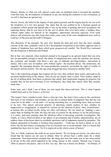History, destiny or what you will, played a grim joke on mankind when it invented the machine. Until that time, the development of mankind, at any rate during the centuries of our civilization, as we call it, had been an upward one.

Slowly, slowly, the belief in the dignity of man gained ground, and the dogma that his lot was to be the bondslave of a few lost ground. The claim that he was entitled to be a freeman gained an acceptance which spread and spread until it was on the point of gaining universal acceptance; the opposing theory, that he was born to be the serf of others who were born richer, a landless slave without rights either for himself or his daughters, approached universal rejection. Even some princes and aristocrats saw this; from their ranks came some of the most enlightened men, such as Ludwig I of Bavaria and Kossuth of Hungary.

The liberation of the peasants, the men who farmed the land and were thus the most valuable citizens of the state, gradually came to be a development recognized as inevitable, opposed only in islands of feudalism here and there which grew progressively smaller. The World War continued this development in Bohemia and Poland.

But at that very moment, when mankind seemed to be engaged in an upward march that was slow but yet perceptible enough to satisfy the minds of enlightened men, came the machine, the factory, the coalmine, and brought with them a new age of obdurate privilege-holders, entrenched in money, and a new race of landless serfs without rights - the machine-slaves. The millionaire, the magnate, the managing director, the mass-production monarch, succeeded, by right of wealth, to the barons and the princes. The old, age-long struggle has been resumed in another form.

This is the underlying struggle that explains all our wars, that confuses their issues, and leads to the recurrent bamboozling of the masses. They do not see clearly what is afoot. Their leaders, adept in the art of drilling them, feed them on phrases that satisfy their inarticulate longing for progress, but actually they do not move forward; of low intelligence, they think they march while they actually mark time.

Some men, and I think I am of them, see and regret this three-card-trick. This is what Captain Liddell Hart said in *The Defence of Britain*:

'The longer I have watched events, from a close-up view, the more I have come to the conclusion that most of our mistakes, and troubles, are not due to natural faults of judgment. But that the real cause lies in the habit -- on all sides -- of saying something less, or something more, than we know to be true. This almost universal practice of distorting simple matters of fact, whether by suppression or exaggeration, is inspired by concern for the interests of party, class, or profession at bottom this so-called loyalty being too often self-interest. We are intent on "making a case" rather than on finding the truth. We play the part of counsel for the defence or for the prosecution. It is easier, and more popular, than the laborious effort of becoming scientific investigators. The results, as I have observed them in the sphere of governments and of public administration, are an endless chain of decisions taken in avoidable ignorance and of judgments marred by prejudice. The highest attainment of freedom is freedom from prejudice ... Truth may be hard to attain, as we all know; but the best chance of attaining it lies in consistent care to avoid untruth. That is a lesson that mankind has been slow to learn. Yet it is engraved on the whole course of history.'

This, as I think, expresses the truth of our recent history. We are being too clever, our rulers have found that the masses are too easy to delude. Thus we always hear a noble name for a shady transaction. 'Non-intervention' sounded fine; the thing that bore this name was in fact intervention in favour of the side which appealed to the ruling classes in this country. Munich was 'a heroic effort to preserve the peace', and is to this very day. But was it heroic for Britain -- for Britain, of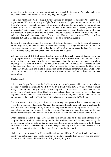all countries in this world -- to send an ultimatum to a small State, expiring 'at twelve o'clock today', that demanded its surrender to a mighty neighbouring power?

Here is the eternal distortion of simple matters inspired by concern for the interests of party, class or profession. 'We were not ready to fight for Czechoslovakia' - yes, no one would quarrel with that. 'Our military preparations were not far enough advanced for us to enter a conflict at that moment on this issue' - none would quarrel with that. 'We believed that if Germany were enabled, at the cost of the independence of a small state, to expand in an eastward direction, she would come into conflict with Soviet Russia and we ourselves should be spared a war which we wish to avoid' well, even that would command respect. But, 'a heroic effort to preserve the peace'? This is the kind of phrase that makes the seeker after truth, the seeker after better times, retch.

To-day, it is said often enough that the proof of Britain's democracy, of the freedom of speech in Britain, is given by the liberty which writers still have to say such things as I have said in this book - things which seem to me so obvious that they should be above controversy. Perhaps that is a sign that something sturdy and ineradicable remains of the British spirit.

Yet I am not sure of it. I think rather that the rulers of Britain feel so sure of themselves, are so firmly dug-in, have so little respect for the intelligence of the masses, such complete faith in their ability to find a three-card-trick for every emergency, that they do not very much care about anything that is said or written. The House is packed with hundreds of Members of such indomitable compliancy that they will, on Monday, pledge themselves to support the Government to their last breaths in its inflexible determination not to introduce conscription, and, a week later, cheer to the same echo the same Government's announcement of its decision to introduce conscription.

#### This happened!

It is a great danger for us that the lordly ones, those in high places behind the scenes who so incorrigibly pinned their faith to Adolf (Save-us-from-Bolshevism) Hitler, even now have so much to say in our affairs. Lately I heard the man they call Lord Haw-Haw, Mahomet knows why, quoting some of the things that Lord Lothian wrote and said three years ago. I hoped they had been forgotten, but no, they had been stored up in a Nazi card-index, and now, out they came, and strange sounds they made, in 1940. Lord Lothian is now our Ambassador in Washington.

For such reasons, I fear the peace, if we can win through to a peace - that is, some arrangement reached at a conference table after Germany has intimated that she does not wish to continue the war. And with such thoughts in my mind, I contemplated the homecoming soldiers in that crosschannel steamer and saw, among them, the shadows of the men who came that way twenty years earlier, their hearts glad with victory and big with hope for the world that heroes were to live in.

When I reached London, I stepped out into the black-out, and felt as if I had been plunged to my scalp in a bottle of ink. A terrible thing, this London black-out, and, as I believe, unnecessary, for my experience in the air tells me that nothing but a thick fog could hide London, with the broad silver ribbon of the Thames leading to it, from the eyes of enemy airmen, once they reached it. You cannot hide London from them, if they come. But you *can* fight them off.

I believe the best means of bewildering raiding airmen would be to floodlight London and its near countryside as brilliantly as possible; then they would have beneath them a dead-white and ghostly picture in which they would be unable to distinguish anything at all.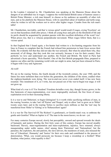In the London I returned to, Mr. Chamberlain was speaking at the Mansion House about the dangers of an unbridled rise in wages. I suppose the world-famed British sense of humour causes a British Prime Minister, a rich man himself, to choose as his audience an assembly of other rich men, and as his platform the Mansion House, with its sanctified odour of tradition and turtle-soup, when he wishes to tell the workers not to strive after higher wages. Crumbs from the rich man's table!

Mr. Chamberlain, inevitably, said that 'a vicious spiral' would result if wages, crying 'Excelsior', set out on that hazardous climb after prices. I think all young boys and girls on the threshold of life and its perils should be acquainted by prudent parents with this excellent definition of the word 'vice'. When prices rise, that is a virtuous perpendicular movement. When wages follow them, that is a vicious spiral.

In that England that I found again, a fox-hunter had written to a fox-hunting magazine from his lines in France to complain that the French had refused him permission to hunt foxes across their fields. He evidently felt that they did not take the war seriously. But when he asked them why, they answered, of all things, that they took this war seriously, because it was for their country. How perfectly we love and understand one another, the French and British. My hotel in Paris had advertised a Scots speciality, 'Wels Rarebit'. One of the first British propaganda films, prepared to impress our allies and the remaining world with our might in arms, had just been released in Paris; it began with Crecy and Agincourt.

#### Ah well!

We are in the roaring 'forties, the fourth decade of the twentieth century, the year 1940, and the future lies more turbulent than ever before the generation, the children of the storm, cradled when the eighteen-hundreds were dying. The war-to-end-war never even ended itself, it has now been resumed. This instalment of it, as I write, has not passed out of the war-to-begin-war stage; it will not grow up.

What kind of a war is it? For freedom? Freedom dwindles every day; though licence grows; in the free henroosts of mass-regimentation, ever more impregnably enclosed, the free foxes of massexploitation revel in their increasing liberty.

Is it a war to end 'Hitlerism', to begin Göringism? Is it worth while sacrificing millions of men, in the roaring 'twenties, to take 'ism' off 'Kaiser' and 'Despot', only to allow 'ism' to grow on to 'Hitler' twenty years later; and in the roaring 'forties to sacrifice more millions so that the 'ism' may be transferred from 'Hitler' to 'Göring' or to 'Hohenzollern' again?

Is it a war for The Survival Of The Richest? A gentleman's, or Gentile-man's war, to enthrone the gentle anti-Gentiles? What on Jupiter is it? The man in the moon knows; we do not - yet.

For many centuries Europe moved, slowly but perceptibly, onward and upward towards the ideals of humanity and justice. During the first forty years of this century, Europe has moved steadily backward. Slavery, mass-regimentation and mass-exploitation, injustice, have returned, always masquerading under noble names, chief among them 'Patriotism' and 'Nationalism'; but the parasites, the exploiters, the anti-patriots, the slave-drivers, the murderers of souls, also misused the rise of 'Liberalism', Humanity' and 'Justice' for their own ends and contributed to the process of deterioration. 'What, you would persecute me because I keep a sweatshop or a brothel? What freedom, what justice, what equality is this?'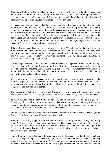This war will show, at last, whether the slow progress towards noble ideals which many men, consciously or unwittingly, strive and long for in their souls, can be resumed in Europe; or whether it is itself but a part of the process of degeneration in standards of thought, of living and of behaviour which has uninterruptedly continued for forty years past.

Of freedom, so little now remains that the placards proclaiming the word seem like jests uttered at a grave. Before the 1914 war, a man could put on his hat and take a ship to the ends of the earth, without even a visiting card. Before this war, he needed passports, visas, currency permits, and a whole pocketful of authorizations, recommendations, permissions and what you will. Now, in the countries at war, he cannot leave at all, save he overcome enormous difficulties. He may not send a penny piece abroad without surmounting the same array of obstacles. In one country he cannot obtain tea or coffee; in another, butter; in a third, meat. This is at the beginning of a war to preserve freedom. What will the state of affairs be at its end?

This war had to come - because it was not prevented in time. When it came, we bought it at the top of the market, which is bad business in the commodity war, as in all else. Victory could have been had cheaply on one occasion. On three subsequent occasions, it could have been had, less cheaply, but at a reasonable price. Victory -- in the Waterloo sense -- is now, I think, unpurchasable; but nevertheless, we must pay the price of it.

For the simple commercial reasons I have stated, I watched the approach of this war with feelings of ever-deepening foreboding. For one thing, I was closer to it than most, and my feelings were those of a man who shouts to another man to jump out of the way of the motor lorry which is about to demolish him, only to be rebuked by the cold stare of one who does not care to be addressed by persons to whom he has not been introduced.

When the war came, I experienced, for the first time for many years, a glorious sensation - the rebirth of hope. The foul and unnecessary war had come, but after a few weeks I saw the death of my greatest fear - that we should lose. I still could not see how we could win - but we could no longer lose, and that was much gained.

The reasons were that Hitler's marriage with Moscow, which was clear to foresee and duly came, was not consummated; that the full, two-armies-that-strike-as-one military alliance was not made.

To marry the lady with the scarlet letter on her brow and yet not harvest the nuptial delights? Not the marriage, but the abstention from the marriage bed was the unexpected and inexplicable thing. Hitler seemed to be carrying his vows of abstinence to the point of absurdity. Only an autopsy or his own disclosures can ever explain this farcical denouement.

But it was good enough to me and, jubilant but scarcely daring to believe my eyes, I watched, in the first weeks of the war, the possibility of our defeat vanish.

Many other reassuring things came crowding on the heels of those glad tidings. Firstly, the quality of our Air Force and Navy. I had feared that these would have been infected by the political senility which allowed the country to drift into this war, but I was wrong. The men who had charge of the Services, at all events, had never forgotten their task and their duty, which was to keep Britain's defences strong and efficient.

I knew, from my years in Germany, the great hopes that the Germans reposed in the starve-out, and this was a major, though a secondary, danger for us. The Germans always believed that they brought us to the verge of starvation in 1917 by unbridled submarine warfare, and that we were only saved from it by American intervention. They hoped to reach that end this time by extending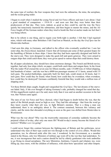the same type of warfare; the four weapons they had were the submarine, the mine, the aeroplane, and the ocean-going raider.

I began to exult when I studied the young Naval and Air Force officers and men I saw about. I had a good standard of comparison -- 1914-18 -- and soon saw that they were better than their predecessors of that day. They were, indeed, as good as they could be, and the way the Navy quietly but tenaciously mastered the submarines, and then began to master the mines, and the Air Force fought off the German raiders when they tried to bomb the fleet at anchor made me feel that I was being reborn.

But to be reborn is one thing, and to regain your birth-right is another. I felt that I had regained mine, which with many other Britishers I felt I had lost at Munich, on the day the *Graf Spee* ran for Montevideo harbour.

I had seen this ship, in Germany, and talked to the officer who eventually scuttled her. I saw her sister-ship, the *Deutschland*, launched. I knew that all Germans put some of their greatest hopes for the humbling of Britain in these ships. I knew that they had been especially designed and built for the starve-out. They were designed to make the quick kill and quick getaway. They were armed to outgun ships that could catch them; they were given speed to outrun ships that could destroy them.

By all paper calculations, they should have done enormous damage. The French and British navies, together, had only four ships which, on paper, could both catch them and outgun them. In the Great War the raider *Wolf* cruised the seven seas for fifteen months, sank 135,000 tons of Allied shipping, laid hundreds of mines - and she was but a 6000-ton passenger steamer of 11 knots, armed with 5.9 inch guns. The pocket-battleships, especially built for their task, could steam at 26 knots, had 11 inch guns. How could they be found; when found, how could they be overtaken; when overtaken, how could they be destroyed? Germans confidently foretold that they would sink a million tons of shipping each.

Yet those British ships caught, fought and vanquished the *Graf Spee*. The last dreams of the starveout faded. Italy, if she ever thought of taking Germany's side, probably changed her mind that day. Of this magnificent exploit can it be said, more truly than it was said on another occasion in the last war, that 'Nelson came again'.

The men of our Air Force and Navy showed, what I had begun to doubt before the war, that the spirit of the British people stood as high as ever. They had this advantage - that from the word go they knew exactly what their job was, to fight Britain's enemies. That is a thing a man can understand; there is no ambiguity about it. The contrast remained, between this valiancy and clarity, and the mists that shrouded everything as soon as the gaze was shifted from Montevideo to **Westminster** 

What was the war about? Why was the trustworthy statesman of yesterday suddenly become the perjured villain of to-day, after only one more fib? Would to-day's enemy become the friend of tomorrow? Whither *were* we going?

I could never forget this contrast between the fighting-men of Britain and the politicians, never understand why men of their type could not win through to the control of civic affairs. Would this generation, too, be elbowed aside after this war, I wondered. In the Government, as a member stated in the House, only two Ministers of military age went off to the war they had undertaken. To me, it was incongruous that such a nation should be led by elderly gentlemen who took umbrellas to go flying in closed aeroplanes. The new Ministries, Institutes, Councils and whatnot, too, were filling up, once more, with the children of influence, with alien-born 'specialists' and other limpets.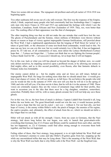These two scenes did not attune. The repugnant old profiteer-and-soft-job racket of 1914-1918 was beginning again.

Two other sunbeams fell on me out of a sky still overcast. The first was the response of the Empire, which. I think, surprised many people who had consistently had less forebodings than I. I suppose only men who knew France in 1914 and 1915 can understand the feelings with which I saw the Australians, Canadians, South Africans and New Zealanders of 1939. They, too, were better than ever. The exalting effect of their appearance was like that of champagne.

The other inspiring thing was that we did not make the one mistake that could have lost the war. The ghosts of Passchendaele and the Somme, where millions of Britishers were thrown without rhyme or reason or hope of victory against impregnable German fortifications, still prowled about the West Wall. I had a nightmarish apprehension that the longing of Wall Street for 'action' or 'a token of good faith', or the obsession of some text-book-bred commander, would lead to this. No man can say how we can *win* this war; but we could certainly *lose* it like that. It has not happened, praise be. If I did not, of all communities of men, most detest the Lettuce Brotherhood ('Lettuce hope that ...'; 'Lettuce not forget that ...'; 'Lettuce not think that we are fighting the German people'; 'Lettuce thank God for Mr ...' *ad nauseam*) I should say, let us hope that it will not happen.

For in this war, luck or what you will has placed us beyond the danger of defeat; now, we could only defeat ourselves, by impaling ourselves upon a proffered sword, or by allowing our enemy to find mighty allies, and as to this second possibility, even Russia, after that fantastic debacle in Finland, looks less formidable.

Our enemy cannot defeat us - but his mighty army and air force are still intact, behind an impregnable West Wall. He longs for nothing more than that we should attack him - it would give him a last chance of victory. He will *not* attack us, in full force. Do not believe the people who told you he would do this in the autumn of 1939: who now tell you that he will do it in the spring of 1940; and who will tell you, if he does not do it then, that he will do it in the autumn of 1940. These voices are criminally suspect; they are the voices of armament rings rabid for their profits, they want to accustom you to the idea that there *must* be a big slaughter, somehow, somewhere, somewhen. Probably there will be, with so many ghouls around, but it will not help any save those ghouls.

For in this war, for us, the best form of attack is defence. Captain Liddell Hart foretold it all, long before the war broke out. The great blood-bath would not win the war; it would increase profits; there is just a hope that the war can be *ended* -- not *won* -- without it. For our best ally, our best hope of victory, is the enemy within Hitler's walls: the pinch of hunger, the enemies of his regime, the captive peoples, and, ultimately, the effect of attack from the *air*, which we should not defer a day longer than we can help.

Hitler will not attack us with all his strength. I know, from my years in Germany, that the Nazi strategy, laid down long before the war began, was only to launch that great-attack-witheverything-that-Germany-has if (1) France and Britain could be sundered from each other, and this has not happened; or, (2) if Germany could find allies strong enough to overcome them both together, and that has not happened.

Failing either of these, that Nazi strategy, long prepared, is to sit tight behind the West Wall and wait for Germany's enemies to come and take Hitler's ill-gotten gains from her, snapping up the while any unconsidered trifles that may be lying about. That is the meaning of the West Wall; that is why the West Wall was built; that is why Hitler calls it the West Wall - not the Siegfried Line.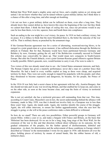Behind that West Wall stand a mighty army and air force, and a mighty nation as yet strong and united. I do not know whether they can be tamed without a great military defeat, but I think there is a chance of this after a long time, and after enough air-bombing.

I do not see how a great military defeat can be inflicted on them, even after a long time. They already know they cannot defeat us, have known this since the beginning of the war; but they think we cannot beat them. I think the best hope of *ending* this war, since our privations would in any case be less than theirs, is to tire, squeeze, bore and bomb them into compliance.

Such an ending to the war might be a *real* victory, for peace. In 1918 we had a military victory, but no peace. It is a fallacy to think that the more bloodshed there is, the better the outcome of the war will be. That is military theory as preached by the armament rings.

If the German-Russian agreement was for a series of alternating, westward-moving blows, to be merged in a joint grand-slam at a given moment, it has suffered dislocation through the Bolshevist debacle in Finland. But for that, Rumania would have been partitioned between Germany and Bolshevy by now, Germany getting the oil, and if the Bolshevists eventually succeed in Finland this scheme may conceivably be taken up. That would mean new conquests in South-Eastern Europe. But after the Finnish debacle, even a joint German-Russian grand offensive against Britain is hardly possible. Hitler's generals, now, would hesitate to carry it out, if he were to order it.

Two victors of this war already stand clear to see - the United States armament interests; and Italy. The Roman Umpire has given a masterly performance; never did a man sit a prettier fence than Mussolini. He had a hand in every warlike exploit as long as these were cheap, and acquired territory by them. They were not costly enough to imperil his popularity with his people; and when they threatened to become expensive and dangerous, he became, for his people, the Prince of Peace.

In the 1914-18 war Italy had a secret clause in her agreement with her ally, Austria-Hungary, that she should not take part in any war involving Britain, and that enabled her to keep out, and come in on the other side, as soon as the issue became clear, and reap the fruits of victory in territorial expansion.

She is not yet satisfied; she has a territorial grievance still outstanding from that war. This time, according to Count Ciano, Mussolini's son-in-law, the secret understanding behind the alliance with Germany, made in May 1939, was that it should not involve Italy in a European war in less than three years' time. Again, she stands aside. Again, she watches intently the course of the struggle. Again, she will either intervene, to ensure her further aggrandizement, when she sees how the struggle is going; or she will at the peace conference stake a claim difficult to withstand.

So how do we stand? There are only two possibilities. Either powerful groups in Germany will unseat Hitler, within a year or so, and make a bargain with France and Britain, on the basis that 'Hitlerism' has been destroyed. Or we are in for a long, long, long siege of the West Wall, for the extension of the war in this and that direction without direct influence on its outcome, for the gradual exhaustion of the peoples, for the further spread of disillusionment, disbelief and desperation - in short, for deterioration and the achievement of those conditions in Europe which I described as 'Chinese' in the memorandum I wrote for my paper in 1936: odd dictators all over the place, holding pieces of territory by means of armed bands, like the robber barons of old, a militarist chaos.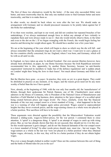The first of these two alternatives would be the better - if the men who succeeded Hitler were better, and more trustworthy than he. But only one method exists to find Germans better and more trustworthy, and that is to make them so.

In other words, we should be back where we were after the last war. We should make an arrangement with Germany and we should preconcert measures to be jointly taken against her if she broke her undertakings.

If we then were resolute, and kept to our word, and did not condone her repeated breaches of her undertakings, if we always maintained enough force to defeat any attempt of hers violently to repudiate them and were always ready to use it - then she would strictly observe them, to the letter and even to the dot on the i. If we began wrangling with the French, she would begin feeling her muscles and throwing her weight about again. We should have another war a few years later.

We are at the beginning of the year which will begin to show us which way the die will fall - and always remember that the armament rings do not want a short war. I want now to cast a glance at the two countries chiefly concerned, for me: England, where I was born, and Germany, which will be with us all until we die.

In England, we have taken up arms 'to defend Freedom'. Our own ancient liberties however, have already been abolished, on paper, by one Home Secretary because 'the Irish Republican terrorists' recommended him to this, apparently; by another Home Secretary, because 'an anti-Semitic organization' instructed its members to 'make fun of the defence regulations' and 'a sudden attack on London' might then 'bring the Jews to their knees'. Not much about Germany and Hitler in all this.

But the liberties have gone - *on paper*. In practice, they exist, as yet, to a great degree. They could be abolished in practice at any moment, or by stages; and the reason given need not be any more worthy of belief than the two I have quoted.

Now, already, at the beginning of 1940, with the war only four months old, the 'manufacturers' of Britain, through their spokesman Sir Patrick Hannon, one of Mr. Chamberlain's most ardent admirers in the House of Commons, who is President of the National Union of Manufacturers and therefore a Field Marshal in big business, drew attention to the 'grave danger of a so-called spiral being created between prices and wages levels'. *The Times*, similarly, wrote that 'the financial demands of the war may compel resort to a lower standard of living ... what happened in the last war is a warning of what will happen again unless prevented. Wages soared to unprecedented heights but they never overtook prices, and the wage-earning classes as a whole were not placed in a better position. War sacrifices will have to be made ...'

These arguments were directed against the possibility that the Mineworkers' Federation would demand a sliding-scale, wages-to-follow-prices, for the war period. I commend them to close attention. A 'spiral' is a dangerous thing. A 'spiral' is an attempt of wages to catch up with rising prices. But, as war has already shown that they do not succeed, they should not try it in this one for this would represent 'a grave danger', and do not 'the financial demands of the war compel resort to a lower standard of living'? In other words prices should, may, must rise - but not wages. The wage-earners as a whole in the last war 'were not placed in a better position' when they obtained higher wages; obviously, in this war, they will be in a better position if they do not obtain higher wages.

Was ever a mean thought clothed in nobler words? Does not the contrast between this sort of thing and the battle of Montevideo hit you in the eye?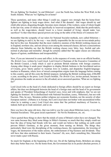We are fighting 'for freedom', 'to end Hitlerism' - over the North Sea, before the West Wall, in the South Atlantic. What are 'we' fighting for at home?

These quotations, and many other things I could say, suggest very strongly that the home-frontfighters are fighting to keep wages down. And what if the demand - that wages should try and climb after prices, disgusting thought, becomes more clamant, if the workers, some of whom fought in the last war, some of whom are specifically in 'reserved occupations', think that the profit-takers, as well as the wage-takers, should 'resort to a lower standard of living', should make 'war, sacrifices'? Is that what those special powers are lying on the table of the House of Commons for?

Remember that the sympathy of our rulers for National Socialist methods, now called Hitlerism - we are fighting to end it, by the way -- was chiefly responsible for the we-are-in-two-minds policy that led to this war. Remember that the most vindictive enemies of the British working-classes are in England, nowhere else, and not always even among the moneyed-classes; did not a conscientious objector from Suburbia say that the British working classes were 'dirty, lazy, foolish and subnormal in physique and mentality', though he certainly added that 'the upper classes are ridiculous figures of egoism, snobbishness and irresponsibility'.

Now, if you are interested in cause and effect, in the sequence of events, turn to an official booklet, *The British Case*, written by Lord Lloyd. Lord Lloyd is Chairman of the Executive Committee of the British Council, a body which is said to promote British relations with foreign countries. Among other things it sends peers' daughters to display British fashions to the bewildered natives of Croatia, gives 'sherry parties' to Austrian Jews in London, and dispatches English-languageteachers to Rumania, where Jews of mixed cosmopolitan origins learn the language before coming to this country, and all this costs the British taxpayer, including the British working-man, £386,000 a year, according to the press. Lord Lloyd's booklet, *The British Case*, invites perusal, because its title promises the reader an answer to the oft-asked, never-answered question, 'What are we fighting for?'

Lord Lloyd (who as the head of a body dedicated to foreign affairs should be an expert on foreign affairs, but does not distinguish between the head of a foreign state and the head of its government and speaks of 'President Schuschnigg of Austria') says, twice and with emphasis, that 'we are not fighting for frontiers'. He is disillusioned with National Socialism, (sorry, 'Hitlerism'), but not with Fascism. This, he says, 'threatens neither religious nor economic freedom, nor the security of other European nations'. (Albania is in Europe, but Lord Lloyd does not bother with unconsidered trifles when he is making a case.) Lord Lloyd also states that 'the political machinery of Fascism is, indeed, built up on trade unionism', and so on.

Here you have the same old story, that was told to you for years about Hitlerism (sorry, it was then National Socialism). 'This great social experiment' - Sir Nevile Henderson, etc. etc.

I have quoted these things to show that the minds of some of Britain's rulers have not changed. The war came because they liked some things in Hitler's Germany so much that they simply could not bear the idea of being bad friends with her, and would not believe that nothing on earth could prevent Hitler's Germany, at the given moment, from turning on Britain. The things they particularly liked were the disciplining of the working-classes, the regimentation, the lowering of wages, the destruction of the trades unions, the enthronement of big business and dividends. They still have that idea enshrined in their hearts. Fascism? Ah, now, that's something like; Mussolini never made a pact with Russia.

So much for England, at the beginning of this war. On all the fighting-fronts, Britishers are doing their duty better than ever. On the home-front, the Government has in its pocket absolute powers; it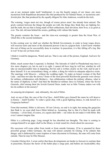can at any moment make itself 'totalitarian', to use the beastly jargon of our times; one more mysterious Irish Republican document like that produced by Sir Samuel Hoare, or mysterious anti-Jewish plot, like that produced by the equally diligent Sir John Anderson, would do the trick.

The warning, 'wages must not rise, though of course prices must', has already been uttered. The grisly contrast between the things the people are told, the things they think they are fighting for, and the truth, the use that is being made of their enthusiasm, their devotion, their lives, is as great as ever. The old, old men behind the scenes, grabbing with vulture-like hands.

The greater contains the lesser - and the class-war seemingly is greater than the Great War, of which this is the second instalment.

In this coming year we shall see whether the British Government, in order to keep wages down, will exercise more and more of the dictatorial powers it has in a pigeon-hole. I don't know whether this sort of thing can be successfully done in wartime. In peacetime, it is like falling off a log. But in war? It has not yet been tried.

I think it would be dangerous. Watch and see. That is one side of the picture, England. And now for Germany.

Hitler, much sooner than I expected, is finished. The fairytale of Adolf in Plunderland may have a few more chapters yet, but its end is in sight. I cannot tell how long he will last, whether he will take an unconscionable time in departing, but his end is written clearly on the wall, and he put it there himself. It is an extraordinary thing, or rather, a thing for which no adequate adjective exists. The marriage with Moscow - without the wedding night. To make an honest woman of the Red Lady - and then not take the dowry? Some of the most powerful Reichswehr generals were always for military collaboration with Bolshevy - but collaboration without the military alliance, what in the name of duplicity is that? And then the Bolshevist military farce in Finland, where the Soviet Generals, chief among them the Jewish General Stern, made war as little Tommy makes war with his tin-soldiers in the nursery?

An amazing development - and, ultimately, the end of Hitler.

And, on top of that, the case of the *Graf Spee*. Adolf Hitler gave himself the name he will deserve in history - Adolf Scuttler. To order a great ship, with a good fighting chance, to sink herself in a Uruguayan harbour?

From that moment, Hitler is old news. Of our Calvary, no end is in sight, but among the gargoyles that flank it, we soon shall leave Hitler behind us. Assuming, that is, that if a Deal be made with Germany -- a Fair Deal, of course, at a square deal table -- our rulers do not make it with Hitler. But even I cannot imagine that.

Hitler is a yellowing page. Long enough he has absorbed our thoughts. The time is coming to consign himself to an upper shelf in the library, to look round for a book about his successor.

His successor will come either from inside or from outside Germany. If he is unseated by those powerful groups within Germany, the man will almost certainly be Göring. If he outlasts that danger, and is dethroned by some eruption of mass discontent in Germany, the man will come from outside. Then he may be Otto Strasser.

Consider Göring first. I wrote earlier that these developments are harder to forecast in wartime than in peacetime, because the factor of the bullet plays a large part, and bullets are incalculable; they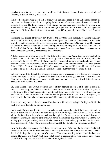ricochet, they strike at a tangent. But I would say that Göring's chance of being the next ruler of Germany is greater than any other man's.

In his self-commiserating mood, Hitler once, years ago, announced that he had already chosen his successor; he thought that a harmless polyp in his throat, afterwards removed, was an incurable, malignant growth. He did not then say that Göring was the man, but I hazarded the guess, in an article which nobody then found important enough to publish, though I was paid an exaggerated sum for it. At the outbreak of war, Hitler stated that Göring actually was Führer-Elect Number Two.

In making that choice, Hitler only forethwarted the inevitable and, probably foreseeing this, may have saved his own life, for by this move he made it possible, when the time comes, for him to he bowed-off and not bumped-off, by his successor. A chaotic, Communist Germany would be needed for himself to be able violently to remove Göring; but I cannot imagine Hitler himself remaining at the head of that Communist Germany, because too many Germans have been in concentration camps for seven years only because they are Communists.

A better picture of Göring is given by the Life of his first wife, Karin, than by any book about himself. That book contains letters written by Karin when Hitler was in prison, after the unsuccessful Putsch of 1923, and Göring was lying wounded, in exile at Innsbruck, and Hitler's triumph of ten years later seemed only a vision for lunatics, yet these letters show the most perfect faith in Hitler. Such loyalty alone, if loyalty meant anything to Hitler, would have predestined Göring to be his closest helper and his chosen successor - but that was not Hitler's motive.

But now Hitler, little though his Germans imagine yet, is preparing to go. He has no chance to remain. He cannot *win* the war; even if he were to turn on Bolshevy, none would trust him now. Plenty-of people would like to do a deal with Germany on that basis - but not with Hitler, he might change his mind again a little later.

So, enter Göring. They always preferred him to Hitler, because he comes of the officer caste; his career was the army, his father was the first Governor of German South West Africa. They never really forgave Hitler his house-paintership, although they were glad to forget it until he made that pact with Bolshevy. How many of those influential people tried to get Göring to England, for instance; this, they thought, is a man very much like ourselves, with him we can do business.

Strange, you may think, if the war to end Hitlerism turned into a war to begin Göringism. Not in the least. It all boils down to the ism, in the end.

Just look at Göring's qualifications. As soon as he came to power, he put off the brown shirt and put on the Reichswehr or Air Force uniform; that puts him in the right drawer at once. Did he not so admire the British Air Attaché's mess-kit that he copied it for the evening-uniform of his own air officers? The man, is clearly a gentleman. Or, as the disillusioned big landowners of Germany say, as they glance apprehensively over their shoulders at the Bolshevists, given them as their nextdoor-neighbours by Adolf (Save-us-from-Bolshevism) Hitler, 'Er ist doch wenigstens ein Herr'.

Now Göring advances upstage. *He* did not make the pact with Bolshevy (did he not tell the British Ambassador that none of them mattered a row of pins when the Führer was making a major decision). Perhaps *he* can get us out of the mess. What about levering Adolf out of his shoes and putting Hermann into them? And then, what about a reconciliation with Britain and France, ('Hitlerism' having been ended) and a common front against Russia?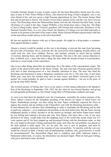Consider Göring's friends at court, at many courts. He has been Mussolini's friend since his exiledays in Italy in 1924. Prince Philip of Hesse, who married the King of Italy's daughter, was a very close friend of his, and was given a high Prussian appointment by him. The former Kaiser liked him and invited him to Doorn. The former Crown Prince pinned on his coat the very Iron Cross he wears. The Princeling whom the Hohenzollern family sent into the National Socialist Party, on the off-chance of a catch in the slips, August Wilhelm, is his friend since many a long day. The Duke of Saxe-Coburg-Gotha, Queen Victoria's grandson, Old Etonian and aristocratic showpiece of the National Socialist Party, is a very close friend; the Duchess of Coburg even travelled especially to Austria to be present at the birth of his sister's child. Wales-Edward-Windsor played trains with him on the marvellous model railway in the loft at Karinhall.

He has not spoiled his chances with any of these people. He might be a King-maker; a commonfront-against-Bolshevy-maker.

Almost a miracle would be needed, as this war is developing, to prevent this man from becoming the next ruler of Germany. He is, in private life, the most jovial, back-slapping, friendly fellow you could wish for, who loves children, flowers, and animals, animals so much that he forbade vivisection, dancing bears, and fox-hunting with hounds. This last is the only serious objection to him, in British eyes; a man who does a thing like that, think the friends-of-man in Leicestershire, must have a cruel streak in him somewhere.

One or two other things about him are interesting. He is the father of the concentration camps. The author of the shoot-to-kill order to the Storm Troops. The man who had a Prussian general and his wife shot in their drawing-room on a fine Saturday afternoon in June. The man who fired the Reichstag and threatened to hang a Bulgarian communist exile for it. The man who, if and when Hitler goes, may have the German army and air force intact, and Hitler's territorial gains in his pocket. He would probably be glad to lead a crusade against Bolshevy - but not at the price of giving up what Hitler filched.

The loveliest picture of Göring that I have in my mind is of him sitting enthroned in the Speaker's Seat of the Reichstag on September 12th, 1932, the day when he was elected Speaker, and giving an unforgettable performance as The Grand Young Man of Parliamentary tradition and usage.

As soon as he had taken his Speaker's seat, the Communists, ostensibly the archest enemies of the Nazis, tabled a motion for the immediate quashing of the decrees by means of which Franz von Papen, Hindenburg's protégé, was then ruling the land. Papen confidently expected the Nazis to oppose this motion and sat smiling in the Chancellor's seat with the Reichstag dissolution order - he had obtained this in advance from Hindenburg in order to intimidate the Reichstag and be able to quell any outbursts -- in its traditional red portfolio on the desk before him. But the Nazis, having telephoned quickly to Hitler, decided to let the motion go through, and before Papen knew where he was Göring had ordered a division and vote. Now Papen, who knew that a vote, if one were allowed to be taken, would make him the laughing stock of the world (the actual result was 512 votes against and 42 for him) jumped up and presented Göring with the dissolution order, so that the vote might be thwarted. Göring motioned him aside, and when the red portfolio was placed on his desk pushed it aside again. 'No, no', he said, 'the vote is now in progress, and must be completed. I am not interested in the contents of your red portfolio. To interfere with the vote now would be a breach of faith, a breach with all parliamentary tradition, why, good heavens, it would be unconstitutional!' The discomfited Papen had to withdraw and suffer ludicrous defeat in Parliament (afterwards, of course, the dissolution was declared legal). When he had gone Göring, with grave and honest mien, declared: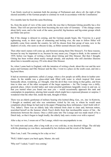'I am firmly resolved to maintain both the prestige of Parliament and, above all, the right of this elected assembly of the German people to continue its work in accordance with the Constitution.'

Five months later he fired this same Reichstag.

So, from the point of view of the outer world, the rose that is Hermann Göring possibly has a few thorns. That will not prevent him from becoming the next ruler of Germany - if the change comes about fairly soon, and is the work of the same, powerful, big-business and big-estate groups which put Hitler into power.

But if the change is delayed in coming, and the German people begin, like Vesuvius in a good sightseeing week, to show signs of simmering and boiling over, the man to follow Hitler will probably come from outside the country, he will be chosen from that group of men, now in the shadows of exile, who seem so obscure to-day, as Hitler seemed obscure only yesterday.

Then other men's names will come up, and foremost among them Otto Strasser's. For these reasons, because he may be important to us, because he may mean you, I began to think, in the summer of 1939, before war began, of writing a book about Göring and Otto Strasser. But then I thought, Göring has been written about nearly enough already, and anybody who still cherishes illusions about him is incurable anyway; I'll write about Otto Strasser.

So, when I came back to England, with the intention of writing a book, about this war and the next peace and Germany and Otto Strasser and the like, I went to a place on the south coast, and into a big hotel there.

It had an enormous apartment, called a Lounge, where a few people sat stiffly about in leather armchairs. In the middle was a glass-sided tank filled with water in which tropical fish swam bemusedly about, wondering, as I thought, what the devil they were doing in that galley, and from time to time one of the other occupants of the larger aquarium -- for The Lounge was a chilly, greenish place, where invalid ladies and water-proofed gentlemen languidly swam in and out, so that you started when you found one near you -- would occasionally approach this tank and contemplate its population, uttering faint sounds which might have expressed pleasure or surprise. I wondered what the other fish, inside the tank, thought of them.

There was an elderly gentleman of military bearing who knitted (Brig.-Gen., ret., late 1st Knitwits, I thought at random) and who was sometimes visited by his son, to whom he would snort complaints about things he had read in the paper ('Pampering these militiamen, I don't hold with it'. 'Yes, father'). There was an elderly lady who tottered from chair to chair and, between totters, nourished herself on the humour which *Punch* distils from that inexhaustible source of fun - the distinctions between the classes. Once a child came into The Lounge and was made much of by a Dutch lady, so that it began to laugh loudly; the elderly lady sent a waiter over with a reproof.

After a day or two, I swam out of The Lounge, which was unsympathetic to me.

So I took train and came, after a long walk on a very cold day, to my deserted village. The old lady with the gleaming eye was there, surrounded by her chickens and the wreck of the hamlet.

'Here I am, I said. 'I'm coming in for a day or two.'

'Well, I didn't expect you back again, Master, she said.

'Why not?' I asked, 'I said I was coming.'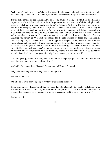'Well, I didn't think you'd come,' she said, 'this is a lonely place, and a cold place in winter, and I never had any visitors at this time before, and it's not very cheerful for you, with all these ruins.'

'It's the only unruined place in England,' I said. 'You haven't a radio, or a film-hell, or a fish-andchip den, or a British Imperial Union Jack Corporation for the assembly of all-British gimcracks made by Polish Jews in New York; you haven't a Glamour Girl, or a Mayfair Man, or an air wardress; horoscopes, football pools and jitterbug dancing are unknown to you; cold it may be here, but think how much colder it is in Finland, or even in London at a full-dress rehearsal of a nude revue, and here you have no nude revues, and I saw enough of that racket in Free Germany and know what it means; you haven't a refugee, save myself, and I am the only real refugee in England; you haven't an Olde Antique Shoppe for the sale of mass-produced brass candlesticks from Birmingham; you haven't even a Tea Shoppe or a Pauper's Arms, where I should be sold warm whisky and cold port, if I were prepared to drink them standing, at certain hours of the day; you even speak English, which is a rare thing in this country; you haven't a Petrol-Station-and-Kozy-Kaffee combined; you haven't a crooner or a swing-singer, you need never listen to your own countrymen and countrywomen, in their blindness, singing 'Oh my bewdaful, yore so bewdaful'; your chickens don't even carry gasmasks; why, I never saw a place so unruined.'

'You talk queerly, Master,' she said, doubtfully, but her strange eye gleamed more indomitably than ever, 'there's enough ruins here, all round you.'

'Ah,' said I, 'you should see Chaucer's Canterbury and Drake's Plymouth.'

'Why?' she said, vaguely 'have they been bombing them?'

'No' said I. 'We have.'

'Oh,' she said, 'well, are you going to write your book here, Master?'

'Some of it, anyway,' I said, 'out of this very head. I'm bitten badly, by this book. I didn't know what to think about it when I left you, but now I'm all caught up in it, and I think Otto Strasser is a remarkable man, and a good German, and a man of peace, so lead the way, I want to work.'

And we went in.

\*\*\*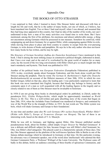### Appendix One

### THE BOOKS OF OTTO STRASSER

I was surprised to find, when I learned to know Otto Strasser better and discussed with him at length his life and work, that he is the author of many books, not one of which, as I believe, has been translated into English. Two or three I had read myself, when I was abroad, and assumed that they had long since appeared in this country, but I had no idea of the number of his works, nor can I understand to-day how a man of his many activities ever found time to write them. But I have mentioned, among the first of his attributes, his enormous and almost unbelievable energy, a thing not uncommon among Germans which he possessed in rare measure. Somehow he contrived, while campaigning up and down Germany for or against Hitler, while campaigning against Hitler in exile, while moving from place to place and from country to country in escape from the ever-pursuing Gestapo, to write dozens of books and pamphlets. He says he is the only author who does not know how many books he has written, and he may be right.

His *Structure of German Socialism* (*Aufbau des Deutschen Sozialismus*) I have mentioned in this book. I find it among the most striking essays in constructive political thought, elaborated in detail, that I have ever read; and at the end of it, overlooked by the great world of readers for so many years, lay the record of the two long conversations with Hitler which give so much insight into that man's mendacity and hysteria. This book was published in 1931.

Another of his political books was *European Federation* (Europäische Föderation) published in 1935; to-day, everybody speaks about European Federation, and this book alone would put Otto Strasser among the prophets. Then he wrote *The German St. Bartholomew's Night* (*Die Deutsche Bartholomäusnacht*) an account of the Hitlerist massacre of June 30th, 1934, in which his own brother Gregor, killed on that day, plays the leading part. I was particularly surprised to learn that this book was never translated into English, because that bloody day belongs to history and the comments upon it of a man so well acquainted with all the leading figures in the tragedy and so closely related to one of them as Otto Strasser must be invaluable to historians.

In 1938 (I am not giving these books in chronological order) he published, in Zürich, under the pseudonym D.G., *Erlebte Weltgeschichte*, which might be approximately translated as *World History in My Tine*. This is a well-written and quite absorbing story of the events that began on June 28th, 1914, when the Archduke Franz Ferdinand was murdered at Serajevo, and continued by way of the World War to the triumph of Hitler, in 1933. Its last words are 'The Hitler system was born, which will shake Germany and Europe to their foundations'.

At one time and another came also *We seek Germany* (*Wir suchen Deutschland*), *Whither Hitler?* (*Wohin reibt Hitler?*), *Europe of To-morrow* (*Europa von Morgen*). The last of these is an interesting work, based on the ideals of T. G. Masaryk.

While he was still in Germany, and fighting against Hitler, Otto Strasser published another pseudonymous book, about his brother, called simply *Gregor Strasser* by 'Michael Geismeyer'. It was a delicate and difficult subject for him, because Gregor was still Hitler's chief lieutenant; he, Otto, was Hitler's chief antagonist. This played a part in a characteristic episode of those days. One day Otto Strasser appeared on the platform of the well-known Spichern Säle in Berlin in one of the famous debate-meetings which he introduced in Germany at that time. On this particular evening, his adversary was a Communist speaker, one of the weird alien 'intellectuals' who adorned the then German Communist Party, a 'Professor' Witfogel of the Lenin University. The Professor came off badly in this debate, before an audience consisting of three-fourths of uproarious Communists, and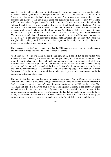sought to turn the tables and discomfit Otto Strasser by asking him, suddenly, 'Are you the author of Michael Geismeyer's book on Gregor Strasser?' This was an unpleasant question for Otto Strasser, who had written the book from two motives: first, to earn some money, since Hitler's purchase and closure of his publishing house had bankrupted him; and secondly, by a skilful artifice to strengthen Gregor Strasser's position, and the Strasser cause generally, within the National Socialist Party. It was, in fact, a little piece of Black Front strategy. Professor Witfogel had learned of this and knew that if he could convict Otto Strasser of the authorship of the book its purchase would immediately be prohibited for National Socialists by Hitler, and Gregor Strasser's position in the party would be seriously shaken. After a brief hesitation, Otto Strasser answered: 'You know very well that if I answer yes to your question the book will be boycotted and my income from it cut off, and you know that it contains nothing that is different from what I have said to-night and have always said. So you wish only to injure me financially. Nevertheless, the answer is yes, I wrote the book, and you are a swine.'

The unexpected result of this encounter was that the 2000 people present broke into loud applause and Professor Witfogel was not allowed to continue the debate.

Apart from these books, which are all that he can remember, if not all that he has written, Otto Strasser in these crowded years wrote innumerable pamphlets, all in the sense of and about the topics I have touched on in this book with one strange exception, a pamphlet, which I have unfortunately been unable to procure, on the Revolution in Male Attire. He thinks the male clothing of to-day, and I agree, to have touched the lowest depths of ugliness, drabness, discomfort and unsuitability that man's dress has ever reached, and, while pursuing doggedly his ideal of a German Conservative Revolution, he even found time to advocate in print another revolution - that in the habiliments of the men of our time.

The thing that strikes me about his books, especially the *Erlebte Weltgeschichte*, is that he writes very well, and I find it particularly strange, for this reason alone, that none of them appeared in England. Apart from that, he was, of course, in unique position to know Hitler and the other Nazi leaders, and all the other men who have played a leading part in Germany in the last twenty years, and had information about the inner truth of great events that was available to no other man. It is a curious comment on the state of the world's literature to-day that his books never reached a larger public, when scores of men who had no better sources of information than a file of newspaper cuttings were turning out the most sensational keyhole stuff about Hitler, Göring and the rest.

\*\*\*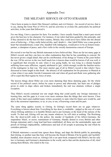# Appendix Two

## THE MILITARY SERVICE OF OTTO STRASSER

I have been at pains to check Otto Strasser's military and civil history - his record of service, that is to say, during the Great War of 1914-18, and his activities in civilian life, particularly his political activities, in the years that followed it.

For one thing, I have a passion for facts. For another, I have usually found that a man's past record gives the best key to his character. For instance, if our rulers had been guided by this principle, and if they desired to do the best for their country, Britain, they could never have fallen into the absurd error of believing -- if they really believed this, and I doubt it -- that Adolf Hitler was a man good at heart but misunderstood, a man who, handled with indulgence, would prove to be an honest treatypartner, a champion of peace, and a first violin in the sweetly harmonious concert of Europe.

His record is too bad for any British statesman to have believed that. There are far too many gaps in Hitler's record, and they can have no other explanation than that he has something to conceal. He has never given a single detail, that can be corroborated, of his doings in Vienna in the years before the war. Of his service in the war itself much less is known than would be known if all was well; it is significant that towards its end, when it was going badly, he was lying in a distant hospital suffering from some affliction, vaguely attributed to 'gas', which strongly recalls the familiar tactics of the malingerer in that war. The most sinister gap of all in Hitler's record is that which I have discussed at some length in this book - the absence of all explanation for his presence in Munich at a time when it was under Jewish-Communist rule and when all good anti-Reds were gathering afar off to expel this Red regime by force of arms.

The known things about Hitler are even more damning than these damning gaps, for the whole record of his political career, before he came to power and afterwards, has been one of pledges given in order to dupe others and broken immediately the end was attained, without a single exception.

Thus Hitler's record contained not one single thing that could justify any foreign statesman in trusting him, and the gaps in it were even more ominous than the things that were known. Close study of this man's past enabled many writers accurately to state what his future acts would be, and this is the enormous importance, to us, to you, to me, of knowing a man and his past.

The same thing applies exactly to Göring. In Göring's record there are no gaps whatever. Everything is known about him. Everything he has done is creditable - judged as the acts of a man whose lifelong ambition is to humble Britain and to put Germany at the head of the nations of the world. To that end, Göring will use any means whatever; he will stick at nothing. The Reichstag fire; the shoot-to-kill order to the police; the murder of hundreds of his fellow-Germans; the stupendous 'black', or secret, rearmament of Germany, blandly denied to every British and other foreign statesman until a long lead had been established; all these are the unmistakable signs and proofs of Göring's implacability, ruthlessness and lack of all scruple in pursuing the end which he considers patriotic.

If British statesmen a second time ignore these things, and dupe the British public by pretending that Göring, or another man like him, will become the friend of Britain if he be gently and 'tactfully' handled, more disasters await us. Göring's life is an open book compared with Hitler's; but his only law is Germany and Germany's domination in the world, and to that end the destruction of all, chief among them Britain, who stand in the way.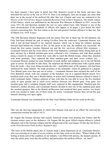For these reasons I have gone in detail into Otto Strasser's record in this book, and have also described his service in the war of 1914-18. Here is no ambiguity, here are no gaps, any more than there are in the record of his political life after that war. Chapter and verse are contained in the *History of the First* (*Prince Regent Luitpold*) *Bavarian Field Artillery Regiment*. The fourth volume of this history, which was published by the Bavarian War Museum at Munich in 1931, covers the years 1911-20, and therefore includes the war we once called Great. Otto Strasser is one of the most oft-mentioned of the hundreds of officers who appear in its pages. I give below the chief extracts concerning him. The first relates to the last and greatest German offensive in that war, that of March 21st, 1918. It says:

'The 24th Bavarian Infantry Regiment took the enemy first line in thick fog. Its left battalion, the First, had been allotted the task of taking Urvillers from the south-east. Lieutenant Strasser was with it and devoted himself to his especial mission, which was to keep the infantry pressing forward hard behind the curtain of fire. At this point in the line, the method was successful. He found the first enemy trenches flattened out and the few survivors offered little resistance ... Lieutenant Strasser and the scout officer of the First Battalion, Lieutenant Sailer (being held up in their advance by a British machine-gun nest), collected a few volunteers and with them pushed along a trench by means of which they were able to reach the British troops, whom they attacked with hand grenades. They captured the three machine-guns and their crews without loss ... Lieutenant Strasser pushed on some hundreds of yards farther and suddenly saw to his left British guns in action. He decided to take these. He surprised the British artillerymen with a quick attack from the north -- they were firing towards the east -- and killed some of the gunners, who had been reinforced by some infantry. He made prisoners of the remainder, whom he gathered in a dugout. Two British guns were thus put out of action ... Lieutenant Strasser then rejoined the staff of the First Battalion which, with one company of the battalion, was in a captured British trench. Five hundred yards away they saw a British battery in action and Lieutenant Strasser offered to attack it with Lieutenant Sailer. Taking a platoon of men with him, he was able to cover the five hundred yards of open ground and to reach cover midway between two British guns. Four guns, two machine-guns and a complete brigade staff were captured in this engagement. Machine-gun fire hindered a further advance, and Lieutenant Strasser decided to turn one of the captured guns upon the machine-gunners. But as the British artillerymen had rendered their guns useless, two hours' work was needed to make one of them ready for action. Lieutenant Strasser then served this gun himself, shooting over open sights.

'Lieutenant Strasser was nominated for the Max Josef Military Order for his work on this day.'

This was the first big engagement in which Otto Strasser took part as an officer (he received his commission towards the end of 1917).

\*

By August the German advance had ceased, American troops were pouring into France, and the German armies were on the defensive. On August 9th the great Allied counter-offensive (which ultimately led to the German collapse and the alleged end of the war) began. Of this day the *History of the First Bavarian Field Artillery Regiment* says:

'The news of the British attack east of Amiens made a deep impression on us. Lieutenant Strasser, who was carrying on in spite of severe sciatica, at this time wrote in his diary: "When I think of the feeling at home and of the condition of our infantry, I am filled with anxiety, the deepest anxiety. If only the whole army were like the artillery and particularly the artillery officers - ah, then!"'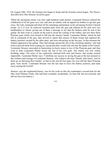On August 20th, 1918, the German line began to break and the German retreat began. The *History* describes how Otto Strasser saved his guns:

'When the advancing enemy was only eight hundred yards distant, Lieutenant Strasser ordered the withdrawal of all his guns save one, and sent an orderly with an appeal for limbers to get this gun away. He took command and fired all his remaining ammunition at the advancing French Colonial troops. At 6.15 p.m. he removed essential parts from the gun and ordered all his men save two bombardiers to retreat, giving one of them a message to say that the limbers must be sent at the gallop. He then went to a point on the road to await the coming of the limber, and saw there three Prussian guns which were bound to fall into the enemy's hands. Lieutenant Hieber, whom he had left in command of the gun, then arrived to report that masses of black troops had captured the battery position vacated by the other guns, and were advancing on the last gun. At this moment the limbers appeared at the gallop. They had already passed the last of the retreating infantry, who had tried to prevent them from coming on, saying that they would only fall into the hands of the French. Lieutenant Strasser succeeded in harnessing six-horse teams to two of the Prussian guns and then went to help Lieutenant Hieber rescue the last of his own guns. The enemy was now within bombing range. The noise of the explosions alarmed both men and horses, and escape seemed impossible. Lieutenant Hieber says: "I attribute our success in saving the gun at the last moment to the coolness and courage of Lieutenant Strasser, who called to the men: 'Steady, don't hurry. Just let them go on throwing their bombs', so that in the end all four guns, his own and the three Prussian guns, were saved". Lieutenant Strasser was the last man to leave the battery position, and came away cursing the French'.

Strasser, says the regimental history, was for his work on this day nominated a second time for the Max Josef Military Order. (He had been wounded, incidentally, on June 6th, but not seriously and did not leave his battery.)

\*\*\*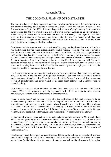## Appendix Three

# THE COLONIAL PLAN OF OTTO STRASSER

The thing that has particularly impressed me about Otto Strasser's proposals for the reorganization of Germany is that they do not belong to the legion of such schemes hatched, or half-hatched, since this war began in September 1939. Since that happened, all sorts of people, among them many who earlier denied that the war would come, that Hitler would invade Austria, or Czechoslovakia, or Poland, and particularly that he would ever join hands with Bolshevy, have begun to offer *their* plans for the re-mapping of Germany and Europe after the war. The history of all their past pronouncements, if anybody remembered it, would show how ill-qualified they are to win a new peace, for they are the people who lost the last one.

Otto Strasser's chief proposal -- the preservation of Germany but the dismemberment of Prussia - was made before this war began, before Hitler began his swoops, before he even came to power. It was first made immediately after Otto Strasser's breach with Hitler, in 1930, and was published in 1931, and the fact that it has become to-day, in 1940, of such enormous political importance shows that he is a man of the most exceptional farsightedness and a master of his subject. That proposal is the most important thing in this book. It has to be considered in conjunction with his other, domestic proposal for the expropriation of the great Prussian landowners. Strasser would ensure peace by destroying the forces inside Germany that recurrently and incorrigibly work for war, the forces that put Hitler in power and made this war.

It is the most striking proposal, and the most worthy of long examination, that I have seen, and puts him, as I believe, in the first rank of the political thinkers of our time, which can show barely a single statesman of quality, unless Mussolini is one. It entitles Strasser's whole political programme to earnest consideration, and gives weight to his ideas about colonies and Germany's title, to colonial activity.

Otto Strasser's proposals about colonies also date from many years back and were published in January 1938. These proposals, and the arguments with which he supports them, deserve comparison, once more, with Hitler's record in the same matter.

Hitler, in *Mein Kampf* and for many years after the publication of that book claimed to be an inveterate enemy of German colonial activity, on the ground that ambitions in this direction would bring Germany into antagonism with Britain, whose friendship was vital for her. This professed view about colonies was as mendacious as his hostility to Bolshevy and all his other avowed opinions; it was an attitude assumed to lull Britain into a sense of false security while German rearmament was being rushed forward, and our rulers inevitably succumbed to the blarney.

By the time of Munich, Hitler had got so far as to state his claim to colonies (to Mr. Chamberlain) and in the last years before the present war, indeed, this claim was an open and official one of Hitler's Germany. The Roman Umpire, too, proclaimed the right of Germany to a colonial empire in Africa in October 1937, and this nobly selfless act of brotherly love, which was better calculated than any other to cut off any possible German retreat to London, was one of the astutest of Mussolini's moves.

Otto Strasser was at that time in exile, and fighting Hitler, but he did not, for the sake of financial support in his campaign or of political backing in foreign countries, take the line of least resistance, attack Hitler for his falsehoods in the matter of colonies, and call on his followers to fight against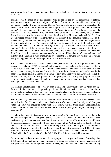any proposal for a German share in colonial activity. Instead, he put forward his own proposals, in these words:

'Nothing could be more unjust and senseless than to declare the present distribution of colonial territory unchangeable. German emigrants of the Left make themselves ridiculous when they emphatically declare themselves against Germany's colonial claims and thus make themselves the spokesmen of the British or French colonial empires. Mussolini's phrase about the "proletarian nations", the have-nots, and their antagonists the "capitalist nations", the haves, is simply the Marxist idea of class-warfare translated into terms of colonies. But the enemy of such classdistinctions must also be the enemy of such nation-distinctions. He cannot acknowledge that there are "privileged nations" with colonial territories ten, a hundred, or a thousand times as large as the mother country, while other countries pine in the confinement of their space and the meagreness of their raw-material sources. Who can deny that the high standard of living of the British and Dutch peoples, the sound basis of French and Belgian industry, in predominant measure rests on their wealth of colonies, while the low standard of living of Italy and Austria, the raw-material poverty of Switzerland and the Sudetenland is in large degree due to their lack of colonies? By what writ does Portugal, with a stationary population of six to seven million, dispose of a colonial empire of over two million square metres, or more than five times the area of Germany, while Poland, with an ever-growing population of thirty-eight millions, has no colonies?

'But' -- adds Otto Strasser -- 'this objective and just examination of the problem shows the monstrous mendacity of Hitler's colonial claims and their completely reactionary motive and aim, for he is not concerned about a useful solution of the whole problem, about justice, or about a new and better order among the nations. For him, the question is solely one of might, of a share in the booty. That achieved, his Germany would immediately rank itself with the haves and against the have-nots. So might a workman profess Socialist principles until he acquired property, and then with the utmost speed become a defender of the capitalist system against the other Socialists, thus proving that he was never a Socialist!

'The colonial problem cannot be solved by such means. The result would be but an eternal struggle for shares in the booty, while the prevailing order would undergo no change whatever. But it is not only a matter of a share of the booty. Only a fundamental change in the colonial system can lead to that durable settlement of the problem which is so important a condition of European pacification.

'How would the government of a new Germany, after Hitler, envisage such a new system, what would it strive for? The conception immediately arises of a joint colonial activity of all European states, especially the industrial states, that is, Germany, Austria, Switzerland, Czechoslovakia, Poland. This would remove from the problem those factors of prestige and might and rivalry which envenom it<sup>'</sup>

(I ought to intervene at this point to mention that since Otto Strasser drew up his proposals for the colonial participation of European States, Austria, Czechoslovakia and Poland have been swallowed up by Hitler, and that even Otto Strasser's conception of a European peace would leave the industrial regions of the last two States, and probably all of Austria, within the Reich, so that a share in colonial activity based on industrial strength would work out very much to Germany's advantage. I also mentioned earlier in this book that I was not in agreement with Otto Strasser's proposals for Austria, the Sudeten-German area of what was Czechoslovakia, and that part of Poland which the Germans miscalled the Polish Corridor. I simply recorded his proposals.)

On the strength of these arguments, Otto Strasser proposes, as the practical means of ensuring a just distribution of colonial activity, the formation of a European Colonial Company, comprising all European states, with the exception of Britain, France, Italy, and Holland, which would be unlikely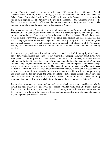to join. The chief members, he wrote in January 1938, would thus be Germany, Poland, Czechoslovakia, Belgium, Hungary, Portugal, Austria, Switzerland, and the Scandinavian and Balkan States if they wished to join. They would participate in the Company in proportion to the size of their populations. The territory to be put at the disposal of this Company would be the former German territories in Africa and the African colonies of Belgium and Portugal. The Company would be under the supervision of the League of Nations.

The former owners in the African territory thus administered by the European Colonial Company, proposes Otto Strasser, should receive from it annually a payment equal to the average of their earnings during the preceding ten years, this to be guaranteed by the League. All colonial services would be taken over by the Company, and would retain their pension and other rights. Flags and official languages would remain unchanged, but the Company's flag would be hoisted alongside, and bilingual speech (French and German) would be gradually introduced in all the Company's territory. New administrative staffs would be trained in colonial schools in the participating countries.

Such were the proposals for 'a just solution of the colonial problem' drawn up by Otto Strasser before Hitler's annexations had begun. To-day, regarded as 'just proposals', they are still attractive. Their practical possibility seems to have receded. They depend, for instance, on the readiness of Belgium and Portugal to place their great African empires under the administration of a 'European Colonial Company', and there is no likelihood of this unless some future peace conference develops in a way that now seems quite improbable. They depend, too, on the readiness of Britain to place the former German colonies in Africa under similar administration, and if Germany loses this war, or better said, if she does not contrive to win it, that seems less likely still. At one point -- by abstention from his last adventure, the attack on Poland -- Hitler could almost certainly have had some such concession in respect of the former German colonies in Africa; I have the strong impression that that card was always held far up the sleeve of our governments. But now?

To-day, these proposals even seem too kind to Germany, which has given the world cause only for ill-will, and none whatever for good will, since March 1938, ten weeks after Otto Strasser drew up this plan. At the time they were written, they were certainly reasonable, and who would say that they were not just? To-day, they remain to throw another light on the mind of a man who may yet play an important part in German affairs.

\*\*\*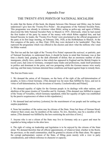### Appendix Four

### THE TWENTY-FIVE POINTS OF NATIONAL SOCIALISM

In order that the theme of this book, the dispute between Otto Strasser and Hitler, may be better understood I give here the 'Twenty-Five Points' - the programme of the National Socialist Party. This programme was already in existence when Hitler, acting as police-spy and agent of Röhm, discovered the little National Socialist Party in Munich in 1919. Afterwards, when he had ousted the first leaders of the party by means of the money with which Röhm supplied him, and had himself become its leader, the 'Twenty-Five Points' were proclaimed as the official programme of the party at its first large meeting, on February 25th, 1920, at the Hofbräuhaus in Munich. At the first congress of the party, on May 22nd, 1920, they were declared to be 'unalterable'. They thus represent the programme which was offered to the electors and show what the millions who voted for Hitler wanted.

The first ten and the last eight of the 'Twenty-Five Points' represent the *national*, or patriotic, part of National Socialism; to understand them, it should be borne in mind that Germany was at that time a chaotic land, groping in the dark aftermath of defeat; that an enormous number of alien immigrants, chiefly Jews, similar to that which has appeared in England and the British Empire in recent years, had come to Germany, swamped many trades and professions, made itself prominent in politics and dominant in the press, and was prospering while the German masses were nearly starving; and that many Germans detested these conditions and hoped against hope to remedy them.

The first ten Points were:

1. We demand the union of all Germans, on the basis of the right of the self-determination of peoples, to form a Great Germany. [This demand was far more than fulfilled by force, and not in virtue of self-determination, by the invasions of Austria, Czechoslovakia and Poland.]

2. We demand equality of rights for the German people in its dealings with other nations, and abolition of the peace treaties of Versailles and St. Germain. [This demand was fulfilled in respect of the Treaty of Versailles, which Germany repudiated, while her equality of rights was established by the passive acquiescence of others in this repudiation.]

3. We demand land and territory [colonies] for the nourishment of our people and for settling our surplus population.

4. None but members of the nation may be citizens of the State. None but those of German blood, whatever their creed, may be members of the nation. No Jew, therefore, may be a member of the nation. [This demand was fulfilled by the laws restricting the activities of Jews.]

5. Anyone who is not a citizen of the State may live in Germany only as a guest and must be regarded as being subject to the alien laws.

6. The right of voting on leadership and legislation is to be enjoyed by the citizens of the State alone. We demand therefore that all official appointments, of whatever kind, whether in the Reich, the provinces, or the small communities, shall be granted to citizens of the State alone. We oppose the corrupt parliamentary custom of the State, of filling posts merely with a view to party considerations, and without reference to character or capacity.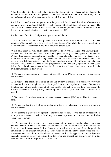7. We demand that the State shall make it its first duty to promote the industry and livelihood of the citizens of the State. If it is not possible to nourish the entire population of the State, foreign nationals (non-citizens of the State) must be excluded from the Reich.

8. All further non-German immigration must be prevented. We demand that all non-Germans who entered Germany after August 2nd, 1914, shall be required forthwith to depart from the Reich. [The first part of this demand was fulfilled, the second part was not, although scores of thousands of the detested immigrants had actually come to Germany since 1914.]

9. All citizens of the State shall possess equal rights and duties.

10. It must be the first duty of every citizen of the State to perform mental or physical work. The activities of the individual must not clash with the interests of the whole, but must proceed within the framework of the community and must be for the general good.

At this point begin the vital seven Points, numbers 11 to 17, which comprise the *Socialist* part of National Socialism and, with the *patriotic* part, gave the Party its dual appeal to the electors. Without these socialist clauses, the party could never have attained power. They were taken over by Hitler precisely for that reason; his long debate with Otto Strasser, recorded in this book, shows that he never regarded them seriously. But Otto Strasser, and many more of his followers, did take them seriously. These were the parts of the programme which irresistibly appealed to that social *Sehnsucht* in the German people of which I have written at length. Not one of these Socialist promises was fulfilled. They were:

11. We demand the abolition of incomes not earned by work. [No step whatever in this direction was ever taken.]

12. In view of the enormous sacrifice of life and property demanded of a nation by every war, personal enrichment through war must be regarded as a crime against the nation. We demand therefore the ruthless confiscation of all war profits. [No action of this kind was taken; the armament-makers in Germany to-day, and during this present war, thrive as freely as those in other lands.]

13. We demand the nationalization of all jointly-owned concerns. [Nothing to this effect was ever done.]

14. We demand that there shall be profit-sharing in the great industries. [No measure to this end was ever enacted.]

15. We demand a generous development of provision for old age. [To the best of my recollection, no improvement was ever made in the old-age insurance or pensions schemes which existed when Hitler came to power.]

16. We demand the creation and maintenance of a healthy middle class, immediate communalization of wholesale warehouses, and their lease at a low rate to small traders, and that the most careful consideration shall be shown to all small purveyors to the State, the provincial administrations, or smaller communities. [This vision of multiple-stores, chain-stores and oneprice-stores converted into small-tradesmen's bazaars particularly appealed to the hard-pressed small shopkeeper in the days of Hitler's fight for power and brought him much support from this class. No move to fulfil this promise was ever made.]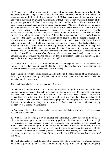17. We demand a land-reform suitable to our national requirements, the passing of a law for the confiscation without compensation of land for communal purposes, the abolition of interest on mortgages, and prohibition of all speculation in land. [This demand was really the most important and vital in the whole programme. 'Confiscation without compensation' was aimed directly at the great warmongering landlords of Prussia, many of them incurably insolvent. The aim was to settle a sturdy stock of peasant smallholders on those bankrupt acres. 'Abolition of interest on mortgages and prohibition of all speculation in land' was aimed at the Jewish banker and usurer in the other rural districts, whose slave the peasant had become. This is still, to-day, a burning issue in the whole German problem, as I have shown in the chapter about Otto Strasser's 'German Socialism'. Not only was nothing ever done to fulfil this Point of the programme, but it was actually discarded long before the Party came to power, for Hitler, as an equivalent for the financial subsidies he received from the lords of land and industry -- one of them, Herr Thyssen, admitted to this in a statement he made after his flight from Germany not long ago -- on April 13th, 1928, added a rider to the famous Point 17 which said. 'It is necessary to reply to the false interpretation on the part of our opponents of Point 17. Since the National Socialist Party admits the principle of private property, it is obvious that the expression "confiscation without compensation" refers merely to the creation of possible legal means of confiscating, when necessary, land illegally acquired, or not administered in accordance with the national welfare. It is therefore directed in the first instance against the Jewish companies which speculate in land.']

[No land-reform was made, no confiscation-law passed, mortgage-interest was not abolished, nor was speculation in land made impossible. On the contrary, the great landowners were chief among the powers behind the scenes which made Hitler dictator.]

This comparison between Hitler's preaching and practice in the social section of his programme is necessary for the understanding of this book and of the German situation as it will take shape in the later stages of the present war.

The remaining eight Points are less important. They are:

18. We demand ruthless war upon all those whose activities are injurious to the common interest. Common criminals against the nation, usurers, profiteers, etc., must be punished with death, whatever their creed or race. (No 'profiteers or usurers' have ever been punished with death in Hitler's Germany, to the best of my knowledge, and very few of them have been punished at all, only a showpiece here and there for propagandist purposes. The only people who have been put to death were those who were charged with treason in one form or another - that is, with endangering the secrecy of Germany's rearmament.]

19. We demand that the Roman Law, which serves the materialistic world order, shall be replaced by a German common law.

20. With the aim of opening to every capable and industrious German the possibility of higher education and consequent advancement to leading positions, the State must consider a thorough reconstruction of our national system of education. The curriculum of all educational establishments must be brought into line with the requirements of practical life. Directly the mind begins to develop, the schools must aim at teaching the pupil to understand the idea of the State. We demand the education of specially gifted children of poor parents, whatever their class or occupation, at the expense of the State. [Nothing was done to fulfil the first and last sentences of this Point.]

21. The State must apply itself to raising the standard of health in the nation by protecting mothers and infants, prohibiting child labour and increasing bodily efficiency by legally obligatory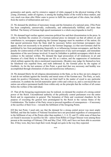gymnastics and sports, and by extensive support of clubs engaged in the physical training of the young. [Germany, under all regimes, is among the leading States of the world in these matters, and very much was done after Hitler came to power to fulfil the second part of this claim, but chiefly from the motive of militarization and war.]

22. We demand the abolition of mercenary troops and the formation of a national army. [This Point has been completely, unreservedly, exuberantly, and enthusiastically fulfilled, and more than fulfilled. The history of German high-speed rearmament is a whole encyclopaedia in itself.]

23. We demand legal warfare against conscious political lies and their dissemination in the press. In order to facilitate the creation of a German national press we demand: (a) that all editors of, and contributors to, newspapers employing the German language must be members of the nation; (b) that special permission from the State shall be necessary before non-German newspapers may appear, these not necessarily to be printed in the German language; (c) that non-Germans shall be prohibited by law from participating financially in or influencing German newspapers, and that the penalty for contravention of the law shall be the suppression of any such newspaper, and immediate deportation of the non-German involved. It must be forbidden to publish newspapers which do not conduce to the national welfare. We demand the legal prosecution of all tendencies in art and literature of a kind likely to disintegrate our life as a nation, and the suppression of institutions which militate against the above-mentioned requirements. [Readers may judge for themselves how far falsehood was expelled from, and truth enthroned in, the German press by the regime of Goebbels. As for the last sentence of this Point, a good deal that was necessary and healthy was accomplished through elimination of alien and meretricious influences.]

24. We demand liberty for all religious denominations in the State, so far as they are not a danger to it and do not militate against the morality and moral sense of the German race. The Party, as such, stands for positive Christianity, but does not bind itself in the matter of creed to any particular confession. It combats the Jewish-materialist spirit *within* and *without* us, and is convinced that our nation can achieve permanent health from within only on the principle that the welfare of all comes before the welfare of the individual.

25. That all the foregoing requirements may be realized, we demand the creation of a strong central power of the Reich. Unconditional authority of the politically central parliament over the entire Reich and its organization in general. The formation of Diets and vocational chambers for the purpose of executing the general laws promulgated by the Reich in the various States of the Confederation. The leaders of the Party swear to proceed regardless of consequences -- if necessary at the sacrifice of their lives -- towards the fulfilment of the foregoing Points.

[Of this last Point, I need only say that the demand for a strong central power was most amply fulfilled, and that the leaders of National Socialism have not proceeded regardless of consequences to the fulfilment of any of the Points other than numbers 1, 2, 4, 22, and 25, while none of them has yet found it necessary to sacrifice his life - unless Ernst Röhm or Gregor Strasser were among those present at the meetings of February 25th and May 22nd, 1920, and I have not been able to ascertain this. If they were, they have kept their word, though not quite in the way they expected.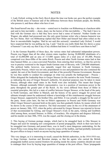#### NOTES

1: Lady Oxford, writing in the *Daily Sketch* about the time war broke out, gave the perfect example of the British sense of humour and of the difference between these fortunate people, the British, who possess it, and those others who have it not.

She found herself one day -- she wrote -- seated next to Joachim von Ribbentrop at a luncheon table and said to him inevitably -- deary, deary me the horror of this inevitability -- 'The fault I have to find with the German race is that they have never had a sense of humour'. Neither Goethe nor Wagner, she added, had possessed one; the only great German writer who a famous humorist was the Jew Heine. Herr von Ribbentrop replied that Herr Hitler and himself had often rolled on the floor in uncontrollable laughter. 'Had he not said this seriously', remarked Lady Oxford, 'I would have suspected that he was pulling my leg. I said: "And do you really think that *this* shows a sense of humour? I can only say that if any of my children had done it I would have sent them to bed".'

2: In the German Republic of those days, the various states had substantial independent powers. Prussia was bigger than all the other sixteen states together; having 38,000,000 inhabitants of a total of 62,000,000 and an area of 113,000 square miles of a total area of 181,000, Prussia comprised over three-fifths of the entire Reich. Prussia and other North German states had at that time banned Hitler, as a once-convicted Putschist, from entering their territory, so that his activity was in practice restricted to the largest South German state of Bavaria, with 7,500,000 inhabitants. The political battle, however, was naturally waged first and foremost in North Germany, particularly Prussia, which was not only preponderant in size and population but also contained the capital, the seat of the Reich Government, and that of the powerful Prussian Government. Because he was thus unable to conduct his campaign on what was actually the battleground -- Prussia -- Hitler delegated the leadership there to Gregor Strasser (in this narrative the term 'North Germany', as indicating the area of Gregor Strasser's authority, for practical purposes may be taken to mean Prussia, although other small states in the North were also included). This meant that Gregor Strasser, although nominally Hitler's representative, was in a position of enormous power in the party throughout the greater part of the Reich. As his views differed from those of Hitler in essential principles, this led to a state of conflict between Gregor Strassor, at the head of the party in North Germany, and Hitler in Munich, and the history of his party's struggle for power and ultimate triumph cannot be understood without a knowledge of this simultaneous struggle between Gregor Strasser, supported by his brother Otto, and Hitler. It was actually a struggle for the soul of the party. Some years later, the ban on Hitler's appearance in Prussia and North Germany was lifted. Gregor Strasser's personal hold on the party was then gradually broken, by means which will be shown in the course of this narrative. The final encounter came on the eve of the attainment of power on January 30th, 1933, when the policy advocated by Gregor Strasser was rejected in favour of that recommended by Göring, and Gregor Strasser's rivals in the party, Göring and Goebbels chief among them, accused Strasser, to Hitler, of treachery. His relegation and disgrace followed; and his murder on June 30th, 1934, was the sequel, and the closing act in the drama.

3: This buying of German postage stamps, which had to be smuggled back to Otto Strasser in Prague and used for stamping new consignments of postal propaganda, which in their turn had to be smuggled into Germany and posted there, was in itself a most dangerous undertaking, for the Secret Police were doing their utmost to trace the source of the leaflets, and had probably instructed the post offices to keep a watch on anyone buying large quantities of stamps.

This very danger, as it is interesting to recall, caused the British authorities, in the 1914-1918 war, to forge German, Austrian and Bavarian stamps, so that the agents who carried the British propaganda leaflets across neutral frontiers for posting inside the enemy countries should not need to endanger their lives by buying large quantities of stamps at the post offices. These 'propaganda